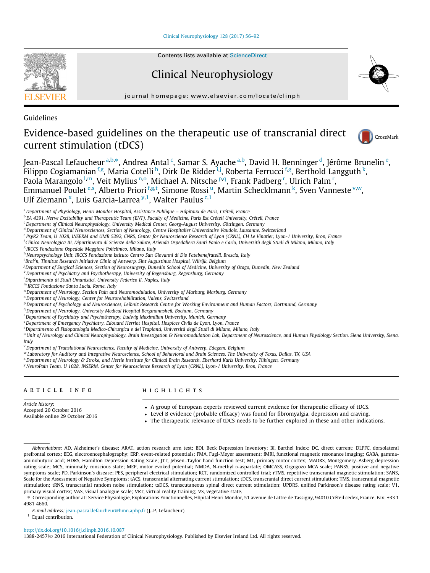[Clinical Neurophysiology 128 \(2017\) 56–92](http://dx.doi.org/10.1016/j.clinph.2016.10.087)



# Clinical Neurophysiology



journal homepage: [www.elsevier.com/locate/clinph](http://www.elsevier.com/locate/clinph)

Guidelines

# Evidence-based guidelines on the therapeutic use of transcranial direct current stimulation (tDCS)



Jean-Pascal Lefaucheur <sup>a,b,</sup>\*, Andrea Antal <sup>c</sup>, Samar S. Ayache <sup>a,b</sup>, David H. Benninger <sup>d</sup>, Jérôme Brunelin <sup>e</sup>, Filippo Cogiamanian <sup>f,g</sup>, Maria Cotelli <sup>h</sup>, Dirk De Ridder <sup>i,j</sup>, Roberta Ferrucci <sup>f,g</sup>, Berthold Langguth <sup>k</sup>, Paola Marangolo <sup>I,m</sup>, Veit Mylius <sup>n,o</sup>, Michael A. Nitsche <sup>p,q</sup>, Frank Padberg <sup>r</sup>, Ulrich Palm <sup>r</sup>, Emmanuel Poulet <sup>e,s</sup>, Alberto Priori <sup>f,g,t</sup>, Simone Rossi <sup>u</sup>, Martin Schecklmann <sup>k</sup>, Sven Vanneste <sup>v,w</sup>, Ulf Ziemann<sup>x</sup>, Luis Garcia-Larrea<sup>y,1</sup>, Walter Paulus <sup>c,1</sup>

<sup>f</sup>Clinica Neurologica III, Dipartimento di Scienze della Salute, Azienda Ospedaliera Santi Paolo e Carlo, Università degli Studi di Milano, Milano, Italy

<sup>g</sup> IRCCS Fondazione Ospedale Maggiore Policlinico, Milano, Italy

k Department of Psychiatry and Psychotherapy, University of Regensburg, Regensburg, Germany

<sup>1</sup> Dipartimento di Studi Umanistici, University Federico II, Naples, Italy

- <sup>m</sup> IRCCS Fondazione Santa Lucia, Rome, Italy
- <sup>n</sup> Department of Neurology, Section Pain and Neuromodulation, University of Marburg, Marburg, Germany
- <sup>o</sup> Department of Neurology, Center for Neurorehabilitation, Valens, Switzerland
- P Department of Psychology and Neurosciences, Leibniz Research Centre for Working Environment and Human Factors, Dortmund, Germany
- <sup>q</sup> Department of Neurology, University Medical Hospital Bergmannsheil, Bochum, Germany
- <sup>r</sup> Department of Psychiatry and Psychotherapy, Ludwig Maximilian University, Munich, Germany
- <sup>s</sup>Department of Emergency Psychiatry, Edouard Herriot Hospital, Hospices Civils de Lyon, Lyon, France
- <sup>t</sup> Dipartimento di Fisiopatologia Medico-Chirurgica e dei Trapianti, Università degli Studi di Milano, Milano, Italy

<sup>v</sup> Department of Translational Neuroscience, Faculty of Medicine, University of Antwerp, Edegem, Belgium

- <sup>w</sup> Laboratory for Auditory and Integrative Neuroscience, School of Behavioral and Brain Sciences, The University of Texas, Dallas, TX, USA
- <sup>x</sup>Department of Neurology & Stroke, and Hertie Institute for Clinical Brain Research, Eberhard Karls University, Tübingen, Germany

y NeuroPain Team, U 1028, INSERM, Center for Neuroscience Research of Lyon (CRNL), Lyon-1 University, Bron, France

| ARTICLE INFO                     | HIGHLIGHTS                                                                                       |
|----------------------------------|--------------------------------------------------------------------------------------------------|
| Article history:                 | • A group of European experts reviewed current evidence for therapeutic efficacy of tDCS.        |
| Accepted 20 October 2016         | • Level B evidence (probable efficacy) was found for fibromyalgia, depression and craving.       |
| Available online 29 October 2016 | • The therapeutic relevance of tDCS needs to be further explored in these and other indications. |

Abbreviations: AD, Alzheimer's disease; ARAT, action research arm test; BDI, Beck Depression Inventory; BI, Barthel Index; DC, direct current; DLPFC, dorsolateral prefrontal cortex; EEG, electroencephalography; ERP, event-related potentials; FMA, Fugl-Meyer assessment; fMRI, functional magnetic resonance imaging; GABA, gammaaminobutyric acid; HDRS, Hamilton Depression Rating Scale; JTT, Jebsen–Taylor hand function test; M1, primary motor cortex; MADRS, Montgomery–Asberg depression rating scale; MCS, minimally conscious state; MEP, motor evoked potential; NMDA, N-methyl D-aspartate; OMCASS, Orgogozo MCA scale; PANSS, positive and negative symptoms scale; PD, Parkinson's disease; PES, peripheral electrical stimulation; RCT, randomized controlled trial; rTMS, repetitive transcranial magnetic stimulation; SANS, Scale for the Assessment of Negative Symptoms; tACS, transcranial alternating current stimulation; tDCS, transcranial direct current stimulation; TMS, transcranial magnetic stimulation; tRNS, transcranial random noise stimulation; tsDCS, transcutaneous spinal direct current stimulation; UPDRS, unified Parkinson's disease rating scale; V1, primary visual cortex; VAS, visual analogue scale; VRT, virtual reality training; VS, vegetative state.

<sup>1</sup> Equal contribution.

#### <http://dx.doi.org/10.1016/j.clinph.2016.10.087>

1388-2457/© 2016 International Federation of Clinical Neurophysiology. Published by Elsevier Ireland Ltd. All rights reserved.

<sup>&</sup>lt;sup>a</sup> Department of Physiology, Henri Mondor Hospital, Assistance Publique - Hôpitaux de Paris, Créteil, France

<sup>&</sup>lt;sup>b</sup> EA 4391, Nerve Excitability and Therapeutic Team (ENT), Faculty of Medicine, Paris Est Créteil University, Créteil, France

<sup>&</sup>lt;sup>c</sup> Department of Clinical Neurophysiology, University Medical Center, Georg-August University, Göttingen, Germany

<sup>&</sup>lt;sup>d</sup> Department of Clinical Neurosciences, Section of Neurology, Centre Hospitalier Universitaire Vaudois, Lausanne, Switzerland

e PsyR2 Team, U 1028, INSERM and UMR 5292, CNRS, Center for Neuroscience Research of Lyon (CRNL), CH Le Vinatier, Lyon-1 University, Bron, France

h Neuropsychology Unit, IRCCS Fondazione Istituto Centro San Giovanni di Dio Fatebenefratelli, Brescia, Italy

 $^{\rm i}$ Brai $^{\rm 2}$ n, Tinnitus Research Initiative Clinic of Antwerp, Sint Augustinus Hospital, Wilrijk, Belgium

j Department of Surgical Sciences, Section of Neurosurgery, Dunedin School of Medicine, University of Otago, Dunedin, New Zealand

u Unit of Neurology and Clinical Neurophysiology, Brain Investigation & Neuromodulation Lab, Department of Neuroscience, and Human Physiology Section, Siena University, Siena, Italy

<sup>⇑</sup> Corresponding author at: Service Physiologie, Explorations Fonctionnelles, Hôpital Henri Mondor, 51 avenue de Lattre de Tassigny, 94010 Créteil cedex, France. Fax: +33 1 4981 4660.

E-mail address: [jean-pascal.lefaucheur@hmn.aphp.fr](mailto:jean-pascal.lefaucheur@hmn.aphp.fr) (J.-P. Lefaucheur).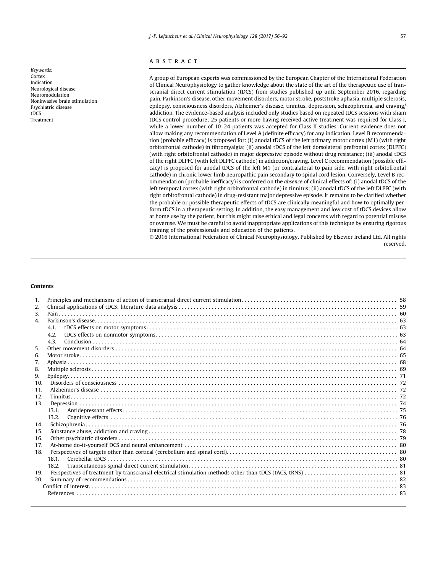#### Keywords: **Cortex** Indication Neurological disease Neuromodulation Noninvasive brain stimulation Psychiatric disease tDCS Treatment

# <u>abstractive</u>

A group of European experts was commissioned by the European Chapter of the International Federation of Clinical Neurophysiology to gather knowledge about the state of the art of the therapeutic use of transcranial direct current stimulation (tDCS) from studies published up until September 2016, regarding pain, Parkinson's disease, other movement disorders, motor stroke, poststroke aphasia, multiple sclerosis, epilepsy, consciousness disorders, Alzheimer's disease, tinnitus, depression, schizophrenia, and craving/ addiction. The evidence-based analysis included only studies based on repeated tDCS sessions with sham tDCS control procedure; 25 patients or more having received active treatment was required for Class I, while a lower number of 10-24 patients was accepted for Class II studies. Current evidence does not allow making any recommendation of Level A (definite efficacy) for any indication. Level B recommendation (probable efficacy) is proposed for: (i) anodal tDCS of the left primary motor cortex (M1) (with right orbitofrontal cathode) in fibromyalgia; (ii) anodal tDCS of the left dorsolateral prefrontal cortex (DLPFC) (with right orbitofrontal cathode) in major depressive episode without drug resistance; (iii) anodal tDCS of the right DLPFC (with left DLPFC cathode) in addiction/craving. Level C recommendation (possible efficacy) is proposed for anodal tDCS of the left M1 (or contralateral to pain side, with right orbitofrontal cathode) in chronic lower limb neuropathic pain secondary to spinal cord lesion. Conversely, Level B recommendation (probable inefficacy) is conferred on the absence of clinical effects of: (i) anodal tDCS of the left temporal cortex (with right orbitofrontal cathode) in tinnitus; (ii) anodal tDCS of the left DLPFC (with right orbitofrontal cathode) in drug-resistant major depressive episode. It remains to be clarified whether the probable or possible therapeutic effects of tDCS are clinically meaningful and how to optimally perform tDCS in a therapeutic setting. In addition, the easy management and low cost of tDCS devices allow at home use by the patient, but this might raise ethical and legal concerns with regard to potential misuse or overuse. We must be careful to avoid inappropriate applications of this technique by ensuring rigorous training of the professionals and education of the patients.

 2016 International Federation of Clinical Neurophysiology. Published by Elsevier Ireland Ltd. All rights reserved.

#### Contents

| 1.           |       |  |
|--------------|-------|--|
| 2.           |       |  |
| 3.           |       |  |
| $\mathbf{4}$ |       |  |
|              | 4.1.  |  |
|              | 4.2.  |  |
|              | 4.3.  |  |
| 5.           |       |  |
| 6.           |       |  |
| 7.           |       |  |
| 8.           |       |  |
| 9.           |       |  |
| 10.          |       |  |
| 11.          |       |  |
| 12.          |       |  |
| 13.          |       |  |
|              |       |  |
|              | 13.2. |  |
| 14.          |       |  |
| 15.          |       |  |
| 16.          |       |  |
| 17.          |       |  |
| 18.          |       |  |
|              |       |  |
|              | 18.2. |  |
| 19.          |       |  |
| 20.          |       |  |
|              |       |  |
|              |       |  |
|              |       |  |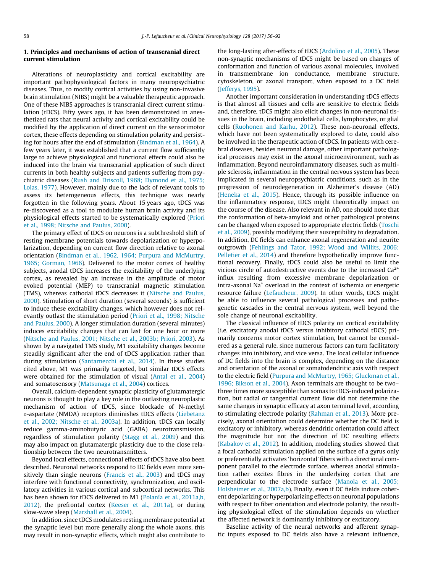# 1. Principles and mechanisms of action of transcranial direct current stimulation

Alterations of neuroplasticity and cortical excitability are important pathophysiological factors in many neuropsychiatric diseases. Thus, to modify cortical activities by using non-invasive brain stimulation (NIBS) might be a valuable therapeutic approach. One of these NIBS approaches is transcranial direct current stimulation (tDCS). Fifty years ago, it has been demonstrated in anesthetized rats that neural activity and cortical excitability could be modified by the application of direct current on the sensorimotor cortex, these effects depending on stimulation polarity and persisting for hours after the end of stimulation [\(Bindman et al., 1964](#page-28-0)). A few years later, it was established that a current flow sufficiently large to achieve physiological and functional effects could also be induced into the brain via transcranial application of such direct currents in both healthy subjects and patients suffering from psychiatric diseases [\(Rush and Driscoll, 1968; Dymond et al., 1975;](#page-35-0) [Lolas, 1977](#page-35-0)). However, mainly due to the lack of relevant tools to assess its heterogeneous effects, this technique was nearly forgotten in the following years. About 15 years ago, tDCS was re-discovered as a tool to modulate human brain activity and its physiological effects started to be systematically explored ([Priori](#page-34-0) [et al., 1998; Nitsche and Paulus, 2000](#page-34-0)).

The primary effect of tDCS on neurons is a subthreshold shift of resting membrane potentials towards depolarization or hyperpolarization, depending on current flow direction relative to axonal orientation [\(Bindman et al., 1962, 1964; Purpura and McMurtry,](#page-28-0) [1965; Gorman, 1966\)](#page-28-0). Delivered to the motor cortex of healthy subjects, anodal tDCS increases the excitability of the underlying cortex, as revealed by an increase in the amplitude of motor evoked potential (MEP) to transcranial magnetic stimulation (TMS), whereas cathodal tDCS decreases it [\(Nitsche and Paulus,](#page-33-0) [2000\)](#page-33-0). Stimulation of short duration (several seconds) is sufficient to induce these excitability changes, which however does not relevantly outlast the stimulation period ([Priori et al., 1998; Nitsche](#page-34-0) [and Paulus, 2000\)](#page-34-0). A longer stimulation duration (several minutes) induces excitability changes that can last for one hour or more ([Nitsche and Paulus, 2001; Nitsche et al., 2003b; Priori, 2003\)](#page-33-0). As shown by a navigated TMS study, M1 excitability changes become steadily significant after the end of tDCS application rather than during stimulation ([Santarnecchi et al., 2014](#page-35-0)). In these studies cited above, M1 was primarily targeted, but similar tDCS effects were obtained for the stimulation of visual ([Antal et al., 2004\)](#page-27-0) and somatosensory ([Matsunaga et al., 2004\)](#page-33-0) cortices.

Overall, calcium-dependent synaptic plasticity of glutamatergic neurons is thought to play a key role in the outlasting neuroplastic mechanism of action of tDCS, since blockade of N-methyl D-aspartate (NMDA) receptors diminishes tDCS effects ([Liebetanz](#page-32-0) [et al., 2002; Nitsche et al., 2003a\)](#page-32-0). In addition, tDCS can locally reduce gamma-aminobutyric acid (GABA) neurotransmission, regardless of stimulation polarity ([Stagg et al., 2009](#page-35-0)) and this may also impact on glutamatergic plasticity due to the close relationship between the two neurotransmitters.

Beyond local effects, connectional effects of tDCS have also been described. Neuronal networks respond to DC fields even more sensitively than single neurons [\(Francis et al., 2003\)](#page-30-0) and tDCS may interfere with functional connectivity, synchronization, and oscillatory activities in various cortical and subcortical networks. This has been shown for tDCS delivered to M1 [\(Polanía et al., 2011a,b,](#page-34-0) [2012\)](#page-34-0), the prefrontal cortex [\(Keeser et al., 2011a\)](#page-32-0), or during slow-wave sleep [\(Marshall et al., 2004](#page-33-0)).

In addition, since tDCS modulates resting membrane potential at the synaptic level but more generally along the whole axons, this may result in non-synaptic effects, which might also contribute to the long-lasting after-effects of tDCS [\(Ardolino et al., 2005](#page-27-0)). These non-synaptic mechanisms of tDCS might be based on changes of conformation and function of various axonal molecules, involved in transmembrane ion conductance, membrane structure, cytoskeleton, or axonal transport, when exposed to a DC field ([Jefferys, 1995\)](#page-31-0).

Another important consideration in understanding tDCS effects is that almost all tissues and cells are sensitive to electric fields and, therefore, tDCS might also elicit changes in non-neuronal tissues in the brain, including endothelial cells, lymphocytes, or glial cells ([Ruohonen and Karhu, 2012\)](#page-35-0). These non-neuronal effects, which have not been systematically explored to date, could also be involved in the therapeutic action of tDCS. In patients with cerebral diseases, besides neuronal damage, other important pathological processes may exist in the axonal microenvironment, such as inflammation. Beyond neuroinflammatory diseases, such as multiple sclerosis, inflammation in the central nervous system has been implicated in several neuropsychiatric conditions, such as in the progression of neurodegeneration in Alzheimer's disease (AD) ([Heneka et al., 2015\)](#page-31-0). Hence, through its possible influence on the inflammatory response, tDCS might theoretically impact on the course of the disease. Also relevant in AD, one should note that the conformation of beta-amyloid and other pathological proteins can be changed when exposed to appropriate electric fields ([Toschi](#page-35-0) [et al., 2009\)](#page-35-0), possibly modifying their susceptibility to degradation. In addition, DC fields can enhance axonal regeneration and neurite outgrowth ([Fehlings and Tator, 1992; Wood and Willits, 2006;](#page-30-0) [Pelletier et al., 2014](#page-30-0)) and therefore hypothetically improve functional recovery. Finally, tDCS could also be useful to limit the vicious circle of autodestructive events due to the increased  $Ca<sup>2+</sup>$ influx resulting from excessive membrane depolarization or intra-axonal Na<sup>+</sup> overload in the context of ischemia or energetic resource failure [\(Lefaucheur, 2009](#page-32-0)). In other words, tDCS might be able to influence several pathological processes and pathogenetic cascades in the central nervous system, well beyond the sole change of neuronal excitability.

The classical influence of tDCS polarity on cortical excitability (i.e. excitatory anodal tDCS versus inhibitory cathodal tDCS) primarily concerns motor cortex stimulation, but cannot be considered as a general rule, since numerous factors can turn facilitatory changes into inhibitory, and vice versa. The local cellular influence of DC fields into the brain is complex, depending on the distance and orientation of the axonal or somatodendritic axis with respect to the electric field [\(Purpura and McMurtry, 1965; Gluckman et al.,](#page-34-0) [1996; Bikson et al., 2004](#page-34-0)). Axon terminals are thought to be two– three times more susceptible than somas to tDCS-induced polarization, but radial or tangential current flow did not determine the same changes in synaptic efficacy at axon terminal level, according to stimulating electrode polarity ([Rahman et al., 2013\)](#page-34-0). More precisely, axonal orientation could determine whether the DC field is excitatory or inhibitory, whereas dendritic orientation could affect the magnitude but not the direction of DC resulting effects ([Kabakov et al., 2012](#page-31-0)). In addition, modeling studies showed that a focal cathodal stimulation applied on the surface of a gyrus only or preferentially activates 'horizontal' fibers with a directional component parallel to the electrode surface, whereas anodal stimulation rather excites fibres in the underlying cortex that are perpendicular to the electrode surface ([Manola et al., 2005;](#page-32-0) [Holsheimer et al., 2007a,b](#page-32-0)). Finally, even if DC fields induce coherent depolarizing or hyperpolarizing effects on neuronal populations with respect to fiber orientation and electrode polarity, the resulting physiological effect of the stimulation depends on whether the affected network is dominantly inhibitory or excitatory.

Baseline activity of the neural networks and afferent synaptic inputs exposed to DC fields also have a relevant influence,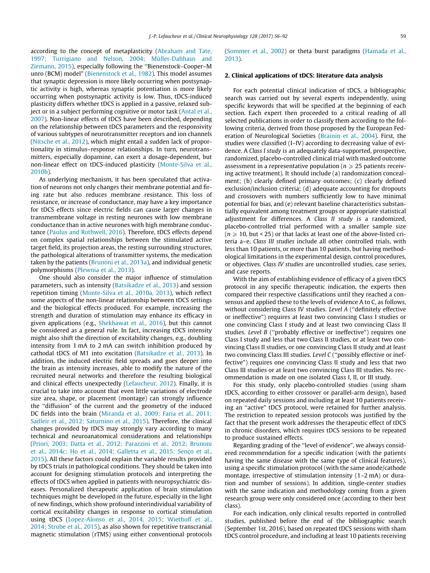according to the concept of metaplasticity [\(Abraham and Tate,](#page-27-0) [1997; Turrigiano and Nelson, 2004; Müller-Dahhaus and](#page-27-0) [Ziemann, 2015](#page-27-0)), especially following the ''Bienenstock–Cooper–M unro (BCM) model" [\(Bienenstock et al., 1982](#page-28-0)). This model assumes that synaptic depression is more likely occurring when postsynaptic activity is high, whereas synaptic potentiation is more likely occurring when postsynaptic activity is low. Thus, tDCS-induced plasticity differs whether tDCS is applied in a passive, relaxed subject or in a subject performing cognitive or motor task [\(Antal et al.,](#page-27-0) [2007](#page-27-0)). Non-linear effects of tDCS have been described, depending on the relationship between tDCS parameters and the responsivity of various subtypes of neurotransmitter receptors and ion channels ([Nitsche et al., 2012](#page-34-0)), which might entail a sudden lack of proportionality in stimulus–response relationships. In turn, neurotransmitters, especially dopamine, can exert a dosage-dependent, but non-linear effect on tDCS-induced plasticity ([Monte-Silva et al.,](#page-33-0) [2010b](#page-33-0)).

As underlying mechanism, it has been speculated that activation of neurons not only changes their membrane potential and firing rate but also reduces membrane resistance. This loss of resistance, or increase of conductance, may have a key importance for tDCS effects since electric fields can cause larger changes in transmembrane voltage in resting neurones with low membrane conductance than in active neurones with high membrane conductance ([Paulus and Rothwell, 2016\)](#page-34-0). Therefore, tDCS effects depend on complex spatial relationships between the stimulated active target field, its projection areas, the resting surrounding structures, the pathological alterations of transmitter systems, the medication taken by the patients [\(Brunoni et al., 2013a](#page-28-0)), and individual genetic polymorphisms [\(Plewnia et al., 2013](#page-34-0)).

One should also consider the major influence of stimulation parameters, such as intensity [\(Batsikadze et al., 2013](#page-28-0)) and session repetition timing [\(Monte-Silva et al., 2010a, 2013](#page-33-0)), which reflect some aspects of the non-linear relationship between tDCS settings and the biological effects produced. For example, increasing the strength and duration of stimulation may enhance its efficacy in given applications (e.g., [Shekhawat et al., 2016\)](#page-35-0), but this cannot be considered as a general rule. In fact, increasing tDCS intensity might also shift the direction of excitability changes, e.g., doubling intensity from 1 mA to 2 mA can switch inhibition produced by cathodal tDCS of M1 into excitation ([Batsikadze et al., 2013\)](#page-28-0). In addition, the induced electric field spreads and goes deeper into the brain as intensity increases, able to modify the nature of the recruited neural networks and therefore the resulting biological and clinical effects unexpectedly ([Lefaucheur, 2012](#page-32-0)). Finally, it is crucial to take into account that even little variations of electrode size area, shape, or placement (montage) can strongly influence the ''diffusion" of the current and the geometry of the induced DC fields into the brain ([Miranda et al., 2009; Faria et al., 2011;](#page-33-0) [Sadleir et al., 2012; Saturnino et al., 2015\)](#page-33-0). Therefore, the clinical changes provided by tDCS may strongly vary according to many technical and neuroanatomical considerations and relationships ([Priori, 2003; Datta et al., 2012; Parazzini et al., 2012; Brunoni](#page-34-0) [et al., 2014c; Ho et al., 2014; Galletta et al., 2015; Senço et al.,](#page-34-0) [2015\)](#page-34-0). All these factors could explain the variable results provided by tDCS trials in pathological conditions. They should be taken into account for designing stimulation protocols and interpreting the effects of tDCS when applied in patients with neuropsychiatric diseases. Personalized therapeutic application of brain stimulation techniques might be developed in the future, especially in the light of new findings, which show profound interindividual variability of cortical excitability changes in response to cortical stimulation using tDCS ([Lopez-Alonso et al., 2014, 2015; Wiethoff et al.,](#page-32-0) [2014; Strube et al., 2015](#page-32-0)), as also shown for repetitive transcranial magnetic stimulation (rTMS) using either conventional protocols ([Sommer et al., 2002](#page-35-0)) or theta burst paradigms ([Hamada et al.,](#page-31-0) [2013](#page-31-0)).

#### 2. Clinical applications of tDCS: literature data analysis

For each potential clinical indication of tDCS, a bibliographic search was carried out by several experts independently, using specific keywords that will be specified at the beginning of each section. Each expert then proceeded to a critical reading of all selected publications in order to classify them according to the following criteria, derived from those proposed by the European Federation of Neurological Societies [\(Brainin et al., 2004](#page-28-0)). First, the studies were classified (I–IV) according to decreasing value of evidence. A Class I study is an adequately data-supported, prospective, randomized, placebo-controlled clinical trial with masked outcome assessment in a representative population ( $n \geq 25$  patients receiving active treatment). It should include (a) randomization concealment; (b) clearly defined primary outcomes; (c) clearly defined exclusion/inclusion criteria; (d) adequate accounting for dropouts and crossovers with numbers sufficiently low to have minimal potential for bias, and (e) relevant baseline characteristics substantially equivalent among treatment groups or appropriate statistical adjustment for differences. A Class II study is a randomized, placebo-controlled trial performed with a smaller sample size  $(n \geq 10,$  but < 25) or that lacks at least one of the above-listed criteria a–e. Class III studies include all other controlled trials, with less than 10 patients, or more than 10 patients, but having methodological limitations in the experimental design, control procedures, or objectives. Class IV studies are uncontrolled studies, case series, and case reports.

With the aim of establishing evidence of efficacy of a given tDCS protocol in any specific therapeutic indication, the experts then compared their respective classifications until they reached a consensus and applied these to the levels of evidence A to C, as follows, without considering Class IV studies. Level A (''definitely effective or ineffective") requires at least two convincing Class I studies or one convincing Class I study and at least two convincing Class II studies. Level B (''probably effective or ineffective") requires one Class I study and less that two Class II studies, or at least two convincing Class II studies, or one convincing Class II study and at least two convincing Class III studies. Level C (''possibly effective or ineffective") requires one convincing Class II study and less that two Class III studies or at least two convincing Class III studies. No recommendation is made on one isolated Class I, II, or III study.

For this study, only placebo-controlled studies (using sham tDCS, according to either crossover or parallel-arm design), based on repeated daily sessions and including at least 10 patients receiving an ''active" tDCS protocol, were retained for further analysis. The restriction to repeated session protocols was justified by the fact that the present work addresses the therapeutic effect of tDCS in chronic disorders, which requires tDCS sessions to be repeated to produce sustained effects.

Regarding grading of the ''level of evidence", we always considered recommendation for a specific indication (with the patients having the same disease with the same type of clinical features), using a specific stimulation protocol (with the same anode/cathode montage, irrespective of stimulation intensity (1–2 mA) or duration and number of sessions). In addition, single-center studies with the same indication and methodology coming from a given research group were only considered once (according to their best class).

For each indication, only clinical results reported in controlled studies, published before the end of the bibliographic search (September 1st, 2016), based on repeated tDCS sessions with sham tDCS control procedure, and including at least 10 patients receiving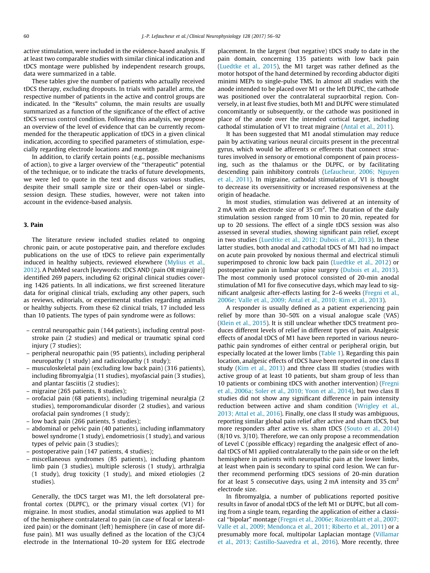active stimulation, were included in the evidence-based analysis. If at least two comparable studies with similar clinical indication and tDCS montage were published by independent research groups, data were summarized in a table.

These tables give the number of patients who actually received tDCS therapy, excluding dropouts. In trials with parallel arms, the respective number of patients in the active and control groups are indicated. In the ''Results" column, the main results are usually summarized as a function of the significance of the effect of active tDCS versus control condition. Following this analysis, we propose an overview of the level of evidence that can be currently recommended for the therapeutic application of tDCS in a given clinical indication, according to specified parameters of stimulation, especially regarding electrode locations and montage.

In addition, to clarify certain points (e.g., possible mechanisms of action), to give a larger overview of the ''therapeutic" potential of the technique, or to indicate the tracks of future developments, we were led to quote in the text and discuss various studies, despite their small sample size or their open-label or singlesession design. These studies, however, were not taken into account in the evidence-based analysis.

### 3. Pain

The literature review included studies related to ongoing chronic pain, or acute postoperative pain, and therefore excludes publications on the use of tDCS to relieve pain experimentally induced in healthy subjects, reviewed elsewhere [\(Mylius et al.,](#page-33-0) [2012\)](#page-33-0). A PubMed search [keywords: tDCS AND (pain OR migraine)] identified 269 papers, including 62 original clinical studies covering 1426 patients. In all indications, we first screened literature data for original clinical trials, excluding any other papers, such as reviews, editorials, or experimental studies regarding animals or healthy subjects. From these 62 clinical trials, 17 included less than 10 patients. The types of pain syndrome were as follows:

- central neuropathic pain (144 patients), including central poststroke pain (2 studies) and medical or traumatic spinal cord injury (7 studies);
- peripheral neuropathic pain (95 patients), including peripheral neuropathy (1 study) and radiculopathy (1 study);
- musculoskeletal pain (excluding low back pain) (316 patients), including fibromyalgia (11 studies), myofascial pain (3 studies), and plantar fasciitis (2 studies);
- migraine (265 patients, 8 studies);
- orofacial pain (68 patients), including trigeminal neuralgia (2 studies), temporomandicular disorder (2 studies), and various orofacial pain syndromes (1 study);
- low back pain (266 patients, 5 studies);
- abdominal or pelvic pain (40 patients), including inflammatory bowel syndrome (1 study), endometriosis (1 study), and various types of pelvic pain (3 studies);
- postoperative pain (147 patients, 4 studies);
- miscellaneous syndromes (85 patients), including phantom limb pain (3 studies), multiple sclerosis (1 study), arthralgia (1 study), drug toxicity (1 study), and mixed etiologies (2 studies).

Generally, the tDCS target was M1, the left dorsolateral prefrontal cortex (DLPFC), or the primary visual cortex (V1) for migraine. In most studies, anodal stimulation was applied to M1 of the hemisphere contralateral to pain (in case of focal or lateralized pain) or the dominant (left) hemisphere (in case of more diffuse pain). M1 was usually defined as the location of the C3/C4 electrode in the International 10–20 system for EEG electrode

placement. In the largest (but negative) tDCS study to date in the pain domain, concerning 135 patients with low back pain ([Luedtke et al., 2015](#page-32-0)), the M1 target was rather defined as the motor hotspot of the hand determined by recording abductor digiti minimi MEPs to single-pulse TMS. In almost all studies with the anode intended to be placed over M1 or the left DLPFC, the cathode was positioned over the contralateral supraorbital region. Conversely, in at least five studies, both M1 and DLPFC were stimulated concomitantly or subsequently, or the cathode was positioned in place of the anode over the intended cortical target, including cathodal stimulation of V1 to treat migraine ([Antal et al., 2011\)](#page-27-0).

It has been suggested that M1 anodal stimulation may reduce pain by activating various neural circuits present in the precentral gyrus, which would be afferents or efferents that connect structures involved in sensory or emotional component of pain processing, such as the thalamus or the DLPFC, or by facilitating descending pain inhibitory controls ([Lefaucheur, 2006; Nguyen](#page-32-0) [et al., 2011\)](#page-32-0). In migraine, cathodal stimulation of V1 is thought to decrease its oversensitivity or increased responsiveness at the origin of headache.

In most studies, stimulation was delivered at an intensity of 2 mA with an electrode size of 35 cm<sup>2</sup>. The duration of the daily stimulation session ranged from 10 min to 20 min, repeated for up to 20 sessions. The effect of a single tDCS session was also assessed in several studies, showing significant pain relief, except in two studies [\(Luedtke et al., 2012; Dubois et al., 2013\)](#page-32-0). In these latter studies, both anodal and cathodal tDCS of M1 had no impact on acute pain provoked by noxious thermal and electrical stimuli superimposed to chronic low back pain ([Luedtke et al., 2012\)](#page-32-0) or postoperative pain in lumbar spine surgery [\(Dubois et al., 2013\)](#page-30-0). The most commonly used protocol consisted of 20-min anodal stimulation of M1 for five consecutive days, which may lead to significant analgesic after-effects lasting for 2–6 weeks ([Fregni et al.,](#page-30-0) [2006e; Valle et al., 2009; Antal et al., 2010; Kim et al., 2013](#page-30-0)).

A responder is usually defined as a patient experiencing pain relief by more than 30–50% on a visual analogue scale (VAS) ([Klein et al., 2015\)](#page-32-0). It is still unclear whether tDCS treatment produces different levels of relief in different types of pain. Analgesic effects of anodal tDCS of M1 have been reported in various neuropathic pain syndromes of either central or peripheral origin, but especially located at the lower limbs [\(Table 1](#page-5-0)). Regarding this pain location, analgesic effects of tDCS have been reported in one class II study [\(Kim et al., 2013\)](#page-32-0) and three class III studies (studies with active group of at least 10 patients, but sham group of less than 10 patients or combining tDCS with another intervention) [\(Fregni](#page-30-0) [et al., 2006a; Soler et al., 2010; Yoon et al., 2014\)](#page-30-0), but two class II studies did not show any significant difference in pain intensity reduction between active and sham condition [\(Wrigley et al.,](#page-36-0) [2013; Attal et al., 2016](#page-36-0)). Finally, one class II study was ambiguous, reporting similar global pain relief after active and sham tDCS, but more responders after active vs. sham tDCS [\(Souto et al., 2014\)](#page-35-0) (8/10 vs. 3/10). Therefore, we can only propose a recommendation of Level C (possible efficacy) regarding the analgesic effect of anodal tDCS of M1 applied contralaterally to the pain side or on the left hemisphere in patients with neuropathic pain at the lower limbs, at least when pain is secondary to spinal cord lesion. We can further recommend performing tDCS sessions of 20-min duration for at least 5 consecutive days, using 2 mA intensity and 35  $\text{cm}^2$ electrode size.

In fibromyalgia, a number of publications reported positive results in favor of anodal tDCS of the left M1 or DLPFC, but all coming from a single team, regarding the application of either a classical ''bipolar" montage ([Fregni et al., 2006e; Roizenblatt et al., 2007;](#page-30-0) [Valle et al., 2009; Mendonca et al., 2011; Riberto et al., 2011](#page-30-0)) or a presumably more focal, multipolar Laplacian montage [\(Villamar](#page-36-0) [et al., 2013; Castillo-Saavedra et al., 2016\)](#page-36-0). More recently, three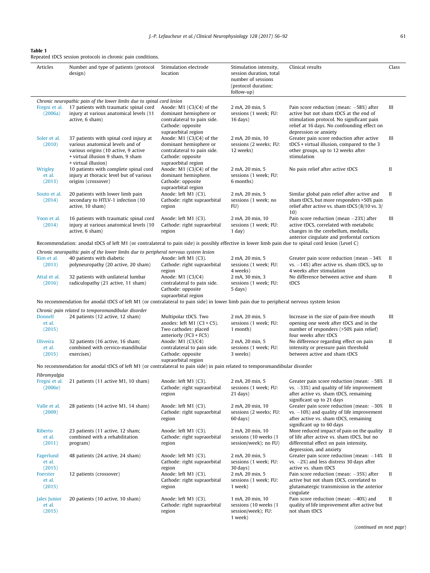# <span id="page-5-0"></span>Table 1

Repeated tDCS session protocols in chronic pain conditions.

| Articles                                 | Number and type of patients (protocol<br>design)                                                                                                                               | Stimulation electrode<br>location                                                                                             | Stimulation intensity,<br>session duration, total<br>number of sessions<br>(protocol duration;<br>follow-up) | Clinical results                                                                                                                                                                                           | Class        |
|------------------------------------------|--------------------------------------------------------------------------------------------------------------------------------------------------------------------------------|-------------------------------------------------------------------------------------------------------------------------------|--------------------------------------------------------------------------------------------------------------|------------------------------------------------------------------------------------------------------------------------------------------------------------------------------------------------------------|--------------|
| Fregni et al.<br>(2006a)                 | Chronic neuropathic pain of the lower limbs due to spinal cord lesion<br>17 patients with traumatic spinal cord<br>injury at various anatomical levels (11<br>active, 6 sham)  | Anode: M1 (C3/C4) of the<br>dominant hemisphere or<br>contralateral to pain side.<br>Cathode: opposite<br>supraorbital region | 2 mA, 20 min, 5<br>sessions (1 week; FU:<br>$16 \text{ days}$                                                | Pain score reduction (mean: $-58\%$ ) after<br>active but not sham tDCS at the end of<br>stimulation protocol. No significant pain<br>relief at 16 days. No confounding effect on<br>depression or anxiety | Ш            |
| Soler et al.<br>(2010)                   | 37 patients with spinal cord injury at<br>various anatomical levels and of<br>various origins (10 active, 9 active<br>+ virtual illusion 9 sham, 9 sham<br>+ virtual illusion) | Anode: M1 (C3/C4) of the<br>dominant hemisphere or<br>contralateral to pain side.<br>Cathode: opposite<br>supraorbital region | 2 mA, 20 min, 10<br>sessions (2 weeks; FU;<br>12 weeks)                                                      | Greater pain score reduction after active<br>$tDCS + virtual$ illusion, compared to the 3<br>other groups, up to 12 weeks after<br>stimulation                                                             | Ш            |
| <b>Wrigley</b><br>et al.<br>(2013)       | 10 patients with complete spinal cord<br>injury at thoracic level but of various<br>origins (crossover)                                                                        | Anode: M1 (C3/C4) of the<br>dominant hemisphere.<br>Cathode: opposite<br>supraorbital region                                  | 2 mA, 20 min, 5<br>sessions (1 week; FU:<br>6 months)                                                        | No pain relief after active tDCS                                                                                                                                                                           | П            |
| Souto et al.<br>(2014)                   | 20 patients with lower limb pain<br>secondary to HTLV-1 infection (10<br>active, 10 sham)                                                                                      | Anode: left M1 (C3).<br>Cathode: right supraorbital<br>region                                                                 | 2 mA, 20 min, 5<br>sessions (1 week; no<br>FU)                                                               | Similar global pain relief after active and<br>sham tDCS, but more responders >50% pain<br>relief after active vs. sham tDCS (8/10 vs. 3/<br>10)                                                           | $\mathbf{I}$ |
| Yoon et al.<br>(2014)                    | 16 patients with traumatic spinal cord<br>injury at various anatomical levels (10<br>active, 6 sham)                                                                           | Anode: left $M1$ (C3).<br>Cathode: right supraorbital<br>region                                                               | 2 mA, 20 min, 10<br>sessions (1 week; FU:<br>$1$ day)                                                        | Pain score reduction (mean $-23%$ ) after<br>active tDCS, correlated with metabolic<br>changes in the cerebellum, medulla,<br>anterior cingulate and preforntal cortices                                   | Ш            |
|                                          | Recommendation: anodal tDCS of left M1 (or contralateral to pain side) is possibly effective in lower limb pain due to spinal cord lesion (Level C)                            |                                                                                                                               |                                                                                                              |                                                                                                                                                                                                            |              |
| Kim et al.<br>(2013)                     | Chronic neuropathic pain of the lower limbs due to peripheral nervous system lesion<br>40 patients with diabetic<br>polyneuropathy (20 active, 20 sham)                        | Anode: left M1 (C3).<br>Cathode: right supraorbital<br>region                                                                 | 2 mA, 20 min, 5<br>sessions (1 week; FU:<br>4 weeks)                                                         | Greater pain score reduction (mean $-34%$<br>$vs. -14\%)$ after active vs. sham tDCS, up to<br>4 weeks after stimulation                                                                                   | П            |
| Attal et al.<br>(2016)                   | 32 patients with unilateral lumbar<br>radiculopathy (21 active, 11 sham)                                                                                                       | Anode: M1 (C3/C4)<br>contralateral to pain side.<br>Cathode: opposite                                                         | 2 mA, 30 min, 3<br>sessions (1 week; FU:<br>5 days)                                                          | No difference between active and sham<br>tDCS                                                                                                                                                              | $\mathbf{I}$ |
|                                          | No recommendation for anodal tDCS of left M1 (or contralateral to pain side) in lower limb pain due to peripheral nervous system lesion                                        | supraorbital region                                                                                                           |                                                                                                              |                                                                                                                                                                                                            |              |
| Donnell<br>et al.<br>(2015)              | Chronic pain related to temporomandibular disorder<br>24 patients (12 active, 12 sham)                                                                                         | Multipolar tDCS. Two<br>anodes: left M1 $(C3 + C5)$ .<br>Two cathodes: placed<br>anteriorly $(FC3 + FC5)$                     | 2 mA, 20 min, 5<br>sessions (1 week; FU:<br>1 month)                                                         | Increase in the size of pain-free mouth<br>opening one week after tDCS and in the<br>number of responders (>50% pain relief)<br>four weeks after tDCS                                                      | Ш            |
| Oliveira<br>et al.<br>(2015)             | 32 patients (16 active, 16 sham;<br>combined with cervico-mandibular<br>exercises)                                                                                             | Anode: M1 (C3/C4)<br>contralateral to pain side.<br>Cathode: opposite<br>supraorbital region                                  | 2 mA, 20 min, 5<br>sessions (1 week; FU:<br>3 weeks)                                                         | No difference regarding effect on pain<br>intensity or pressure pain threshold<br>between active and sham tDCS                                                                                             | $\mathbf{I}$ |
|                                          | No recommendation for anodal tDCS of left M1 (or contralateral to pain side) in pain related to temporomandibular disorder                                                     |                                                                                                                               |                                                                                                              |                                                                                                                                                                                                            |              |
| Fibromyalgia<br>Fregni et al.<br>(2006e) | 21 patients (11 active M1, 10 sham)                                                                                                                                            | Anode: left $M1$ (C3).<br>Cathode: right supraorbital<br>region                                                               | 2 mA, 20 min, 5<br>sessions (1 week; FU:<br>$21$ days)                                                       | Greater pain score reduction (mean: $-58\%$<br>$vs. -33%)$ and quality of life improvement<br>after active vs. sham tDCS, remaining<br>significant up to 21 days                                           | H            |
| Valle et al.<br>(2009)                   | 28 patients (14 active M1, 14 sham)                                                                                                                                            | Anode: left M1 (C3).<br>Cathode: right supraorbital<br>region                                                                 | 2 mA, 20 min, 10<br>sessions (2 weeks; FU:<br>$60 \text{ days}$ )                                            | Greater pain score reduction (mean: $-30\%$ II<br>$vs. -10\%)$ and quality of life improvement<br>after active vs. sham tDCS, remaining<br>significant up to 60 days                                       |              |
| Riberto<br>et al.<br>(2011)              | 23 patients (11 active, 12 sham;<br>combined with a rehabilitation<br>program)                                                                                                 | Anode: left M1 (C3).<br>Cathode: right supraorbital<br>region                                                                 | 2 mA, 20 min, 10<br>sessions (10 weeks (1<br>session/week); no FU)                                           | More reduced impact of pain on the quality II<br>of life after active vs. sham tDCS, but no<br>differential effect on pain intensity,<br>depression, and anxiety                                           |              |
| Fagerlund<br>et al.<br>(2015)            | 48 patients (24 active, 24 sham)                                                                                                                                               | Anode: left M1 (C3).<br>Cathode: right supraorbital<br>region                                                                 | 2 mA, 20 min, 5<br>sessions (1 week; FU:<br>$30 \text{ days}$ )                                              | Greater pain score reduction (mean: $-14\%$ II<br>vs. $-2\%$ ) and less distress 30 days after<br>active vs. sham tDCS                                                                                     |              |
| Foerster<br>et al.<br>(2015)             | 12 patients (crossover)                                                                                                                                                        | Anode: left M1 (C3).<br>Cathode: right supraorbital<br>region                                                                 | 2 mA, 20 min, 5<br>sessions (1 week; FU:<br>1 week)                                                          | Pain score reduction (mean: $-35%$ ) after<br>active but not sham tDCS, correlated to<br>glutamatergic transmission in the anterior<br>cingulate                                                           | П            |
| Jales Junior<br>et al.<br>(2015)         | 20 patients (10 active, 10 sham)                                                                                                                                               | Anode: left M1 (C3).<br>Cathode: right supraorbital<br>region                                                                 | 1 mA, 20 min, 10<br>sessions (10 weeks (1<br>session/week); FU:<br>1 week)                                   | Pain score reduction (mean: $-40\%$ ) and<br>quality of life improvement after active but<br>not sham tDCS                                                                                                 | $\mathbf{I}$ |

(continued on next page)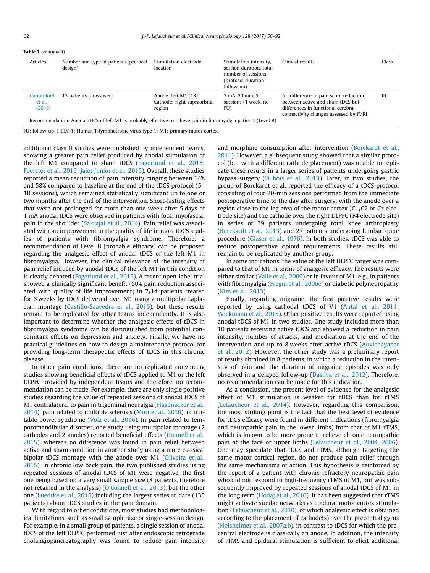|  |  | Table 1 (continued) |
|--|--|---------------------|
|--|--|---------------------|

| Articles                      | Number and type of patients (protocol<br>design) | Stimulation electrode<br>location                             | Stimulation intensity,<br>session duration, total<br>number of sessions<br>(protocol duration;<br>follow-up) | Clinical results                                                                                                                                         | Class |
|-------------------------------|--------------------------------------------------|---------------------------------------------------------------|--------------------------------------------------------------------------------------------------------------|----------------------------------------------------------------------------------------------------------------------------------------------------------|-------|
| Cummiford<br>et al.<br>(2016) | 13 patients (crossover)                          | Anode: left M1 (C3).<br>Cathode: right supraorbital<br>region | 2 mA. 20 min. 5<br>sessions (1 week, no<br>FU)                                                               | No difference in pain score reduction<br>between active and sham tDCS but<br>differences in functional cerebral<br>connectivity changes assessed by fMRI | Ш     |

FU: follow-up; HTLV-1: Human T-lymphotropic virus type 1; M1: primary motor cortex.

additional class II studies were published by independent teams, showing a greater pain relief produced by anodal stimulation of the left M1 compared to sham tDCS ([Fagerlund et al., 2015;](#page-30-0) [Foerster et al., 2015; Jales Junior et al., 2015\)](#page-30-0). Overall, these studies reported a mean reduction of pain intensity ranging between 14% and 58% compared to baseline at the end of the tDCS protocol (5– 10 sessions), which remained statistically significant up to one or two months after the end of the intervention. Short-lasting effects that were not prolonged for more than one week after 5 days of 1 mA anodal tDCS were observed in patients with focal myofascial pain in the shoulder [\(Sakrajai et al., 2014](#page-35-0)). Pain relief was associated with an improvement in the quality of life in most tDCS studies of patients with fibromyalgia syndrome. Therefore, a recommendation of Level B (probable efficacy) can be proposed regarding the analgesic effect of anodal tDCS of the left M1 in fibromyalgia. However, the clinical relevance of the intensity of pain relief induced by anodal tDCS of the left M1 in this condition is clearly debated [\(Fagerlund et al., 2015](#page-30-0)). A recent open-label trial showed a clinically significant benefit (50% pain reduction associated with quality of life improvement) in 7/14 patients treated for 6 weeks by tDCS delivered over M1 using a multipolar Laplacian montage ([Castillo-Saavedra et al., 2016\)](#page-29-0), but these results remain to be replicated by other teams independently. It is also important to determine whether the analgesic effects of tDCS in fibromyalgia syndrome can be distinguished from potential concomitant effects on depression and anxiety. Finally, we have no practical guidelines on how to design a maintenance protocol for providing long-term therapeutic effects of tDCS in this chronic disease.

In other pain conditions, there are no replicated convincing studies showing beneficial effects of tDCS applied to M1 or the left DLPFC provided by independent teams and therefore, no recommendation can be made. For example, there are only single positive studies regarding the value of repeated sessions of anodal tDCS of M1 contralateral to pain in trigeminal neuralgia [\(Hagenacker et al.,](#page-31-0) [2014\)](#page-31-0), pain related to multiple sclerosis [\(Mori et al., 2010](#page-33-0)), or irritable bowel syndrome [\(Volz et al., 2016](#page-36-0)). In pain related to temporomandibular disorder, one study using multipolar montage (2 cathodes and 2 anodes) reported beneficial effects ([Donnell et al.,](#page-30-0) [2015\)](#page-30-0), whereas no difference was found in pain relief between active and sham condition in another study using a more classical bipolar tDCS montage with the anode over M1 [\(Oliveira et al.,](#page-34-0) [2015\)](#page-34-0). In chronic low back pain, the two published studies using repeated sessions of anodal tDCS of M1 were negative, the first one being based on a very small sample size (8 patients, therefore not retained in the analysis) [\(O'Connell et al., 2013](#page-34-0)), but the other one [\(Luedtke et al., 2015\)](#page-32-0) including the largest series to date (135 patients) about tDCS studies in the pain domain.

With regard to other conditions, most studies had methodological limitations, such as small sample size or single-session design. For example, in a small group of patients, a single session of anodal tDCS of the left DLPFC performed just after endoscopic retrograde cholangiopancreatography was found to reduce pain intensity and morphine consumption after intervention ([Borckardt et al.,](#page-28-0) [2011\)](#page-28-0). However, a subsequent study showed that a similar protocol (but with a different cathode placement) was unable to replicate these results in a larger series of patients undergoing gastric bypass surgery [\(Dubois et al., 2013\)](#page-30-0). Later, in two studies, the group of Borckardt et al. reported the efficacy of a tDCS protocol consisting of four 20-min sessions performed from the immediate postoperative time to the day after surgery, with the anode over a region close to the leg area of the motor cortex (C1/C2 or Cz electrode site) and the cathode over the right DLPFC (F4 electrode site) in series of 39 patients undergoing total knee arthroplasty ([Borckardt et al., 2013](#page-28-0)) and 27 patients undergoing lumbar spine procedure [\(Glaser et al., 1976](#page-31-0)). In both studies, tDCS was able to reduce postoperative opioid requirements. These results still remain to be replicated by another group.

In some indications, the value of the left DLPFC target was compared to that of M1 in terms of analgesic efficacy. The results were either similar [\(Valle et al., 2009](#page-36-0)) or in favour of M1, e.g., in patients with fibromyalgia [\(Fregni et al., 2006e](#page-30-0)) or diabetic polyneuropathy ([Kim et al., 2013\)](#page-32-0).

Finally, regarding migraine, the first positive results were reported by using cathodal tDCS of V1 ([Antal et al., 2011;](#page-27-0) [Wickmann et al., 2015](#page-36-0)). Other positive results were reported using anodal tDCS of M1 in two studies. One study included more than 10 patients receiving active tDCS and showed a reduction in pain intensity, number of attacks, and medication at the end of the intervention and up to 8 weeks after active tDCS ([Auvichayapat](#page-28-0) [et al., 2012](#page-28-0)). However, the other study was a preliminary report of results obtained in 8 patients, in which a reduction in the intensity of pain and the duration of migraine episodes was only observed in a delayed follow-up ([Dasilva et al., 2012](#page-29-0)). Therefore, no recommendation can be made for this indication.

As a conclusion, the present level of evidence for the analgesic effect of M1 stimulation is weaker for tDCS than for rTMS ([Lefaucheur et al., 2014](#page-32-0)). However, regarding this comparison, the most striking point is the fact that the best level of evidence for tDCS efficacy were found in different indications (fibromyalgia and neuropathic pain in the lower limbs) from that of M1 rTMS, which is known to be more prone to relieve chronic neuropathic pain at the face or upper limbs ([Lefaucheur et al., 2004, 2006\)](#page-32-0). One may speculate that tDCS and rTMS, although targeting the same motor cortical region, do not produce pain relief through the same mechanisms of action. This hypothesis is reinforced by the report of a patient with chronic refractory neuropathic pain who did not respond to high-frequency rTMS of M1, but was subsequently improved by repeated sessions of anodal tDCS of M1 in the long term ([Hodaj et al., 2016\)](#page-31-0). It has been suggested that rTMS might activate similar networks as epidural motor cortex stimulation [\(Lefaucheur et al., 2010\)](#page-32-0), of which analgesic effect is obtained according to the placement of cathode(s) over the precentral gyrus ([Holsheimer et al., 2007a,b](#page-31-0)), in contrast to tDCS for which the precentral electrode is classically an anode. In addition, the intensity of rTMS and epidural stimulation is sufficient to elicit additional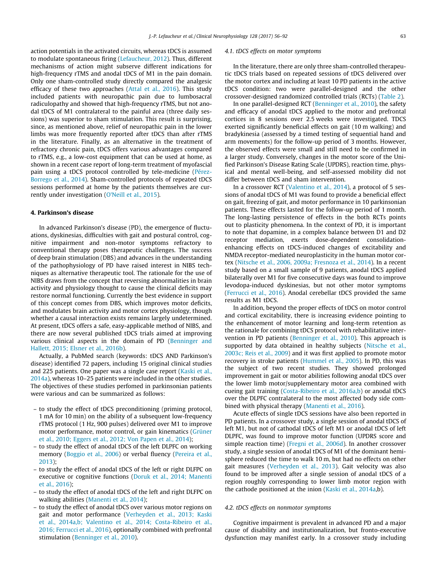action potentials in the activated circuits, whereas tDCS is assumed to modulate spontaneous firing ([Lefaucheur, 2012](#page-32-0)). Thus, different mechanisms of action might subserve different indications for high-frequency rTMS and anodal tDCS of M1 in the pain domain. Only one sham-controlled study directly compared the analgesic efficacy of these two approaches [\(Attal et al., 2016](#page-28-0)). This study included patients with neuropathic pain due to lumbosacral radiculopathy and showed that high-frequency rTMS, but not anodal tDCS of M1 contralateral to the painful area (three daily sessions) was superior to sham stimulation. This result is surprising, since, as mentioned above, relief of neuropathic pain in the lower limbs was more frequently reported after tDCS than after rTMS in the literature. Finally, as an alternative in the treatment of refractory chronic pain, tDCS offers various advantages compared to rTMS, e.g., a low-cost equipment that can be used at home, as shown in a recent case report of long-term treatment of myofascial pain using a tDCS protocol controlled by tele-medicine ([Pérez-](#page-34-0)[Borrego et al., 2014\)](#page-34-0). Sham-controlled protocols of repeated tDCS sessions performed at home by the patients themselves are currently under investigation [\(O'Neill et al., 2015\)](#page-34-0).

### 4. Parkinson's disease

In advanced Parkinson's disease (PD), the emergence of fluctuations, dyskinesias, difficulties with gait and postural control, cognitive impairment and non-motor symptoms refractory to conventional therapy poses therapeutic challenges. The success of deep brain stimulation (DBS) and advances in the understanding of the pathophysiology of PD have raised interest in NIBS techniques as alternative therapeutic tool. The rationale for the use of NIBS draws from the concept that reversing abnormalities in brain activity and physiology thought to cause the clinical deficits may restore normal functioning. Currently the best evidence in support of this concept comes from DBS, which improves motor deficits, and modulates brain activity and motor cortex physiology, though whether a causal interaction exists remains largely undetermined. At present, tDCS offers a safe, easy-applicable method of NIBS, and there are now several published tDCS trials aimed at improving various clinical aspects in the domain of PD ([Benninger and](#page-28-0) [Hallett, 2015; Elsner et al., 2016b](#page-28-0)).

Actually, a PubMed search (keywords: tDCS AND Parkinson's disease) identified 72 papers, including 15 original clinical studies and 225 patients. One paper was a single case report [\(Kaski et al.,](#page-31-0) [2014a\)](#page-31-0), whereas 10–25 patients were included in the other studies. The objectives of these studies perfomed in parkinsonian patients were various and can be summarized as follows:

- to study the effect of tDCS preconditioning (priming protocol, 1 mA for 10 min) on the ability of a subsequent low-frequency rTMS protocol (1 Hz, 900 pulses) delivered over M1 to improve motor performance, motor control, or gain kinematics ([Grüner](#page-31-0) [et al., 2010; Eggers et al., 2012; Von Papen et al., 2014](#page-31-0));
- to study the effect of anodal tDCS of the left DLPFC on working memory [\(Boggio et al., 2006](#page-28-0)) or verbal fluency ([Pereira et al.,](#page-34-0) [2013](#page-34-0));
- to study the effect of anodal tDCS of the left or right DLFPC on executive or cognitive functions ([Doruk et al., 2014; Manenti](#page-30-0) [et al., 2016](#page-30-0));
- to study the effect of anodal tDCS of the left and right DLFPC on walking abilities [\(Manenti et al., 2014\)](#page-32-0);
- to study the effect of anodal tDCS over various motor regions on gait and motor performance ([Verheyden et al., 2013; Kaski](#page-36-0) [et al., 2014a,b; Valentino et al., 2014; Costa-Ribeiro et al.,](#page-36-0) [2016; Ferrucci et al., 2016\)](#page-36-0), optionally combined with prefrontal stimulation [\(Benninger et al., 2010](#page-28-0)).

#### 4.1. tDCS effects on motor symptoms

In the literature, there are only three sham-controlled therapeutic tDCS trials based on repeated sessions of tDCS delivered over the motor cortex and including at least 10 PD patients in the active tDCS condition: two were parallel-designed and the other crossover-designed randomized controlled trials (RCTs) ([Table 2](#page-8-0)).

In one parallel-designed RCT [\(Benninger et al., 2010](#page-28-0)), the safety and efficacy of anodal tDCS applied to the motor and prefrontal cortices in 8 sessions over 2.5 weeks were investigated. TDCS exerted significantly beneficial effects on gait (10 m walking) and bradykinesia (assessed by a timed testing of sequential hand and arm movements) for the follow-up period of 3 months. However, the observed effects were small and still need to be confirmed in a larger study. Conversely, changes in the motor score of the Unified Parkinson's Disease Rating Scale (UPDRS), reaction time, physical and mental well-being, and self-assessed mobility did not differ between tDCS and sham intervention.

In a crossover RCT [\(Valentino et al., 2014](#page-36-0)), a protocol of 5 sessions of anodal tDCS of M1 was found to provide a beneficial effect on gait, freezing of gait, and motor performance in 10 parkinsonian patients. These effects lasted for the follow-up period of 1 month. The long-lasting persistence of effects in the both RCTs points out to plasticity phenomena. In the context of PD, it is important to note that dopamine, in a complex balance between D1 and D2 receptor mediation, exerts dose-dependent consolidationenhancing effects on tDCS-induced changes of excitability and NMDA receptor-mediated neuroplasticity in the human motor cortex [\(Nitsche et al., 2006, 2009a; Fresnoza et al., 2014\)](#page-34-0). In a recent study based on a small sample of 9 patients, anodal tDCS applied bilaterally over M1 for five consecutive days was found to improve levodopa-induced dyskinesias, but not other motor symptoms ([Ferrucci et al., 2016](#page-30-0)). Anodal cerebellar tDCS provided the same results as M1 tDCS.

In addition, beyond the proper effects of tDCS on motor control and cortical excitability, there is increasing evidence pointing to the enhancement of motor learning and long-term retention as the rationale for combining tDCS protocol with rehabilitative intervention in PD patients [\(Benninger et al., 2010\)](#page-28-0). This approach is supported by data obtained in healthy subjects ([Nitsche et al.,](#page-34-0) [2003c; Reis et al., 2009](#page-34-0)) and it was first applied to promote motor recovery in stroke patients ([Hummel et al., 2005\)](#page-31-0). In PD, this was the subject of two recent studies. They showed prolonged improvement in gait or motor abilities following anodal tDCS over the lower limb motor/supplementary motor area combined with cueing gait training [\(Costa-Ribeiro et al., 2016a,b](#page-29-0)) or anodal tDCS over the DLPFC contralateral to the most affected body side combined with physical therapy [\(Manenti et al., 2016](#page-32-0)).

Acute effects of single tDCS sessions have also been reported in PD patients. In a crossover study, a single session of anodal tDCS of left M1, but not of cathodal tDCS of left M1 or anodal tDCS of left DLPFC, was found to improve motor function (UPDRS score and simple reaction time) ([Fregni et al., 2006d](#page-30-0)). In another crossover study, a single session of anodal tDCS of M1 of the dominant hemisphere reduced the time to walk 10 m, but had no effects on other gait measures ([Verheyden et al., 2013\)](#page-36-0). Gait velocity was also found to be improved after a single session of anodal tDCS of a region roughly corresponding to lower limb motor region with the cathode positioned at the inion [\(Kaski et al., 2014a,](#page-31-0)b).

#### 4.2. tDCS effects on nonmotor symptoms

Cognitive impairment is prevalent in advanced PD and a major cause of disability and institutionalization, but fronto-executive dysfunction may manifest early. In a crossover study including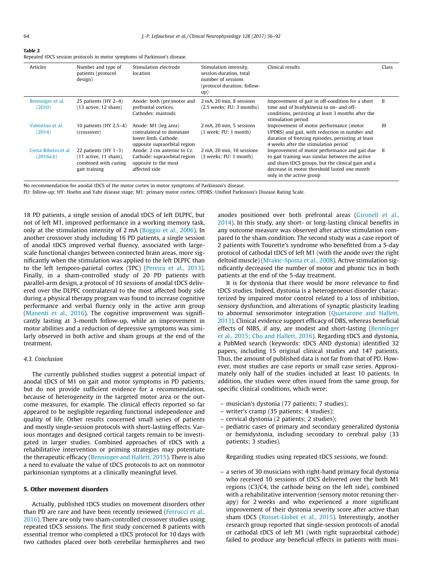#### <span id="page-8-0"></span>Table 2

Repeated tDCS session protocols in motor symptoms of Parkinson's disease.

| Articles                          | Number and type of<br>patients (protocol<br>design)                                          | Stimulation electrode<br>location                                                                         | Stimulation intensity,<br>session duration, total<br>number of sessions<br>(protocol duration; follow-<br>up) | Clinical results                                                                                                                                                                                                                     | Class |
|-----------------------------------|----------------------------------------------------------------------------------------------|-----------------------------------------------------------------------------------------------------------|---------------------------------------------------------------------------------------------------------------|--------------------------------------------------------------------------------------------------------------------------------------------------------------------------------------------------------------------------------------|-------|
| Benninger et al.<br>(2010)        | 25 patients (HY $2-4$ )<br>$(13$ active, $12$ sham)                                          | Anode: both (pre)motor and<br>prefrontal cortices.<br>Cathodes: mastoids                                  | 2 mA, 20 min. 8 sessions<br>$(2.5 \text{ weeks}; \text{FU}; 3 \text{ months})$                                | Improvement of gait in off-condition for a short<br>time and of bradykinesia in on- and off-<br>conditions, persisting at least 3 months after the<br>stimulation period                                                             | Ш     |
| Valentino et al.<br>(2014)        | 10 patients (HY 2.5 $-4$ )<br>(crossover)                                                    | Anode: M1 (leg area)<br>contralateral to dominant<br>lower limb. Cathode:<br>opposite supraorbital region | 2 mA. 20 min. 5 sessions<br>$(1$ week; FU: $1$ month)                                                         | Improvement of motor performance (motor<br>UPDRS) and gait, with reduction in number and<br>duration of freezing episodes, persisting at least<br>4 weeks after the stimulation period                                               | Ш     |
| Costa-Ribeiro et al.<br>(2016a,b) | 22 patients $(HY 1-3)$<br>$(11$ active, $11$ sham),<br>combined with cueing<br>gait training | Anode: 2 cm anterior to Cz.<br>Cathode: supraorbital region<br>opposite to the most<br>affected side      | 2 mA, 20 min. 10 sessions<br>(3 weeks; FU: 1 month)                                                           | Improvement of motor performance and gait due II<br>to gait training was similar between the active<br>and sham tDCS groups, but the clinical gain and a<br>decrease in motor threshold lasted one month<br>only in the active group |       |

No recommendation for anodal tDCS of the motor cortex in motor symptoms of Parkinson's disease.

FU: follow-up; HY: Hoehn and Yahr disease stage; M1: primary motor cortex; UPDRS: Unified Parkinson's Disease Rating Scale.

18 PD patients, a single session of anodal tDCS of left DLPFC, but not of left M1, improved performance in a working memory task, only at the stimulation intensity of 2 mA ([Boggio et al., 2006](#page-28-0)). In another crossover study including 16 PD patients, a single session of anodal tDCS improved verbal fluency, associated with largescale functional changes between connected brain areas, more significantly when the stimulation was applied to the left DLPFC than to the left temporo-parietal cortex (TPC) ([Pereira et al., 2013\)](#page-34-0). Finally, in a sham-controlled study of 20 PD patients with parallel-arm design, a protocol of 10 sessions of anodal tDCS delivered over the DLPFC contralateral to the most affected body side during a physical therapy program was found to increase cognitive performance and verbal fluency only in the active arm group ([Manenti et al., 2016\)](#page-32-0). The cognitive improvement was significantly lasting at 3-month follow-up, while an improvement in motor abilities and a reduction of depressive symptoms was similarly observed in both active and sham groups at the end of the treatment.

### 4.3. Conclusion

The currently published studies suggest a potential impact of anodal tDCS of M1 on gait and motor symptoms in PD patients, but do not provide sufficient evidence for a recommendation, because of heterogeneity in the targeted motor area or the outcome measures, for example. The clinical effects reported so far appeared to be negligible regarding functional independence and quality of life. Other results concerned small series of patients and mostly single-session protocols with short-lasting effects. Various montages and designed cortical targets remain to be investigated in larger studies. Combined approaches of tDCS with a rehabilitative intervention or priming strategies may potentiate the therapeutic efficacy ([Benninger and Hallett, 2015\)](#page-28-0). There is also a need to evaluate the value of tDCS protocols to act on nonmotor parkinsonian symptoms at a clinically meaningful level.

#### 5. Other movement disorders

Actually, published tDCS studies on movement disorders other than PD are rare and have been recently reviewed [\(Ferrucci et al.,](#page-30-0) [2016\)](#page-30-0). There are only two sham-controlled crossover studies using repeated tDCS sessions. The first study concerned 8 patients with essential tremor who completed a tDCS protocol for 10 days with two cathodes placed over both cerebellar hemispheres and two anodes positioned over both prefrontal areas [\(Gironell et al.,](#page-31-0) [2014\)](#page-31-0). In this study, any short- or long-lasting clinical benefits in any outcome measure was observed after active stimulation compared to the sham condition. The second study was a case report of 2 patients with Tourette's syndrome who benefitted from a 5-day protocol of cathodal tDCS of left M1 (with the anode over the right deltoid muscle) ([Mrakic-Sposta et al., 2008](#page-33-0)). Active stimulation significantly decreased the number of motor and phonic tics in both patients at the end of the 5-day treatment.

It is for dystonia that there would be more relevance to find tDCS studies. Indeed, dystonia is a heterogeneous disorder characterized by impaired motor control related to a loss of inhibition, sensory dysfunction, and alterations of synaptic plasticity leading to abnormal sensorimotor integration [\(Quartarone and Hallett,](#page-34-0) [2013\)](#page-34-0). Clinical evidence support efficacy of DBS, whereas beneficial effects of NIBS, if any, are modest and short-lasting [\(Benninger](#page-28-0) [et al., 2015; Cho and Hallett, 2016\)](#page-28-0). Regarding tDCS and dystonia, a PubMed search (keywords: tDCS AND dystonia) identified 32 papers, including 15 original clinical studies and 147 patients. Thus, the amount of published data is not far from that of PD. However, most studies are case reports or small case series. Approximately only half of the studies included at least 10 patients. In addition, the studies were often issued from the same group, for specific clinical conditions, which were:

- musician's dystonia (77 patients; 7 studies);
- writer's cramp (35 patients; 4 studies);
- cervical dystonia (2 patients; 2 studies);
- pediatric cases of primary and secondary generalized dystonia or hemidystonia, including secondary to cerebral palsy (33 patients; 3 studies).

Regarding studies using repeated tDCS sessions, we found:

– a series of 30 musicians with right-hand primary focal dystonia who received 10 sessions of tDCS delivered over the both M1 regions (C3/C4, the cathode being on the left side), combined with a rehabilitative intervention (sensory motor retuning therapy) for 2 weeks and who experienced a more significant improvement of their dystonia severity score after active than sham tDCS [\(Rosset-Llobet et al., 2015](#page-35-0)). Interestingly, another research group reported that single-session protocols of anodal or cathodal tDCS of left M1 (with right supraorbital cathode) failed to produce any beneficial effects in patients with musi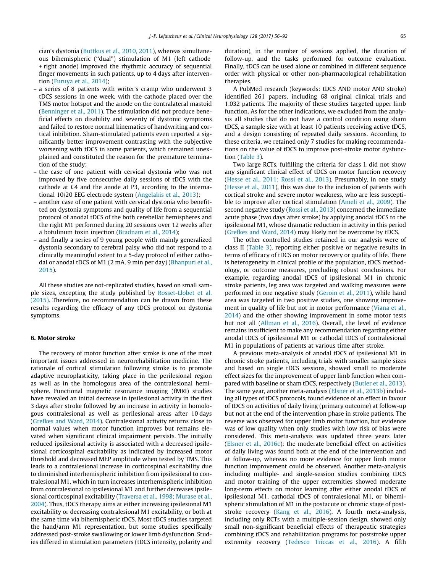cian's dystonia [\(Buttkus et al., 2010, 2011](#page-29-0)), whereas simultaneous bihemispheric (''dual") stimulation of M1 (left cathode + right anode) improved the rhythmic accuracy of sequential finger movements in such patients, up to 4 days after intervention ([Furuya et al., 2014\)](#page-30-0);

- a series of 8 patients with writer's cramp who underwent 3 tDCS sessions in one week, with the cathode placed over the TMS motor hotspot and the anode on the contralateral mastoid [\(Benninger et al., 2011\)](#page-28-0). The stimulation did not produce beneficial effects on disability and severity of dystonic symptoms and failed to restore normal kinematics of handwriting and cortical inhibition. Sham-stimulated patients even reported a significantly better improvement contrasting with the subjective worsening with tDCS in some patients, which remained unexplained and constituted the reason for the premature termination of the study;
- the case of one patient with cervical dystonia who was not improved by five consecutive daily sessions of tDCS with the cathode at C4 and the anode at P3, according to the international 10/20 EEG electrode system ([Angelakis et al., 2013\)](#page-27-0);
- another case of one patient with cervical dystonia who benefitted on dystonia symptoms and quality of life from a sequential protocol of anodal tDCS of the both cerebellar hemispheres and the right M1 performed during 20 sessions over 12 weeks after a botulinum toxin injection [\(Bradnam et al., 2014](#page-28-0));
- and finally a series of 9 young people with mainly generalized dystonia secondary to cerebral palsy who did not respond to a clinically meaningful extent to a 5-day protocol of either cathodal or anodal tDCS of M1 (2 mA, 9 min per day) ([Bhanpuri et al.,](#page-28-0) [2015](#page-28-0)).

All these studies are not-replicated studies, based on small sample sizes, excepting the study published by [Rosset-Llobet et al.](#page-35-0) [\(2015\).](#page-35-0) Therefore, no recommendation can be drawn from these results regarding the efficacy of any tDCS protocol on dystonia symptoms.

## 6. Motor stroke

The recovery of motor function after stroke is one of the most important issues addressed in neurorehabilitation medicine. The rationale of cortical stimulation following stroke is to promote adaptive neuroplasticity, taking place in the perilesional region as well as in the homologous area of the contralesional hemisphere. Functional magnetic resonance imaging (fMRI) studies have revealed an initial decrease in ipsilesional activity in the first 3 days after stroke followed by an increase in activity in homologous contralesional as well as perilesional areas after 10 days ([Grefkes and Ward, 2014](#page-31-0)). Contralesional activity returns close to normal values when motor function improves but remains elevated when significant clinical impairment persists. The initially reduced ipsilesional activity is associated with a decreased ipsilesional corticospinal excitability as indicated by increased motor threshold and decreased MEP amplitude when tested by TMS. This leads to a contralesional increase in corticospinal excitability due to diminished interhemispheric inhibition from ipsilesional to contralesional M1, which in turn increases interhemispheric inhibition from contralesional to ipsilesional M1 and further decreases ipsilesional corticospinal excitability [\(Traversa et al., 1998; Murase et al.,](#page-35-0) [2004](#page-35-0)). Thus, tDCS therapy aims at either increasing ipsilesional M1 excitability or decreasing contralesional M1 excitability, or both at the same time via bihemispheric tDCS. Most tDCS studies targeted the hand/arm M1 representation, but some studies specifically addressed post-stroke swallowing or lower limb dysfunction. Studies differed in stimulation parameters (tDCS intensity, polarity and duration), in the number of sessions applied, the duration of follow-up, and the tasks performed for outcome evaluation. Finally, tDCS can be used alone or combined in different sequence order with physical or other non-pharmacological rehabilitation therapies.

A PubMed research (keywords: tDCS AND motor AND stroke) identified 261 papers, including 68 original clinical trials and 1,032 patients. The majority of these studies targeted upper limb function. As for the other indications, we excluded from the analysis all studies that do not have a control condition using sham tDCS, a sample size with at least 10 patients receiving active tDCS, and a design consisting of repeated daily sessions. According to these criteria, we retained only 7 studies for making recommendations on the value of tDCS to improve post-stroke motor dysfunction [\(Table 3](#page-10-0)).

Two large RCTs, fulfilling the criteria for class I, did not show any significant clinical effect of tDCS on motor function recovery ([Hesse et al., 2011; Rossi et al., 2013\)](#page-31-0). Presumably, in one study ([Hesse et al., 2011](#page-31-0)), this was due to the inclusion of patients with cortical stroke and severe motor weakness, who are less susceptible to improve after cortical stimulation ([Ameli et al., 2009\)](#page-27-0). The second negative study ([Rossi et al., 2013\)](#page-35-0) concerned the immediate acute phase (two days after stroke) by applying anodal tDCS to the ipsilesional M1, whose dramatic reduction in activity in this period ([Grefkes and Ward, 2014\)](#page-31-0) may likely not be overcome by tDCS.

The other controlled studies retained in our analysis were of class II ([Table 3](#page-10-0)), reporting either positive or negative results in terms of efficacy of tDCS on motor recovery or quality of life. There is heterogeneity in clinical profile of the population, tDCS methodology, or outcome measures, precluding robust conclusions. For example, regarding anodal tDCS of ipsilesional M1 in chronic stroke patients, leg area was targeted and walking measures were performed in one negative study [\(Geroin et al., 2011](#page-31-0)), while hand area was targeted in two positive studies, one showing improvement in quality of life but not in motor performance [\(Viana et al.,](#page-36-0) [2014](#page-36-0)) and the other showing improvement in some motor tests but not all [\(Allman et al., 2016](#page-27-0)). Overall, the level of evidence remains insufficient to make any recommendation regarding either anodal tDCS of ipsilesional M1 or cathodal tDCS of contralesional M1 in populations of patients at various time after stroke.

A previous meta-analysis of anodal tDCS of ipsilesional M1 in chronic stroke patients, including trials with smaller sample sizes and based on single tDCS sessions, showed small to moderate effect sizes for the improvement of upper limb function when compared with baseline or sham tDCS, respectively ([Butler et al., 2013\)](#page-29-0). The same year, another meta-analysis [\(Elsner et al., 2013b\)](#page-30-0) including all types of tDCS protocols, found evidence of an effect in favour of tDCS on activities of daily living (primary outcome) at follow-up but not at the end of the intervention phase in stroke patients. The reverse was observed for upper limb motor function, but evidence was of low quality when only studies with low risk of bias were considered. This meta-analysis was updated three years later ([Elsner et al., 2016c](#page-30-0)): the moderate beneficial effect on activities of daily living was found both at the end of the intervention and at follow-up, whereas no more evidence for upper limb motor function improvement could be observed. Another meta-analysis including multiple- and single-session studies combining tDCS and motor training of the upper extremities showed moderate long-term effects on motor learning after either anodal tDCS of ipsilesional M1, cathodal tDCS of contralesional M1, or bihemispheric stimulation of M1 in the postacute or chronic stage of poststroke recovery ([Kang et al., 2016](#page-31-0)). A fourth meta-analysis, including only RCTs with a multiple-session design, showed only small non-significant beneficial effects of therapeutic strategies combining tDCS and rehabilitation programs for poststroke upper extremity recovery ([Tedesco Triccas et al., 2016\)](#page-35-0). A fifth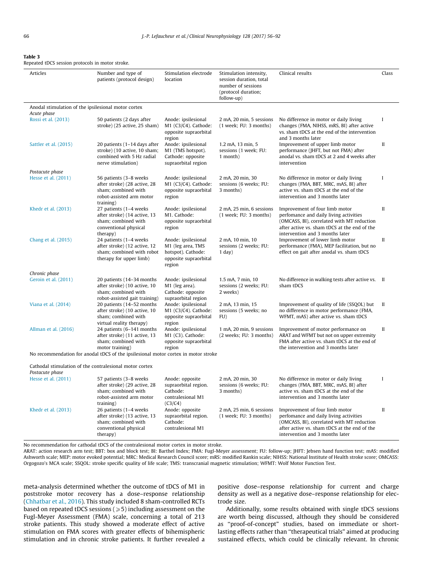#### <span id="page-10-0"></span>Table 3

Repeated tDCS session protocols in motor stroke.

| Articles                                                                   | Number and type of<br>patients (protocol design)                                                                        | Stimulation electrode<br>location                                                                 | Stimulation intensity,<br>session duration, total<br>number of sessions<br>(protocol duration;<br>follow-up) | Clinical results                                                                                                                                                                                          | Class        |
|----------------------------------------------------------------------------|-------------------------------------------------------------------------------------------------------------------------|---------------------------------------------------------------------------------------------------|--------------------------------------------------------------------------------------------------------------|-----------------------------------------------------------------------------------------------------------------------------------------------------------------------------------------------------------|--------------|
| Anodal stimulation of the ipsilesional motor cortex<br>Acute phase         |                                                                                                                         |                                                                                                   |                                                                                                              |                                                                                                                                                                                                           |              |
| Rossi et al. (2013)                                                        | 50 patients (2 days after<br>stroke) (25 active, 25 sham)                                                               | Anode: ipsilesional<br>M1 (C3/C4). Cathode:<br>opposite supraorbital<br>region                    | 2 mA, 20 min, 5 sessions<br>$(1$ week; FU: 3 months)                                                         | No difference in motor or daily living<br>changes (FMA, NIHSS, mRS, BI) after active<br>vs. sham tDCS at the end of the intervention<br>and 3 months later                                                | $\mathbf I$  |
| Sattler et al. (2015)                                                      | 20 patients (1-14 days after<br>stroke) (10 active, 10 sham;<br>combined with 5 Hz radial<br>nerve stimulation)         | Anode: ipsilesional<br>M1 (TMS hotspot).<br>Cathode: opposite<br>supraorbital region              | 1.2 mA, 13 min, 5<br>sessions (1 week; FU:<br>1 month)                                                       | Improvement of upper limb motor<br>performance (JHFT, but not FMA) after<br>anodal vs. sham tDCS at 2 and 4 weeks after<br>intervention                                                                   | $\mathbf{H}$ |
| Postacute phase                                                            |                                                                                                                         |                                                                                                   |                                                                                                              |                                                                                                                                                                                                           |              |
| Hesse et al. (2011)                                                        | 56 patients (3-8 weeks<br>after stroke) (28 active, 28<br>sham; combined with<br>robot-assisted arm motor<br>training)  | Anode: ipsilesional<br>M1 (C3/C4). Cathode:<br>opposite supraorbital<br>region                    | 2 mA, 20 min, 30<br>sessions (6 weeks; FU:<br>3 months)                                                      | No difference in motor or daily living<br>changes (FMA, BBT, MRC, mAS, BI) after<br>active vs. sham tDCS at the end of the<br>intervention and 3 months later                                             | $\mathbf{I}$ |
| Khedr et al. (2013)                                                        | 27 patients (1-4 weeks<br>after stroke) (14 active, 13<br>sham; combined with<br>conventional physical<br>therapy)      | Anode: ipsilesional<br>M1. Cathode:<br>opposite supraorbital<br>region                            | 2 mA, 25 min, 6 sessions<br>$(1$ week; FU: 3 months)                                                         | Improvement of four limb motor<br>perfomance and daily living activities<br>(OMCASS, BI), correlated with MT reduction<br>after active vs. sham tDCS at the end of the<br>intervention and 3 months later | $\mathbf{I}$ |
| Chang et al. (2015)                                                        | 24 patients (1-4 weeks<br>after stroke) (12 active, 12<br>sham; combined with robot<br>therapy for upper limb)          | Anode: ipsilesional<br>M1 (leg area, TMS<br>hotspot). Cathode:<br>opposite supraorbital<br>region | 2 mA, 10 min, 10<br>sessions (2 weeks; FU:<br>$1$ day)                                                       | Improvement of lower limb motor<br>performance (FMA), MEP facilitation, but no<br>effect on gait after anodal vs. sham tDCS                                                                               | $\mathbf{I}$ |
| Chronic phase                                                              |                                                                                                                         |                                                                                                   |                                                                                                              |                                                                                                                                                                                                           |              |
| Geroin et al. (2011)                                                       | 20 patients (14-34 months<br>after stroke) (10 active, 10<br>sham; combined with<br>robot-assisted gait training)       | Anode: ipsilesional<br>M1 (leg area).<br>Cathode: opposite<br>supraorbital region                 | 1.5 mA, 7 min, 10<br>sessions (2 weeks; FU:<br>2 weeks)                                                      | No difference in walking tests after active vs. II<br>sham tDCS                                                                                                                                           |              |
| Viana et al. (2014)                                                        | 20 patients (14-52 months<br>after stroke) (10 active, 10<br>sham; combined with<br>virtual reality therapy)            | Anode: ipsilesional<br>M1 (C3/C4). Cathode:<br>opposite supraorbital<br>region                    | 2 mA, 13 min, 15<br>sessions (5 weeks; no<br>FU)                                                             | Improvement of quality of life (SSQOL) but<br>no difference in motor performance (FMA,<br>WFMT, mAS) after active vs. sham tDCS                                                                           | $\mathbf{I}$ |
| Allman et al. (2016)                                                       | 24 patients (6-141 months<br>after stroke) (11 active, 13<br>sham; combined with<br>motor training)                     | Anode: ipsilesional<br>M1 (C3). Cathode:<br>opposite supraorbital<br>region                       | 1 mA, 20 min, 9 sessions<br>(2 weeks; FU: 3 months)                                                          | Improvement of motor performance on<br>ARAT and WFMT but not on upper extremity<br>FMA after active vs. sham tDCS at the end of<br>the intervention and 3 months later                                    | $\mathbf{I}$ |
|                                                                            | No recommendation for anodal tDCS of the ipsilesional motor cortex in motor stroke                                      |                                                                                                   |                                                                                                              |                                                                                                                                                                                                           |              |
| Cathodal stimulation of the contralesional motor cortex<br>Postacute phase |                                                                                                                         |                                                                                                   |                                                                                                              |                                                                                                                                                                                                           |              |
| Hesse et al. (2011)                                                        | 57 patients (3-8 weeks)<br>after stroke) (29 active, 28<br>sham: combined with<br>robot-assisted arm motor<br>training) | Anode: opposite<br>supraorbital region.<br>Cathode:<br>contralesional M1<br>(C3/C4)               | 2 mA, 20 min, 30<br>sessions (6 weeks; FU:<br>3 months)                                                      | No difference in motor or daily living<br>changes (FMA, BBT, MRC, mAS, BI) after<br>active vs. sham tDCS at the end of the<br>intervention and 3 months later                                             | $\mathbf I$  |
| Khedr et al. (2013)                                                        | 26 patients (1-4 weeks)<br>after stroke) (13 active, 13<br>sham; combined with<br>conventional physical<br>therapy)     | Anode: opposite<br>supraorbital region.<br>Cathode:<br>contralesional M1                          | 2 mA, 25 min, 6 sessions<br>$(1$ week; FU: 3 months)                                                         | Improvement of four limb motor<br>perfomance and daily living activities<br>(OMCASS, BI), correlated with MT reduction<br>after active vs. sham tDCS at the end of the<br>intervention and 3 months later | $\mathbf{I}$ |

No recommendation for cathodal tDCS of the contralesional motor cortex in motor stroke.

ARAT: action research arm test; BBT: box and block test; BI: Barthel Index; FMA: Fugl-Meyer assessment; FU: follow-up; JHFT: Jebsen hand function test; mAS: modified Ashworth scale; MEP: motor evoked potential; MRC: Medical Research Council score; mRS: modified Rankin scale; NIHSS: National Institute of Health stroke score; OMCASS: Orgogozo's MCA scale; SSQOL: stroke specific quality of life scale; TMS: transcranial magnetic stimulation; WFMT: Wolf Motor Function Test.

meta-analysis determined whether the outcome of tDCS of M1 in poststroke motor recovery has a dose–response relationship ([Chhatbar et al., 2016\)](#page-29-0). This study included 8 sham-controlled RCTs based on repeated tDCS sessions ( $\geqslant$  5) including assessment on the Fugl-Meyer Assessment (FMA) scale, concerning a total of 213 stroke patients. This study showed a moderate effect of active stimulation on FMA scores with greater effects of bihemispheric stimulation and in chronic stroke patients. It further revealed a

positive dose–response relationship for current and charge density as well as a negative dose–response relationship for electrode size.

Additionally, some results obtained with single tDCS sessions are worth being discussed, although they should be considered as ''proof-of-concept" studies, based on immediate or shortlasting effects rather than ''therapeutical trials" aimed at producing sustained effects, which could be clinically relevant. In chronic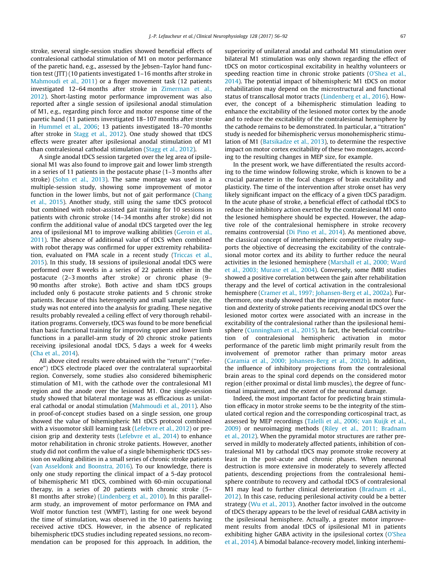stroke, several single-session studies showed beneficial effects of contralesional cathodal stimulation of M1 on motor performance of the paretic hand, e.g., assessed by the Jebsen–Taylor hand function test (JTT) (10 patients investigated 1–16 months after stroke in [Mahmoudi et al., 2011\)](#page-32-0) or a finger movement task (12 patients investigated 12–64 months after stroke in [Zimerman et al.,](#page-36-0) [2012\)](#page-36-0). Short-lasting motor performance improvement was also reported after a single session of ipsilesional anodal stimulation of M1, e.g., regarding pinch force and motor response time of the paretic hand (11 patients investigated 18–107 months after stroke in [Hummel et al., 2006;](#page-31-0) 13 patients investigated 18–70 months after stroke in [Stagg et al., 2012\)](#page-35-0). One study showed that tDCS effects were greater after ipsilesional anodal stimulation of M1 than contralesional cathodal stimulation [\(Stagg et al., 2012\)](#page-35-0).

A single anodal tDCS session targeted over the leg area of ipsilesional M1 was also found to improve gait and lower limb strength in a series of 11 patients in the postacute phase (1–3 months after stroke) ([Sohn et al., 2013\)](#page-35-0). The same montage was used in a multiple-session study, showing some improvement of motor function in the lower limbs, but not of gait performance [\(Chang](#page-29-0) [et al., 2015](#page-29-0)). Another study, still using the same tDCS protocol but combined with robot-assisted gait training for 10 sessions in patients with chronic stroke (14–34 months after stroke) did not confirm the additional value of anodal tDCS targeted over the leg area of ipsilesional M1 to improve walking abilities ([Geroin et al.,](#page-31-0) [2011\)](#page-31-0). The absence of additional value of tDCS when combined with robot therapy was confirmed for upper extremity rehabilitation, evaluated on FMA scale in a recent study ([Triccas et al.,](#page-36-0) [2015\)](#page-36-0). In this study, 18 sessions of ipsilesional anodal tDCS were performed over 8 weeks in a series of 22 patients either in the postacute (2–3 months after stroke) or chronic phase (9– 90 months after stroke). Both active and sham tDCS groups included only 6 postacute stroke patients and 5 chronic stroke patients. Because of this heterogeneity and small sample size, the study was not entered into the analysis for grading. These negative results probably revealed a ceiling effect of very thorough rehabilitation programs. Conversely, tDCS was found to be more beneficial than basic functional training for improving upper and lower limb functions in a parallel-arm study of 20 chronic stroke patients receiving ipsilesional anodal tDCS, 5 days a week for 4 weeks ([Cha et al., 2014](#page-29-0)).

All above cited results were obtained with the "return" ("reference") tDCS electrode placed over the contralateral supraorbital region. Conversely, some studies also considered bihemispheric stimulation of M1, with the cathode over the contralesional M1 region and the anode over the lesioned M1. One single-session study showed that bilateral montage was as efficacious as unilateral cathodal or anodal stimulation [\(Mahmoudi et al., 2011\)](#page-32-0). Also in proof-of-concept studies based on a single session, one group showed the value of bihemispheric M1 tDCS protocol combined with a visuomotor skill learning task [\(Lefebvre et al., 2012](#page-32-0)) or precision grip and dexterity tests ([Lefebvre et al., 2014\)](#page-32-0) to enhance motor rehabilitation in chronic stroke patients. However, another study did not confirm the value of a single bihemispheric tDCS session on walking abilities in a small series of chronic stroke patients ([van Asseldonk and Boonstra, 2016\)](#page-36-0). To our knowledge, there is only one study reporting the clinical impact of a 5-day protocol of bihemispheric M1 tDCS, combined with 60-min occupational therapy, in a series of 20 patients with chronic stroke (5– 81 months after stroke) ([Lindenberg et al., 2010\)](#page-32-0). In this parallelarm study, an improvement of motor performance on FMA and Wolf motor function test (WMFT), lasting for one week beyond the time of stimulation, was observed in the 10 patients having received active tDCS. However, in the absence of replicated bihemispheric tDCS studies including repeated sessions, no recommendation can be proposed for this approach. In addition, the superiority of unilateral anodal and cathodal M1 stimulation over bilateral M1 stimulation was only shown regarding the effect of tDCS on motor corticospinal excitability in healthy volunteers or speeding reaction time in chronic stroke patients ([O'Shea et al.,](#page-34-0) [2014](#page-34-0)). The potential impact of bihemispheric M1 tDCS on motor rehabilitation may depend on the microstructural and functional status of transcallosal motor tracts [\(Lindenberg et al., 2016](#page-32-0)). However, the concept of a bihemispheric stimulation leading to enhance the excitability of the lesioned motor cortex by the anode and to reduce the excitability of the contralesional hemisphere by the cathode remains to be demonstrated. In particular, a ''titration" study is needed for bihemispheric versus monohemispheric stimulation of M1 [\(Batsikadze et al., 2013\)](#page-28-0), to determine the respective impact on motor cortex excitability of these two montages, according to the resulting changes in MEP size, for example.

In the present work, we have differentiated the results according to the time window following stroke, which is known to be a crucial parameter in the focal changes of brain excitability and plasticity. The time of the intervention after stroke onset has very likely significant impact on the efficacy of a given tDCS paradigm. In the acute phase of stroke, a beneficial effect of cathodal tDCS to reduce the inhibitory action exerted by the contralesional M1 onto the lesioned hemisphere should be expected. However, the adaptive role of the contralesional hemisphere in stroke recovery remains controversial [\(Di Pino et al., 2014](#page-29-0)). As mentioned above, the classical concept of interhemispheric competitive rivalry supports the objective of decreasing the excitability of the contralesional motor cortex and its ability to further reduce the neural activities in the lesioned hemisphere [\(Marshall et al., 2000; Ward](#page-33-0) [et al., 2003; Murase et al., 2004](#page-33-0)). Conversely, some fMRI studies showed a positive correlation between the gain after rehabilitation therapy and the level of cortical activation in the contralesional hemisphere [\(Cramer et al., 1997; Johansen-Berg et al., 2002a\)](#page-29-0). Furthermore, one study showed that the improvement in motor function and dexterity of stroke patients receiving anodal tDCS over the lesioned motor cortex were associated with an increase in the excitability of the contralesional rather than the ipsilesional hemisphere ([Cunningham et al., 2015](#page-29-0)). In fact, the beneficial contribution of contralesional hemispheric activation in motor performance of the paretic limb might primarily result from the involvement of premotor rather than primary motor areas ([Caramia et al., 2000; Johansen-Berg et al., 2002b\)](#page-29-0). In addition, the influence of inhibitory projections from the contralesional brain areas to the spinal cord depends on the considered motor region (either proximal or distal limb muscles), the degree of functional impairment, and the extent of the neuronal damage.

Indeed, the most important factor for predicting brain stimulation efficacy in motor stroke seems to be the integrity of the stimulated cortical region and the corresponding corticospinal tract, as assessed by MEP recordings ([Talelli et al., 2006; van Kuijk et al.,](#page-35-0) [2009](#page-35-0)) or neuroimaging methods ([Riley et al., 2011; Bradnam](#page-35-0) [et al., 2012](#page-35-0)). When the pyramidal motor structures are rather preserved in mildly to moderately affected patients, inhibition of contralesional M1 by cathodal tDCS may promote stroke recovery at least in the post-acute and chronic phases. When neuronal destruction is more extensive in moderately to severely affected patients, descending projections from the contralesional hemisphere contribute to recovery and cathodal tDCS of contralesional M1 may lead to further clinical deterioration ([Bradnam et al.,](#page-28-0) [2012](#page-28-0)). In this case, reducing perilesional activity could be a better strategy ([Wu et al., 2013](#page-36-0)). Another factor involved in the outcome of tDCS therapy appears to be the level of residual GABA activity in the ipsilesional hemisphere. Actually, a greater motor improvement results from anodal tDCS of ipsilesional M1 in patients exhibiting higher GABA activity in the ipsilesional cortex [\(O'Shea](#page-34-0) [et al., 2014](#page-34-0)). A bimodal balance-recovery model, linking interhemi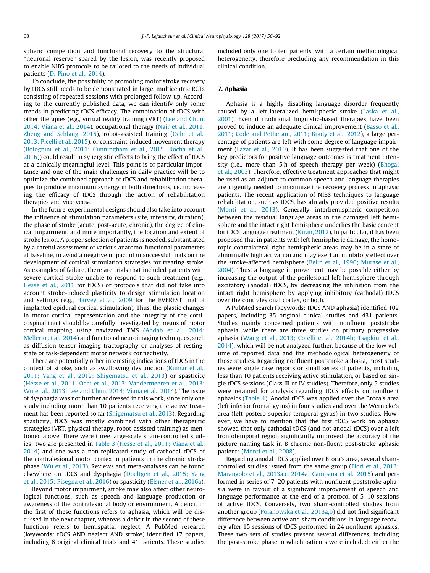spheric competition and functional recovery to the structural ''neuronal reserve" spared by the lesion, was recently proposed to enable NIBS protocols to be tailored to the needs of individual patients ([Di Pino et al., 2014](#page-29-0)).

To conclude, the possibility of promoting motor stroke recovery by tDCS still needs to be demonstrated in large, multicentric RCTs consisting of repeated sessions with prolonged follow-up. According to the currently published data, we can identify only some trends in predicting tDCS efficacy. The combination of tDCS with other therapies (e.g., virtual reality training (VRT) ([Lee and Chun,](#page-32-0) [2014; Viana et al., 2014\)](#page-32-0), occupational therapy [\(Nair et al., 2011;](#page-33-0) [Zheng and Schlaug, 2015\)](#page-33-0), robot-assisted training [\(Ochi et al.,](#page-34-0) [2013; Picelli et al., 2015\)](#page-34-0), or constraint-induced movement therapy ([Bolognini et al., 2011; Cunningham et al., 2015; Rocha et al.,](#page-28-0) [2016\)](#page-28-0)) could result in synergistic effects to bring the effect of tDCS at a clinically meaningful level. This point is of particular importance and one of the main challenges in daily practice will be to optimize the combined approach of tDCS and rehabilitation therapies to produce maximum synergy in both directions, i.e. increasing the efficacy of tDCS through the action of rehabilitation therapies and vice versa.

In the future, experimental designs should also take into account the influence of stimulation parameters (site, intensity, duration), the phase of stroke (acute, post-acute, chronic), the degree of clinical impairment, and more importantly, the location and extent of stroke lesion. A proper selection of patients is needed, substantiated by a careful assessment of various anatomo-functional parameters at baseline, to avoid a negative impact of unsuccessful trials on the development of cortical stimulation strategies for treating stroke. As examples of failure, there are trials that included patients with severe cortical stroke unable to respond to such treatment (e.g., [Hesse et al., 2011](#page-31-0) for tDCS) or protocols that did not take into account stroke-induced plasticity to design stimulation location and settings (e.g., [Harvey et al., 2009](#page-31-0) for the EVEREST trial of implanted epidural cortical stimulation). Thus, the plastic changes in motor cortical representation and the integrity of the corticospinal tract should be carefully investigated by means of motor cortical mapping using navigated TMS ([Ahdab et al., 2014;](#page-27-0) [Mellerio et al., 2014](#page-27-0)) and functional neuroimaging techniques, such as diffusion tensor imaging tractography or analyses of restingstate or task-dependent motor network connectivity.

There are potentially other interesting indications of tDCS in the context of stroke, such as swallowing dysfunction ([Kumar et al.,](#page-32-0) [2011; Yang et al., 2012; Shigematsu et al., 2013](#page-32-0)) or spasticity ([Hesse et al., 2011; Ochi et al., 2013; Vandermeeren et al., 2013;](#page-31-0) [Wu et al., 2013; Lee and Chun, 2014; Viana et al., 2014](#page-31-0)). The issue of dysphagia was not further addressed in this work, since only one study including more than 10 patients receiving the active treatment has been reported so far [\(Shigematsu et al., 2013\)](#page-35-0). Regarding spasticity, tDCS was mostly combined with other therapeutic strategies (VRT, physical therapy, robot-assisted training) as mentioned above. There were three large-scale sham-controlled studies: two are presented in [Table 3](#page-10-0) ([Hesse et al., 2011; Viana et al.,](#page-31-0) [2014\)](#page-31-0) and one was a non-replicated study of cathodal tDCS of the contralesional motor cortex in patients in the chronic stroke phase [\(Wu et al., 2013\)](#page-36-0). Reviews and meta-analyses can be found elsewhere on tDCS and dysphagia ([Doeltgen et al., 2015; Yang](#page-30-0) [et al., 2015; Pisegna et al., 2016](#page-30-0)) or spasticity ([Elsner et al., 2016a\)](#page-30-0).

Beyond motor impairment, stroke may also affect other neurological functions, such as speech and language production or awareness of the contralesional body or environment. A deficit in the first of these functions refers to aphasia, which will be discussed in the next chapter, whereas a deficit in the second of these functions refers to hemispatial neglect. A PubMed research (keywords: tDCS AND neglect AND stroke) identified 17 papers, including 6 original clinical trials and 41 patients. These studies

included only one to ten patients, with a certain methodological heterogeneity, therefore precluding any recommendation in this clinical condition.

## 7. Aphasia

Aphasia is a highly disabling language disorder frequently caused by a left-lateralized hemispheric stroke [\(Laska et al.,](#page-32-0) [2001\)](#page-32-0). Even if traditional linguistic-based therapies have been proved to induce an adequate clinical improvement ([Basso et al.,](#page-28-0) [2011; Code and Petheram, 2011; Brady et al., 2012\)](#page-28-0), a large percentage of patients are left with some degree of language impairment [\(Lazar et al., 2010\)](#page-32-0). It has been suggested that one of the key predictors for positive language outcomes is treatment intensity (i.e., more than 5 h of speech therapy per week) [\(Bhogal](#page-28-0) [et al., 2003\)](#page-28-0). Therefore, effective treatment approaches that might be used as an adjunct to common speech and language therapies are urgently needed to maximize the recovery process in aphasic patients. The recent application of NIBS techniques to language rehabilitation, such as tDCS, has already provided positive results ([Monti et al., 2013\)](#page-33-0). Generally, interhemispheric competition between the residual language areas in the damaged left hemisphere and the intact right hemisphere underlies the basic concept for tDCS language treatment ([Kiran, 2012\)](#page-32-0). In particular, it has been proposed that in patients with left hemispheric damage, the homotopic contralateral right hemispheric areas may be in a state of abnormally high activation and may exert an inhibitory effect over the stroke-affected hemisphere [\(Belin et al., 1996; Murase et al.,](#page-28-0) [2004\)](#page-28-0). Thus, a language improvement may be possible either by increasing the output of the perilesional left hemisphere through excitatory (anodal) tDCS, by decreasing the inhibition from the intact right hemisphere by applying inhibitory (cathodal) tDCS over the contralesional cortex, or both.

A PubMed search (keywords: tDCS AND aphasia) identified 102 papers, including 35 original clinical studies and 431 patients. Studies mainly concerned patients with nonfluent poststroke aphasia, while there are three studies on primary progressive aphasia ([Wang et al., 2013; Cotelli et al., 2014b; Tsapkini et al.,](#page-36-0) [2014\)](#page-36-0), which will be not analyzed further, because of the low volume of reported data and the methodological heterogeneity of those studies. Regarding nonfluent poststroke aphasia, most studies were single case reports or small series of patients, including less than 10 patients receiving active stimulation, or based on single tDCS sessions (Class III or IV studies). Therefore, only 5 studies were retained for analysis regarding tDCS effects on nonfluent aphasics [\(Table 4](#page-14-0)). Anodal tDCS was applied over the Broca's area (left inferior frontal gyrus) in four studies and over the Wernicke's area (left postero-superior temporal gyrus) in two studies. However, we have to mention that the first tDCS work on aphasia showed that only cathodal tDCS (and not anodal tDCS) over a left frontotemporal region significantly improved the accuracy of the picture naming task in 8 chronic non-fluent post-stroke aphasic patients ([Monti et al., 2008](#page-33-0)).

Regarding anodal tDCS applied over Broca's area, several shamcontrolled studies issued from the same group [\(Fiori et al., 2013;](#page-30-0) [Marangolo et al., 2013a,c, 2014a; Campana et al., 2015\)](#page-30-0) and performed in series of 7–20 patients with nonfluent poststroke aphasia were in favour of a significant improvement of speech and language performance at the end of a protocol of 5–10 sessions of active tDCS. Conversely, two sham-controlled studies from another group [\(Polanowska et al., 2013a,b](#page-34-0)) did not find significant difference between active and sham conditions in language recovery after 15 sessions of tDCS performed in 24 nonfluent aphasics. These two sets of studies present several differences, including the post-stroke phase in which patients were included: either the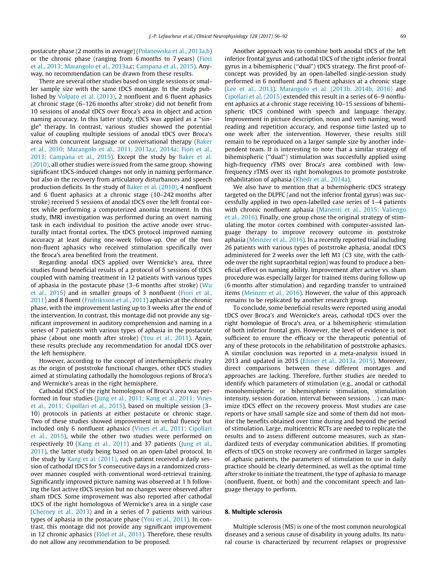postacute phase (2 months in average) [\(Polanowska et al., 2013a,b\)](#page-34-0) or the chronic phase (ranging from 6 months to 7 years) ([Fiori](#page-30-0) [et al., 2013; Marangolo et al., 2013a](#page-30-0),c; [Campana et al., 2015](#page-29-0)). Anyway, no recommendation can be drawn from these results.

There are several other studies based on single sessions or smaller sample size with the same tDCS montage. In the study published by [Volpato et al. \(2013\)](#page-36-0), 2 nonfluent and 6 fluent aphasics at chronic stage (6–126 months after stroke) did not benefit from 10 sessions of anodal tDCS over Broca's area in object and action naming accuracy. In this latter study, tDCS was applied as a ''single" therapy. In contrast, various studies showed the potential value of coupling multiple sessions of anodal tDCS over Broca's area with concurrent language or conversational therapy [\(Baker](#page-28-0) [et al., 2010; Marangolo et al., 2011, 2013a,c, 2014a; Fiori et al.,](#page-28-0) [2013; Campana et al., 2015\)](#page-28-0). Except the study by [Baker et al.](#page-28-0) [\(2010\)](#page-28-0), all other studies were issued from the same group, showing significant tDCS-induced changes not only in naming performance but also in the recovery from articulatory disturbances and speech production deficits. In the study of [Baker et al. \(2010\)](#page-28-0), 4 nonfluent and 6 fluent aphasics at a chronic stage (10–242 months after stroke) received 5 sessions of anodal tDCS over the left frontal cortex while performing a computerized anomia treatment. In this study, fMRI investigation was performed during an overt naming task in each individual to position the active anode over structurally intact frontal cortex. The tDCS protocol improved naming accuracy at least during one-week follow-up. One of the two non-fluent aphasics who received stimulation specifically over the Broca's area benefited from the treatment.

Regarding anodal tDCS applied over Wernicke's area, three studies found beneficial results of a protocol of 5 sessions of tDCS coupled with naming treatment in 12 patients with various types of aphasia in the postacute phase (3–6 months after stroke) [\(Wu](#page-36-0) [et al., 2015\)](#page-36-0) and in smaller groups of 3 nonfluent [\(Fiori et al.,](#page-30-0) [2011\)](#page-30-0) and 8 fluent [\(Fridriksson et al., 2011](#page-30-0)) aphasics at the chronic phase, with the improvement lasting up to 3 weeks after the end of the intervention. In contrast, this montage did not provide any significant improvement in auditory comprehension and naming in a series of 7 patients with various types of aphasia in the postacute phase (about one month after stroke) [\(You et al., 2011](#page-36-0)). Again, these results preclude any recommendation for anodal tDCS over the left hemisphere.

However, according to the concept of interhemispheric rivalry as the origin of poststroke functional changes, other tDCS studies aimed at stimulating cathodally the homologous regions of Broca's and Wernicke's areas in the right hemisphere.

Cathodal tDCS of the right homologous of Broca's area was performed in four studies [\(Jung et al., 2011; Kang et al., 2011; Vines](#page-31-0) [et al., 2011; Cipollari et al., 2015\)](#page-31-0), based on multiple session (3– 10) protocols in patients at either postacute or chronic stage. Two of these studies showed improvement in verbal fluency but included only 6 nonfluent aphasics ([Vines et al., 2011; Cipollari](#page-36-0) [et al., 2015\)](#page-36-0), while the other two studies were performed on respectively 10 [\(Kang et al., 2011\)](#page-31-0) and 37 patients [\(Jung et al.,](#page-31-0) [2011\)](#page-31-0), the latter study being based on an open-label protocol. In the study by [Kang et al. \(2011\),](#page-31-0) each patient received a daily session of cathodal tDCS for 5 consecutive days in a randomized crossover manner coupled with conventional word-retrieval training. Significantly improved picture naming was observed at 1 h following the last active tDCS session but no changes were observed after sham tDCS. Some improvement was also reported after cathodal tDCS of the right homologous of Wernicke's area in a single case ([Cherney et al., 2013](#page-29-0)) and in a series of 7 patients with various types of aphasia in the postacute phase [\(You et al., 2011\)](#page-36-0). In contrast, this montage did not provide any significant improvement in 12 chronic aphasics ([Flöel et al., 2011\)](#page-30-0). Therefore, these results do not allow any recommendation to be proposed.

Another approach was to combine both anodal tDCS of the left inferior frontal gyrus and cathodal tDCS of the right inferior frontal gyrus in a bihemispheric (''dual") tDCS strategy. The first proof-ofconcept was provided by an open-labelled single-session study performed in 6 nonfluent and 5 fluent aphasics at a chronic stage ([Lee et al., 2013](#page-32-0)). [Marangolo et al. \(2013b, 2014b, 2016\)](#page-33-0) and [Cipollari et al. \(2015\)](#page-29-0) extended this result in a series of 6–9 nonfluent aphasics at a chronic stage receiving 10–15 sessions of bihemispheric tDCS combined with speech and language therapy. Improvement in picture description, noun and verb naming, word reading and repetition accuracy, and response time lasted up to one week after the intervention. However, these results still remain to be reproduced on a larger sample size by another independent team. It is interesting to note that a similar strategy of bihemispheric (''dual") stimulation was succesfully applied using high-frequency rTMS over Broca's area combined with lowfrequency rTMS over its right homologous to promote poststroke rehabilitation of aphasia ([Khedr et al., 2014a](#page-32-0)).

We also have to mention that a bihemispheric tDCS strategy targeted on the DLPFC (and not the inferior frontal gyrus) was successfully applied in two open-labelled case series of 1–4 patients with chronic nonfluent aphasia ([Manenti et al., 2015; Valiengo](#page-32-0) [et al., 2016](#page-32-0)). Finally, one group chose the original strategy of stimulating the motor cortex combined with computer-assisted language therapy to improve recovery outcome in poststroke aphasia [\(Meinzer et al., 2016](#page-33-0)). In a recently reported trial including 26 patients with various types of poststroke aphasia, anodal tDCS administered for 2 weeks over the left M1 (C3 site, with the cathode over the right supraorbital region) was found to produce a beneficial effect on naming ability. Improvement after active vs. sham procedure was especially larger for trained items during follow-up (6 months after stimulation) and regarding transfer to untrained items ([Meinzer et al., 2016](#page-33-0)). However, the value of this approach remains to be replicated by another research group.

To conclude, some beneficial results were reported using anodal tDCS over Broca's and Wernicke's areas, cathodal tDCS over the right homologue of Broca's area, or a bihemispheric stimulation of both inferior frontal gyri. However, the level of evidence is not sufficient to ensure the efficacy or the therapeutic potential of any of these protocols in the rehabilitation of poststroke aphasics. A similar conclusion was reported in a meta-analysis issued in 2013 and updated in 2015 ([Elsner et al., 2013a, 2015](#page-30-0)). Moreover, direct comparisons between these different montages and approaches are lacking. Therefore, further studies are needed to identify which parameters of stimulation (e.g., anodal or cathodal monohemispheric or bihemispheric stimulation, stimulation intensity, session duration, interval between sessions...) can maximize tDCS effect on the recovery process. Most studies are case reports or have small sample size and some of them did not monitor the benefits obtained over time during and beyond the period of stimulation. Large, multicentric RCTs are needed to replicate the results and to assess different outcome measures, such as standardized tests of everyday communication abilities. If promoting effects of tDCS on stroke recovery are confirmed in larger samples of aphasic patients, the parameters of stimulation to use in daily practice should be clearly determined, as well as the optimal time after stroke to initiate the treatment, the type of aphasia to manage (nonfluent, fluent, or both) and the concomitant speech and language therapy to perform.

## 8. Multiple sclerosis

Multiple sclerosis (MS) is one of the most common neurological diseases and a serious cause of disability in young adults. Its natural course is characterized by recurrent relapses or progressive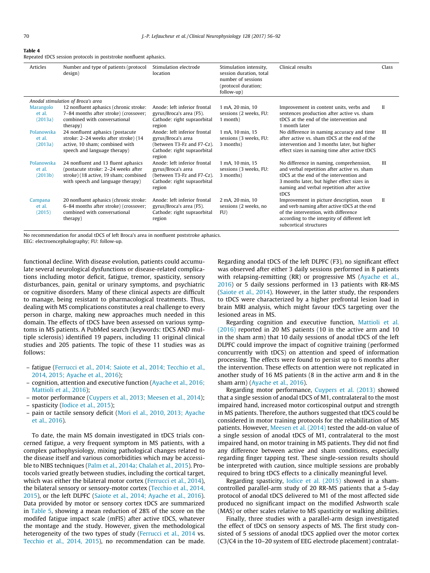#### <span id="page-14-0"></span>Table 4

Repeated tDCS session protocols in poststroke nonfluent aphasics.

| Articles                        | Number and type of patients (protocol<br>design)                                                                                                         | Stimulation electrode<br>location                                                                                         | Stimulation intensity,<br>session duration, total<br>number of sessions<br>(protocol duration;<br>follow-up) | Clinical results                                                                                                                                                                                                                     | Class        |
|---------------------------------|----------------------------------------------------------------------------------------------------------------------------------------------------------|---------------------------------------------------------------------------------------------------------------------------|--------------------------------------------------------------------------------------------------------------|--------------------------------------------------------------------------------------------------------------------------------------------------------------------------------------------------------------------------------------|--------------|
|                                 | Anodal stimulation of Broca's area                                                                                                                       |                                                                                                                           |                                                                                                              |                                                                                                                                                                                                                                      |              |
| Marangolo<br>et al.<br>(2013a)  | 12 nonfluent aphasics (chronic stroke:<br>7-84 months after stroke) (crossover;<br>combined with conversational<br>therapy)                              | Anode: left inferior frontal<br>gyrus/Broca's area (F5).<br>Cathode: right supraorbital<br>region                         | 1 mA, 20 min, 10<br>sessions (2 weeks, FU;<br>1 month)                                                       | Improvement in content units, verbs and<br>sentences production after active vs. sham<br>tDCS at the end of the intervention and<br>1 month later                                                                                    | $\mathbf{I}$ |
| Polanowska<br>et al.<br>(2013a) | 24 nonfluent aphasics (postacute<br>stroke: 2-24 weeks after stroke) (14<br>active, 10 sham: combined with<br>speech and language therapy)               | Anode: left inferior frontal<br>gyrus/Broca's area<br>(between T3-Fz and F7-Cz).<br>Cathode: right supraorbital<br>region | 1 mA, 10 min, 15<br>sessions (3 weeks, FU:<br>3 months)                                                      | No difference in naming accuracy and time<br>after active vs. sham tDCS at the end of the<br>intervention and 3 months later, but higher<br>effect sizes in naming time after active tDCS                                            | Ш            |
| Polanowska<br>et al.<br>(2013b) | 24 nonfluent and 13 fluent aphasics<br>(postacute stroke: 2-24 weeks after<br>stroke) (18 active, 19 sham; combined<br>with speech and language therapy) | Anode: left inferior frontal<br>gyrus/Broca's area<br>(between T3-Fz and F7-Cz).<br>Cathode: right supraorbital<br>region | 1 mA, 10 min, 15<br>sessions (3 weeks, FU:<br>3 months)                                                      | No difference in naming, comprehension,<br>and verbal repetition after active vs. sham<br>tDCS at the end of the intervention and<br>3 months later, but higher effect sizes in<br>naming and verbal repetition after active<br>tDCS | III          |
| Campana<br>et al.<br>(2015)     | 20 nonfluent aphasics (chronic stroke:<br>6-84 months after stroke) (crossover;<br>combined with conversational<br>therapy)                              | Anode: left inferior frontal<br>gyrus/Broca's area (F5).<br>Cathode: right supraorbital<br>region                         | 2 mA, 20 min, 10<br>sessions (2 weeks, no<br>FU)                                                             | Improvement in picture description, noun<br>and verb naming after active tDCS at the end<br>of the intervention, with difference<br>according to the integrity of different left<br>subcortical structures                           | $\mathbf{I}$ |

No recommendation for anodal tDCS of left Broca's area in nonfluent poststroke aphasics.

EEG: electroencephalography; FU: follow-up.

functional decline. With disease evolution, patients could accumulate several neurological dysfunctions or disease-related complications including motor deficit, fatigue, tremor, spasticity, sensory disturbances, pain, genital or urinary symptoms, and psychiatric or cognitive disorders. Many of these clinical aspects are difficult to manage, being resistant to pharmacological treatments. Thus, dealing with MS complications constitutes a real challenge to every person in charge, making new approaches much needed in this domain. The effects of tDCS have been assessed on various symptoms in MS patients. A PubMed search (keywords: tDCS AND multiple sclerosis) identified 19 papers, including 11 original clinical studies and 205 patients. The topic of these 11 studies was as follows:

- fatigue [\(Ferrucci et al., 2014; Saiote et al., 2014; Tecchio et al.,](#page-30-0) [2014, 2015; Ayache et al., 2016](#page-30-0));
- cognition, attention and executive function ([Ayache et al., 2016;](#page-28-0) [Mattioli et al., 2016](#page-28-0));
- motor performance ([Cuypers et al., 2013; Meesen et al., 2014\)](#page-29-0); – spasticity ([Iodice et al., 2015](#page-31-0));
- pain or tactile sensory deficit [\(Mori el al., 2010, 2013; Ayache](#page-33-0) [et al., 2016](#page-33-0)).

To date, the main MS domain investigated in tDCS trials concerned fatigue, a very frequent symptom in MS patients, with a complex pathophysiology, mixing pathological changes related to the disease itself and various comorbidities which may be accessible to NIBS techniques ([Palm et al., 2014a; Chalah et al., 2015](#page-34-0)). Protocols varied greatly between studies, including the cortical target, which was either the bilateral motor cortex [\(Ferrucci et al., 2014\)](#page-30-0), the bilateral sensory or sensory-motor cortex [\(Tecchio et al., 2014,](#page-35-0) [2015\)](#page-35-0), or the left DLPFC [\(Saiote et al., 2014; Ayache et al., 2016\)](#page-35-0). Data provided by motor or sensory cortex tDCS are summarized in [Table 5](#page-15-0), showing a mean reduction of 28% of the score on the modifed fatigue impact scale (mFIS) after active tDCS, whatever the montage and the study. However, given the methodological heterogeneity of the two types of study ([Ferrucci et al., 2014](#page-30-0) vs. [Tecchio et al., 2014, 2015](#page-35-0)), no recommendation can be made. Regarding anodal tDCS of the left DLPFC (F3), no significant effect was observed after either 3 daily sessions performed in 8 patients with relapsing-remitting (RR) or progressive MS [\(Ayache et al.,](#page-28-0) [2016\)](#page-28-0) or 5 daily sessions performed in 13 patients with RR-MS ([Saiote et al., 2014\)](#page-35-0). However, in the latter study, the responders to tDCS were characterized by a higher prefrontal lesion load in brain MRI analysis, which might favour tDCS targeting over the lesioned areas in MS.

Regarding cognition and executive function, [Mattioli et al.](#page-33-0) [\(2016\)](#page-33-0) reported in 20 MS patients (10 in the active arm and 10 in the sham arm) that 10 daily sessions of anodal tDCS of the left DLPFC could improve the impact of cognitive training (performed concurrently with tDCS) on attention and speed of information processing. The effects were found to persist up to 6 months after the intervention. These effects on attention were not replicated in another study of 16 MS patients (8 in the active arm and 8 in the sham arm) ([Ayache et al., 2016\)](#page-28-0).

Regarding motor performance, [Cuypers et al. \(2013\)](#page-29-0) showed that a single session of anodal tDCS of M1, contralateral to the most impaired hand, increased motor corticospinal output and strength in MS patients. Therefore, the authors suggested that tDCS could be considered in motor training protocols for the rehabilitation of MS patients. However, [Meesen et al. \(2014\)](#page-33-0) tested the add-on value of a single session of anodal tDCS of M1, contralateral to the most impaired hand, on motor training in MS patients. They did not find any difference between active and sham conditions, especially regarding finger tapping test. These single-session results should be interpreted with caution, since multiple sessions are probably required to bring tDCS effects to a clinically meaningful level.

Regarding spasticity, [Iodice et al. \(2015\)](#page-31-0) showed in a shamcontrolled parallel-arm study of 20 RR-MS patients that a 5-day protocol of anodal tDCS delivered to M1 of the most affected side produced no significant impact on the modified Ashworth scale (MAS) or other scales relative to MS spasticity or walking abilities.

Finally, three studies with a parallel-arm design investigated the effect of tDCS on sensory aspects of MS. The first study consisted of 5 sessions of anodal tDCS applied over the motor cortex (C3/C4 in the 10–20 system of EEG electrode placement) contralat-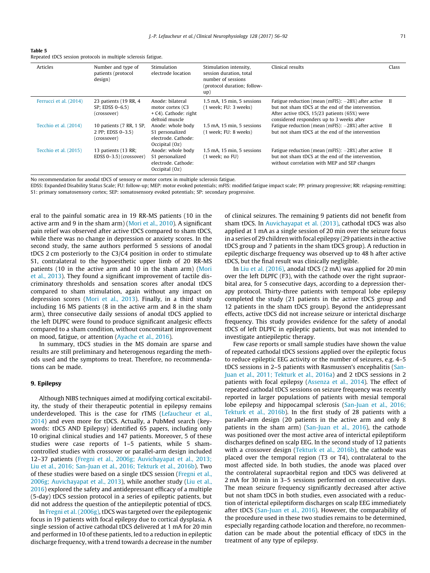<span id="page-15-0"></span>

|--|

Repeated tDCS session protocols in multiple sclerosis fatigue.

| <b>Articles</b>        | Number and type of<br>patients (protocol<br>design)          | Stimulation<br>electrode location                                               | Stimulation intensity,<br>session duration, total<br>number of sessions<br>(protocol duration; follow-<br>up) | Clinical results                                                                                                                                                                                            | Class |
|------------------------|--------------------------------------------------------------|---------------------------------------------------------------------------------|---------------------------------------------------------------------------------------------------------------|-------------------------------------------------------------------------------------------------------------------------------------------------------------------------------------------------------------|-------|
| Ferrucci et al. (2014) | 23 patients (19 RR, 4)<br>SP; EDSS 0-6.5)<br>(crossover)     | Anode: bilateral<br>motor cortex (C3<br>+ C4). Cathode: right<br>deltoid muscle | $1.5$ mA, $15$ min, $5$ sessions<br>$(1$ week; FU: 3 weeks)                                                   | Fatigue reduction (mean (mFIS): $-28\%$ ) after active II<br>but not sham tDCS at the end of the intervention.<br>After active tDCS, 15/23 patients (65%) were<br>considered responders up to 3 weeks after |       |
| Tecchio et al. (2014)  | 10 patients (7 RR, 1 SP,<br>2 PP; EDSS 0-3.5)<br>(crossover) | Anode: whole body<br>S1 personalized<br>electrode. Cathode:<br>Occipital (Oz)   | $1.5$ mA, $15$ min, $5$ sessions<br>$(1$ week; FU: 8 weeks)                                                   | Fatigue reduction (mean (mFIS): -28%) after active II<br>but not sham tDCS at the end of the intervention                                                                                                   |       |
| Tecchio et al. (2015)  | 13 patients (13 RR;<br>EDSS 0-3.5) (crossover)               | Anode: whole body<br>S1 personalized<br>electrode. Cathode:<br>Occipital (Oz)   | $1.5$ mA, $15$ min, $5$ sessions<br>$(1$ week; no FU)                                                         | Fatigue reduction (mean (mFIS): $-28\%$ ) after active II<br>but not sham tDCS at the end of the intervention,<br>without correlation with MEP and SEP changes                                              |       |

No recommendation for anodal tDCS of sensory or motor cortex in multiple sclerosis fatigue.

EDSS: Expanded Disability Status Scale; FU: follow-up; MEP: motor evoked potentials; mFIS: modified fatigue impact scale; PP: primary progressive; RR: relapsing-remitting; S1: primary somatosensory cortex; SEP: somatosensory evoked potentials; SP: secondary progressive.

eral to the painful somatic area in 19 RR-MS patients (10 in the active arm and 9 in the sham arm) [\(Mori et al., 2010\)](#page-33-0). A significant pain relief was observed after active tDCS compared to sham tDCS, while there was no change in depression or anxiety scores. In the second study, the same authors performed 5 sessions of anodal tDCS 2 cm posteriorly to the C3/C4 position in order to stimulate S1, contralateral to the hypoesthetic upper limb of 20 RR-MS patients (10 in the active arm and 10 in the sham arm) ([Mori](#page-33-0) [et al., 2013](#page-33-0)). They found a significant improvement of tactile discriminatory thresholds and sensation scores after anodal tDCS compared to sham stimulation, again without any impact on depression scores ([Mori et al., 2013](#page-33-0)). Finally, in a third study including 16 MS patients (8 in the active arm and 8 in the sham arm), three consecutive daily sessions of anodal tDCS applied to the left DLPFC were found to produce significant analgesic effects compared to a sham condition, without concomitant improvement on mood, fatigue, or attention [\(Ayache et al., 2016](#page-28-0)).

In summary, tDCS studies in the MS domain are sparse and results are still preliminary and heterogenous regarding the methods used and the symptoms to treat. Therefore, no recommendations can be made.

### 9. Epilepsy

Although NIBS techniques aimed at modifying cortical excitability, the study of their therapeutic potential in epilepsy remains underdeveloped. This is the case for rTMS [\(Lefaucheur et al.,](#page-32-0) [2014\)](#page-32-0) and even more for tDCS. Actually, a PubMed search (keywords: tDCS AND Epilepsy) identified 65 papers, including only 10 original clinical studies and 147 patients. Moreover, 5 of these studies were case reports of 1–5 patients, while 5 shamcontrolled studies with crossover or parallel-arm design included 12–37 patients ([Fregni et al., 2006g; Auvichayapat et al., 2013;](#page-30-0) [Liu et al., 2016; San-Juan et al., 2016; Tekturk et al., 2016b\)](#page-30-0). Two of these studies were based on a single tDCS session [\(Fregni et al.,](#page-30-0) [2006g; Auvichayapat et al., 2013\)](#page-30-0), while another study ([Liu et al.,](#page-32-0) [2016\)](#page-32-0) explored the safety and antidepressant efficacy of a multiple (5-day) tDCS session protocol in a series of epileptic patients, but did not address the question of the antiepileptic potential of tDCS.

In [Fregni et al. \(2006g\)](#page-30-0), tDCS was targeted over the epileptogenic focus in 19 patients with focal epilepsy due to cortical dysplasia. A single session of active cathodal tDCS delivered at 1 mA for 20 min and performed in 10 of these patients, led to a reduction in epileptic discharge frequency, with a trend towards a decrease in the number of clinical seizures. The remaining 9 patients did not benefit from sham tDCS. In [Auvichayapat et al. \(2013\),](#page-28-0) cathodal tDCS was also applied at 1 mA as a single session of 20 min over the seizure focus in a series of 29 children with focal epilepsy (29 patients in the active tDCS group and 7 patients in the sham tDCS group). A reduction in epileptic discharge frequency was observed up to 48 h after active tDCS, but the final result was clinically negligible.

In [Liu et al. \(2016\),](#page-32-0) anodal tDCS (2 mA) was applied for 20 min over the left DLPFC (F3), with the cathode over the right supraorbital area, for 5 consecutive days, according to a depression therapy protocol. Thirty-three patients with temporal lobe epilepsy completed the study (21 patients in the active tDCS group and 12 patients in the sham tDCS group). Beyond the antidepressant effects, active tDCS did not increase seizure or interictal discharge frequency. This study provides evidence for the safety of anodal tDCS of left DLPFC in epileptic patients, but was not intended to investigate antiepileptic therapy.

Few case reports or small sample studies have shown the value of repeated cathodal tDCS sessions applied over the epileptic focus to reduce epileptic EEG activity or the number of seizures, e.g. 4–5 tDCS sessions in 2–5 patients with Rasmussen's encephalitis ([San-](#page-35-0)[Juan et al., 2011; Tekturk et al., 2016a\)](#page-35-0) and 2 tDCS sessions in 2 patients with focal epilepsy ([Assenza et al., 2014\)](#page-28-0). The effect of repeated cathodal tDCS sessions on seizure frequency was recently reported in larger populations of patients with mesial temporal lobe epilepsy and hippocampal sclerosis [\(San-Juan et al., 2016;](#page-35-0) [Tekturk et al., 2016b\)](#page-35-0). In the first study of 28 patients with a parallel-arm design (20 patients in the active arm and only 8 patients in the sham arm) [\(San-Juan et al., 2016](#page-35-0)), the cathode was positioned over the most active area of interictal epileptiform discharges defined on scalp EEG. In the second study of 12 patients with a crossover design ([Tekturk et al., 2016b\)](#page-35-0), the cathode was placed over the temporal region (T3 or T4), contralateral to the most affected side. In both studies, the anode was placed over the controlateral supraorbital region and tDCS was delivered at 2 mA for 30 min in 3–5 sessions performed on consecutive days. The mean seizure frequency significantly decreased after active but not sham tDCS in both studies, even associated with a reduction of interictal epileptiform discharges on scalp EEG immediately after tDCS ([San-Juan et al., 2016\)](#page-35-0). However, the comparability of the procedure used in these two studies remains to be determined, especially regarding cathode location and therefore, no recommendation can be made about the potential efficacy of tDCS in the treatment of any type of epilepsy.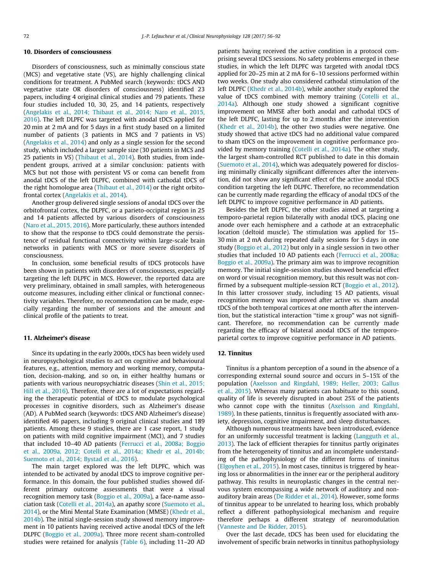# 10. Disorders of consciousness

Disorders of consciousness, such as minimally conscious state (MCS) and vegetative state (VS), are highly challenging clinical conditions for treatment. A PubMed search (keywords: tDCS AND vegetative state OR disorders of consciousness) identified 23 papers, including 4 original clinical studies and 79 patients. These four studies included 10, 30, 25, and 14 patients, respectively ([Angelakis et al., 2014; Thibaut et al., 2014; Naro et al., 2015,](#page-27-0) [2016\)](#page-27-0). The left DLPFC was targeted with anodal tDCS applied for 20 min at 2 mA and for 5 days in a first study based on a limited number of patients (3 patients in MCS and 7 patients in VS) ([Angelakis et al., 2014\)](#page-27-0) and only as a single session for the second study, which included a larger sample size (30 patients in MCS and 25 patients in VS) ([Thibaut et al., 2014\)](#page-35-0). Both studies, from independent groups, arrived at a similar conclusion: patients with MCS but not those with persistent VS or coma can benefit from anodal tDCS of the left DLPFC, combined with cathodal tDCS of the right homologue area [\(Thibaut et al., 2014\)](#page-35-0) or the right orbitofrontal cortex [\(Angelakis et al., 2014](#page-27-0)).

Another group delivered single sessions of anodal tDCS over the orbitofrontal cortex, the DLPFC, or a parieto-occipital region in 25 and 14 patients affected by various disorders of consciousness ([Naro et al., 2015, 2016](#page-33-0)). More particularly, these authors intended to show that the response to tDCS could demonstrate the persistence of residual functional connectivity within large-scale brain networks in patients with MCS or more severe disorders of consciousness.

In conclusion, some beneficial results of tDCS protocols have been shown in patients with disorders of consciousness, especially targeting the left DLPFC in MCS. However, the reported data are very preliminary, obtained in small samples, with heterogeneous outcome measures, including either clinical or functional connectivity variables. Therefore, no recommendation can be made, especially regarding the number of sessions and the amount and clinical profile of the patients to treat.

#### 11. Alzheimer's disease

Since its updating in the early 2000s, tDCS has been widely used in neuropsychological studies to act on cognitive and behavioural features, e.g., attention, memory and working memory, computation, decision-making, and so on, in either healthy humans or patients with various neuropsychiatric diseases [\(Shin et al., 2015;](#page-35-0) [Hill et al., 2016\)](#page-35-0). Therefore, there are a lot of expectations regarding the therapeutic potential of tDCS to modulate psychological processes in cognitive disorders, such as Alzheimer's disease (AD). A PubMed search (keywords: tDCS AND Alzheimer's disease) identified 46 papers, including 9 original clinical studies and 189 patients. Among these 9 studies, there are 1 case report, 1 study on patients with mild cognitive impairment (MCI), and 7 studies that included 10–40 AD patients ([Ferrucci et al., 2008a; Boggio](#page-30-0) [et al., 2009a, 2012; Cotelli et al., 2014a; Khedr et al., 2014b;](#page-30-0) [Suemoto et al., 2014; Bystad et al., 2016](#page-30-0)).

The main target explored was the left DLPFC, which was intended to be activated by anodal tDCS to improve cognitive performance. In this domain, the four published studies showed different primary outcome assessments that were a visual recognition memory task ([Boggio et al., 2009a\)](#page-28-0), a face-name association task ([Cotelli et al., 2014a\)](#page-29-0), an apathy score ([Suemoto et al.,](#page-35-0) [2014\)](#page-35-0), or the Mini Mental State Examination (MMSE) ([Khedr et al.,](#page-32-0) [2014b](#page-32-0)). The initial single-session study showed memory improvement in 10 patients having received active anodal tDCS of the left DLPFC ([Boggio et al., 2009a\)](#page-28-0). Three more recent sham-controlled studies were retained for analysis [\(Table 6\)](#page-17-0), including 11–20 AD

patients having received the active condition in a protocol comprising several tDCS sessions. No safety problems emerged in these studies, in which the left DLPFC was targeted with anodal tDCS applied for 20–25 min at 2 mA for 6–10 sessions performed within two weeks. One study also considered cathodal stimulation of the left DLPFC [\(Khedr et al., 2014b](#page-32-0)), while another study explored the value of tDCS combined with memory training ([Cotelli et al.,](#page-29-0) [2014a\)](#page-29-0). Although one study showed a significant cognitive improvement on MMSE after both anodal and cathodal tDCS of the left DLPFC, lasting for up to 2 months after the intervention ([Khedr et al., 2014b](#page-32-0)), the other two studies were negative. One study showed that active tDCS had no additional value compared to sham tDCS on the improvement in cognitive performance provided by memory training [\(Cotelli et al., 2014a](#page-29-0)). The other study, the largest sham-controlled RCT published to date in this domain ([Suemoto et al., 2014\)](#page-35-0), which was adequately powered for disclosing minimally clinically significant differences after the intervention, did not show any significant effect of the active anodal tDCS condition targeting the left DLPFC. Therefore, no recommendation can be currently made regarding the efficacy of anodal tDCS of the left DLPFC to improve cognitive performance in AD patients.

Besides the left DLPFC, the other studies aimed at targeting a temporo-parietal region bilaterally with anodal tDCS, placing one anode over each hemisphere and a cathode at an extracephalic location (deltoid muscle). The stimulation was applied for 15– 30 min at 2 mA during repeated daily sessions for 5 days in one study [\(Boggio et al., 2012](#page-28-0)) but only in a single session in two other studies that included 10 AD patients each [\(Ferrucci et al., 2008a;](#page-30-0) [Boggio et al., 2009a](#page-30-0)). The primary aim was to improve recognition memory. The initial single-session studies showed beneficial effect on word or visual recognition memory, but this result was not confirmed by a subsequent multiple-session RCT [\(Boggio et al., 2012\)](#page-28-0). In this latter crossover study, including 15 AD patients, visual recognition memory was improved after active vs. sham anodal tDCS of the both temporal cortices at one month after the intervention, but the statistical interaction ''time x group" was not significant. Therefore, no recommendation can be currently made regarding the efficacy of bilateral anodal tDCS of the temporoparietal cortex to improve cognitive performance in AD patients.

# 12. Tinnitus

Tinnitus is a phantom perception of a sound in the absence of a corresponding external sound source and occurs in 5–15% of the population [\(Axelsson and Ringdahl, 1989; Heller, 2003; Gallus](#page-28-0) [et al., 2015](#page-28-0)). Whereas many patients can habituate to this sound, quality of life is severely disrupted in about 25% of the patients who cannot cope with the tinnitus [\(Axelsson and Ringdahl,](#page-28-0) [1989\)](#page-28-0). In these patients, tinnitus is frequently associated with anxiety, depression, cognitive impairment, and sleep disturbances.

Although numerous treatments have been introduced, evidence for an uniformly successful treatment is lacking [\(Langguth et al.,](#page-32-0) [2013\)](#page-32-0). The lack of efficient therapies for tinnitus partly originates from the heterogeneity of tinnitus and an incomplete understanding of the pathophysiology of the different forms of tinnitus ([Elgoyhen et al., 2015\)](#page-30-0). In most cases, tinnitus is triggered by hearing loss or abnormalities in the inner ear or the peripheral auditory pathway. This results in neuroplastic changes in the central nervous system encompassing a wide network of auditory and nonauditory brain areas ([De Ridder et al., 2014](#page-29-0)). However, some forms of tinnitus appear to be unrelated to hearing loss, which probably reflect a different pathophysiological mechanism and require therefore perhaps a different strategy of neuromodulation ([Vanneste and De Ridder, 2015\)](#page-36-0).

Over the last decade, tDCS has been used for elucidating the involvement of specific brain networks in tinnitus pathophysiology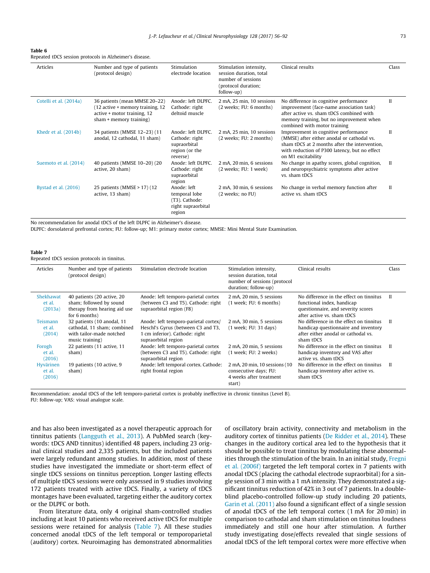<span id="page-17-0"></span>

| ٠<br>٠ |  |
|--------|--|
|--------|--|

Repeated tDCS session protocols in Alzheimer's disease.

| Articles               | Number and type of patients<br>(protocol design)                                                                                              | Stimulation<br>electrode location                                                  | Stimulation intensity,<br>session duration, total<br>number of sessions<br>(protocol duration;<br>follow-up) | Clinical results                                                                                                                                                                                           | Class        |
|------------------------|-----------------------------------------------------------------------------------------------------------------------------------------------|------------------------------------------------------------------------------------|--------------------------------------------------------------------------------------------------------------|------------------------------------------------------------------------------------------------------------------------------------------------------------------------------------------------------------|--------------|
| Cotelli et al. (2014a) | 36 patients (mean MMSE 20-22)<br>$(12 \text{ active} + \text{memory training}, 12)$<br>active + motor training, 12<br>sham + memory training) | Anode: left DLPFC.<br>Cathode: right<br>deltoid muscle                             | 2 mA, 25 min, 10 sessions<br>(2 weeks; FU: 6 months)                                                         | No difference in cognitive performance<br>improvement (face-name association task)<br>after active vs. sham tDCS combined with<br>memory training, but no improvement when<br>combined with motor training | $\mathbf{I}$ |
| Khedr et al. (2014b)   | 34 patients (MMSE 12-23) (11<br>anodal, 12 cathodal, 11 sham)                                                                                 | Anode: left DLPFC.<br>Cathode: right<br>supraorbital<br>region (or the<br>reverse) | 2 mA, 25 min, 10 sessions<br>(2 weeks; FU: 2 months)                                                         | Improvement in cognitive performance<br>(MMSE) after either anodal or cathodal vs.<br>sham tDCS at 2 months after the intervention.<br>with reduction of P300 latency, but no effect<br>on M1 excitability | $_{\rm II}$  |
| Suemoto et al. (2014)  | 40 patients (MMSE 10-20) (20<br>active, 20 sham)                                                                                              | Anode: left DLPFC.<br>Cathode: right<br>supraorbital<br>region                     | 2 mA, 20 min, 6 sessions<br>(2 weeks; FU: 1 week)                                                            | No change in apathy scores, global cognition,<br>and neuropsychiatric symptoms after active<br>vs. sham tDCS                                                                                               | Ш            |
| Bystad et al. $(2016)$ | 25 patients (MMSE > 17) (12<br>active, 13 sham)                                                                                               | Anode: left<br>temporal lobe<br>(T3). Cathode:<br>right supraorbital<br>region     | 2 mA, 30 min, 6 sessions<br>$(2$ weeks; no FU)                                                               | No change in verbal memory function after<br>active vs. sham tDCS                                                                                                                                          | $\mathbf{I}$ |

No recommendation for anodal tDCS of the left DLPFC in Alzheimer's disease.

DLPFC: dorsolateral prefrontal cortex; FU: follow-up; M1: primary motor cortex; MMSE: Mini Mental State Examination.

|--|--|

Repeated tDCS session protocols in tinnitus.

| Articles                             | Number and type of patients<br>(protocol design)                                                         | Stimulation electrode location                                                                                                      | Stimulation intensity,<br>session duration, total<br>number of sessions (protocol<br>duration; follow-up) | Clinical results                                                                                                                          | Class |
|--------------------------------------|----------------------------------------------------------------------------------------------------------|-------------------------------------------------------------------------------------------------------------------------------------|-----------------------------------------------------------------------------------------------------------|-------------------------------------------------------------------------------------------------------------------------------------------|-------|
| Shekhawat<br>et al.<br>(2013a)       | 40 patients (20 active, 20<br>sham; followed by sound<br>therapy from hearing aid use<br>for 6 months)   | Anode: left temporo-parietal cortex<br>(between C3 and T5). Cathode: right<br>supraorbital region (F8)                              | 2 mA, 20 min, 5 sessions<br>$(1$ week; FU: 6 months)                                                      | No difference in the effect on tinnitus<br>functional index, handicap<br>questionnaire, and severity scores<br>after active vs. sham tDCS | - 11  |
| Teismann<br>et al.<br>(2014)         | 32 patients (10 anodal, 11<br>cathodal, 11 sham; combined<br>with tailor-made notched<br>music training) | Anode: left temporo-parietal cortex/<br>Heschl's Gyrus (between C3 and T3,<br>1 cm inferior). Cathode: right<br>supraorbital region | 2 mA, 30 min, 5 sessions<br>$(1$ week; FU: 31 days)                                                       | No difference in the effect on tinnitus<br>handicap questionnaire and inventory<br>after either anodal or cathodal vs.<br>sham tDCS       | -H    |
| Forogh<br>et al.<br>(2016)           | 22 patients (11 active, 11<br>sham)                                                                      | Anode: left temporo-parietal cortex<br>(between C3 and T5). Cathode: right<br>supraorbital region                                   | 2 mA, 20 min, 5 sessions<br>$(1$ week: FU: 2 weeks)                                                       | No difference in the effect on tinnitus<br>handicap inventory and VAS after<br>active vs. sham tDCS                                       | - 11  |
| <b>Hyvärinen</b><br>et al.<br>(2016) | 19 patients (10 active, 9<br>sham)                                                                       | Anode: left temporal cortex. Cathode:<br>right frontal region                                                                       | 2 mA, 20 min, 10 sessions (10)<br>consecutive days; FU:<br>4 weeks after treatment<br>start)              | No difference in the effect on tinnitus<br>handicap inventory after active vs.<br>sham tDCS                                               | - 11  |

Recommendation: anodal tDCS of the left temporo-parietal cortex is probably ineffective in chronic tinnitus (Level B).

FU: follow-up; VAS: visual analogue scale.

and has also been investigated as a novel therapeutic approach for tinnitus patients [\(Langguth et al., 2013\)](#page-32-0). A PubMed search (keywords: tDCS AND tinnitus) identified 48 papers, including 23 original clinical studies and 2,335 patients, but the included patients were largely redundant among studies. In addition, most of these studies have investigated the immediate or short-term effect of single tDCS sessions on tinnitus perception. Longer lasting effects of multiple tDCS sessions were only assessed in 9 studies involving 172 patients treated with active tDCS. Finally, a variety of tDCS montages have been evaluated, targeting either the auditory cortex or the DLPFC or both.

From literature data, only 4 original sham-controlled studies including at least 10 patients who received active tDCS for multiple sessions were retained for analysis (Table 7). All these studies concerned anodal tDCS of the left temporal or temporoparietal (auditory) cortex. Neuroimaging has demonstrated abnormalities of oscillatory brain activity, connectivity and metabolism in the auditory cortex of tinnitus patients ([De Ridder et al., 2014](#page-29-0)). These changes in the auditory cortical area led to the hypothesis that it should be possible to treat tinnitus by modulating these abnormalities through the stimulation of the brain. In an initial study, [Fregni](#page-30-0) [et al. \(2006f\)](#page-30-0) targeted the left temporal cortex in 7 patients with anodal tDCS (placing the cathodal electrode supraorbital) for a single session of 3 min with a 1 mA intensity. They demonstrated a significant tinnitus reduction of 42% in 3 out of 7 patients. In a doubleblind placebo-controlled follow-up study including 20 patients, [Garin et al. \(2011\)](#page-31-0) also found a significant effect of a single session of anodal tDCS of the left temporal cortex (1 mA for 20 min) in comparison to cathodal and sham stimulation on tinnitus loudness immediately and still one hour after stimulation. A further study investigating dose/effects revealed that single sessions of anodal tDCS of the left temporal cortex were more effective when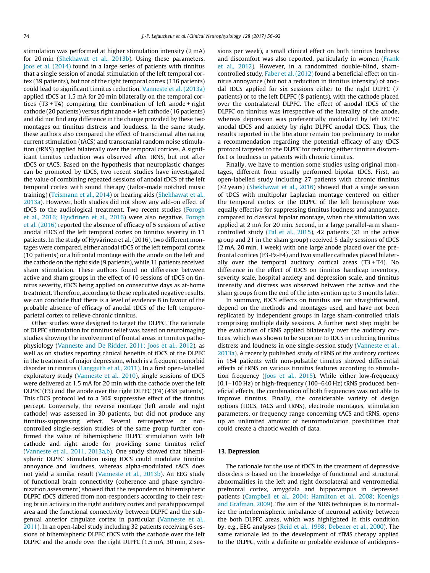stimulation was performed at higher stimulation intensity (2 mA) for 20 min [\(Shekhawat et al., 2013b\)](#page-35-0). Using these parameters, [Joos et al. \(2014\)](#page-31-0) found in a large series of patients with tinnitus that a single session of anodal stimulation of the left temporal cortex (39 patients), but not of the right temporal cortex (136 patients) could lead to significant tinnitus reduction. [Vanneste et al. \(2013a\)](#page-36-0) applied tDCS at 1.5 mA for 20 min bilaterally on the temporal cortices  $(T3 + T4)$  comparing the combination of left anode + right cathode (20 patients) versus right anode + left cathode (16 patients) and did not find any difference in the change provided by these two montages on tinnitus distress and loudness. In the same study, these authors also compared the effect of transcranial alternating current stimulation (tACS) and transcranial random noise stimulation (tRNS) applied bilaterally over the temporal cortices. A significant tinnitus reduction was observed after tRNS, but not after tDCS or tACS. Based on the hypothesis that neuroplastic changes can be promoted by tDCS, two recent studies have investigated the value of combining repeated sessions of anodal tDCS of the left temporal cortex with sound therapy (tailor-made notched music training) [\(Teismann et al., 2014\)](#page-35-0) or hearing aids ([Shekhawat et al.,](#page-35-0) [2013a\)](#page-35-0). However, both studies did not show any add-on effect of tDCS to the audiological treatment. Two recent studies ([Forogh](#page-30-0) [et al., 2016; Hyvärinen et al., 2016\)](#page-30-0) were also negative. [Forogh](#page-30-0) [et al. \(2016\)](#page-30-0) reported the absence of efficacy of 5 sessions of active anodal tDCS of the left temporal cortex on tinnitus severity in 11 patients. In the study of Hyvärinen et al. (2016), two different montages were compared, either anodal tDCS of the left temporal cortex (10 patients) or a bifrontal montage with the anode on the left and the cathode on the right side (9 patients), while 11 patients received sham stimulation. These authors found no difference between active and sham groups in the effect of 10 sessions of tDCS on tinnitus severity, tDCS being applied on consecutive days as at-home treatment. Therefore, according to these replicated negative results, we can conclude that there is a level of evidence B in favour of the probable absence of efficacy of anodal tDCS of the left temporoparietal cortex to relieve chronic tinnitus.

Other studies were designed to target the DLPFC. The rationale of DLPFC stimulation for tinnitus relief was based on neuroimaging studies showing the involvement of frontal areas in tinnitus pathophysiology [\(Vanneste and De Ridder, 2011; Joos et al., 2012\)](#page-36-0), as well as on studies reporting clinical benefits of tDCS of the DLPFC in the treatment of major depression, which is a frequent comorbid disorder in tinnitus [\(Langguth et al., 2011](#page-32-0)). In a first open-labelled exploratory study ([Vanneste et al., 2010\)](#page-36-0), single sessions of tDCS were delivered at 1.5 mA for 20 min with the cathode over the left DLPFC (F3) and the anode over the right DLPFC (F4) (438 patients). This tDCS protocol led to a 30% suppressive effect of the tinnitus percept. Conversely, the reverse montage (left anode and right cathode) was assessed in 30 patients, but did not produce any tinnitus-suppressing effect. Several retrospective or notcontrolled single-session studies of the same group further confirmed the value of bihemispheric DLPFC stimulation with left cathode and right anode for providing some tinnitus relief ([Vanneste et al., 2011, 2013a,b](#page-36-0)). One study showed that bihemispheric DLPFC stimulation using tDCS could modulate tinnitus annoyance and loudness, whereas alpha-modulated tACS does not yield a similar result ([Vanneste et al., 2013b](#page-36-0)). An EEG study of functional brain connectivity (coherence and phase synchronization assessment) showed that the responders to bihemispheric DLPFC tDCS differed from non-responders according to their resting brain activity in the right auditory cortex and parahippocampal area and the functional connectivity between DLPFC and the subgenual anterior cingulate cortex in particular ([Vanneste et al.,](#page-36-0) [2011\)](#page-36-0). In an open-label study including 32 patients receiving 6 sessions of bihemispheric DLPFC tDCS with the cathode over the left DLPFC and the anode over the right DLPFC (1.5 mA, 30 min, 2 sessions per week), a small clinical effect on both tinnitus loudness and discomfort was also reported, particularly in women ([Frank](#page-30-0) [et al., 2012](#page-30-0)). However, in a randomized double-blind, shamcontrolled study, [Faber et al. \(2012\)](#page-30-0) found a beneficial effect on tinnitus annoyance (but not a reduction in tinnitus intensity) of anodal tDCS applied for six sessions either to the right DLPFC (7 patients) or to the left DLPFC (8 patients), with the cathode placed over the contralateral DLPFC. The effect of anodal tDCS of the DLPFC on tinnitus was irrespective of the laterality of the anode, whereas depression was preferentially modulated by left DLPFC anodal tDCS and anxiety by right DLPFC anodal tDCS. Thus, the results reported in the literature remain too preliminary to make a recommendation regarding the potential efficacy of any tDCS protocol targeted to the DLPFC for reducing either tinnitus discomfort or loudness in patients with chronic tinnitus.

Finally, we have to mention some studies using original montages, different from usually performed bipolar tDCS. First, an open-labelled study including 27 patients with chronic tinnitus (>2 years) ([Shekhawat et al., 2016](#page-35-0)) showed that a single session of tDCS with multipolar Laplacian montage centered on either the temporal cortex or the DLPFC of the left hemisphere was equally effective for suppressing tinnitus loudness and annoyance, compared to classical bipolar montage, when the stimulation was applied at 2 mA for 20 min. Second, in a large parallel-arm shamcontrolled study ([Pal et al., 2015\)](#page-34-0), 42 patients (21 in the active group and 21 in the sham group) received 5 daily sessions of tDCS (2 mA, 20 min, 1 week) with one large anode placed over the prefrontal cortices (F3-Fz-F4) and two smaller cathodes placed bilaterally over the temporal auditory cortical areas  $(T3 + T4)$ . No difference in the effect of tDCS on tinnitus handicap inventory, severity scale, hospital anxiety and depression scale, and tinnitus intensity and distress was observed between the active and the sham groups from the end of the intervention up to 3 months later.

In summary, tDCS effects on tinnitus are not straightforward, depend on the methods and montages used, and have not been replicated by independent groups in large sham-controlled trials comprising multiple daily sessions. A further next step might be the evaluation of tRNS applied bilaterally over the auditory cortices, which was shown to be superior to tDCS in reducing tinnitus distress and loudness in one single-session study ([Vanneste et al.,](#page-36-0) [2013a\)](#page-36-0). A recently published study of tRNS of the auditory cortices in 154 patients with non-pulsatile tinnitus showed differential effects of tRNS on various tinnitus features according to stimulation frequency ([Joos et al., 2015\)](#page-31-0). While either low-frequency (0.1–100 Hz) or high-frequency (100–640 Hz) tRNS produced beneficial effects, the combination of both frequencies was not able to improve tinnitus. Finally, the considerable variety of design options (tDCS, tACS and tRNS), electrode montages, stimulation parameters, or frequency range concerning tACS and tRNS, opens up an unlimited amount of neuromodulation possibilities that could create a chaotic wealth of data.

## 13. Depression

The rationale for the use of tDCS in the treatment of depressive disorders is based on the knowledge of functional and structural abnormalities in the left and right dorsolateral and ventromedial prefrontal cortex, amygdala and hippocampus in depressed patients [\(Campbell et al., 2004; Hamilton et al., 2008; Koenigs](#page-29-0) [and Grafman, 2009](#page-29-0)). The aim of the NIBS techniques is to normalize the interhemispheric imbalance of neuronal activity between the both DLPFC areas, which was highlighted in this condition by, e.g., EEG analyses [\(Reid et al., 1998; Debener et al., 2000](#page-34-0)). The same rationale led to the development of rTMS therapy applied to the DLPFC, with a definite or probable evidence of antidepres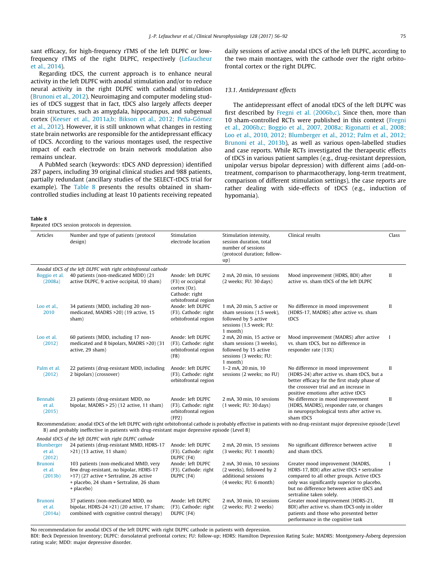sant efficacy, for high-frequency rTMS of the left DLPFC or lowfrequency rTMS of the right DLPFC, respectively ([Lefaucheur](#page-32-0) [et al., 2014\)](#page-32-0).

Regarding tDCS, the current approach is to enhance neural activity in the left DLPFC with anodal stimulation and/or to reduce neural activity in the right DLPFC with cathodal stimulation ([Brunoni et al., 2012\)](#page-28-0). Neuroimaging and computer modeling studies of tDCS suggest that in fact, tDCS also largely affects deeper brain structures, such as amygdala, hippocampus, and subgenual cortex [\(Keeser et al., 2011a,b; Bikson et al., 2012; Peña-Gómez](#page-32-0) [et al., 2012\)](#page-32-0). However, it is still unknown what changes in resting state brain networks are responsible for the antidepressant efficacy of tDCS. According to the various montages used, the respective impact of each electrode on brain network modulation also remains unclear.

A PubMed search (keywords: tDCS AND depression) identified 287 papers, including 39 original clinical studies and 988 patients, partially redundant (ancillary studies of the SELECT-tDCS trial for example). The Table 8 presents the results obtained in shamcontrolled studies including at least 10 patients receiving repeated

Table 8

Repeated tDCS session protocols in depression.

daily sessions of active anodal tDCS of the left DLPFC, according to the two main montages, with the cathode over the right orbitofrontal cortex or the right DLPFC.

# 13.1. Antidepressant effects

The antidepressant effect of anodal tDCS of the left DLPFC was first described by [Fregni et al. \(2006b,c\).](#page-30-0) Since then, more than 10 sham-controlled RCTs were published in this context ([Fregni](#page-30-0) [et al., 2006b,c; Boggio et al., 2007, 2008a; Rigonatti et al., 2008;](#page-30-0) [Loo et al., 2010, 2012; Blumberger et al., 2012; Palm et al., 2012;](#page-30-0) [Brunoni et al., 2013b](#page-30-0)), as well as various open-labelled studies and case reports. While RCTs investigated the therapeutic effects of tDCS in various patient samples (e.g., drug-resistant depression, unipolar versus bipolar depression) with different aims (add-ontreatment, comparison to pharmacotherapy, long-term treatment, comparison of different stimulation settings), the case reports are rather dealing with side-effects of tDCS (e.g., induction of hypomania).

| Articles                            | Number and type of patients (protocol                                                                                                                                                                                                                                     | Stimulation                                                                                      | Stimulation intensity,                                                                                                | Clinical results                                                                                                                                                                                                                                      | Class        |
|-------------------------------------|---------------------------------------------------------------------------------------------------------------------------------------------------------------------------------------------------------------------------------------------------------------------------|--------------------------------------------------------------------------------------------------|-----------------------------------------------------------------------------------------------------------------------|-------------------------------------------------------------------------------------------------------------------------------------------------------------------------------------------------------------------------------------------------------|--------------|
|                                     | design)                                                                                                                                                                                                                                                                   | electrode location                                                                               | session duration, total<br>number of sessions<br>(protocol duration; follow-<br>up)                                   |                                                                                                                                                                                                                                                       |              |
|                                     | Anodal tDCS of the left DLPFC with right orbitofrontal cathode                                                                                                                                                                                                            |                                                                                                  |                                                                                                                       |                                                                                                                                                                                                                                                       |              |
| Boggio et al.<br>(2008a)            | 40 patients (non-medicated MDD) (21<br>active DLPFC, 9 active occipital, 10 sham)                                                                                                                                                                                         | Anode: left DLPFC<br>(F3) or occipital<br>cortex (Oz).<br>Cathode: right<br>orbitofrontal region | 2 mA, 20 min, 10 sessions<br>(2 weeks; FU: 30 days)                                                                   | Mood improvement (HDRS, BDI) after<br>active vs. sham tDCS of the left DLPFC                                                                                                                                                                          | П            |
| Loo et al.,<br>2010                 | 34 patients (MDD, including 20 non-<br>medicated, MADRS >20) (19 active, 15<br>sham)                                                                                                                                                                                      | Anode: left DLPFC<br>(F3). Cathode: right<br>orbitofrontal region                                | 1 mA, 20 min, 5 active or<br>sham sessions (1.5 week),<br>followed by 5 active<br>sessions (1.5 week; FU:<br>1 month) | No difference in mood improvement<br>(HDRS-17, MADRS) after active vs. sham<br>tDCS                                                                                                                                                                   | $\mathbf{I}$ |
| Loo et al.<br>(2012)                | 60 patients (MDD, including 17 non-<br>medicated and 8 bipolars, MADRS >20) (31<br>active, 29 sham)                                                                                                                                                                       | Anode: left DLPFC<br>(F3). Cathode: right<br>orbitofrontal region<br>(F8)                        | 2 mA, 20 min, 15 active or<br>sham sessions (3 weeks),<br>followed by 15 active<br>sessions (3 weeks; FU:<br>1 month) | Mood improvement (MADRS) after active<br>vs. sham tDCS, but no difference in<br>responder rate (13%)                                                                                                                                                  | -1           |
| Palm et al.<br>(2012)               | 22 patients (drug-resistant MDD, including<br>2 bipolars) (crossover)                                                                                                                                                                                                     | Anode: left DLPFC<br>(F3). Cathode: right<br>orbitofrontal region                                | 1-2 mA, 20 min, 10<br>sessions (2 weeks; no FU)                                                                       | No difference in mood improvement<br>(HDRS-24) after active vs. sham tDCS, but a<br>better efficacy for the first study phase of<br>the crossover trial and an increase in<br>positive emotions after active tDCS                                     | $\mathbf{I}$ |
| <b>Bennabi</b><br>et al.<br>(2015)  | 23 patients (drug-resistant MDD, no<br>bipolar, MADRS > 25) (12 active, 11 sham)                                                                                                                                                                                          | Anode: left DLPFC<br>(F3). Cathode: right<br>orbitofrontal region<br>(FP2)                       | 2 mA, 30 min, 10 sessions<br>(1 week; FU: 30 days)                                                                    | No difference in mood improvement<br>(HDRS, MADRS), responder rate, or changes<br>in neuropsychological tests after active vs.<br>sham tDCS                                                                                                           | $\mathbf{I}$ |
|                                     | Recommendation: anodal tDCS of the left DLPFC with right orbitofrontal cathode is probably effective in patients with no drug-resistant major depressive episode (Level<br>B) and probably ineffective in patients with drug-resistant major depressive episode (Level B) |                                                                                                  |                                                                                                                       |                                                                                                                                                                                                                                                       |              |
|                                     | Anodal tDCS of the left DLPFC with right DLPFC cathode                                                                                                                                                                                                                    |                                                                                                  |                                                                                                                       |                                                                                                                                                                                                                                                       |              |
| Blumberger<br>et al.<br>(2012)      | 24 patients (drug-resistant MMD, HDRS-17<br>$>21$ ) (13 active, 11 sham)                                                                                                                                                                                                  | Anode: left DLPFC<br>(F3). Cathode: right<br>DLPFC (F4)                                          | 2 mA, 20 min, 15 sessions<br>(3 weeks; FU: 1 month)                                                                   | No significant difference between active<br>and sham tDCS.                                                                                                                                                                                            | П            |
| <b>Brunoni</b><br>et al.<br>(2013b) | 103 patients (non-medicated MMD, very<br>few drug-resistant, no bipolar, HDRS-17<br>>17) (27 active + Sertraline, 26 active<br>+ placebo, 24 sham + Sertraline, 26 sham<br>+ placebo)                                                                                     | Anode: left DLPFC<br>(F3). Cathode: right<br>DLPFC (F4)                                          | 2 mA, 30 min, 10 sessions<br>(2 weeks), followed by 2<br>additional sessions<br>(4 weeks; FU: 6 month)                | Greater mood improvement (MADRS,<br>HDRS-17, BDI) after active tDCS + sertraline<br>compared to all other groups. Active tDCS<br>only was significantly superior to placebo,<br>but no difference between active tDCS and<br>sertraline taken solely. | $\mathbf{I}$ |
| <b>Brunoni</b><br>et al.<br>(2014a) | 37 patients (non-medicated MDD, no<br>bipolar, HDRS-24 > 21) (20 active, 17 sham;<br>combined with cognitive control therapy)                                                                                                                                             | Anode: left DLPFC<br>(F3). Cathode: right<br>DLPFC (F4)                                          | 2 mA, 30 min, 10 sessions<br>(2 weeks; FU: 2 weeks)                                                                   | Greater mood improvement (HDRS-21,<br>BDI) after active vs. sham tDCS only in older<br>patients and those who presented better<br>performance in the cognitive task                                                                                   | III          |

No recommendation for anodal tDCS of the left DLPFC with right DLPFC cathode in patients with depression.

BDI: Beck Depression Inventory; DLPFC: dorsolateral prefrontal cortex; FU: follow-up; HDRS: Hamilton Depression Rating Scale; MADRS: Montgomery-Åsberg depression rating scale; MDD: major depressive disorder.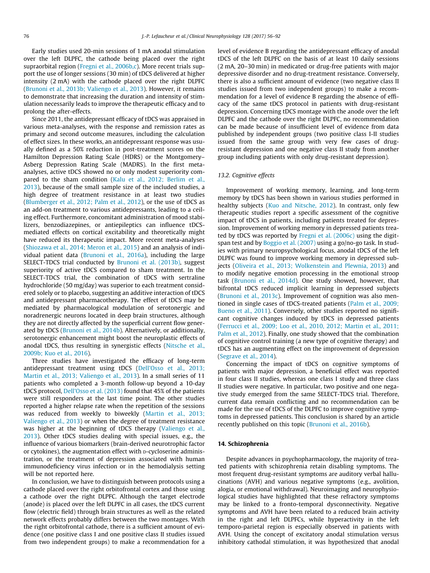Early studies used 20-min sessions of 1 mA anodal stimulation over the left DLPFC, the cathode being placed over the right supraorbital region ([Fregni et al., 2006b,c](#page-30-0)). More recent trials support the use of longer sessions (30 min) of tDCS delivered at higher intensity (2 mA) with the cathode placed over the right DLPFC ([Brunoni et al., 2013b; Valiengo et al., 2013\)](#page-29-0). However, it remains to demonstrate that increasing the duration and intensity of stimulation necessarily leads to improve the therapeutic efficacy and to prolong the after-effects.

Since 2011, the antidepressant efficacy of tDCS was appraised in various meta-analyses, with the response and remission rates as primary and second outcome measures, including the calculation of effect sizes. In these works, an antidepressant response was usually defined as a 50% reduction in post-treatment scores on the Hamilton Depression Rating Scale (HDRS) or the Montgomery– Asberg Depression Rating Scale (MADRS). In the first metaanalyses, active tDCS showed no or only modest superiority compared to the sham condition ([Kalu et al., 2012; Berlim et al.,](#page-31-0) [2013\)](#page-31-0), because of the small sample size of the included studies, a high degree of treatment resistance in at least two studies ([Blumberger et al., 2012; Palm et al., 2012](#page-28-0)), or the use of tDCS as an add-on treatment to various antidepressants, leading to a ceiling effect. Furthermore, concomitant administration of mood stabilizers, benzodiazepines, or antiepileptics can influence tDCSmediated effects on cortical excitability and theoretically might have reduced its therapeutic impact. More recent meta-analyses ([Shiozawa et al., 2014; Meron et al., 2015\)](#page-35-0) and an analysis of individual patient data [\(Brunoni et al., 2016a\)](#page-29-0), including the large SELECT-TDCS trial conducted by [Brunoni et al. \(2013b\),](#page-29-0) suggest superiority of active tDCS compared to sham treatment. In the SELECT-TDCS trial, the combination of tDCS with sertraline hydrochloride (50 mg/day) was superior to each treatment considered solely or to placebo, suggesting an additive interaction of tDCS and antidepressant pharmacotherapy. The effect of tDCS may be mediated by pharmacological modulation of serotonergic and noradrenergic neurons located in deep brain structures, although they are not directly affected by the superficial current flow generated by tDCS ([Brunoni et al., 2014b\)](#page-29-0). Alternatively, or additionally, serotonergic enhancement might boost the neuroplastic effects of anodal tDCS, thus resulting in synergistic effects [\(Nitsche et al.,](#page-34-0) [2009b; Kuo et al., 2016](#page-34-0)).

Three studies have investigated the efficacy of long-term antidepressant treatment using tDCS ([Dell'Osso et al., 2013;](#page-29-0) [Martin et al., 2013; Valiengo et al., 2013\)](#page-29-0). In a small series of 11 patients who completed a 3-month follow-up beyond a 10-day tDCS protocol, [Dell'Osso et al. \(2013\)](#page-29-0) found that 45% of the patients were still responders at the last time point. The other studies reported a higher relapse rate when the repetition of the sessions was reduced from weekly to biweekly ([Martin et al., 2013;](#page-33-0) [Valiengo et al., 2013](#page-33-0)) or when the degree of treatment resistance was higher at the beginning of tDCS therapy ([Valiengo et al.,](#page-36-0) [2013\)](#page-36-0). Other tDCS studies dealing with special issues, e.g., the influence of various biomarkers (brain-derived neurotrophic factor or cytokines), the augmentation effect with D-cycloserine administration, or the treatment of depression associated with human immunodeficiency virus infection or in the hemodialysis setting will be not reported here.

In conclusion, we have to distinguish between protocols using a cathode placed over the right orbitofrontal cortex and those using a cathode over the right DLPFC. Although the target electrode (anode) is placed over the left DLPFC in all cases, the tDCS current flow (electric field) through brain structures as well as the related network effects probably differs between the two montages. With the right orbitofrontal cathode, there is a sufficient amount of evidence (one positive class I and one positive class II studies issued from two independent groups) to make a recommendation for a level of evidence B regarding the antidepressant efficacy of anodal tDCS of the left DLPFC on the basis of at least 10 daily sessions (2 mA, 20–30 min) in medicated or drug-free patients with major depressive disorder and no drug-treatment resistance. Conversely, there is also a sufficient amount of evidence (two negative class II studies issued from two independent groups) to make a recommendation for a level of evidence B regarding the absence of efficacy of the same tDCS protocol in patients with drug-resistant depression. Concerning tDCS montage with the anode over the left DLPFC and the cathode over the right DLPFC, no recommendation can be made because of insufficient level of evidence from data published by independent groups (two positive class I-II studies issued from the same group with very few cases of drugresistant depression and one negative class II study from another group including patients with only drug-resistant depression).

### 13.2. Cognitive effects

Improvement of working memory, learning, and long-term memory by tDCS has been shown in various studies performed in healthy subjects ([Kuo and Nitsche, 2012\)](#page-32-0). In contrast, only few therapeutic studies report a specific assessment of the cognitive impact of tDCS in patients, including patients treated for depression. Improvement of working memory in depressed patients treated by tDCS was reported by [Fregni et al. \(2006c\)](#page-30-0) using the digitspan test and by [Boggio et al. \(2007\)](#page-28-0) using a go/no-go task. In studies with primary neuropsychological focus, anodal tDCS of the left DLPFC was found to improve working memory in depressed subjects ([Oliveira et al., 2013; Wolkenstein and Plewnia, 2013](#page-34-0)) and to modify negative emotion processing in the emotional stroop task ([Brunoni et al., 2014d](#page-29-0)). One study showed, however, that bifrontal tDCS reduced implicit learning in depressed subjects ([Brunoni et al., 2013c\)](#page-29-0). Improvement of cognition was also mentioned in single cases of tDCS-treated patients [\(Palm et al., 2009;](#page-34-0) [Bueno et al., 2011](#page-34-0)). Conversely, other studies reported no significant cognitive changes induced by tDCS in depressed patients ([Ferrucci et al., 2009; Loo et al., 2010, 2012; Martin et al., 2011;](#page-30-0) [Palm et al., 2012\)](#page-30-0). Finally, one study showed that the combination of cognitive control training (a new type of cognitive therapy) and tDCS has an augmenting effect on the improvement of depression ([Segrave et al., 2014\)](#page-35-0).

Concerning the impact of tDCS on cognitive symptoms of patients with major depression, a beneficial effect was reported in four class II studies, whereas one class I study and three class II studies were negative. In particular, two positive and one negative study emerged from the same SELECT-TDCS trial. Therefore, current data remain conflicting and no recommendation can be made for the use of tDCS of the DLPFC to improve cognitive symptoms in depressed patients. This conclusion is shared by an article recently published on this topic [\(Brunoni et al., 2016b](#page-29-0)).

## 14. Schizophrenia

Despite advances in psychopharmacology, the majority of treated patients with schizophrenia retain disabling symptoms. The most frequent drug-resistant symptoms are auditory verbal hallucinations (AVH) and various negative symptoms (e.g., avolition, alogia, or emotional withdrawal). Neuroimaging and neurophysiological studies have highlighted that these refractory symptoms may be linked to a fronto-temporal dysconnectivity. Negative symptoms and AVH have been related to a reduced brain activity in the right and left DLPFCs, while hyperactivity in the left temporo-parietal region is especially observed in patients with AVH. Using the concept of excitatory anodal stimulation versus inhibitory cathodal stimulation, it was hypothesized that anodal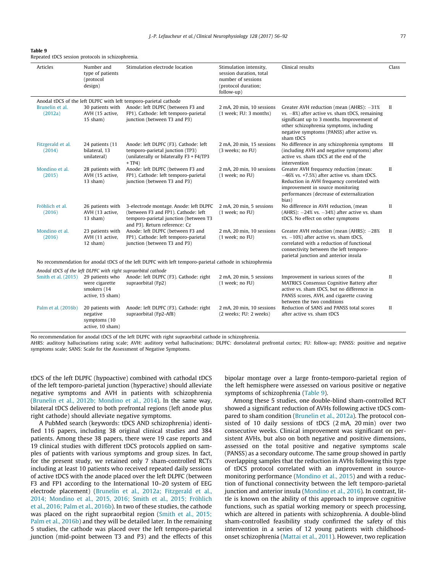<span id="page-21-0"></span>

| Table 9 |  |                                                   |
|---------|--|---------------------------------------------------|
|         |  | Repeated tDCS session protocols in schizophrenia. |

| Articles                                                      | Number and                                                           | Stimulation electrode location                                                                                                                          | Stimulation intensity,                                               | Clinical results                                                                                                                                                                                                                                  | Class        |
|---------------------------------------------------------------|----------------------------------------------------------------------|---------------------------------------------------------------------------------------------------------------------------------------------------------|----------------------------------------------------------------------|---------------------------------------------------------------------------------------------------------------------------------------------------------------------------------------------------------------------------------------------------|--------------|
|                                                               | type of patients<br>(protocol<br>design)                             |                                                                                                                                                         | session duration, total<br>number of sessions<br>(protocol duration; |                                                                                                                                                                                                                                                   |              |
|                                                               |                                                                      |                                                                                                                                                         | follow-up)                                                           |                                                                                                                                                                                                                                                   |              |
|                                                               |                                                                      | Anodal tDCS of the left DLPFC with left temporo-parietal cathode                                                                                        |                                                                      |                                                                                                                                                                                                                                                   |              |
| Brunelin et al.<br>(2012a)                                    | 30 patients with<br>AVH (15 active,<br>$15$ sham)                    | Anode: left DLPFC (between F3 and<br>FP1). Cathode: left temporo-parietal<br>junction (between T3 and P3)                                               | 2 mA, 20 min, 10 sessions<br>(1 week; FU: 3 months)                  | Greater AVH reduction (mean (AHRS): -31%<br>$vs. -8\%)$ after active vs. sham tDCS, remaining<br>significant up to 3 months. Improvement of<br>other schizophrenia symptoms, including<br>negative symptoms (PANSS) after active vs.<br>sham tDCS | $\mathbf{I}$ |
| Fitzgerald et al.<br>(2014)                                   | 24 patients (11<br>bilateral, 13<br>unilateral)                      | Anode: left DLPFC (F3). Cathode: left<br>temporo-parietal junction (TP3)<br>(unilaterally or bilaterally F3 + F4/TP3<br>$+TP4)$                         | 2 mA, 20 min, 15 sessions<br>(3 weeks; no FU)                        | No difference in any schizophrenia symptoms<br>(including AVH and negative symptoms) after<br>active vs. sham tDCS at the end of the<br>intervention                                                                                              | Ш            |
| Mondino et al.<br>(2015)                                      | 28 patients with<br>AVH (15 active,<br>$13$ sham)                    | Anode: left DLPFC (between F3 and<br>FP1). Cathode: left temporo-parietal<br>junction (between T3 and P3)                                               | 2 mA, 20 min, 10 sessions<br>$(1$ week; no FU)                       | Greater AVH frequency reduction (mean:<br>$-46\%$ vs. +7.5%) after active vs. sham tDCS.<br>Reduction in AVH frequency correlated with<br>improvement in source monitoring<br>performances (decrease of externalization<br>bias)                  | $\mathbf{I}$ |
| Fröhlich et al.<br>(2016)                                     | 26 patients with<br>AVH (13 active,<br>13 sham)                      | 3-electrode montage. Anode: left DLPFC<br>(between F3 and FP1). Cathode: left<br>temporo-parietal junction (between T3<br>and P3). Return reference: Cz | 2 mA, 20 min, 5 sessions<br>$(1$ week; no FU)                        | No difference in AVH reduction, (mean<br>(AHRS): $-24\%$ vs. $-34\%$ ) after active vs. sham<br>tDCS. No effect on other symptoms                                                                                                                 | $\mathbf{I}$ |
| Mondino et al.<br>(2016)                                      | 23 patients with<br>AVH (11 active,<br>$12$ sham)                    | Anode: left DLPFC (between F3 and<br>FP1). Cathode: left temporo-parietal<br>junction (between T3 and P3)                                               | 2 mA, 20 min, 10 sessions<br>$(1$ week; no FU)                       | Greater AVH reduction (mean (AHRS): -28%<br>$vs. -10\%)$ after active vs. sham tDCS.<br>correlated with a reduction of functional<br>connectivity between the left temporo-<br>parietal junction and anterior insula                              | $\mathbf{I}$ |
|                                                               |                                                                      | No recommendation for anodal tDCS of the left DLPFC with left temporo-parietal cathode in schizophrenia                                                 |                                                                      |                                                                                                                                                                                                                                                   |              |
| Anodal tDCS of the left DLPFC with right supraorbital cathode |                                                                      |                                                                                                                                                         |                                                                      |                                                                                                                                                                                                                                                   |              |
| Smith et al. (2015)                                           | 29 patients who<br>were cigarette<br>smokers (14<br>active, 15 sham) | Anode: left DLPFC (F3). Cathode: right<br>supraorbital (Fp2)                                                                                            | 2 mA, 20 min, 5 sessions<br>$(1$ week; no FU)                        | Improvement in various scores of the<br>MATRICS Consensus Cognitive Battery after<br>active vs. sham tDCS, but no difference in<br>PANSS scores, AVH, and cigarette craving<br>between the two conditions                                         | П            |
| Palm et al. (2016b)                                           | 20 patients with<br>negative<br>symptoms (10<br>active, 10 sham)     | Anode: left DLPFC (F3). Cathode: right<br>supraorbital (Fp2-Af8)                                                                                        | 2 mA, 20 min, 10 sessions<br>(2 weeks; FU: 2 weeks)                  | Reduction of SANS and PANSS total scores<br>after active vs. sham tDCS                                                                                                                                                                            | П            |

No recommendation for anodal tDCS of the left DLPFC with right supraorbital cathode in schizophrenia.

AHRS: auditory hallucinations rating scale; AVH: auditory verbal hallucinations; DLPFC: dorsolateral prefrontal cortex; FU: follow-up; PANSS: positive and negative symptoms scale; SANS: Scale for the Assessment of Negative Symptoms.

tDCS of the left DLPFC (hypoactive) combined with cathodal tDCS of the left temporo-parietal junction (hyperactive) should alleviate negative symptoms and AVH in patients with schizophrenia ([Brunelin et al., 2012b; Mondino et al., 2014\)](#page-28-0). In the same way, bilateral tDCS delivered to both prefrontal regions (left anode plus right cathode) should alleviate negative symptoms.

A PubMed search (keywords: tDCS AND schizophrenia) identified 116 papers, including 38 original clinical studies and 384 patients. Among these 38 papers, there were 19 case reports and 19 clinical studies with different tDCS protocols applied on samples of patients with various symptoms and group sizes. In fact, for the present study, we retained only 7 sham-controlled RCTs including at least 10 patients who received repeated daily sessions of active tDCS with the anode placed over the left DLPFC (between F3 and FP1 according to the International 10–20 system of EEG electrode placement) ([Brunelin et al., 2012a; Fitzgerald et al.,](#page-28-0) [2014; Mondino et al., 2015, 2016; Smith et al., 2015; Fröhlich](#page-28-0) [et al., 2016; Palm et al., 2016b](#page-28-0)). In two of these studies, the cathode was placed on the right supraorbital region ([Smith et al., 2015;](#page-35-0) [Palm et al., 2016b](#page-35-0)) and they will be detailed later. In the remaining 5 studies, the cathode was placed over the left temporo-parietal junction (mid-point between T3 and P3) and the effects of this bipolar montage over a large fronto-temporo-parietal region of the left hemisphere were assessed on various positive or negative symptoms of schizophrenia (Table 9).

Among these 5 studies, one double-blind sham-controlled RCT showed a significant reduction of AVHs following active tDCS compared to sham condition ([Brunelin et al., 2012a\)](#page-28-0). The protocol consisted of 10 daily sessions of tDCS (2 mA, 20 min) over two consecutive weeks. Clinical improvement was significant on persistent AVHs, but also on both negative and positive dimensions, assessed on the total positive and negative symptoms scale (PANSS) as a secondary outcome. The same group showed in partly overlapping samples that the reduction in AVHs following this type of tDCS protocol correlated with an improvement in sourcemonitoring performance [\(Mondino et al., 2015\)](#page-33-0) and with a reduction of functional connectivity between the left temporo-parietal junction and anterior insula ([Mondino et al., 2016](#page-33-0)). In contrast, little is known on the ability of this approach to improve cognitive functions, such as spatial working memory or speech processing, which are altered in patients with schizophrenia. A double-blind sham-controlled feasibility study confirmed the safety of this intervention in a series of 12 young patients with childhoodonset schizophrenia [\(Mattai et al., 2011](#page-33-0)). However, two replication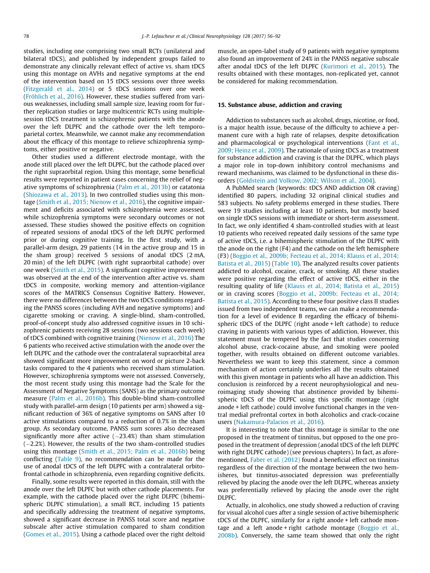studies, including one comprising two small RCTs (unilateral and bilateral tDCS), and published by independent groups failed to demonstrate any clinically relevant effect of active vs. sham tDCS using this montage on AVHs and negative symptoms at the end of the intervention based on 15 tDCS sessions over three weeks ([Fitzgerald et al., 2014\)](#page-30-0) or 5 tDCS sessions over one week ([Fröhlich et al., 2016](#page-30-0)). However, these studies suffered from various weaknesses, including small sample size, leaving room for further replication studies or large multicentric RCTs using multiplesession tDCS treatment in schizophrenic patients with the anode over the left DLPFC and the cathode over the left temporoparietal cortex. Meanwhile, we cannot make any recommendation about the efficacy of this montage to relieve schizophrenia symptoms, either positive or negative.

Other studies used a different electrode montage, with the anode still placed over the left DLPFC, but the cathode placed over the right supraorbital region. Using this montage, some beneficial results were reported in patient cases concerning the relief of negative symptoms of schizophrenia [\(Palm et al., 2013b\)](#page-34-0) or catatonia ([Shiozawa et al., 2013\)](#page-35-0). In two controlled studies using this montage ([Smith et al., 2015; Nienow et al., 2016](#page-35-0)), the cognitive impairment and deficits associated with schizophrenia were assessed, while schizophrenia symptoms were secondary outcomes or not assessed. These studies showed the positive effects on cognition of repeated sessions of anodal tDCS of the left DLPFC performed prior or during cognitive training. In the first study, with a parallel-arm design, 29 patients (14 in the active group and 15 in the sham group) received 5 sessions of anodal tDCS (2 mA, 20 min) of the left DLPFC (with right supraorbital cathode) over one week ([Smith et al., 2015\)](#page-35-0). A significant cognitive improvement was observed at the end of the intervention after active vs. sham tDCS in composite, working memory and attention-vigilance scores of the MATRICS Consensus Cognitive Battery. However, there were no differences between the two tDCS conditions regarding the PANSS scores (including AVH and negative symptoms) and cigarette smoking or craving. A single-blind, sham-controlled, proof-of-concept study also addressed cognitive issues in 10 schizophrenic patients receiving 28 sessions (two sessions each week) of tDCS combined with cognitive training ([Nienow et al., 2016\)](#page-33-0) The 6 patients who received active stimulation with the anode over the left DLPFC and the cathode over the contralateral supraorbital area showed significant more improvement on word or picture 2-back tasks compared to the 4 patients who received sham stimulation. However, schizophrenia symptoms were not assessed. Conversely, the most recent study using this montage had the Scale for the Assessment of Negative Symptoms (SANS) as the primary outcome measure [\(Palm et al., 2016b](#page-34-0)). This double-blind sham-controlled study with parallel-arm design (10 patients per arm) showed a significant reduction of 36% of negative symptoms on SANS after 10 active stimulations compared to a reduction of 0.7% in the sham group. As secondary outcome, PANSS sum scores also decreased significantly more after active  $(-23.4%)$  than sham stimulation  $(-2.2%)$ . However, the results of the two sham-controlled studies using this montage ([Smith et al., 2015; Palm et al., 2016b\)](#page-35-0) being conflicting ([Table 9](#page-21-0)), no recommendation can be made for the use of anodal tDCS of the left DLPFC with a contralateral orbitofrontal cathode in schizophrenia, even regarding cognitive deficits.

Finally, some results were reported in this domain, still with the anode over the left DLPFC but with other cathode placements. For example, with the cathode placed over the right DLFPC (bihemispheric DLPFC stimulation), a small RCT, including 15 patients and specifically addressing the treatment of negative symptoms, showed a significant decrease in PANSS total score and negative subscale after active stimulation compared to sham condition ([Gomes et al., 2015\)](#page-31-0). Using a cathode placed over the right deltoid muscle, an open-label study of 9 patients with negative symptoms also found an improvement of 24% in the PANSS negative subscale after anodal tDCS of the left DLPFC [\(Kurimori et al., 2015](#page-32-0)). The results obtained with these montages, non-replicated yet, cannot be considered for making recommendation.

## 15. Substance abuse, addiction and craving

Addiction to substances such as alcohol, drugs, nicotine, or food, is a major health issue, because of the difficulty to achieve a permanent cure with a high rate of relapses, despite detoxification and pharmacological or psychological interventions [\(Fant et al.,](#page-30-0) [2009; Heinz et al., 2009\)](#page-30-0). The rationale of using tDCS as a treatment for substance addiction and craving is that the DLPFC, which plays a major role in top-down inhibitory control mechanisms and reward mechanisms, was claimed to be dysfunctional in these disorders [\(Goldstein and Volkow, 2002; Wilson et al., 2004\)](#page-31-0).

A PubMed search (keywords: tDCS AND addiction OR craving) identified 80 papers, including 32 original clinical studies and 583 subjects. No safety problems emerged in these studies. There were 19 studies including at least 10 patients, but mostly based on single tDCS sessions with immediate or short-term assessment. In fact, we only identified 4 sham-controlled studies with at least 10 patients who received repeated daily sessions of the same type of active tDCS, i.e. a bihemispheric stimulation of the DLPFC with the anode on the right (F4) and the cathode on the left hemisphere (F3) [\(Boggio et al., 2009b; Fecteau et al., 2014; Klauss et al., 2014;](#page-28-0) [Batista et al., 2015](#page-28-0)) ([Table 10](#page-23-0)). The analyzed results cover patients addicted to alcohol, cocaine, crack, or smoking. All these studies were positive regarding the effect of active tDCS, either in the resulting quality of life [\(Klauss et al., 2014; Batista et al., 2015\)](#page-32-0) or in craving scores ([Boggio et al., 2009b; Fecteau et al., 2014;](#page-28-0) [Batista et al., 2015](#page-28-0)). According to these four positive class II studies issued from two independent teams, we can make a recommendation for a level of evidence B regarding the efficacy of bihemispheric tDCS of the DLPFC (right anode + left cathode) to reduce craving in patients with various types of addiction. However, this statement must be tempered by the fact that studies concerning alcohol abuse, crack-cocaine abuse, and smoking were pooled together, with results obtained on different outcome variables. Nevertheless we want to keep this statement, since a common mechanism of action certainly underlies all the results obtained with this given montage in patients who all have an addiction. This conclusion is reinforced by a recent neurophysiological and neuroimaging study showing that abstinence provided by bihemispheric tDCS of the DLPFC using this specific montage (right anode + left cathode) could involve functional changes in the ventral medial prefrontal cortex in both alcoholics and crack-cocaine users [\(Nakamura-Palacios et al., 2016\)](#page-33-0).

It is interesting to note that this montage is similar to the one proposed in the treatment of tinnitus, but opposed to the one proposed in the treatment of depression (anodal tDCS of the left DLPFC with right DLPFC cathode) (see previous chapters). In fact, as aforementioned, [Faber et al. \(2012\)](#page-30-0) found a beneficial effect on tinnitus regardless of the direction of the montage between the two hemisheres, but tinnitus-associated depression was preferentially relieved by placing the anode over the left DLPFC, whereas anxiety was preferentially relieved by placing the anode over the right DLPFC.

Actually, in alcoholics, one study showed a reduction of craving for visual alcohol cues after a single session of active bihemispheric tDCS of the DLPFC, similarly for a right anode + left cathode montage and a left anode + right cathode montage [\(Boggio et al.,](#page-28-0) [2008b](#page-28-0)). Conversely, the same team showed that only the right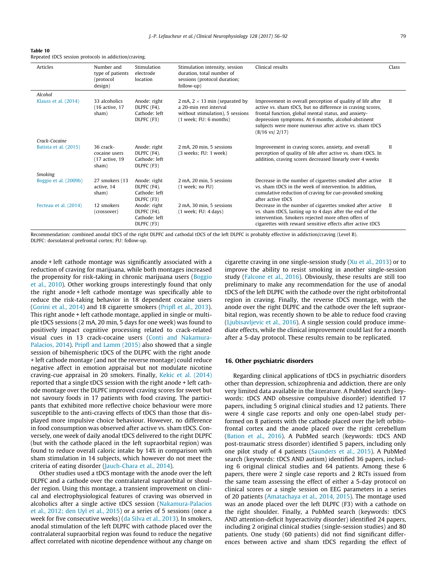<span id="page-23-0"></span>Table 10 Repeated tDCS session protocols in addiction/craving.

| Articles              | Number and<br>type of patients<br>(protocol<br>design) | Stimulation<br>electrode<br>location                       | Stimulation intensity, session<br>duration, total number of<br>sessions (protocol duration;<br>follow-up)                       | Clinical results                                                                                                                                                                                                                                                                                                                | Class        |
|-----------------------|--------------------------------------------------------|------------------------------------------------------------|---------------------------------------------------------------------------------------------------------------------------------|---------------------------------------------------------------------------------------------------------------------------------------------------------------------------------------------------------------------------------------------------------------------------------------------------------------------------------|--------------|
| Alcohol               |                                                        |                                                            |                                                                                                                                 |                                                                                                                                                                                                                                                                                                                                 |              |
| Klauss et al. (2014)  | 33 alcoholics<br>(16 active, 17<br>sham)               | Anode: right<br>DLPFC (F4).<br>Cathode: left<br>DLPFC (F3) | 2 mA, $2 \times 13$ min (separated by<br>a 20-min rest interval<br>without stimulation), 5 sessions<br>$(1$ week; FU: 6 months) | Improvement in overall perception of quality of life after<br>active vs. sham tDCS, but no difference in craving scores,<br>frontal function, global mental status, and anxiety-<br>depression symptoms. At 6 months, alcohol-abstinent<br>subjects were more numerous after active vs. sham tDCS<br>$(8/16 \text{ vs} / 2/17)$ | П            |
| Crack-Cocaine         |                                                        |                                                            |                                                                                                                                 |                                                                                                                                                                                                                                                                                                                                 |              |
| Batista et al. (2015) | 36 crack-<br>cocaine users<br>(17 active, 19<br>sham)  | Anode: right<br>DLPFC (F4).<br>Cathode: left<br>DLPFC (F3) | 2 mA, 20 min, 5 sessions<br>$(3$ weeks; FU: 1 week)                                                                             | Improvement in craving scores, anxiety, and overall<br>perception of quality of life after active vs. sham tDCS. In<br>addition, craving scores decreased linearly over 4 weeks                                                                                                                                                 | $\mathbf{I}$ |
| <b>Smoking</b>        |                                                        |                                                            |                                                                                                                                 |                                                                                                                                                                                                                                                                                                                                 |              |
| Boggio et al. (2009b) | 27 smokers (13<br>active. 14<br>sham)                  | Anode: right<br>DLPFC (F4).<br>Cathode: left<br>DLPFC (F3) | 2 mA, 20 min, 5 sessions<br>$(1$ week; no FU)                                                                                   | Decrease in the number of cigarettes smoked after active<br>vs. sham tDCS in the week of intervention. In addition.<br>cumulative reduction of craving for cue-provoked smoking<br>after active tDCS                                                                                                                            | H            |
| Fecteau et al. (2014) | 12 smokers<br>(crossover)                              | Anode: right<br>DLPFC (F4).<br>Cathode: left<br>DLPFC (F3) | 2 mA, 30 min, 5 sessions<br>$(1$ week; FU: $4$ days)                                                                            | Decrease in the number of cigarettes smoked after active<br>vs. sham tDCS, lasting up to 4 days after the end of the<br>intervention. Smokers rejected more often offers of<br>cigarettes with reward sensitive effects after active tDCS                                                                                       | $\mathbf{I}$ |

Recommendation: combined anodal tDCS of the right DLPFC and cathodal tDCS of the left DLPFC is probably effective in addiction/craving (Level B). DLPFC: dorsolateral prefrontal cortex; FU: follow-up.

anode + left cathode montage was significantly associated with a reduction of craving for marijuana, while both montages increased the propensity for risk-taking in chronic marijuana users [\(Boggio](#page-28-0) [et al., 2010\)](#page-28-0). Other working groups interestingly found that only the right anode + left cathode montage was specifically able to reduce the risk-taking behavior in 18 dependent cocaine users ([Gorini et al., 2014\)](#page-31-0) and 18 cigarette smokers ([Pripfl et al., 2013\)](#page-34-0). This right anode + left cathode montage, applied in single or multiple tDCS sessions (2 mA, 20 min, 5 days for one week) was found to positively impact cognitive processing related to crack-related visual cues in 13 crack-cocaine users [\(Conti and Nakamura-](#page-29-0)[Palacios, 2014](#page-29-0)). [Pripfl and Lamm \(2015\)](#page-34-0) also showed that a single session of bihemispheric tDCS of the DLPFC with the right anode + left cathode montage (and not the reverse montage) could reduce negative affect in emotion appraisal but not modulate nicotine craving-cue appraisal in 20 smokers. Finally, [Kekic et al. \(2014\)](#page-32-0) reported that a single tDCS session with the right anode + left cathode montage over the DLPFC improved craving scores for sweet but not savoury foods in 17 patients with food craving. The participants that exhibited more reflective choice behaviour were more susceptible to the anti-craving effects of tDCS than those that displayed more impulsive choice behaviour. However, no difference in food consumption was observed after active vs. sham tDCS. Conversely, one week of daily anodal tDCS delivered to the right DLPFC (but with the cathode placed in the left supraorbital region) was found to reduce overall caloric intake by 14% in comparison with sham stimulation in 14 subjects, which however do not meet the criteria of eating disorder [\(Jauch-Chara et al., 2014\)](#page-31-0).

Other studies used a tDCS montage with the anode over the left DLPFC and a cathode over the contralateral supraorbital or shoulder region. Using this montage, a transient improvement on clinical and electrophysiological features of craving was observed in alcoholics after a single active tDCS session ([Nakamura-Palacios](#page-33-0) [et al., 2012; den Uyl et al., 2015\)](#page-33-0) or a series of 5 sessions (once a week for five consecutive weeks) [\(da Silva et al., 2013\)](#page-29-0). In smokers, anodal stimulation of the left DLPFC with cathode placed over the contralateral supraorbital region was found to reduce the negative affect correlated with nicotine dependence without any change on cigarette craving in one single-session study ([Xu et al., 2013](#page-36-0)) or to improve the ability to resist smoking in another single-session study ([Falcone et al., 2016](#page-30-0)). Obviously, these results are still too preliminary to make any recommendation for the use of anodal tDCS of the left DLPFC with the cathode over the right orbitofrontal region in craving. Finally, the reverse tDCS montage, with the anode over the right DLPFC and the cathode over the left supraorbital region, was recently shown to be able to reduce food craving ([Ljubisavljevic et al., 2016](#page-32-0)). A single session could produce immediate effects, while the clinical improvement could last for a month after a 5-day protocol. These results remain to be replicated.

# 16. Other psychiatric disorders

Regarding clinical applications of tDCS in psychiatric disorders other than depression, schizophrenia and addiction, there are only very limited data available in the literature. A PubMed search (keywords: tDCS AND obsessive compulsive disorder) identified 17 papers, including 5 original clinical studies and 12 patients. There were 4 single case reports and only one open-label study performed on 8 patients with the cathode placed over the left orbitofrontal cortex and the anode placed over the right cerebellum ([Bation et al., 2016](#page-28-0)). A PubMed search (keywords: tDCS AND post-traumatic stress disorder) identified 5 papers, including only one pilot study of 4 patients [\(Saunders et al., 2015\)](#page-35-0). A PubMed search (keywords: tDCS AND autism) identified 36 papers, including 6 original clinical studies and 64 patients. Among these 6 papers, there were 2 single case reports and 2 RCTs issued from the same team assessing the effect of either a 5-day protocol on clinical scores or a single session on EEG parameters in a series of 20 patients [\(Amatachaya et al., 2014, 2015\)](#page-27-0). The montage used was an anode placed over the left DLPFC (F3) with a cathode on the right shoulder. Finally, a PubMed search (keywords: tDCS AND attention-deficit hyperactivity disorder) identified 24 papers, including 2 original clinical studies (single-session studies) and 80 patients. One study (60 patients) did not find significant differences between active and sham tDCS regarding the effect of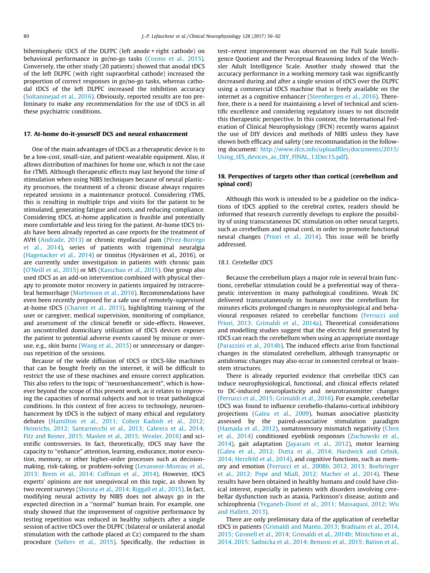bihemispheric tDCS of the DLFPC (left anode + right cathode) on behavioral performance in go/no-go tasks [\(Cosmo et al., 2015\)](#page-29-0). Conversely, the other study (20 patients) showed that anodal tDCS of the left DLPFC (with right supraorbital cathode) increased the proportion of correct responses in go/no-go tasks, whereas cathodal tDCS of the left DLPFC increased the inhibition accuracy ([Soltaninejad et al., 2016\)](#page-35-0). Obviously, reported results are too preliminary to make any recommendation for the use of tDCS in all these psychiatric conditions.

# 17. At-home do-it-yourself DCS and neural enhancement

One of the main advantages of tDCS as a therapeutic device is to be a low-cost, small-size, and patient-wearable equipment. Also, it allows distribution of machines for home use, which is not the case for rTMS. Although therapeutic effects may last beyond the time of stimulation when using NIBS techniques because of neural plasticity processes, the treatment of a chronic disease always requires repeated sessions in a maintenance protocol. Considering rTMS, this is resulting in multiple trips and visits for the patient to be stimulated, generating fatigue and costs, and reducing compliance. Considering tDCS, at-home application is feasible and potentially more comfortable and less tiring for the patient. At-home tDCS trials have been already reported as case reports for the treatment of AVH [\(Andrade, 2013\)](#page-27-0) or chronic myofascial pain ([Pérez-Borrego](#page-34-0) [et al., 2014](#page-34-0)), series of patients with trigeminal neuralgia ([Hagenacker et al., 2014](#page-31-0)) or tinnitus (Hyvärinen et al., 2016), or are currently under investigation in patients with chronic pain ([O'Neill et al., 2015\)](#page-34-0) or MS [\(Kasschau et al., 2015\)](#page-32-0). One group also used tDCS as an add-on intervention combined with physical therapy to promote motor recovery in patients impaired by intracerebral hemorrhage [\(Mortensen et al., 2016](#page-33-0)). Recommendations have even been recently proposed for a safe use of remotely-supervised at-home tDCS ([Charvet et al., 2015](#page-29-0)), highlighting training of the user or caregiver, medical supervision, monitoring of compliance, and assessment of the clinical benefit or side-effects. However, an uncontrolled domiciliary utilization of tDCS devices exposes the patient to potential adverse events caused by misuse or overuse, e.g., skin burns [\(Wang et al., 2015\)](#page-36-0) or unnecessary or dangerous repetition of the sessions.

Because of the wide diffusion of tDCS or tDCS-like machines that can be bought freely on the internet, it will be difficult to restrict the use of these machines and ensure correct application. This also refers to the topic of ''neuroenhancement", which is however beyond the scope of this present work, as it relates to improving the capacities of normal subjects and not to treat pathological conditions. In this context of free access to technology, neuroenhancement by tDCS is the subject of many ethical and regulatory debates ([Hamilton et al., 2011; Cohen Kadosh et al., 2012;](#page-31-0) [Heinrichs, 2012; Santarnecchi et al., 2013; Cabrera et al., 2014;](#page-31-0) [Fitz and Reiner, 2015; Maslen et al., 2015; Wexler, 2016\)](#page-31-0) and scientific controversies. In fact, theoretically, tDCS may have the capacity to "enhance" attention, learning, endurance, motor execution, memory, or other higher-order processes such as decisionmaking, risk-taking, or problem-solving ([Levasseur-Moreau et al.,](#page-32-0) [2013; Brem et al., 2014; Coffman et al., 2014\)](#page-32-0). However, tDCS experts' opinions are not unequivocal on this topic, as shown by two recent surveys ([Shirota et al., 2014; Riggall et al., 2015\)](#page-35-0). In fact, modifying neural activity by NIBS does not always go in the expected direction in a ''normal" human brain. For example, one study showed that the improvement of cognitive performance by testing repetition was reduced in healthy subjects after a single session of active tDCS over the DLPFC (bilateral or unilateral anodal stimulation with the cathode placed at Cz) compared to the sham procedure [\(Sellers et al., 2015](#page-35-0)). Specifically, the reduction in test–retest improvement was observed on the Full Scale Intelligence Quotient and the Perceptual Reasoning Index of the Wechsler Adult Intelligence Scale. Another study showed that the accuracy performance in a working memory task was significantly decreased during and after a single session of tDCS over the DLPFC using a commercial tDCS machine that is freely available on the internet as a cognitive enhancer [\(Steenbergen et al., 2016\)](#page-35-0). Therefore, there is a need for maintaining a level of technical and scientific excellence and considering regulatory issues to not discredit this therapeutic perspective. In this context, the International Federation of Clinical Neurophysiology (IFCN) recently warns against the use of DIY devices and methods of NIBS unless they have shown both efficacy and safety (see recommandation in the following document: [http://www.ifcn.info/uploadfiles/documents/2015/](http://www.ifcn.info/uploadfiles/documents/2015/Using_tES_devices_as_DIY_FINAL_13Dec15.pdf) [Using\\_tES\\_devices\\_as\\_DIY\\_FINAL\\_13Dec15.pdf](http://www.ifcn.info/uploadfiles/documents/2015/Using_tES_devices_as_DIY_FINAL_13Dec15.pdf)).

# 18. Perspectives of targets other than cortical (cerebellum and spinal cord)

Although this work is intended to be a guideline on the indications of tDCS applied to the cerebral cortex, readers should be informed that research currently develops to explore the possibility of using transcutaneous DC stimulation on other neural targets, such as cerebellum and spinal cord, in order to promote functional neural changes [\(Priori et al., 2014](#page-34-0)). This issue will be briefly addressed.

### 18.1. Cerebellar tDCS

Because the cerebellum plays a major role in several brain functions, cerebellar stimulation could be a preferential way of therapeutic intervention in many pathological conditions. Weak DC delivered transcutaneously in humans over the cerebellum for minutes elicits prolonged changes in neurophysiological and behavioural responses related to cerebellar functions ([Ferrucci and](#page-30-0) [Priori, 2013; Grimaldi et al., 2014a](#page-30-0)). Theoretical considerations and modelling studies suggest that the electric field generated by tDCS can reach the cerebellum when using an appropriate montage ([Parazzini et al., 2014b\)](#page-34-0). The induced effects arise from functional changes in the stimulated cerebellum, although transynaptic or antidromic changes may also occur in connected cerebral or brainstem structures.

There is already reported evidence that cerebellar tDCS can induce neurophysiological, functional, and clinical effects related to DC-induced neuroplasticity and neurotransmitter changes ([Ferrucci et al., 2015; Grimaldi et al., 2016\)](#page-30-0). For example, cerebellar tDCS was found to influence cerebello-thalamo-cortical inhibitory projections ([Galea et al., 2009](#page-30-0)), human associative plasticity assessed by the paired-associative stimulation paradigm ([Hamada et al., 2012\)](#page-31-0), somatosensory mismatch negativity ([Chen](#page-29-0) [et al., 2014](#page-29-0)) conditioned eyeblink responses [\(Zuchowski et al.,](#page-36-0) [2014\)](#page-36-0), gait adaptation [\(Jayaram et al., 2012](#page-31-0)), motor learning ([Galea et al., 2012; Dutta et al., 2014; Hardwick and Celnik,](#page-30-0) [2014; Herzfeld et al., 2014](#page-30-0)), and cognitive functions, such as memory and emotion [\(Ferrucci et al., 2008b, 2012, 2013; Boehringer](#page-30-0) [et al., 2012; Pope and Miall, 2012; Macher et al., 2014](#page-30-0)). These results have been obtained in healthy humans and could have clinical interest, especially in patients with disorders involving cerebellar dysfunction such as ataxia, Parkinson's disease, autism and schizophrenia [\(Yeganeh-Doost et al., 2011; Massaquoi, 2012; Wu](#page-36-0) [and Hallett, 2013\)](#page-36-0).

There are only preliminary data of the application of cerebellar tDCS in patients ([Grimaldi and Manto, 2013; Bradnam et al., 2014,](#page-31-0) [2015; Gironell et al., 2014; Grimaldi et al., 2014b; Minichino et al.,](#page-31-0) [2014, 2015; Sadnicka et al., 2014; Benussi et al., 2015; Bation et al.,](#page-31-0)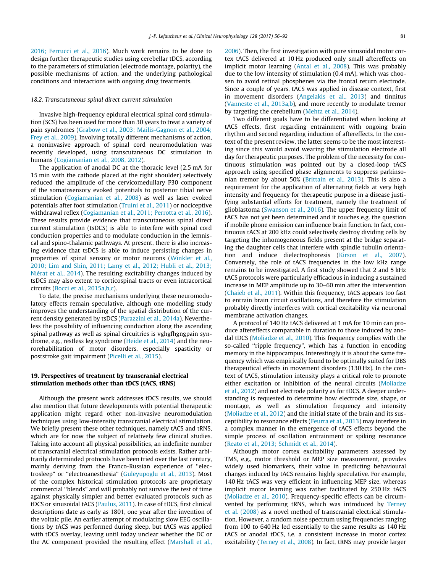[2016; Ferrucci et al., 2016](#page-31-0)). Much work remains to be done to design further therapeutic studies using cerebellar tDCS, according to the parameters of stimulation (electrode montage, polarity), the possible mechanisms of action, and the underlying pathological conditions and interactions with ongoing drug treatments.

#### 18.2. Transcutaneous spinal direct current stimulation

Invasive high-frequency epidural electrical spinal cord stimulation (SCS) has been used for more than 30 years to treat a variety of pain syndromes [\(Grabow et al., 2003; Mailis-Gagnon et al., 2004;](#page-31-0) [Frey et al., 2009\)](#page-31-0). Involving totally different mechanisms of action, a noninvasive approach of spinal cord neuromodulation was recently developed, using transcutaneous DC stimulation in humans ([Cogiamanian et al., 2008, 2012\)](#page-29-0).

The application of anodal DC at the thoracic level (2.5 mA for 15 min with the cathode placed at the right shoulder) selectively reduced the amplitude of the cervicomedullary P30 component of the somatosensory evoked potentials to posterior tibial nerve stimulation [\(Cogiamanian et al., 2008](#page-29-0)) as well as laser evoked potentials after foot stimulation [\(Truini et al., 2011\)](#page-36-0) or nociceptive withdrawal reflex [\(Cogiamanian et al., 2011; Perrotta et al., 2016\)](#page-29-0). These results provide evidence that transcutaneous spinal direct current stimulation (tsDCS) is able to interfere with spinal cord conduction properties and to modulate conduction in the lemniscal and spino-thalamic pathways. At present, there is also increasing evidence that tsDCS is able to induce persisting changes in properties of spinal sensory or motor neurons [\(Winkler et al.,](#page-36-0) [2010; Lim and Shin, 2011; Lamy et al., 2012; Hubli et al., 2013;](#page-36-0) [Niérat et al., 2014\)](#page-36-0). The resulting excitability changes induced by tsDCS may also extent to corticospinal tracts or even intracortical circuits ([Bocci et al., 2015a,b,c](#page-28-0)).

To date, the precise mechanisms underlying these neuromodulatory effects remain speculative, although one modelling study improves the understanding of the spatial distribution of the current density generated by tsDCS [\(Parazzini et al., 2014a\)](#page-34-0). Nevertheless the possibility of influencing conduction along the ascending spinal pathway as well as spinal circuitries is vghgfhgngpain syndrome, e.g., restless leg syndrome ([Heide et al., 2014](#page-31-0)) and the neurorehabilitation of motor disorders, especially spasticity or poststroke gait impairment [\(Picelli et al., 2015\)](#page-34-0).

# 19. Perspectives of treatment by transcranial electrical stimulation methods other than tDCS (tACS, tRNS)

Although the present work addresses tDCS results, we should also mention that future developments with potential therapeutic application might regard other non-invasive neuromodulation techniques using low-intensity transcranial electrical stimulation. We briefly present these other techniques, namely tACS and tRNS, which are for now the subject of relatively few clinical studies. Taking into account all physical possibilities, an indefinite number of transcranial electrical stimulation protocols exists. Rather arbitrarily determinded protocols have been tried over the last century, mainly deriving from the Franco-Russian experience of ''electrosleep" or ''electroanesthesia" ([Guleyupoglu et al., 2013](#page-31-0)). Most of the complex historical stimulation protocols are proprietary commercial ''blends" and will probably not survive the test of time against physically simpler and better evaluated protocols such as tDCS or sinusoidal tACS ([Paulus, 2011](#page-34-0)). In case of tDCS, first clinical descriptions date as early as 1801, one year after the invention of the voltaic pile. An earlier attempt of modulating slow EEG oscillations by tACS was performed during sleep, but tACS was applied with tDCS overlay, leaving until today unclear whether the DC or the AC component provided the resulting effect ([Marshall et al.,](#page-33-0) [2006](#page-33-0)). Then, the first investigation with pure sinusoidal motor cortex tACS delivered at 10 Hz produced only small aftereffects on implicit motor learning ([Antal et al., 2008\)](#page-27-0). This was probably due to the low intensity of stimulation (0.4 mA), which was choosen to avoid retinal phosphenes via the frontal return electrode. Since a couple of years, tACS was applied in disease context, first in movement disorders ([Angelakis et al., 2013\)](#page-27-0) and tinnitus ([Vanneste et al., 2013a,b\)](#page-36-0), and more recently to modulate tremor by targeting the cerebellum [\(Mehta et al., 2014](#page-33-0)).

Two different goals have to be differentiated when looking at tACS effects, first regarding entrainment with ongoing brain rhythm and second regarding induction of aftereffects. In the context of the present review, the latter seems to be the most interesting since this would avoid wearing the stimulation electrode all day for therapeutic purposes. The problem of the necessity for continuous stimulation was pointed out by a closed-loop tACS approach using specified phase alignments to suppress parkinsonian tremor by about 50% ([Brittain et al., 2013](#page-28-0)). This is also a requirement for the application of alternating fields at very high intensity and frequency for therapeutic purpose in a disease justifying substantial efforts for treatment, namely the treatment of glioblastoma ([Swanson et al., 2016\)](#page-35-0). The upper frequency limit of tACS has not yet been determined and it touches e.g. the question if mobile phone emission can influence brain function. In fact, continuous tACS at 200 kHz could selectively destroy dividing cells by targeting the inhomogeneous fields present at the bridge separating the daughter cells that interfere with spindle tubulin orientation and induce dielectrophoresis ([Kirson et al., 2007\)](#page-32-0). Conversely, the role of tACS frequencies in the low kHz range remains to be investigated. A first study showed that 2 and 5 kHz tACS protocols were particularly efficacious in inducing a sustained increase in MEP amplitude up to 30–60 min after the intervention ([Chaieb et al., 2011](#page-29-0)). Within this frequency, tACS appears too fast to entrain brain circuit oscillations, and therefore the stimulation probably directly interferes with cortical excitability via neuronal membrane activation changes.

A protocol of 140 Hz tACS delivered at 1 mA for 10 min can produce aftereffects comparable in duration to those induced by anodal tDCS [\(Moliadze et al., 2010](#page-33-0)). This frequency complies with the so-called ''ripple frequency", which has a function in encoding memory in the hippocampus. Interestingly it is about the same frequency which was empirically found to be optimally suited for DBS therapeutical effects in movement disorders (130 Hz). In the context of tACS, stimulation intensity plays a critical role to promote either excitation or inhibition of the neural circuits ([Moliadze](#page-33-0) [et al., 2012](#page-33-0)) and not electrode polarity as for tDCS. A deeper understanding is requested to determine how electrode size, shape, or montage, as well as stimulation frequency and intensity ([Moliadze et al., 2012\)](#page-33-0) and the initial state of the brain and its susceptibility to resonance effects ([Feurra et al., 2013\)](#page-30-0) may interfere in a complex manner in the emergence of tACS effects beyond the simple process of oscillation entrainment or spiking resonance ([Reato et al., 2013; Schmidt et al., 2014\)](#page-34-0).

Although motor cortex excitability parameters assessed by TMS, e.g., motor threshold or MEP size measurement, provides widely used biomarkers, their value in predicting behavioural changes induced by tACS remains highly speculative. For example, 140 Hz tACS was very efficient in influencing MEP size, whereas implicit motor learning was rather facilitated by 250 Hz tACS ([Moliadze et al., 2010](#page-33-0)). Frequency-specific effects can be circumvented by performing tRNS, which was introduced by [Terney](#page-35-0) [et al. \(2008\)](#page-35-0) as a novel method of transcranial electrical stimulation. However, a random noise spectrum using frequencies ranging from 100 to 640 Hz led essentially to the same results as 140 Hz tACS or anodal tDCS, i.e. a consistent increase in motor cortex excitability ([Terney et al., 2008](#page-35-0)). In fact, tRNS may provide larger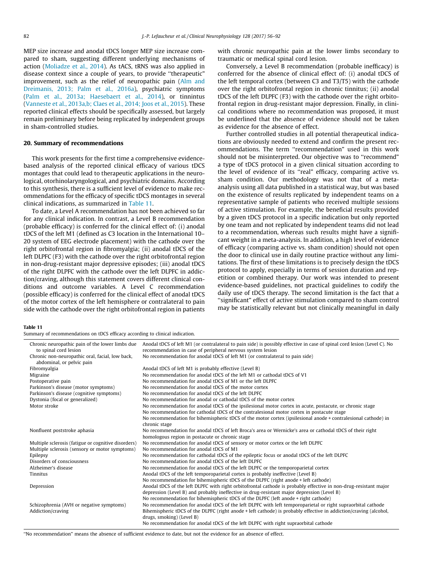MEP size increase and anodal tDCS longer MEP size increase compared to sham, suggesting different underlying mechanisms of action [\(Moliadze et al., 2014\)](#page-33-0). As tACS, tRNS was also applied in disease context since a couple of years, to provide ''therapeutic" improvement, such as the relief of neuropathic pain [\(Alm and](#page-27-0) [Dreimanis, 2013; Palm et al., 2016a\)](#page-27-0), psychiatric symptoms ([Palm et al., 2013a; Haesebaert et al., 2014](#page-34-0)), or tinnintus ([Vanneste et al., 2013a,b; Claes et al., 2014; Joos et al., 2015](#page-36-0)). These reported clinical effects should be specifically assessed, but largely remain preliminary before being replicated by independent groups in sham-controlled studies.

#### 20. Summary of recommendations

This work presents for the first time a comprehensive evidencebased analysis of the reported clinical efficacy of various tDCS montages that could lead to therapeutic applications in the neurological, otorhinolaryngological, and psychiatric domains. According to this synthesis, there is a sufficient level of evidence to make recommendations for the efficacy of specific tDCS montages in several clinical indications, as summarized in Table 11.

To date, a Level A recommendation has not been achieved so far for any clinical indication. In contrast, a Level B recommendation (probable efficacy) is conferred for the clinical effect of: (i) anodal tDCS of the left M1 (defined as C3 location in the International 10– 20 system of EEG electrode placement) with the cathode over the right orbitofrontal region in fibromyalgia; (ii) anodal tDCS of the left DLPFC (F3) with the cathode over the right orbitofrontal region in non-drug-resistant major depressive episodes; (iii) anodal tDCS of the right DLPFC with the cathode over the left DLPFC in addiction/craving, although this statement covers different clinical conditions and outcome variables. A Level C recommendation (possible efficacy) is conferred for the clinical effect of anodal tDCS of the motor cortex of the left hemisphere or contralateral to pain side with the cathode over the right orbitofrontal region in patients with chronic neuropathic pain at the lower limbs secondary to traumatic or medical spinal cord lesion.

Conversely, a Level B recommendation (probable inefficacy) is conferred for the absence of clinical effect of: (i) anodal tDCS of the left temporal cortex (between C3 and T3/T5) with the cathode over the right orbitofrontal region in chronic tinnitus; (ii) anodal tDCS of the left DLPFC (F3) with the cathode over the right orbitofrontal region in drug-resistant major depression. Finally, in clinical conditions where no recommendation was proposed, it must be underlined that the absence of evidence should not be taken as evidence for the absence of effect.

Further controlled studies in all potential therapeutical indications are obviously needed to extend and confirm the present recommendations. The term ''recommendation" used in this work should not be misinterpreted. Our objective was to ''recommend" a type of tDCS protocol in a given clinical situation according to the level of evidence of its ''real" efficacy, comparing active vs. sham condition. Our methodology was not that of a metaanalysis using all data published in a statistical way, but was based on the existence of results replicated by independent teams on a representative sample of patients who received multiple sessions of active stimulation. For example, the beneficial results provided by a given tDCS protocol in a specific indication but only reported by one team and not replicated by independent teams did not lead to a recommendation, whereas such results might have a significant weight in a meta-analysis. In addition, a high level of evidence of efficacy (comparing active vs. sham condition) should not open the door to clinical use in daily routine practice without any limitations. The first of these limitations is to precisely design the tDCS protocol to apply, especially in terms of session duration and repetition or combined therapy. Our work was intended to present evidence-based guidelines, not practical guidelines to codify the daily use of tDCS therapy. The second limitation is the fact that a ''significant" effect of active stimulation compared to sham control may be statistically relevant but not clinically meaningful in daily

#### Table 11

Summary of recommendations on tDCS efficacy according to clinical indication.

| Chronic neuropathic pain of the lower limbs due                              | Anodal tDCS of left M1 (or contralateral to pain side) is possibly effective in case of spinal cord lesion (Level C). No |
|------------------------------------------------------------------------------|--------------------------------------------------------------------------------------------------------------------------|
| to spinal cord lesion                                                        | recommendation in case of peripheral nervous system lesion                                                               |
| Chronic non-neuropathic oral, facial, low back,<br>abdominal, or pelvic pain | No recommendation for anodal tDCS of left M1 (or contralateral to pain side)                                             |
| Fibromyalgia                                                                 | Anodal tDCS of left M1 is probably effective (Level B)                                                                   |
| Migraine                                                                     | No recommendation for anodal tDCS of the left M1 or cathodal tDCS of V1                                                  |
| Postoperative pain                                                           | No recommendation for anodal tDCS of M1 or the left DLPFC                                                                |
| Parkinson's disease (motor symptoms)                                         | No recommendation for anodal tDCS of the motor cortex                                                                    |
| Parkinson's disease (cognitive symptoms)                                     | No recommendation for anodal tDCS of the left DLPFC                                                                      |
| Dystonia (focal or generalized)                                              | No recommendation for anodal or cathodal tDCS of the motor cortex                                                        |
| Motor stroke                                                                 | No recommendation for anodal tDCS of the ipsilesional motor cortex in acute, postacute, or chronic stage                 |
|                                                                              | No recommendation for cathodal tDCS of the contralesional motor cortex in postacute stage                                |
|                                                                              | No recommendation for bihemispheric tDCS of the motor cortex (ipsilesional anode + contralesional cathode) in            |
|                                                                              | chronic stage                                                                                                            |
| Nonfluent poststroke aphasia                                                 | No recommendation for anodal tDCS of left Broca's area or Wernicke's area or cathodal tDCS of their right                |
|                                                                              | homologous region in postacute or chronic stage                                                                          |
| Multiple sclerosis (fatigue or cognitive disorders)                          | No recommendation for anodal tDCS of sensory or motor cortex or the left DLPFC                                           |
| Multiple sclerosis (sensory or motor symptoms)                               | No recommendation for anodal tDCS of M1                                                                                  |
| Epilepsy                                                                     | No recommendation for cathodal tDCS of the epileptic focus or anodal tDCS of the left DLPFC                              |
| Disorders of consciousness                                                   | No recommendation for anodal tDCS of the left DLPFC                                                                      |
| Alzheimer's disease                                                          | No recommendation for anodal tDCS of the left DLPFC or the temporoparietal cortex                                        |
| Tinnitus                                                                     | Anodal tDCS of the left temporoparietal cortex is probably ineffective (Level B)                                         |
|                                                                              | No recommendation for bihemispheric tDCS of the DLPFC (right anode + left cathode)                                       |
| Depression                                                                   | Anodal tDCS of the left DLPFC with right orbitofrontal cathode is probably effective in non-drug-resistant major         |
|                                                                              | depression (Level B) and probably ineffective in drug-resistant major depression (Level B)                               |
|                                                                              | No recommendation for bihemispheric tDCS of the DLPFC (left anode + right cathode)                                       |
| Schizophrenia (AVH or negative symptoms)                                     | No recommendation for anodal tDCS of the left DLPFC with left temporoparietal or right supraorbital cathode              |
| Addiction/craving                                                            | Bihemispheric tDCS of the DLPFC (right anode + left cathode) is probably effective in addiction/craving (alcohol,        |
|                                                                              | drugs, smoking) (Level B)                                                                                                |
|                                                                              | No recommendation for anodal tDCS of the left DLPFC with right supraorbital cathode                                      |

''No recommendation" means the absence of sufficient evidence to date, but not the evidence for an absence of effect.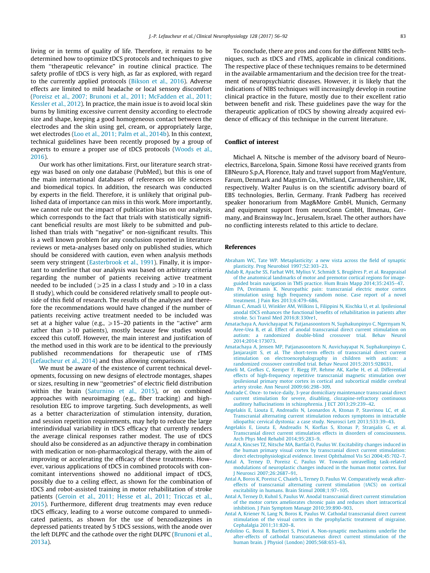<span id="page-27-0"></span>living or in terms of quality of life. Therefore, it remains to be determined how to optimize tDCS protocols and techniques to give them ''therapeutic relevance" in routine clinical practice. The safety profile of tDCS is very high, as far as explored, with regard to the currently applied protocols ([Bikson et al., 2016\)](#page-28-0). Adverse effects are limited to mild headache or local sensory discomfort ([Poreisz et al., 2007; Brunoni et al., 2011; McFadden et al., 2011;](#page-34-0) [Kessler et al., 2012\)](#page-34-0). In practice, the main issue is to avoid local skin burns by limiting excessive current density according to electrode size and shape, keeping a good homogeneous contact between the electrodes and the skin using gel, cream, or appropriately large, wet electrodes ([Loo et al., 2011; Palm et al., 2014b\)](#page-32-0). In this context, technical guidelines have been recently proposed by a group of experts to ensure a proper use of tDCS protocols [\(Woods et al.,](#page-36-0) [2016\)](#page-36-0).

Our work has other limitations. First, our literature search strategy was based on only one database (PubMed), but this is one of the main international databases of references on life sciences and biomedical topics. In addition, the research was conducted by experts in the field. Therefore, it is unlikely that original published data of importance can miss in this work. More importantly, we cannot rule out the impact of publication bias on our analysis, which corresponds to the fact that trials with statistically significant beneficial results are most likely to be submitted and published than trials with ''negative" or non-significant results. This is a well known problem for any conclusion reported in literature reviews or meta-analyses based only on published studies, which should be considered with caution, even when analysis methods seem very stringent ([Easterbrook et al., 1991](#page-30-0)). Finally, it is important to underline that our analysis was based on arbitrary criteria regarding the number of patients receiving active treatment needed to be included ( $\geq$ 25 in a class I study and  $\geq$ 10 in a class II study), which could be considered relatively small to people outside of this field of research. The results of the analyses and therefore the recommendations would have changed if the number of patients receiving active treatment needed to be included was set at a higher value (e.g.,  $\geq 15-20$  patients in the "active" arm rather than  $\geq 10$  patients), mostly because few studies would exceed this cutoff. However, the main interest and justifcation of the method used in this work are to be identical to the previously published recommendations for therapeutic use of rTMS ([Lefaucheur et al., 2014\)](#page-32-0) and thus allowing comparisons.

We must be aware of the existence of current technical developments, focussing on new designs of electrode montages, shapes or sizes, resulting in new ''geometries" of electric field distribution within the brain ([Saturnino et al., 2015\)](#page-35-0), or on combined approaches with neuroimaging (e.g., fiber tracking) and highresolution EEG to improve targeting. Such developments, as well as a better characterization of stimulation intensity, duration, and session repetition requirements, may help to reduce the large interindividual variability in tDCS efficacy that currently renders the average clinical responses rather modest. The use of tDCS should also be considered as an adjunctive therapy in combination with medication or non-pharmacological therapy, with the aim of improving or accelerating the efficacy of these treatments. However, various applications of tDCS in combined protocols with concomitant interventions showed no additional impact of tDCS, possibly due to a ceiling effect, as shown for the combination of tDCS and robot-assisted training in motor rehabilitation of stroke patients [\(Geroin et al., 2011; Hesse et al., 2011; Triccas et al.,](#page-31-0) [2015\)](#page-31-0). Furthermore, different drug treatments may even reduce tDCS efficacy, leading to a worse outcome compared to unmedicated patients, as shown for the use of benzodiazepines in depressed patients treated by 5 tDCS sessions, with the anode over the left DLPFC and the cathode over the right DLPFC [\(Brunoni et al.,](#page-28-0) [2013a\)](#page-28-0).

To conclude, there are pros and cons for the different NIBS techniques, such as tDCS and rTMS, applicable in clinical conditions. The respective place of these techniques remains to be determined in the available armamentarium and the decision tree for the treatment of neuropsychiatric diseases. However, it is likely that the indications of NIBS techniques will increasingly develop in routine clinical practice in the future, mostly due to their excellent ratio between benefit and risk. These guidelines pave the way for the therapeutic application of tDCS by showing already acquired evidence of efficacy of this technique in the current literature.

## Conflict of interest

Michael A. Nitsche is member of the advisory board of Neuroelectrics, Barcelona, Spain. Simone Rossi have received grants from EBNeuro S.p.A, Florence, Italy and travel support from MagVenture, Farum, Denmark and Magstim Co., Whitland, Carmarthenshire, UK, respectively. Walter Paulus is on the scientific advisory board of EBS technologies, Berlin, Germany. Frank Padberg has received speaker honorarium from Mag&More GmbH, Munich, Germany and equipment support from neuroConn GmbH, Ilmenau, Germany, and Brainsway Inc., Jerusalem, Israel. The other authors have no conflicting interests related to this article to declare.

#### References

- [Abraham WC, Tate WP. Metaplasticity: a new vista across the field of synaptic](http://refhub.elsevier.com/S1388-2457(16)30634-4/h0005) [plasticity. Prog Neurobiol 1997;52:303–23](http://refhub.elsevier.com/S1388-2457(16)30634-4/h0005).
- [Ahdab R, Ayache SS, Farhat WH, Mylius V, Schmidt S, Brugières P, et al. Reappraisal](http://refhub.elsevier.com/S1388-2457(16)30634-4/h0010) [of the anatomical landmarks of motor and premotor cortical regions for image](http://refhub.elsevier.com/S1388-2457(16)30634-4/h0010)[guided brain navigation in TMS practice. Hum Brain Mapp 2014;35:2435–47](http://refhub.elsevier.com/S1388-2457(16)30634-4/h0010).
- [Alm PA, Dreimanis K. Neuropathic pain: transcranial electric motor cortex](http://refhub.elsevier.com/S1388-2457(16)30634-4/h0015) [stimulation using high frequency random noise. Case report of a novel](http://refhub.elsevier.com/S1388-2457(16)30634-4/h0015) [treatment. J Pain Res 2013;6:479–686.](http://refhub.elsevier.com/S1388-2457(16)30634-4/h0015)
- [Allman C, Amadi U, Winkler AM, Wilkins L, Filippini N, Kischka U, et al. Ipsilesional](http://refhub.elsevier.com/S1388-2457(16)30634-4/h0020) [anodal tDCS enhances the functional benefits of rehabilitation in patients after](http://refhub.elsevier.com/S1388-2457(16)30634-4/h0020) [stroke. Sci Transl Med 2016;8:330re1.](http://refhub.elsevier.com/S1388-2457(16)30634-4/h0020)
- [Amatachaya A, Auvichayapat N, Patjanasoontorn N, Suphakunpinyo C, Ngernyam N,](http://refhub.elsevier.com/S1388-2457(16)30634-4/h0025) [Aree-Uea B, et al. Effect of anodal transcranial direct current stimulation on](http://refhub.elsevier.com/S1388-2457(16)30634-4/h0025) [autism: a randomized double-blind crossover trial. Behav Neurol](http://refhub.elsevier.com/S1388-2457(16)30634-4/h0025) [2014;2014:173073](http://refhub.elsevier.com/S1388-2457(16)30634-4/h0025).
- [Amatachaya A, Jensen MP, Patjanasoontorn N, Auvichayapat N, Suphakunpinyo C,](http://refhub.elsevier.com/S1388-2457(16)30634-4/h0030) [Janjarasjitt S, et al. The short-term effects of transcranial direct current](http://refhub.elsevier.com/S1388-2457(16)30634-4/h0030) stimulation on electroencephalography in children with autism: [randomized crossover controlled trial. Behav Neurol 2015;2015:928631.](http://refhub.elsevier.com/S1388-2457(16)30634-4/h0030)
- [Ameli M, Grefkes C, Kemper F, Riegg FP, Rehme AK, Karbe H, et al. Differential](http://refhub.elsevier.com/S1388-2457(16)30634-4/h0035) [effects of high-frequency repetitive transcranial magnetic stimulation over](http://refhub.elsevier.com/S1388-2457(16)30634-4/h0035) [ipsilesional primary motor cortex in cortical and subcortical middle cerebral](http://refhub.elsevier.com/S1388-2457(16)30634-4/h0035) [artery stroke. Ann Neurol 2009;66:298–309](http://refhub.elsevier.com/S1388-2457(16)30634-4/h0035).
- [Andrade C. Once- to twice-daily, 3-year domiciliary maintenance transcranial direct](http://refhub.elsevier.com/S1388-2457(16)30634-4/h0040) [current stimulation for severe, disabling, clozapine-refractory continuous](http://refhub.elsevier.com/S1388-2457(16)30634-4/h0040) [auditory hallucinations in schizophrenia. J ECT 2013;29:239–42](http://refhub.elsevier.com/S1388-2457(16)30634-4/h0040).
- [Angelakis E, Liouta E, Andreadis N, Leonardos A, Ktonas P, Stavrinou LC, et al.](http://refhub.elsevier.com/S1388-2457(16)30634-4/h0045) [Transcranial alternating current stimulation reduces symptoms in intractable](http://refhub.elsevier.com/S1388-2457(16)30634-4/h0045) [idiopathic cervical dystonia: a case study. Neurosci Lett 2013;533:39–43.](http://refhub.elsevier.com/S1388-2457(16)30634-4/h0045)
- [Angelakis E, Liouta E, Andreadis N, Korfias S, Ktonas P, Stranjalis G, et al.](http://refhub.elsevier.com/S1388-2457(16)30634-4/h0050) [Transcranial direct current stimulation effects in disorders of consciousness.](http://refhub.elsevier.com/S1388-2457(16)30634-4/h0050) [Arch Phys Med Rehabil 2014;95:283–9.](http://refhub.elsevier.com/S1388-2457(16)30634-4/h0050)
- [Antal A, Kincses TZ, Nitsche MA, Bartfai O, Paulus W. Excitability changes induced in](http://refhub.elsevier.com/S1388-2457(16)30634-4/h0055) [the human primary visual cortex by transcranial direct current stimulation:](http://refhub.elsevier.com/S1388-2457(16)30634-4/h0055) [direct electrophysiological evidence. Invest Ophthalmol Vis Sci 2004;45:702–7.](http://refhub.elsevier.com/S1388-2457(16)30634-4/h0055)
- [Antal A, Terney D, Poreisz C, Paulus W. Towards unravelling task-related](http://refhub.elsevier.com/S1388-2457(16)30634-4/h0060) [modulations of neuroplastic changes induced in the human motor cortex. Eur](http://refhub.elsevier.com/S1388-2457(16)30634-4/h0060) [J Neurosci 2007;26:2687–91](http://refhub.elsevier.com/S1388-2457(16)30634-4/h0060).
- [Antal A, Boros K, Poreisz C, Chaieb L, Terney D, Paulus W. Comparatively weak after](http://refhub.elsevier.com/S1388-2457(16)30634-4/h0065)[effects of transcranial alternating current stimulation \(tACS\) on cortical](http://refhub.elsevier.com/S1388-2457(16)30634-4/h0065) [excitability in humans. Brain Stimul 2008;1:97–105.](http://refhub.elsevier.com/S1388-2457(16)30634-4/h0065)
- [Antal A, Terney D, Kuhnl S, Paulus W. Anodal transcranial direct current stimulation](http://refhub.elsevier.com/S1388-2457(16)30634-4/h0070) [of the motor cortex ameliorates chronic pain and reduces short intracortical](http://refhub.elsevier.com/S1388-2457(16)30634-4/h0070) [inhibition. J Pain Symptom Manage 2010;39:890–903.](http://refhub.elsevier.com/S1388-2457(16)30634-4/h0070)
- [Antal A, Kriener N, Lang N, Boros K, Paulus W. Cathodal transcranial direct current](http://refhub.elsevier.com/S1388-2457(16)30634-4/h0075) [stimulation of the visual cortex in the prophylactic treatment of migraine.](http://refhub.elsevier.com/S1388-2457(16)30634-4/h0075) [Cephalalgia 2011;31:820–8.](http://refhub.elsevier.com/S1388-2457(16)30634-4/h0075)
- [Ardolino G, Bossi B, Barbieri S, Priori A. Non-synaptic mechanisms underlie the](http://refhub.elsevier.com/S1388-2457(16)30634-4/h0080) [after-effects of cathodal transcutaneous direct current stimulation of the](http://refhub.elsevier.com/S1388-2457(16)30634-4/h0080) [human brain. J Physiol \(London\) 2005;568:653–63](http://refhub.elsevier.com/S1388-2457(16)30634-4/h0080).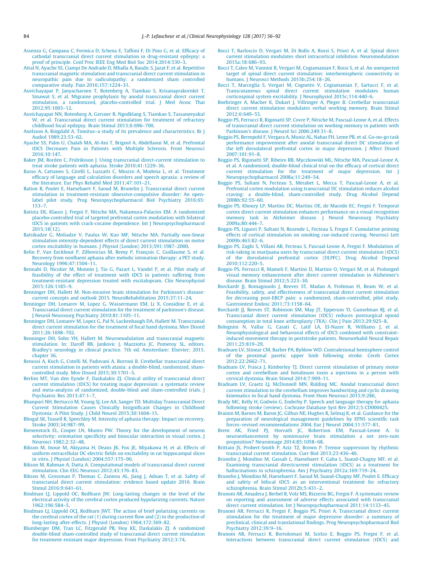- <span id="page-28-0"></span>[Assenza G, Campana C, Formica D, Schena E, Taffoni F, Di Pino G, et al. Efficacy of](http://refhub.elsevier.com/S1388-2457(16)30634-4/h0085) [cathodal transcranial direct current stimulation in drug-resistant epilepsy: a](http://refhub.elsevier.com/S1388-2457(16)30634-4/h0085) [proof of principle. Conf Proc IEEE Eng Med Biol Soc 2014;2014:530–3.](http://refhub.elsevier.com/S1388-2457(16)30634-4/h0085)
- [Attal N, Ayache SS, Ciampi De Andrade D, Mhalla A, Baudic S, Jazat F, et al. Repetitive](http://refhub.elsevier.com/S1388-2457(16)30634-4/h0090) [transcranial magnetic stimulation and transcranial direct current stimulation in](http://refhub.elsevier.com/S1388-2457(16)30634-4/h0090) [neuropathic pain due to radiculopathy: a randomized sham controlled](http://refhub.elsevier.com/S1388-2457(16)30634-4/h0090) [comparative study. Pain 2016;157:1224–31](http://refhub.elsevier.com/S1388-2457(16)30634-4/h0090).
- [Auvichayapat P, Janyacharoen T, Rotenberg A, Tiamkao S, Krisanaprakornkit T,](http://refhub.elsevier.com/S1388-2457(16)30634-4/h0095) [Sinawat S, et al. Migraine prophylaxis by anodal transcranial direct current](http://refhub.elsevier.com/S1388-2457(16)30634-4/h0095) [stimulation, a randomized, placebo-controlled trial. J Med Assoc Thai](http://refhub.elsevier.com/S1388-2457(16)30634-4/h0095) [2012;95:1003–12.](http://refhub.elsevier.com/S1388-2457(16)30634-4/h0095)
- [Auvichayapat NN, Rotenberg A, Gersner R, Ngodklang S, Tiamkao S, Tassaneeyakul](http://refhub.elsevier.com/S1388-2457(16)30634-4/h0100) [W, et al. Transcranial direct current stimulation for treatment of refractory](http://refhub.elsevier.com/S1388-2457(16)30634-4/h0100) [childhood focal epilepsy. Brain Stimul 2013;6:696–700](http://refhub.elsevier.com/S1388-2457(16)30634-4/h0100).
- [Axelsson A, Ringdahl A. Tinnitus–a study of its prevalence and characteristics. Br J](http://refhub.elsevier.com/S1388-2457(16)30634-4/h0105) [Audiol 1989;23:53–62](http://refhub.elsevier.com/S1388-2457(16)30634-4/h0105).
- [Ayache SS, Palm U, Chalah MA, Al-Ani T, Brignol A, Abdellaoui M, et al. Prefrontal](http://refhub.elsevier.com/S1388-2457(16)30634-4/h0110) [tDCS Decreases Pain in Patients with Multiple Sclerosis. Front Neurosci](http://refhub.elsevier.com/S1388-2457(16)30634-4/h0110) [2016;10:147.](http://refhub.elsevier.com/S1388-2457(16)30634-4/h0110)
- [Baker JM, Rorden C, Fridriksson J. Using transcranial direct-current stimulation to](http://refhub.elsevier.com/S1388-2457(16)30634-4/h0115) [treat stroke patients with aphasia. Stroke 2010;41:1229–36.](http://refhub.elsevier.com/S1388-2457(16)30634-4/h0115)
- [Basso A, Cattaneo S, Girelli L, Luzzatti C, Miozzo A, Modena L, et al. Treatment](http://refhub.elsevier.com/S1388-2457(16)30634-4/h0120) [efficacy of language and calculation disorders and speech apraxia: a review of](http://refhub.elsevier.com/S1388-2457(16)30634-4/h0120) [the literature. Eur Phys Rehabil Med 2011;47:101–21.](http://refhub.elsevier.com/S1388-2457(16)30634-4/h0120)
- [Bation R, Poulet E, Haesebaert F, Saoud M, Brunelin J. Transcranial direct current](http://refhub.elsevier.com/S1388-2457(16)30634-4/h0125) [stimulation in treatment-resistant obsessive-compulsive disorder: An open](http://refhub.elsevier.com/S1388-2457(16)30634-4/h0125)[label pilot study. Prog Neuropsychopharmacol Biol Psychiatry 2016;65:](http://refhub.elsevier.com/S1388-2457(16)30634-4/h0125) [153–7.](http://refhub.elsevier.com/S1388-2457(16)30634-4/h0125)
- [Batista EK, Klauss J, Fregni F, Nitsche MA, Nakamura-Palacios EM. A randomized](http://refhub.elsevier.com/S1388-2457(16)30634-4/h0130) [placebo-controlled trial of targeted prefrontal cortex modulation with bilateral](http://refhub.elsevier.com/S1388-2457(16)30634-4/h0130) [tDCS in patients with crack-cocaine dependence. Int J Neuropsychopharmacol](http://refhub.elsevier.com/S1388-2457(16)30634-4/h0130) [2015;18\(12\)](http://refhub.elsevier.com/S1388-2457(16)30634-4/h0130).
- [Batsikadze G, Moliadze V, Paulus W, Kuo MF, Nitsche MA. Partially non-linear](http://refhub.elsevier.com/S1388-2457(16)30634-4/h0135) [stimulation intensity-dependent effects of direct current stimulation on motor](http://refhub.elsevier.com/S1388-2457(16)30634-4/h0135) [cortex excitability in humans. J Physiol \(London\) 2013;591:1987–2000.](http://refhub.elsevier.com/S1388-2457(16)30634-4/h0135)
- [Belin P, Van Eeckhout P, Zilbovicius M, Remy P, François C, Guillaume S, et al.](http://refhub.elsevier.com/S1388-2457(16)30634-4/h0140) [Recovery from nonfluent aphasia after melodic intonation therapy: a PET study.](http://refhub.elsevier.com/S1388-2457(16)30634-4/h0140) [Neurology 1996;47:1504–11](http://refhub.elsevier.com/S1388-2457(16)30634-4/h0140).
- [Bennabi D, Nicolier M, Monnin J, Tio G, Pazart L, Vandel P, et al. Pilot study of](http://refhub.elsevier.com/S1388-2457(16)30634-4/h0145) [feasibility of the effect of treatment with tDCS in patients suffering from](http://refhub.elsevier.com/S1388-2457(16)30634-4/h0145) [treatment-resistant depression treated with escitalopram. Clin Neurophysiol](http://refhub.elsevier.com/S1388-2457(16)30634-4/h0145) [2015;126:1185–9.](http://refhub.elsevier.com/S1388-2457(16)30634-4/h0145)
- [Benninger DH, Hallett M. Non-invasive brain stimulation for Parkinson's disease:](http://refhub.elsevier.com/S1388-2457(16)30634-4/h0150) [current concepts and outlook 2015. NeuroRehabilitation 2015;37:11–24.](http://refhub.elsevier.com/S1388-2457(16)30634-4/h0150)
- [Benninger DH, Lomarev M, Lopez G, Wassermann EM, Li X, Considine E, et al.](http://refhub.elsevier.com/S1388-2457(16)30634-4/h0155) [Transcranial direct current stimulation for the treatment of parkinson's disease.](http://refhub.elsevier.com/S1388-2457(16)30634-4/h0155) [J Neurol Neurosurg Psychiatry 2010;81:1105–11.](http://refhub.elsevier.com/S1388-2457(16)30634-4/h0155)
- [Benninger DH, Lomarev M, Lopez G, Pal N, Luckenbaugh DA, Hallett M. Transcranial](http://refhub.elsevier.com/S1388-2457(16)30634-4/h0160) [direct current stimulation for the treatment of focal hand dystonia. Mov Disord](http://refhub.elsevier.com/S1388-2457(16)30634-4/h0160) [2011;26:1698–702.](http://refhub.elsevier.com/S1388-2457(16)30634-4/h0160)
- [Benninger DH, Sohn YH, Hallett M. Neuromodulation and transcranial magnetic](http://refhub.elsevier.com/S1388-2457(16)30634-4/h0165) [stimulation. In: Daroff RB, Jankovic J, Mazziotta JC, Pomeroy SL, editors.](http://refhub.elsevier.com/S1388-2457(16)30634-4/h0165) [Bradley's neurology in clinical practice. 7th ed. Amsterdam: Elsevier; 2015.](http://refhub.elsevier.com/S1388-2457(16)30634-4/h0165) [chapter 36](http://refhub.elsevier.com/S1388-2457(16)30634-4/h0165).
- [Benussi A, Koch G, Cotelli M, Padovani A, Borroni B. Cerebellar transcranial direct](http://refhub.elsevier.com/S1388-2457(16)30634-4/h0170) [current stimulation in patients with ataxia: a double-blind, randomized, sham](http://refhub.elsevier.com/S1388-2457(16)30634-4/h0170)[controlled study. Mov Disord 2015;30:1701–5.](http://refhub.elsevier.com/S1388-2457(16)30634-4/h0170)
- [Berlim MT, Van den Eynde F, Daskalakis ZJ. Clinical utility of transcranial direct](http://refhub.elsevier.com/S1388-2457(16)30634-4/h0175) [current stimulation \(tDCS\) for treating major depression: a systematic review](http://refhub.elsevier.com/S1388-2457(16)30634-4/h0175) [and meta-analysis of randomized, double-blind and sham-controlled trials. J](http://refhub.elsevier.com/S1388-2457(16)30634-4/h0175) [Psychiatric Res 2013;47:1–7](http://refhub.elsevier.com/S1388-2457(16)30634-4/h0175).
- [Bhanpuri NH, Bertucco M, Young SJ, Lee AA, Sanger TD. Multiday Transcranial Direct](http://refhub.elsevier.com/S1388-2457(16)30634-4/h0180) [Current Stimulation Causes Clinically Insignificant Changes in Childhood](http://refhub.elsevier.com/S1388-2457(16)30634-4/h0180) [Dystonia: A Pilot Study. J Child Neurol 2015;30:1604–15.](http://refhub.elsevier.com/S1388-2457(16)30634-4/h0180)
- [Bhogal SK, Teasell R, Speechley M. Intensity of aphasia therapy: Impact on recovery.](http://refhub.elsevier.com/S1388-2457(16)30634-4/h0185) [Stroke 2003;34:987–99](http://refhub.elsevier.com/S1388-2457(16)30634-4/h0185).
- [Bienenstock EL, Cooper LN, Munro PW. Theory for the development of neuron](http://refhub.elsevier.com/S1388-2457(16)30634-4/h0190) [selectivity: orientation specificity and binocular interaction in visual cortex. J](http://refhub.elsevier.com/S1388-2457(16)30634-4/h0190) [Neurosci 1982;2:32–48](http://refhub.elsevier.com/S1388-2457(16)30634-4/h0190).
- [Bikson M, Inoue M, Akiyama H, Deans JK, Fox JE, Miyakawa H, et al. Effects of](http://refhub.elsevier.com/S1388-2457(16)30634-4/h0195) [uniform extracellular DC electric fields on excitability in rat hippocampal slices](http://refhub.elsevier.com/S1388-2457(16)30634-4/h0195) [in vitro. J Physiol \(London\) 2004;557:175–90](http://refhub.elsevier.com/S1388-2457(16)30634-4/h0195).
- [Bikson M, Rahman A, Datta A. Computational models of transcranial direct current](http://refhub.elsevier.com/S1388-2457(16)30634-4/h0200) [stimulation. Clin EEG Neurosci 2012;43:176–83](http://refhub.elsevier.com/S1388-2457(16)30634-4/h0200).
- [Bikson M, Grossman P, Thomas C, Zannou AL, Jiang J, Adnan T, et al. Safety of](http://refhub.elsevier.com/S1388-2457(16)30634-4/h0205) [transcranial direct current stimulation: evidence based update 2016. Brain](http://refhub.elsevier.com/S1388-2457(16)30634-4/h0205) [Stimul 2016;9:641–61](http://refhub.elsevier.com/S1388-2457(16)30634-4/h0205).
- [Bindman LJ, Lippold OC, Redfearn JW. Long-lasting changes in the level of the](http://refhub.elsevier.com/S1388-2457(16)30634-4/h0210) [electrical activity of the cerebral cortex produced bypolarizing currents. Nature](http://refhub.elsevier.com/S1388-2457(16)30634-4/h0210) [1962;196:584–5](http://refhub.elsevier.com/S1388-2457(16)30634-4/h0210).
- [Bindman LJ, Lippold OCJ, Redfearn JWT. The action of brief polarizing currents on](http://refhub.elsevier.com/S1388-2457(16)30634-4/h0215) [the cerebral cortex of the rat \(1\) during current flow and \(2\) in the production of](http://refhub.elsevier.com/S1388-2457(16)30634-4/h0215) [long-lasting after-effects. J Physiol \(London\) 1964;172:369–82.](http://refhub.elsevier.com/S1388-2457(16)30634-4/h0215)
- [Blumberger DM, Tran LC, Fitzgerald PB, Hoy KE, Daskalakis ZJ. A randomized](http://refhub.elsevier.com/S1388-2457(16)30634-4/h0220) [double-blind sham-controlled study of transcranial direct current stimulation](http://refhub.elsevier.com/S1388-2457(16)30634-4/h0220) [for treatment-resistant major depression. Front Psychiatry 2012;3:74.](http://refhub.elsevier.com/S1388-2457(16)30634-4/h0220)
- [Bocci T, Barloscio D, Vergari M, Di Rollo A, Rossi S, Priori A, et al. Spinal direct](http://refhub.elsevier.com/S1388-2457(16)30634-4/h0225) [current stimulation modulates short intracortical inhibition. Neuromodulation](http://refhub.elsevier.com/S1388-2457(16)30634-4/h0225) [2015a;18:686–93](http://refhub.elsevier.com/S1388-2457(16)30634-4/h0225).
- [Bocci T, Caleo M, Vannini B, Vergari M, Cogiamanian F, Rossi S, et al. An unexpected](http://refhub.elsevier.com/S1388-2457(16)30634-4/h0230) [target of spinal direct current stimulation: interhemispheric connectivity in](http://refhub.elsevier.com/S1388-2457(16)30634-4/h0230) [humans. J Neurosci Methods 2015b;254:18–26](http://refhub.elsevier.com/S1388-2457(16)30634-4/h0230).
- [Bocci T, Marceglia S, Vergari M, Cognetto V, Cogiamanian F, Sartucci F, et al.](http://refhub.elsevier.com/S1388-2457(16)30634-4/h0235) [Transcutaneous spinal direct current stimulation modulates human](http://refhub.elsevier.com/S1388-2457(16)30634-4/h0235) [corticospinal system excitability. J Neurophysiol 2015c;114:440–6.](http://refhub.elsevier.com/S1388-2457(16)30634-4/h0235)
- [Boehringer A, Macher K, Dukart J, Villringer A, Pleger B. Cerebellar transcranial](http://refhub.elsevier.com/S1388-2457(16)30634-4/h0240) [direct current stimulation modulates verbal working memory. Brain Stimul](http://refhub.elsevier.com/S1388-2457(16)30634-4/h0240) [2012;6:649–53](http://refhub.elsevier.com/S1388-2457(16)30634-4/h0240).
- [Boggio PS, Ferrucci R, Rigonatti SP, Covre P, Nitsche M, Pascual-Leone A, et al. Effects](http://refhub.elsevier.com/S1388-2457(16)30634-4/h0245) [of transcranial direct current stimulation on working memory in patients with](http://refhub.elsevier.com/S1388-2457(16)30634-4/h0245) [Parkinson's disease. J Neurol Sci 2006;249:31–8.](http://refhub.elsevier.com/S1388-2457(16)30634-4/h0245)
- [Boggio PS, Bermpohl F, Vergara A, Muniz AL, Nahas FH, Leme PB, et al. Go-no-go task](http://refhub.elsevier.com/S1388-2457(16)30634-4/h0250) [performance improvement after anodal transcranial direct DC stimulation of](http://refhub.elsevier.com/S1388-2457(16)30634-4/h0250) [the left dorsolateral prefrontal cortex in major depression. J Affect Disord](http://refhub.elsevier.com/S1388-2457(16)30634-4/h0250) [2007;101:91–8](http://refhub.elsevier.com/S1388-2457(16)30634-4/h0250).
- [Boggio PS, Rigonatti SP, Ribeiro RB, Myczkowski ML, Nitsche MA, Pascual-Leone A,](http://refhub.elsevier.com/S1388-2457(16)30634-4/h0255) [et al. A randomized, double-blind clinical trial on the efficacy of cortical direct](http://refhub.elsevier.com/S1388-2457(16)30634-4/h0255) [current stimulation for the treatment of major depression. Int J](http://refhub.elsevier.com/S1388-2457(16)30634-4/h0255) [Neuropsychopharmacol 2008a;11:249–54](http://refhub.elsevier.com/S1388-2457(16)30634-4/h0255).
- [Boggio PS, Sultani N, Fecteau S, Merabet L, Mecca T, Pascual-Leone A, et al.](http://refhub.elsevier.com/S1388-2457(16)30634-4/h0260) [Prefrontal cortex modulation using transcranial DC stimulation reduces alcohol](http://refhub.elsevier.com/S1388-2457(16)30634-4/h0260) [craving: a double-blind, sham-controlled study. Drug Alcohol Depend](http://refhub.elsevier.com/S1388-2457(16)30634-4/h0260) [2008b;92:55–60.](http://refhub.elsevier.com/S1388-2457(16)30634-4/h0260)
- [Boggio PS, Khoury LP, Martins DC, Martins OE, de Macedo EC, Fregni F. Temporal](http://refhub.elsevier.com/S1388-2457(16)30634-4/h0265) [cortex direct current stimulation enhances performance on a visual recognition](http://refhub.elsevier.com/S1388-2457(16)30634-4/h0265) [memory task in Alzheimer disease. J Neurol Neurosurg Psychiatry](http://refhub.elsevier.com/S1388-2457(16)30634-4/h0265) [2009a;80:444–7.](http://refhub.elsevier.com/S1388-2457(16)30634-4/h0265)
- [Boggio PS, Liguori P, Sultani N, Rezende L, Fecteau S, Fregni F. Cumulative priming](http://refhub.elsevier.com/S1388-2457(16)30634-4/h0270) [effects of cortical stimulation on smoking cue-induced craving. Neurosci Lett](http://refhub.elsevier.com/S1388-2457(16)30634-4/h0270) [2009b;463:82–6.](http://refhub.elsevier.com/S1388-2457(16)30634-4/h0270)
- [Boggio PS, Zaghi S, Villani AB, Fecteau S, Pascual-Leone A, Fregni F. Modulation of](http://refhub.elsevier.com/S1388-2457(16)30634-4/h0275) [risk-taking in marijuana users by transcranial direct current stimulation \(tDCS\)](http://refhub.elsevier.com/S1388-2457(16)30634-4/h0275) [of the dorsolateral prefrontal cortex \(DLPFC\). Drug Alcohol Depend](http://refhub.elsevier.com/S1388-2457(16)30634-4/h0275) [2010;112:220–5.](http://refhub.elsevier.com/S1388-2457(16)30634-4/h0275)
- [Boggio PS, Ferrucci R, Mameli F, Martins D, Martins O, Vergari M, et al. Prolonged](http://refhub.elsevier.com/S1388-2457(16)30634-4/h0280) [visual memory enhancement after direct current stimulation in Alzheimer's](http://refhub.elsevier.com/S1388-2457(16)30634-4/h0280) [disease. Brain Stimul 2012;5:223–30.](http://refhub.elsevier.com/S1388-2457(16)30634-4/h0280)
- [Borckardt JJ, Romagnuolo J, Reeves ST, Madan A, Frohman H, Beam W, et al.](http://refhub.elsevier.com/S1388-2457(16)30634-4/h0285) [Feasibility, safety, and effectiveness of transcranial direct current stimulation](http://refhub.elsevier.com/S1388-2457(16)30634-4/h0285) [for decreasing post-ERCP pain: a randomized, sham-controlled, pilot study.](http://refhub.elsevier.com/S1388-2457(16)30634-4/h0285) [Gastrointest Endosc 2011;73:1158–64](http://refhub.elsevier.com/S1388-2457(16)30634-4/h0285).
- [Borckardt JJ, Reeves ST, Robinson SM, May JT, Epperson TI, Gunselman RJ, et al.](http://refhub.elsevier.com/S1388-2457(16)30634-4/h0290) [Transcranial direct current stimulation \(tDCS\) reduces postsurgical opioid](http://refhub.elsevier.com/S1388-2457(16)30634-4/h0290) [consumption in total knee arthroplasty \(TKA\). Clin J Pain 2013;29:925–8.](http://refhub.elsevier.com/S1388-2457(16)30634-4/h0290)
- [Bolognini N, Vallar G, Casati C, Latif LA, El-Nazer R, Williams J, et al.](http://refhub.elsevier.com/S1388-2457(16)30634-4/h0295) [Neurophysiological and behavioral effects of tDCS combined with constraint](http://refhub.elsevier.com/S1388-2457(16)30634-4/h0295)[induced movement therapy in poststroke patients. Neurorehabil Neural Repair](http://refhub.elsevier.com/S1388-2457(16)30634-4/h0295) [2011;25:819–29](http://refhub.elsevier.com/S1388-2457(16)30634-4/h0295).
- [Bradnam LV, Stinear CM, Barber PA, Byblow WD. Contralesional hemisphere control](http://refhub.elsevier.com/S1388-2457(16)30634-4/h0300) [of the proximal paretic upper limb following stroke. Cereb Cortex](http://refhub.elsevier.com/S1388-2457(16)30634-4/h0300) [2012;22:2662–71.](http://refhub.elsevier.com/S1388-2457(16)30634-4/h0300)
- [Bradnam LV, Frasca J, Kimberley TJ. Direct current stimulation of primary motor](http://refhub.elsevier.com/S1388-2457(16)30634-4/h0305) [cortex and cerebellum and botulinum toxin a injections in a person with](http://refhub.elsevier.com/S1388-2457(16)30634-4/h0305) [cervical dystonia. Brain Stimul 2014;7:909–11](http://refhub.elsevier.com/S1388-2457(16)30634-4/h0305).
- [Bradnam LV, Graetz LJ, McDonnell MN, Ridding MC. Anodal transcranial direct](http://refhub.elsevier.com/S1388-2457(16)30634-4/h0310) [current stimulation to the cerebellum improves handwriting and cyclic drawing](http://refhub.elsevier.com/S1388-2457(16)30634-4/h0310) [kinematics in focal hand dystonia. Front Hum Neurosci 2015;9:286](http://refhub.elsevier.com/S1388-2457(16)30634-4/h0310).
- [Brady MC, Kelly H, Godwin G, Enderby P. Speech and language therapy for aphasia](http://refhub.elsevier.com/S1388-2457(16)30634-4/h0315) [following stroke \(review\). Cochrane Database Syst Rev 2012;5:CD000425.](http://refhub.elsevier.com/S1388-2457(16)30634-4/h0315)
- [Brainin M, Barnes M, Baron JC, Gilhus NE, Hughes R, Selmaj K, et al. Guidance for the](http://refhub.elsevier.com/S1388-2457(16)30634-4/h0320) [preparation of neurological management guidelines by EFNS scientific task](http://refhub.elsevier.com/S1388-2457(16)30634-4/h0320) [forces–revised recommendations 2004. Eur J Neurol 2004;11:577–81.](http://refhub.elsevier.com/S1388-2457(16)30634-4/h0320)
- [Brem AK, Fried PJ, Horvath JC, Robertson EM, Pascual-Leone A. Is](http://refhub.elsevier.com/S1388-2457(16)30634-4/h0325) [neuroenhancement by noninvasive brain stimulation a net zero-sum](http://refhub.elsevier.com/S1388-2457(16)30634-4/h0325) [proposition? Neuroimage 2014;85:1058–68](http://refhub.elsevier.com/S1388-2457(16)30634-4/h0325).
- [Brittain JS, Probert-Smith P, Aziz TZ, Brown P. Tremor suppression by rhythmic](http://refhub.elsevier.com/S1388-2457(16)30634-4/h0330) [transcranial current stimulation. Curr Biol 2013;23:436–40.](http://refhub.elsevier.com/S1388-2457(16)30634-4/h0330)
- [Brunelin J, Mondino M, Gassab L, Haesebaert F, Gaha L, Suaud-Chagny MF, et al.](http://refhub.elsevier.com/S1388-2457(16)30634-4/h0335) [Examining transcranial directcurrent stimulation \(tDCS\) as a treatment for](http://refhub.elsevier.com/S1388-2457(16)30634-4/h0335) [hallucinations in schizophrenia. Am J Psychiatry 2012a;169:719–24](http://refhub.elsevier.com/S1388-2457(16)30634-4/h0335).
- [Brunelin J, Mondino M, Haesebaert F, Saoud M, Suaud-Chagny MF, Poulet E. Efficacy](http://refhub.elsevier.com/S1388-2457(16)30634-4/h0340) [and safety of bifocal tDCS as an interventional treatment for refractory](http://refhub.elsevier.com/S1388-2457(16)30634-4/h0340) [schizophrenia. Brain Stimul 2012b;5:431–2](http://refhub.elsevier.com/S1388-2457(16)30634-4/h0340).
- [Brunoni AR, Amadera J, Berbel B, Volz MS, Rizzerio BG, Fregni F. A systematic review](http://refhub.elsevier.com/S1388-2457(16)30634-4/h0345) [on reporting and assessment of adverse effects associated with transcranial](http://refhub.elsevier.com/S1388-2457(16)30634-4/h0345) [direct current stimulation. Int J Neuropsychopharmacol 2011;14:1133–45](http://refhub.elsevier.com/S1388-2457(16)30634-4/h0345).
- [Brunoni AR, Ferrucci R, Fregni F, Boggio PS, Priori A. Transcranial direct current](http://refhub.elsevier.com/S1388-2457(16)30634-4/h0350) [stimulation for the treatment of major depressive disorder: a summary of](http://refhub.elsevier.com/S1388-2457(16)30634-4/h0350) [preclinical, clinical and translational findings. Prog Neuropsychopharmacol Biol](http://refhub.elsevier.com/S1388-2457(16)30634-4/h0350) [Psychiatry 2012;39:9–16.](http://refhub.elsevier.com/S1388-2457(16)30634-4/h0350)
- [Brunoni AR, Ferrucci R, Bortolomasi M, Scelzo E, Boggio PS, Fregni F, et al.](http://refhub.elsevier.com/S1388-2457(16)30634-4/h0355) [Interactions between transcranial direct current stimulation \(tDCS\) and](http://refhub.elsevier.com/S1388-2457(16)30634-4/h0355)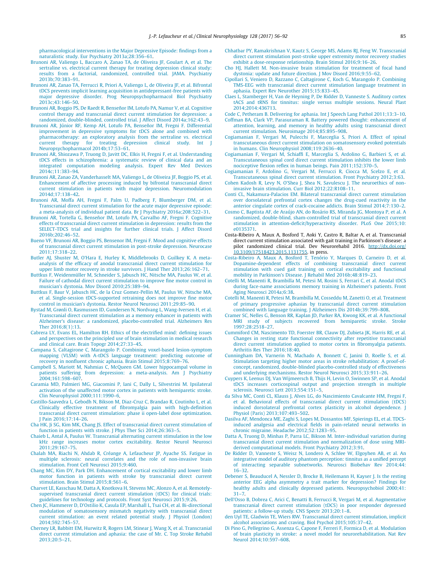<span id="page-29-0"></span>[pharmacological interventions in the Major Depressive Episode: findings from a](http://refhub.elsevier.com/S1388-2457(16)30634-4/h0355) [naturalistic study. Eur Psychiatry 2013a;28:356–61](http://refhub.elsevier.com/S1388-2457(16)30634-4/h0355).

- [Brunoni AR, Valiengo L, Baccaro A, Zanao TA, de Oliveira JF, Goulart A, et al. The](http://refhub.elsevier.com/S1388-2457(16)30634-4/h0360) [sertraline vs. electrical current therapy for treating depression clinical study:](http://refhub.elsevier.com/S1388-2457(16)30634-4/h0360) [results from a factorial, randomized, controlled trial. JAMA. Psychiatry](http://refhub.elsevier.com/S1388-2457(16)30634-4/h0360) [2013b;70:383–91.](http://refhub.elsevier.com/S1388-2457(16)30634-4/h0360)
- [Brunoni AR, Zanao TA, Ferrucci R, Priori A, Valiengo L, de Oliveira JF, et al. Bifrontal](http://refhub.elsevier.com/S1388-2457(16)30634-4/h0365) [tDCS prevents implicit learning acquisition in antidepressant-free patients with](http://refhub.elsevier.com/S1388-2457(16)30634-4/h0365) [major depressive disorder. Prog Neuropsychopharmacol Biol Psychiatry](http://refhub.elsevier.com/S1388-2457(16)30634-4/h0365) [2013c;43:146–50.](http://refhub.elsevier.com/S1388-2457(16)30634-4/h0365)
- [Brunoni AR, Boggio PS, De Raedt R, Benseñor IM, Lotufo PA, Namur V, et al. Cognitive](http://refhub.elsevier.com/S1388-2457(16)30634-4/h0370) [control therapy and transcranial direct current stimulation for depression: a](http://refhub.elsevier.com/S1388-2457(16)30634-4/h0370) [randomized, double-blinded, controlled trial. J Affect Disord 2014a;162:43–9](http://refhub.elsevier.com/S1388-2457(16)30634-4/h0370).
- [Brunoni AR, Júnior RF, Kemp AH, Lotufo PA, Benseñor IM, Fregni F. Differential](http://refhub.elsevier.com/S1388-2457(16)30634-4/h0375) [improvement in depressive symptoms for tDCS alone and combined with](http://refhub.elsevier.com/S1388-2457(16)30634-4/h0375) [pharmacotherapy: an exploratory analysis from the sertraline vs. electrical](http://refhub.elsevier.com/S1388-2457(16)30634-4/h0375) [current therapy for treating depression clinical study. Int J](http://refhub.elsevier.com/S1388-2457(16)30634-4/h0375) [Neuropsychopharmacol 2014b;17:53–61](http://refhub.elsevier.com/S1388-2457(16)30634-4/h0375).
- [Brunoni AR, Shiozawa P, Truong D, Javitt DC, Elkis H, Fregni F, et al. Understanding](http://refhub.elsevier.com/S1388-2457(16)30634-4/h0380) [tDCS effects in schizophrenia: a systematic review of clinical data and an](http://refhub.elsevier.com/S1388-2457(16)30634-4/h0380) [integrated computation modeling analysis. Expert Rev Med Devices](http://refhub.elsevier.com/S1388-2457(16)30634-4/h0380) [2014c;11:383–94](http://refhub.elsevier.com/S1388-2457(16)30634-4/h0380).
- [Brunoni AR, Zanao ZA, Vanderhasselt MA, Valiengo L, de Oliveira JF, Boggio PS, et al.](http://refhub.elsevier.com/S1388-2457(16)30634-4/h0385) [Enhancement of affective processing induced by bifrontal transcranial direct](http://refhub.elsevier.com/S1388-2457(16)30634-4/h0385) [current stimulation in patients with major depression. Neuromodulation](http://refhub.elsevier.com/S1388-2457(16)30634-4/h0385) [2014d;17:138–42.](http://refhub.elsevier.com/S1388-2457(16)30634-4/h0385)
- [Brunoni AR, Moffa AH, Fregni F, Palm U, Padberg F, Blumberger DM, et al.](http://refhub.elsevier.com/S1388-2457(16)30634-4/h0390) [Transcranial direct current stimulation for the acute major depressive episode:](http://refhub.elsevier.com/S1388-2457(16)30634-4/h0390) [a meta-analysis of individual patient data. Br J Psychiatry 2016a;208:522–31.](http://refhub.elsevier.com/S1388-2457(16)30634-4/h0390)
- [Brunoni AR, Tortella G, Benseñor IM, Lotufo PA, Carvalho AF, Fregni F. Cognitive](http://refhub.elsevier.com/S1388-2457(16)30634-4/h0395) [effects of transcranial direct current stimulation in depression: results from the](http://refhub.elsevier.com/S1388-2457(16)30634-4/h0395) [SELECT-TDCS trial and insights for further clinical trials. J Affect Disord](http://refhub.elsevier.com/S1388-2457(16)30634-4/h0395) [2016b;202:46–52.](http://refhub.elsevier.com/S1388-2457(16)30634-4/h0395)
- [Bueno VF, Brunoni AR, Boggio PS, Bensenor IM, Fregni F. Mood and cognitive effects](http://refhub.elsevier.com/S1388-2457(16)30634-4/h0400) [of transcranial direct current stimulation in post-stroke depression. Neurocase](http://refhub.elsevier.com/S1388-2457(16)30634-4/h0400) [2011;17:318–22.](http://refhub.elsevier.com/S1388-2457(16)30634-4/h0400)
- [Butler AJ, Shuster M, O'Hara E, Hurley K, Middlebrooks D, Guilkey K. A meta](http://refhub.elsevier.com/S1388-2457(16)30634-4/h0405)[analysis of the efficacy of anodal transcranial direct current stimulation for](http://refhub.elsevier.com/S1388-2457(16)30634-4/h0405) [upper limb motor recovery in stroke survivors. J Hand Ther 2013;26:162–71](http://refhub.elsevier.com/S1388-2457(16)30634-4/h0405).
- [Buttkus F, Weidenmüller M, Schneider S, Jabusch HC, Nitsche MA, Paulus W, et al.](http://refhub.elsevier.com/S1388-2457(16)30634-4/h0410) [Failure of cathodal direct current stimulation to improve fine motor control in](http://refhub.elsevier.com/S1388-2457(16)30634-4/h0410) [musician's dystonia. Mov Disord 2010;25:389–94.](http://refhub.elsevier.com/S1388-2457(16)30634-4/h0410)
- [Buttkus F, Baur V, Jabusch HC, de la Cruz Gomez-Pellin M, Paulus W, Nitsche MA,](http://refhub.elsevier.com/S1388-2457(16)30634-4/h0415) [et al. Single-session tDCS-supported retraining does not improve fine motor](http://refhub.elsevier.com/S1388-2457(16)30634-4/h0415) control in musician's dystonia. Restor Neurol Neurosci 2011;29:85-90.
- [Bystad M, Gr](http://refhub.elsevier.com/S1388-2457(16)30634-4/h0420)ø[nli O, Rasmussen ID, Gundersen N, Nordvang L, Wang-Iversen H, et al.](http://refhub.elsevier.com/S1388-2457(16)30634-4/h0420) [Transcranial direct current stimulation as a memory enhancer in patients with](http://refhub.elsevier.com/S1388-2457(16)30634-4/h0420) [Alzheimer's disease: a randomized, placebo-controlled trial. Alzheimers Res](http://refhub.elsevier.com/S1388-2457(16)30634-4/h0420) [Ther 2016;8\(1\):13](http://refhub.elsevier.com/S1388-2457(16)30634-4/h0420).
- [Cabrera LY, Evans EL, Hamilton RH. Ethics of the electrified mind: defining issues](http://refhub.elsevier.com/S1388-2457(16)30634-4/h0425) [and perspectives on the principled use of brain stimulation in medical research](http://refhub.elsevier.com/S1388-2457(16)30634-4/h0425) [and clinical care. Brain Topogr 2014;27:33–45.](http://refhub.elsevier.com/S1388-2457(16)30634-4/h0425)
- [Campana S, Caltagirone C, Marangolo P. Combining voxel-based lesion-symptom](http://refhub.elsevier.com/S1388-2457(16)30634-4/h0430) [mapping \(VLSM\) with A-tDCS language treatment: predicting outcome of](http://refhub.elsevier.com/S1388-2457(16)30634-4/h0430) [recovery in nonfluent chronic aphasia. Brain Stimul 2015;8:769–76](http://refhub.elsevier.com/S1388-2457(16)30634-4/h0430).
- [Campbell S, Mariott M, Nahmias C, McQueen GM. Lower hippocampal volume in](http://refhub.elsevier.com/S1388-2457(16)30634-4/h0435) [patients suffering from depression: a meta-analysis. Am J Psychiatry](http://refhub.elsevier.com/S1388-2457(16)30634-4/h0435) [2004;161:598–607](http://refhub.elsevier.com/S1388-2457(16)30634-4/h0435).
- [Caramia MD, Palmieri MG, Giacomini P, Iani C, Dally L, Silvestrini M. Ipsilateral](http://refhub.elsevier.com/S1388-2457(16)30634-4/h0440) [activation of the unaffected motor cortex in patients with hemiparetic stroke.](http://refhub.elsevier.com/S1388-2457(16)30634-4/h0440) [Clin Neurophysiol 2000;111:1990–6](http://refhub.elsevier.com/S1388-2457(16)30634-4/h0440).
- [Castillo-Saavedra L, Gebodh N, Bikson M, Diaz-Cruz C, Brandao R, Coutinho L, et al.](http://refhub.elsevier.com/S1388-2457(16)30634-4/h0445) [Clinically effective treatment of fibromyalgia pain with high-definition](http://refhub.elsevier.com/S1388-2457(16)30634-4/h0445) [transcranial direct current stimulation: phase ii open-label dose optimization.](http://refhub.elsevier.com/S1388-2457(16)30634-4/h0445) [J Pain 2016;17:14–26](http://refhub.elsevier.com/S1388-2457(16)30634-4/h0445).
- [Cha HK, Ji SG, Kim MK, Chang JS. Effect of transcranial direct current stimulation of](http://refhub.elsevier.com/S1388-2457(16)30634-4/h0450) [function in patients with stroke. J Phys Ther Sci 2014;26:363–5.](http://refhub.elsevier.com/S1388-2457(16)30634-4/h0450)
- [Chaieb L, Antal A, Paulus W. Transcranial alternating current stimulation in the low](http://refhub.elsevier.com/S1388-2457(16)30634-4/h0455) [kHz range increases motor cortex excitability. Restor Neurol Neurosci](http://refhub.elsevier.com/S1388-2457(16)30634-4/h0455) [2011;29:167–75.](http://refhub.elsevier.com/S1388-2457(16)30634-4/h0455)
- [Chalah MA, Riachi N, Ahdab R, Créange A, Lefaucheur JP, Ayache SS. Fatigue in](http://refhub.elsevier.com/S1388-2457(16)30634-4/h0460) [multiple sclerosis: neural correlates and the role of non-invasive brain](http://refhub.elsevier.com/S1388-2457(16)30634-4/h0460) [stimulation. Front Cell Neurosci 2015;9:460](http://refhub.elsevier.com/S1388-2457(16)30634-4/h0460).
- [Chang MC, Kim DY, Park DH. Enhancement of cortical excitability and lower limb](http://refhub.elsevier.com/S1388-2457(16)30634-4/h0465) [motor function in patients with stroke by transcranial direct current](http://refhub.elsevier.com/S1388-2457(16)30634-4/h0465) [stimulation. Brain Stimul 2015;8:561–6.](http://refhub.elsevier.com/S1388-2457(16)30634-4/h0465)
- [Charvet LE, Kasschau M, Datta A, Knotkova H, Stevens MC, Alonzo A, et al. Remotely](http://refhub.elsevier.com/S1388-2457(16)30634-4/h0470)[supervised transcranial direct current stimulation \(tDCS\) for clinical trials:](http://refhub.elsevier.com/S1388-2457(16)30634-4/h0470) [guidelines for technology and protocols. Front Syst Neurosci 2015;9:26.](http://refhub.elsevier.com/S1388-2457(16)30634-4/h0470)
- [Chen JC, Hammerer D, D'Ostilio K, Casula EP, Marshall L, Tsai CH, et al. Bi-directional](http://refhub.elsevier.com/S1388-2457(16)30634-4/h0475) [modulation of somatosensory mismatch negativity with transcranial direct](http://refhub.elsevier.com/S1388-2457(16)30634-4/h0475) [current stimulation: an event related potential study. J Physiol \(London\)](http://refhub.elsevier.com/S1388-2457(16)30634-4/h0475) [2014;592:745–57.](http://refhub.elsevier.com/S1388-2457(16)30634-4/h0475)
- [Cherney LR, Babbitt EM, Hurwitz R, Rogers LM, Stinear J, Wang X, et al. Transcranial](http://refhub.elsevier.com/S1388-2457(16)30634-4/h0480) [direct current stimulation and aphasia: the case of Mr. C. Top Stroke Rehabil](http://refhub.elsevier.com/S1388-2457(16)30634-4/h0480) [2013;20:5–21](http://refhub.elsevier.com/S1388-2457(16)30634-4/h0480).
- [Chhatbar PY, Ramakrishnan V, Kautz S, George MS, Adams RJ, Feng W. Transcranial](http://refhub.elsevier.com/S1388-2457(16)30634-4/h0485) [direct current stimulation post-stroke upper extremity motor recovery studies](http://refhub.elsevier.com/S1388-2457(16)30634-4/h0485) [exhibit a dose-response relationship. Brain Stimul 2016;9:16–26.](http://refhub.elsevier.com/S1388-2457(16)30634-4/h0485)
- [Cho HJ, Hallett M. Non-invasive brain stimulation for treatment of focal hand](http://refhub.elsevier.com/S1388-2457(16)30634-4/h0490) [dystonia: update and future direction. J Mov Disord 2016;9:55–62](http://refhub.elsevier.com/S1388-2457(16)30634-4/h0490).
- [Cipollari S, Veniero D, Razzano C, Caltagirone C, Koch G, Marangolo P. Combining](http://refhub.elsevier.com/S1388-2457(16)30634-4/h0495) [TMS-EEG with transcranial direct current stimulation language treatment in](http://refhub.elsevier.com/S1388-2457(16)30634-4/h0495) [aphasia. Expert Rev Neurother 2015;15:833–45.](http://refhub.elsevier.com/S1388-2457(16)30634-4/h0495)
- [Claes L, Stamberger H, Van de Heyning P, De Ridder D, Vanneste S. Auditory cortex](http://refhub.elsevier.com/S1388-2457(16)30634-4/h0500) [tACS and tRNS for tinnitus: single versus multiple sessions. Neural Plast](http://refhub.elsevier.com/S1388-2457(16)30634-4/h0500) [2014;2014:436713](http://refhub.elsevier.com/S1388-2457(16)30634-4/h0500).
- [Code C, Petheram B. Delivering for aphasia. Int J Speech Lang Pathol 2011;13:3–10.](http://refhub.elsevier.com/S1388-2457(16)30634-4/h0505)
- [Coffman BA, Clark VP, Parasuraman R. Battery powered thought: enhancement of](http://refhub.elsevier.com/S1388-2457(16)30634-4/h0510) [attention, learning, and memory in healthy adults using transcranial direct](http://refhub.elsevier.com/S1388-2457(16)30634-4/h0510) [current stimulation. Neuroimage 2014;85:895–908.](http://refhub.elsevier.com/S1388-2457(16)30634-4/h0510)
- [Cogiamanian F, Vergari M, Pulecchi F, Marceglia S, Priori A. Effect of spinal](http://refhub.elsevier.com/S1388-2457(16)30634-4/h0515) [transcutaneous direct current stimulation on somatosensory evoked potentials](http://refhub.elsevier.com/S1388-2457(16)30634-4/h0515) [in humans. Clin Neurophysiol 2008;119:2636–40](http://refhub.elsevier.com/S1388-2457(16)30634-4/h0515).
- [Cogiamanian F, Vergari M, Schiaffi E, Marceglia S, Ardolino G, Barbieri S, et al.](http://refhub.elsevier.com/S1388-2457(16)30634-4/h0520) [Transcutaneous spinal cord direct current stimulation inhibits the lower limb](http://refhub.elsevier.com/S1388-2457(16)30634-4/h0520) [nociceptive flexion reflex in human beings. Pain 2011;152:370–5](http://refhub.elsevier.com/S1388-2457(16)30634-4/h0520).
- [Cogiamanian F, Ardolino G, Vergari M, Ferrucci R, Ciocca M, Scelzo E, et al.](http://refhub.elsevier.com/S1388-2457(16)30634-4/h0525)
- [Transcutaneous spinal direct current stimulation. Front Psychiatry 2012;3:63.](http://refhub.elsevier.com/S1388-2457(16)30634-4/h0525) [Cohen Kadosh R, Levy N, O'Shea J, Shea N, Savulescu J. The neuroethics of non](http://refhub.elsevier.com/S1388-2457(16)30634-4/h0530)[invasive brain stimulation. Curr Biol 2012;22:R108–11](http://refhub.elsevier.com/S1388-2457(16)30634-4/h0530).
- [Conti CL, Nakamura-Palacios EM. Bilateral transcranial direct current stimulation](http://refhub.elsevier.com/S1388-2457(16)30634-4/h0535) [over dorsolateral prefrontal cortex changes the drug-cued reactivity in the](http://refhub.elsevier.com/S1388-2457(16)30634-4/h0535) [anterior cingulate cortex of crack-cocaine addicts. Brain Stimul 2014;7:130–2](http://refhub.elsevier.com/S1388-2457(16)30634-4/h0535).
- [Cosmo C, Baptista AF, de Araújo AN, do Rosário RS, Miranda JG, Montoya P, et al. A](http://refhub.elsevier.com/S1388-2457(16)30634-4/h0540) [randomized, double-blind, sham-controlled trial of transcranial direct current](http://refhub.elsevier.com/S1388-2457(16)30634-4/h0540) [stimulation in attention-deficit/hyperactivity disorder. PLoS One 2015;10:](http://refhub.elsevier.com/S1388-2457(16)30634-4/h0540) [e0135371.](http://refhub.elsevier.com/S1388-2457(16)30634-4/h0540)
- Costa-Ribeiro A, Maux A, Bosford T, Aoki Y, Castro R, Baltar A, et al. Transcranial direct current stimulation associated with gait training in Parkinson's disease: a pilot randomized clinical trial. Dev Neurorehabil 2016. [http://dx.doi.org/](http://dx.doi.org/10.3109/17518423.2015.1131755) [10.3109/17518423.2015.1131755.](http://dx.doi.org/10.3109/17518423.2015.1131755) in press.
- [Costa-Ribeiro A, Maux A, Bosford T, Tenório Y, Marques D, Carneiro D, et al.](http://refhub.elsevier.com/S1388-2457(16)30634-4/h0550) [Dopamine-dependent effects of combining transcranial direct current](http://refhub.elsevier.com/S1388-2457(16)30634-4/h0550) [stimulation with cued gait training on cortical excitability and functional](http://refhub.elsevier.com/S1388-2457(16)30634-4/h0550) [mobility in Parkinson's Disease. J Rehabil Med 2016b;48:819–23.](http://refhub.elsevier.com/S1388-2457(16)30634-4/h0550)
- [Cotelli M, Manenti R, Brambilla M, Petesi M, Rosini S, Ferrari C, et al. Anodal tDCS](http://refhub.elsevier.com/S1388-2457(16)30634-4/h0555) [during face-name associations memory training in Alzheimer's patients. Front](http://refhub.elsevier.com/S1388-2457(16)30634-4/h0555) [Aging Neurosci 2014a;6:38](http://refhub.elsevier.com/S1388-2457(16)30634-4/h0555).
- [Cotelli M, Manenti R, Petesi M, Brambilla M, Cosseddu M, Zanetti O, et al. Treatment](http://refhub.elsevier.com/S1388-2457(16)30634-4/h0560) [of primary progressive aphasias by transcranial direct current stimulation](http://refhub.elsevier.com/S1388-2457(16)30634-4/h0560) [combined with language training. J Alzheimers Dis 2014b;39:799–808.](http://refhub.elsevier.com/S1388-2457(16)30634-4/h0560)
- [Cramer SC, Nelles G, Benson RR, Kaplan JD, Parker RA, Kwong KK, et al. A functional](http://refhub.elsevier.com/S1388-2457(16)30634-4/h0565) [MRI study of subjects recovered from hemiparetic stroke. Stroke](http://refhub.elsevier.com/S1388-2457(16)30634-4/h0565) [1997;28:2518–27.](http://refhub.elsevier.com/S1388-2457(16)30634-4/h0565)
- [Cummiford CM, Nascimento TD, Foerster BR, Clauw DJ, Zubieta JK, Harris RE, et al.](http://refhub.elsevier.com/S1388-2457(16)30634-4/h0570) [Changes in resting state functional connectivity after repetitive transcranial](http://refhub.elsevier.com/S1388-2457(16)30634-4/h0570) [direct current stimulation applied to motor cortex in fibromyalgia patients.](http://refhub.elsevier.com/S1388-2457(16)30634-4/h0570) [Arthritis Res Ther 2016;18:40](http://refhub.elsevier.com/S1388-2457(16)30634-4/h0570).
- [Cunningham DA, Varnerin N, Machado A, Bonnett C, Janini D, Roelle S, et al.](http://refhub.elsevier.com/S1388-2457(16)30634-4/h0575) [Stimulation targeting higher motor areas in stroke rehabilitation: A proof-of](http://refhub.elsevier.com/S1388-2457(16)30634-4/h0575)[concept, randomized, double-blinded placebo-controlled study of effectiveness](http://refhub.elsevier.com/S1388-2457(16)30634-4/h0575) [and underlying mechanisms. Restor Neurol Neurosci 2015;33:911–26](http://refhub.elsevier.com/S1388-2457(16)30634-4/h0575).
- [Cuypers K, Leenus DJ, Van Wijmeersch B, Thijs H, Levin O, Swinnen SP, et al. Anodal](http://refhub.elsevier.com/S1388-2457(16)30634-4/h0580) [tDCS increases corticospinal output and projection strength in multiple](http://refhub.elsevier.com/S1388-2457(16)30634-4/h0580) [sclerosis. Neurosci Lett 2013;554:151–5.](http://refhub.elsevier.com/S1388-2457(16)30634-4/h0580)
- [da Silva MC, Conti CL, Klauss J, Alves LG, do Nascimiento Cavalcante HM, Fregni F,](http://refhub.elsevier.com/S1388-2457(16)30634-4/h0585) [et al. Behavioral effects of transcranial direct current stimulation \(tDCS\)](http://refhub.elsevier.com/S1388-2457(16)30634-4/h0585) induced dorsolateral prefrontal cortex plasticity in alcohol dependence. [Physiol \(Paris\) 2013;107:493–502.](http://refhub.elsevier.com/S1388-2457(16)30634-4/h0585)
- [Dasilva AF, Mendonca ME, Zaghi S, Lopes M, Dossantos MF, Spierings EL, et al. TDCS](http://refhub.elsevier.com/S1388-2457(16)30634-4/h0590)[induced analgesia and electrical fields in pain-related neural networks in](http://refhub.elsevier.com/S1388-2457(16)30634-4/h0590) [chronic migraine. Headache 2012;52:1283–95.](http://refhub.elsevier.com/S1388-2457(16)30634-4/h0590)
- [Datta A, Truong D, Minhas P, Parra LC, Bikson M. Inter-individual variation during](http://refhub.elsevier.com/S1388-2457(16)30634-4/h0595) [transcranial direct current stimulation and normalization of dose using MRI](http://refhub.elsevier.com/S1388-2457(16)30634-4/h0595)[derived computational models. Front Psychiatry 2012;3:91](http://refhub.elsevier.com/S1388-2457(16)30634-4/h0595).
- [De Ridder D, Vanneste S, Weisz N, Londero A, Schlee W, Elgoyhen AB, et al. An](http://refhub.elsevier.com/S1388-2457(16)30634-4/h0600) [integrative model of auditory phantom perception: tinnitus as a unified percept](http://refhub.elsevier.com/S1388-2457(16)30634-4/h0600) [of interacting separable subnetworks. Neurosci Biobehav Rev 2014;44:](http://refhub.elsevier.com/S1388-2457(16)30634-4/h0600) [16–32.](http://refhub.elsevier.com/S1388-2457(16)30634-4/h0600)
- [Debener S, Beauducel A, Nessler D, Brocke B, Heilemann H, Kayser J. Is the resting](http://refhub.elsevier.com/S1388-2457(16)30634-4/h0605) [anterior EEG alpha asymmetry a trait marker for depression? Findings for](http://refhub.elsevier.com/S1388-2457(16)30634-4/h0605) [healthy adults and clinically depressed patients. Neuropsychobiol 2000;41:](http://refhub.elsevier.com/S1388-2457(16)30634-4/h0605)  $31 - 7$
- [Dell'Osso B, Dobrea C, Arici C, Benatti B, Ferrucci R, Vergari M, et al. Augmentative](http://refhub.elsevier.com/S1388-2457(16)30634-4/h0610) [transcranial direct current stimulation \(tDCS\) in poor responder depressed](http://refhub.elsevier.com/S1388-2457(16)30634-4/h0610) [patients: a follow-up study. CNS Spectr 2013;20:1–8](http://refhub.elsevier.com/S1388-2457(16)30634-4/h0610).
- [den Uyl TE, Gladwin TE, Wiers RW. Transcranial direct current stimulation, implicit](http://refhub.elsevier.com/S1388-2457(16)30634-4/h0615) [alcohol associations and craving. Biol Psychol 2015;105:37–42](http://refhub.elsevier.com/S1388-2457(16)30634-4/h0615).
- [Di Pino G, Pellegrino G, Assenza G, Capone F, Ferreri F, Formica D, et al. Modulation](http://refhub.elsevier.com/S1388-2457(16)30634-4/h0620) [of brain plasticity in stroke: a novel model for neurorehabilitation. Nat Rev](http://refhub.elsevier.com/S1388-2457(16)30634-4/h0620) [Neurol 2014;10:597–608](http://refhub.elsevier.com/S1388-2457(16)30634-4/h0620).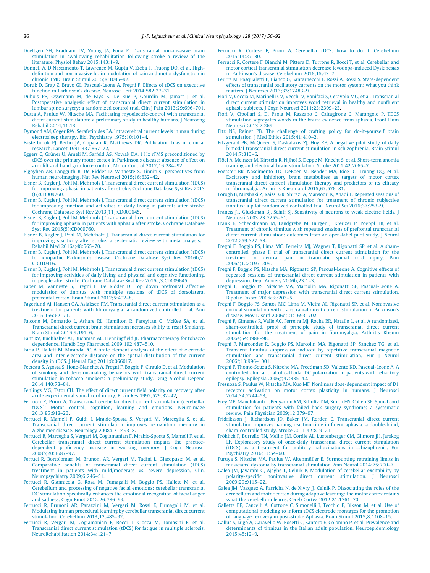- <span id="page-30-0"></span>[Doeltgen SH, Bradnam LV, Young JA, Fong E. Transcranial non-invasive brain](http://refhub.elsevier.com/S1388-2457(16)30634-4/h0625) [stimulation in swallowing rehabilitation following stroke–a review of the](http://refhub.elsevier.com/S1388-2457(16)30634-4/h0625) [literature. Physiol Behav 2015;143:1–9.](http://refhub.elsevier.com/S1388-2457(16)30634-4/h0625)
- [Donnell A, D Nascimento T, Lawrence M, Gupta V, Zieba T, Truong DQ, et al. High](http://refhub.elsevier.com/S1388-2457(16)30634-4/h0630)[definition and non-invasive brain modulation of pain and motor dysfunction in](http://refhub.elsevier.com/S1388-2457(16)30634-4/h0630) [chronic TMD. Brain Stimul 2015;8:1085–92.](http://refhub.elsevier.com/S1388-2457(16)30634-4/h0630)
- [Doruk D, Gray Z, Bravo GL, Pascual-Leone A, Fregni F. Effects of tDCS on executive](http://refhub.elsevier.com/S1388-2457(16)30634-4/h0635) [function in Parkinson's disease. Neurosci Lett 2014;582:27–31.](http://refhub.elsevier.com/S1388-2457(16)30634-4/h0635)
- [Dubois PE, Ossemann M, de Fays K, De Bue P, Gourdin M, Jamart J, et al.](http://refhub.elsevier.com/S1388-2457(16)30634-4/h0640) [Postoperative analgesic effect of transcranial direct current stimulation in](http://refhub.elsevier.com/S1388-2457(16)30634-4/h0640) [lumbar spine surgery: a randomized control trial. Clin J Pain 2013;29:696–701](http://refhub.elsevier.com/S1388-2457(16)30634-4/h0640).
- [Dutta A, Paulus W, Nitsche MA. Facilitating myoelectric-control with transcranial](http://refhub.elsevier.com/S1388-2457(16)30634-4/h0645) [direct current stimulation: a preliminary study in healthy humans. J Neuroeng](http://refhub.elsevier.com/S1388-2457(16)30634-4/h0645) [Rehabil 2014;11:13](http://refhub.elsevier.com/S1388-2457(16)30634-4/h0645).
- [Dymond AM, Coger RW, Serafetinides EA. Intracerebral current levels in man during](http://refhub.elsevier.com/S1388-2457(16)30634-4/h0650) [electrosleep therapy. Biol Psychiatry 1975;10:101–4.](http://refhub.elsevier.com/S1388-2457(16)30634-4/h0650)
- [Easterbrook PJ, Berlin JA, Gopalan R, Matthews DR. Publication bias in clinical](http://refhub.elsevier.com/S1388-2457(16)30634-4/h0655) [research. Lancet 1991;337:867–72.](http://refhub.elsevier.com/S1388-2457(16)30634-4/h0655)
- [Eggers C, Grüner U, Ameli M, Sarfeld AS, Nowak DA. 1 Hz rTMS preconditioned by](http://refhub.elsevier.com/S1388-2457(16)30634-4/h0660) [tDCS over the primary motor cortex in Parkinson's disease: absence of effect on](http://refhub.elsevier.com/S1388-2457(16)30634-4/h0660) [arm lift and hand grip force control. Motor Control 2012;16:284–92.](http://refhub.elsevier.com/S1388-2457(16)30634-4/h0660)
- [Elgoyhen AB, Langguth B, De Ridder D, Vanneste S. Tinnitus: perspectives from](http://refhub.elsevier.com/S1388-2457(16)30634-4/h0665) [human neuroimaging. Nat Rev Neurosci 2015;16:632–42.](http://refhub.elsevier.com/S1388-2457(16)30634-4/h0665)
- [Elsner B, Kugler J, Pohl M, Mehrholz J. Transcranial direct current stimulation \(tDCS\)](http://refhub.elsevier.com/S1388-2457(16)30634-4/h0670) [for improving aphasia in patients after stroke. Cochrane Database Syst Rev 2013](http://refhub.elsevier.com/S1388-2457(16)30634-4/h0670) [\(6\):CD009760](http://refhub.elsevier.com/S1388-2457(16)30634-4/h0670).
- [Elsner B, Kugler J, Pohl M, Mehrholz J. Transcranial direct current stimulation \(tDCS\)](http://refhub.elsevier.com/S1388-2457(16)30634-4/h0675) [for improving function and activities of daily living in patients after stroke.](http://refhub.elsevier.com/S1388-2457(16)30634-4/h0675) [Cochrane Database Syst Rev 2013\(11\):CD009645.](http://refhub.elsevier.com/S1388-2457(16)30634-4/h0675)
- [Elsner B, Kugler J, Pohl M, Mehrholz J. Transcranial direct current stimulation \(tDCS\)](http://refhub.elsevier.com/S1388-2457(16)30634-4/h0680) [for improving aphasia in patients with aphasia after stroke. Cochrane Database](http://refhub.elsevier.com/S1388-2457(16)30634-4/h0680) [Syst Rev 2015\(5\):CD009760.](http://refhub.elsevier.com/S1388-2457(16)30634-4/h0680)
- [Elsner B, Kugler J, Pohl M, Mehrholz J. Transcranial direct current stimulation for](http://refhub.elsevier.com/S1388-2457(16)30634-4/h0685) [improving spasticity after stroke: a systematic review with meta-analysis. J](http://refhub.elsevier.com/S1388-2457(16)30634-4/h0685) [Rehabil Med 2016a;48:565–70.](http://refhub.elsevier.com/S1388-2457(16)30634-4/h0685)
- [Elsner B, Kugler J, Pohl M, Mehrholz J. Transcranial direct current stimulation \(tDCS\)](http://refhub.elsevier.com/S1388-2457(16)30634-4/h0690) [for idiopathic Parkinson's disease. Cochrane Database Syst Rev 2016b;7:](http://refhub.elsevier.com/S1388-2457(16)30634-4/h0690) [CD010916](http://refhub.elsevier.com/S1388-2457(16)30634-4/h0690).
- [Elsner B, Kugler J, Pohl M, Mehrholz J. Transcranial direct current stimulation \(tDCS\)](http://refhub.elsevier.com/S1388-2457(16)30634-4/h0695) [for improving activities of daily living, and physical and cognitive functioning,](http://refhub.elsevier.com/S1388-2457(16)30634-4/h0695) [in people after stroke. Cochrane Database Syst Rev 2016c;3:CD009645.](http://refhub.elsevier.com/S1388-2457(16)30634-4/h0695)
- [Faber M, Vanneste S, Fregni F, De Ridder D. Top down prefrontal affective](http://refhub.elsevier.com/S1388-2457(16)30634-4/h0700) [modulation of tinnitus with multiple sessions of tDCS of dorsolateral](http://refhub.elsevier.com/S1388-2457(16)30634-4/h0700) [prefrontal cortex. Brain Stimul 2012;5:492–8](http://refhub.elsevier.com/S1388-2457(16)30634-4/h0700).
- [Fagerlund AJ, Hansen OA, Aslaksen PM. Transcranial direct current stimulation as a](http://refhub.elsevier.com/S1388-2457(16)30634-4/h0705) [treatment for patients with fibromyalgia: a randomized controlled trial. Pain](http://refhub.elsevier.com/S1388-2457(16)30634-4/h0705) [2015;156:62–71](http://refhub.elsevier.com/S1388-2457(16)30634-4/h0705).
- [Falcone M, Bernardo L, Ashare RL, Hamilton R, Faseyitan O, McKee SA, et al.](http://refhub.elsevier.com/S1388-2457(16)30634-4/h0710) [Transcranial direct current brain stimulation increases sbility to resist Smoking.](http://refhub.elsevier.com/S1388-2457(16)30634-4/h0710) [Brain Stimul 2016;9:191–6](http://refhub.elsevier.com/S1388-2457(16)30634-4/h0710).
- [Fant RV, Buchhalter AL, Buchman AC, Henningfield JE. Pharmacotherapy for tobacco](http://refhub.elsevier.com/S1388-2457(16)30634-4/h0715) [dependence. Handb Exp Pharmacol 2009;192:487–510](http://refhub.elsevier.com/S1388-2457(16)30634-4/h0715).
- [Faria P, Hallett M, Miranda PC. A finite element analysis of the effect of electrode](http://refhub.elsevier.com/S1388-2457(16)30634-4/h0720) [area and inter-electrode distance on the spatial distribution of the current](http://refhub.elsevier.com/S1388-2457(16)30634-4/h0720) [density in tDCS. J Neural Eng 2011;8:066017.](http://refhub.elsevier.com/S1388-2457(16)30634-4/h0720)
- [Fecteau S, Agosta S, Hone-Blanchet A, Fregni F, Boggio P, Ciraulo D, et al. Modulation](http://refhub.elsevier.com/S1388-2457(16)30634-4/h0725) [of smoking and decision-making behaviors with transcranial direct current](http://refhub.elsevier.com/S1388-2457(16)30634-4/h0725) [stimulation in tobacco smokers: a preliminary study. Drug Alcohol Depend](http://refhub.elsevier.com/S1388-2457(16)30634-4/h0725) [2014;140:78–84.](http://refhub.elsevier.com/S1388-2457(16)30634-4/h0725)
- [Fehlings MG, Tator CH. The effect of direct current field polarity on recovery after](http://refhub.elsevier.com/S1388-2457(16)30634-4/h0730) [acute experimental spinal cord injury. Brain Res 1992;579:32–42](http://refhub.elsevier.com/S1388-2457(16)30634-4/h0730).
- [Ferrucci R, Priori A. Transcranial cerebellar direct current stimulation \(cerebellar](http://refhub.elsevier.com/S1388-2457(16)30634-4/h0735) [tDCS\): Motor control, cognition, learning and emotions. NeuroImage](http://refhub.elsevier.com/S1388-2457(16)30634-4/h0735) [2013;85:918–23](http://refhub.elsevier.com/S1388-2457(16)30634-4/h0735).
- [Ferrucci R, Mameli F, Guidi I, Mrakic-Sposta S, Vergari M, Marceglia S, et al.](http://refhub.elsevier.com/S1388-2457(16)30634-4/h0740) [Transcranial direct current stimulation improves recognition memory in](http://refhub.elsevier.com/S1388-2457(16)30634-4/h0740) [Alzheimer disease. Neurology 2008a;71:493–8.](http://refhub.elsevier.com/S1388-2457(16)30634-4/h0740)
- [Ferrucci R, Marceglia S, Vergari M, Cogiamanian F, Mrakic-Sposta S, Mameli F, et al.](http://refhub.elsevier.com/S1388-2457(16)30634-4/h0745) [Cerebellar transcranial direct current stimulation impairs the practice](http://refhub.elsevier.com/S1388-2457(16)30634-4/h0745)[dependent proficiency increase in working memory. J Cogn Neurosci](http://refhub.elsevier.com/S1388-2457(16)30634-4/h0745) [2008b;20:1687–97.](http://refhub.elsevier.com/S1388-2457(16)30634-4/h0745)
- [Ferruci R, Bortolomasi M, Brunoni AR, Vergari M, Tadini L, Giacopuzzi M, et al.](http://refhub.elsevier.com/S1388-2457(16)30634-4/h0750) [Comparative benefits of transcranial direct current stimulation \(tDCS\)](http://refhub.elsevier.com/S1388-2457(16)30634-4/h0750) [treatment in patients with mild/moderate vs. severe depression. Clin.](http://refhub.elsevier.com/S1388-2457(16)30634-4/h0750) [Neuropsychiatry 2009;6:246–51](http://refhub.elsevier.com/S1388-2457(16)30634-4/h0750).
- [Ferrucci R, Giannicola G, Rosa M, Fumagalli M, Boggio PS, Hallett M, et al.](http://refhub.elsevier.com/S1388-2457(16)30634-4/h0755) [Cerebellum and processing of negative facial emotions: cerebellar transcranial](http://refhub.elsevier.com/S1388-2457(16)30634-4/h0755) [DC stimulation specifically enhances the emotional recognition of facial anger](http://refhub.elsevier.com/S1388-2457(16)30634-4/h0755) [and sadness. Cogn Emot 2012;26:786–99.](http://refhub.elsevier.com/S1388-2457(16)30634-4/h0755)
- [Ferrucci R, Brunoni AR, Parazzini M, Vergari M, Rossi E, Fumagalli M, et al.](http://refhub.elsevier.com/S1388-2457(16)30634-4/h0760) [Modulating human procedural learning by cerebellar transcranial direct current](http://refhub.elsevier.com/S1388-2457(16)30634-4/h0760) [stimulation. Cerebellum 2013;12:485–92](http://refhub.elsevier.com/S1388-2457(16)30634-4/h0760).
- [Ferrucci R, Vergari M, Cogiamanian F, Bocci T, Ciocca M, Tomasini E, et al.](http://refhub.elsevier.com/S1388-2457(16)30634-4/h0765) [Transcranial direct current stimulation \(tDCS\) for fatigue in multiple sclerosis.](http://refhub.elsevier.com/S1388-2457(16)30634-4/h0765) [NeuroRehabilitation 2014;34:121–7](http://refhub.elsevier.com/S1388-2457(16)30634-4/h0765).
- [Ferrucci R, Cortese F, Priori A. Cerebellar tDCS: how to do it. Cerebellum](http://refhub.elsevier.com/S1388-2457(16)30634-4/h0770) [2015;14:27–30](http://refhub.elsevier.com/S1388-2457(16)30634-4/h0770).
- [Ferrucci R, Cortese F, Bianchi M, Pittera D, Turrone R, Bocci T, et al. Cerebellar and](http://refhub.elsevier.com/S1388-2457(16)30634-4/h0775) [motor cortical transcranial stimulation decrease levodopa-induced Dyskinesias](http://refhub.elsevier.com/S1388-2457(16)30634-4/h0775) [in Parkinson's disease. Cerebellum 2016;15:43–7](http://refhub.elsevier.com/S1388-2457(16)30634-4/h0775).
- [Feurra M, Pasqualetti P, Bianco G, Santarnecchi E, Rossi A, Rossi S. State-dependent](http://refhub.elsevier.com/S1388-2457(16)30634-4/h0780) [effects of transcranial oscillatory currents on the motor system: what you think](http://refhub.elsevier.com/S1388-2457(16)30634-4/h0780) [matters. J Neurosci 2013;33:17483–9.](http://refhub.elsevier.com/S1388-2457(16)30634-4/h0780)
- [Fiori V, Coccia M, Marinelli CV, Vecchi V, Bonifazi S, Ceravolo MG, et al. Transcranial](http://refhub.elsevier.com/S1388-2457(16)30634-4/h0785) [direct current stimulation improves word retrieval in healthy and nonfluent](http://refhub.elsevier.com/S1388-2457(16)30634-4/h0785) [aphasic subjects. J Cogn Neurosci 2011;23:2309–23](http://refhub.elsevier.com/S1388-2457(16)30634-4/h0785).
- [Fiori V, Cipollari S, Di Paola M, Razzano C, Caltagirone C, Marangolo P. TDCS](http://refhub.elsevier.com/S1388-2457(16)30634-4/h0790) [stimulation segregates words in the brain: evidence from aphasia. Front Hum](http://refhub.elsevier.com/S1388-2457(16)30634-4/h0790) [Neurosci 2013;7:269](http://refhub.elsevier.com/S1388-2457(16)30634-4/h0790).
- [Fitz NS, Reiner PB. The challenge of crafting policy for do-it-yourself brain](http://refhub.elsevier.com/S1388-2457(16)30634-4/h0795) [stimulation. J Med Ethics 2015;41:410–2.](http://refhub.elsevier.com/S1388-2457(16)30634-4/h0795)
- [Fitzgerald PB, McQueen S, Daskalakis ZJ, Hoy KE. A negative pilot study of daily](http://refhub.elsevier.com/S1388-2457(16)30634-4/h0800) [bimodal transcranial direct current stimulation in schizophrenia. Brain Stimul](http://refhub.elsevier.com/S1388-2457(16)30634-4/h0800) [2014;7:813–6](http://refhub.elsevier.com/S1388-2457(16)30634-4/h0800).
- [Flöel A, Meinzer M, Kirstein R, Nijhof S, Deppe M, Knecht S, et al. Short-term anomia](http://refhub.elsevier.com/S1388-2457(16)30634-4/h0805) [training and electrical brain stimulation. Stroke 2011;42:2065–7.](http://refhub.elsevier.com/S1388-2457(16)30634-4/h0805)
- [Foerster BR, Nascimento TD, DeBoer M, Bender MA, Rice IC, Truong DQ, et al.](http://refhub.elsevier.com/S1388-2457(16)30634-4/h0810) [Excitatory and inhibitory brain metabolites as targets of motor cortex](http://refhub.elsevier.com/S1388-2457(16)30634-4/h0810) [transcranial direct current stimulation therapy and predictors of its efficacy](http://refhub.elsevier.com/S1388-2457(16)30634-4/h0810) [in fibromyalgia. Arthritis Rheumatol 2015;67:576–81.](http://refhub.elsevier.com/S1388-2457(16)30634-4/h0810)
- [Forogh B, Mirshaki Z, Raissi GR, Shirazi A, Mansoori K, Ahadi T. Repeated sessions of](http://refhub.elsevier.com/S1388-2457(16)30634-4/h0815) [transcranial direct current stimulation for treatment of chronic subjective](http://refhub.elsevier.com/S1388-2457(16)30634-4/h0815) [tinnitus: a pilot randomized controlled trial. Neurol Sci 2016;37:253–9.](http://refhub.elsevier.com/S1388-2457(16)30634-4/h0815)
- [Francis JT, Gluckman BJ, Schiff SJ. Sensitivity of neurons to weak electric fields. J](http://refhub.elsevier.com/S1388-2457(16)30634-4/h0820) [Neurosci 2003;23:7255–61.](http://refhub.elsevier.com/S1388-2457(16)30634-4/h0820)
- [Frank E, Schecklmann M, Landgrebe M, Burger J, Kreuzer P, Poeppl TB, et al.](http://refhub.elsevier.com/S1388-2457(16)30634-4/h0825) [Treatment of chronic tinnitus with repeated sessions of prefrontal transcranial](http://refhub.elsevier.com/S1388-2457(16)30634-4/h0825) [direct current stimulation: outcomes from an open-label pilot study. J Neurol](http://refhub.elsevier.com/S1388-2457(16)30634-4/h0825) [2012;259:327–33.](http://refhub.elsevier.com/S1388-2457(16)30634-4/h0825)
- [Fregni F, Boggio PS, Lima MC, Ferreira MJ, Wagner T, Rigonatti SP, et al. A sham](http://refhub.elsevier.com/S1388-2457(16)30634-4/h0830)[controlled, phase II trial of transcranial direct current stimulation for the](http://refhub.elsevier.com/S1388-2457(16)30634-4/h0830) [treatment of central pain in traumatic spinal cord injury. Pain](http://refhub.elsevier.com/S1388-2457(16)30634-4/h0830) [2006a;122:197–209.](http://refhub.elsevier.com/S1388-2457(16)30634-4/h0830)
- [Fregni F, Boggio PS, Nitsche MA, Rigonatti SP, Pascual-Leone A. Cognitive effects of](http://refhub.elsevier.com/S1388-2457(16)30634-4/h0835) [repeated sessions of transcranial direct current stimulation in patients with](http://refhub.elsevier.com/S1388-2457(16)30634-4/h0835) [depression. Depr Anxiety 2006b;23:1–3.](http://refhub.elsevier.com/S1388-2457(16)30634-4/h0835)
- [Fregni F, Boggio PS, Nitsche MA, Marcolin MA, Rigonatti SP, Pascual-Leone A.](http://refhub.elsevier.com/S1388-2457(16)30634-4/h0840) [Treatment of major depression with transcranial direct current stimulation.](http://refhub.elsevier.com/S1388-2457(16)30634-4/h0840) [Bipolar Disord 2006c;8:203–5](http://refhub.elsevier.com/S1388-2457(16)30634-4/h0840).
- [Fregni F, Boggio PS, Santos MC, Lima M, Vieira AL, Rigonatti SP, et al. Noninvasive](http://refhub.elsevier.com/S1388-2457(16)30634-4/h0845) [cortical stimulation with transcranial direct current stimulation in Parkinson's](http://refhub.elsevier.com/S1388-2457(16)30634-4/h0845) [disease. Mov Disord 2006d;21:1693–702.](http://refhub.elsevier.com/S1388-2457(16)30634-4/h0845)
- [Fregni F, Gimenes R, Valle AC, Ferreira MJ, Rocha RR, Natalle L, et al. A randomized,](http://refhub.elsevier.com/S1388-2457(16)30634-4/h0850) [sham-controlled, proof of principle study of transcranial direct current](http://refhub.elsevier.com/S1388-2457(16)30634-4/h0850) [stimulation for the treatment of pain in fibromyalgia. Arthritis Rheum](http://refhub.elsevier.com/S1388-2457(16)30634-4/h0850) [2006e;54:3988–98](http://refhub.elsevier.com/S1388-2457(16)30634-4/h0850).
- [Fregni F, Marcondes R, Boggio PS, Marcolin MA, Rigonatti SP, Sanchez TG, et al.](http://refhub.elsevier.com/S1388-2457(16)30634-4/h0855) [Transient tinnitus suppression induced by repetitive transcranial magnetic](http://refhub.elsevier.com/S1388-2457(16)30634-4/h0855) [stimulation and transcranial direct current stimulation. Eur J Neurol](http://refhub.elsevier.com/S1388-2457(16)30634-4/h0855) [2006f;13:996–1001.](http://refhub.elsevier.com/S1388-2457(16)30634-4/h0855)
- [Fregni F, Thome-Souza S, Nitsche MA, Freedman SD, Valente KD, Pascual-Leone A. A](http://refhub.elsevier.com/S1388-2457(16)30634-4/h0860) [controlled clinical trial of cathodal DC polarization in patients with refractory](http://refhub.elsevier.com/S1388-2457(16)30634-4/h0860) [epilepsy. Epilepsia 2006g;47:335–42.](http://refhub.elsevier.com/S1388-2457(16)30634-4/h0860)
- [Fresnoza S, Paulus W, Nitsche MA, Kuo MF. Nonlinear dose-dependent impact of D1](http://refhub.elsevier.com/S1388-2457(16)30634-4/h0865) [receptor activation on motor cortex plasticity in humans. J Neurosci](http://refhub.elsevier.com/S1388-2457(16)30634-4/h0865) [2014;34:2744–53.](http://refhub.elsevier.com/S1388-2457(16)30634-4/h0865)
- [Frey ME, Manchikanti L, Benyamin RM, Schultz DM, Smith HS, Cohen SP. Spinal cord](http://refhub.elsevier.com/S1388-2457(16)30634-4/h0870) [stimulation for patients with failed back surgery syndrome: a systematic](http://refhub.elsevier.com/S1388-2457(16)30634-4/h0870) [review. Pain Physician 2009;12:379–97](http://refhub.elsevier.com/S1388-2457(16)30634-4/h0870).
- [Fridriksson J, Richardson JD, Baker JM, Rorden C. Transcranial direct current](http://refhub.elsevier.com/S1388-2457(16)30634-4/h0875) [stimulation improves naming reaction time in fluent aphasia: a double-blind,](http://refhub.elsevier.com/S1388-2457(16)30634-4/h0875) [sham-controlled study. Stroke 2011;42:819–21.](http://refhub.elsevier.com/S1388-2457(16)30634-4/h0875)
- [Fröhlich F, Burrello TN, Mellin JM, Cordle AL, Lustenberger CM, Gilmore JH, Jarskog](http://refhub.elsevier.com/S1388-2457(16)30634-4/h0880) [LF. Exploratory study of once-daily transcranial direct current stimulation](http://refhub.elsevier.com/S1388-2457(16)30634-4/h0880) [\(tDCS\) as a treatment for auditory hallucinations in schizophrenia. Eur](http://refhub.elsevier.com/S1388-2457(16)30634-4/h0880) [Psychiatry 2016;33:54–60.](http://refhub.elsevier.com/S1388-2457(16)30634-4/h0880)
- [Furuya S, Nitsche MA, Paulus W, Altenmüller E. Surmounting retraining limits in](http://refhub.elsevier.com/S1388-2457(16)30634-4/h0885) [musicians' dystonia by transcranial stimulation. Ann Neurol 2014;75:700–7](http://refhub.elsevier.com/S1388-2457(16)30634-4/h0885).
- [Galea JM, Jayaram G, Ajagbe L, Celnik P. Modulation of cerebellar excitability by](http://refhub.elsevier.com/S1388-2457(16)30634-4/h0890) [polarity-specific noninvasive direct current stimulation. J Neurosci](http://refhub.elsevier.com/S1388-2457(16)30634-4/h0890)  $2009.29.9115 - 22.$
- [Galea JM, Vazquez A, Pasricha N, de Xivry JJ, Celnik P. Dissociating the roles of the](http://refhub.elsevier.com/S1388-2457(16)30634-4/h0895) [cerebellum and motor cortex during adaptive learning: the motor cortex retains](http://refhub.elsevier.com/S1388-2457(16)30634-4/h0895) [what the cerebellum learns. Cereb Cortex 2012;21:1761–70.](http://refhub.elsevier.com/S1388-2457(16)30634-4/h0895)
- [Galletta EE, Cancelli A, Cottone C, Simonelli I, Tecchio F, Bikson M, et al. Use of](http://refhub.elsevier.com/S1388-2457(16)30634-4/h0900) [computational modeling to inform tDCS electrode montages for the promotion](http://refhub.elsevier.com/S1388-2457(16)30634-4/h0900) [of language recovery in post-stroke Aphasia. Brain Stimul 2015;8:1108–15.](http://refhub.elsevier.com/S1388-2457(16)30634-4/h0900)
- [Gallus S, Lugo A, Garavello W, Bosetti C, Santoro E, Colombo P, et al. Prevalence and](http://refhub.elsevier.com/S1388-2457(16)30634-4/h0905) [determinants of tinnitus in the Italian adult population. Neuroepidemiology](http://refhub.elsevier.com/S1388-2457(16)30634-4/h0905) [2015;45:12–9](http://refhub.elsevier.com/S1388-2457(16)30634-4/h0905).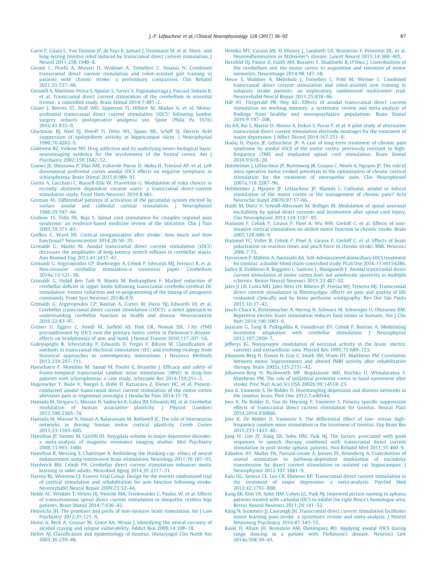- <span id="page-31-0"></span>[Garin P, Gilain C, Van Damme JP, de Fays K, Jamart J, Ossemann M, et al. Short- and](http://refhub.elsevier.com/S1388-2457(16)30634-4/h0910) [long-lasting tinnitus relief induced by transcranial direct current stimulation. J](http://refhub.elsevier.com/S1388-2457(16)30634-4/h0910) [Neurol 2011;258:1940–8](http://refhub.elsevier.com/S1388-2457(16)30634-4/h0910).
- [Geroin C, Picelli A, Munari D, Waldner A, Tomelleri C, Smania N. Combined](http://refhub.elsevier.com/S1388-2457(16)30634-4/h0915) [transcranial direct current stimulation and robot-assisted gait training in](http://refhub.elsevier.com/S1388-2457(16)30634-4/h0915) [patients with chronic stroke: a preliminary comparison. Clin Rehabil](http://refhub.elsevier.com/S1388-2457(16)30634-4/h0915) [2011;25:537–48.](http://refhub.elsevier.com/S1388-2457(16)30634-4/h0915)
- [Gironell A, Martínez-Horta S, Aguilar S, Torres V, Pagonabarraga J, Pascual-Sedano B,](http://refhub.elsevier.com/S1388-2457(16)30634-4/h0920) [et al. Transcranial direct current stimulation of the cerebellum in essential](http://refhub.elsevier.com/S1388-2457(16)30634-4/h0920) [tremor: a controlled study. Brain Stimul 2014;7:491–2.](http://refhub.elsevier.com/S1388-2457(16)30634-4/h0920)
- [Glaser J, Reeves ST, Stoll WD, Epperson TI, Hilbert M, Madan A, et al. Motor/](http://refhub.elsevier.com/S1388-2457(16)30634-4/h0925) [prefrontal transcranial direct current stimulation \(tDCS\) following lumbar](http://refhub.elsevier.com/S1388-2457(16)30634-4/h0925) [surgery reduces postoperative analgesia use. Spine \(Phila Pa 1976\)](http://refhub.elsevier.com/S1388-2457(16)30634-4/h0925) [2016;41:835–9](http://refhub.elsevier.com/S1388-2457(16)30634-4/h0925).
- [Gluckman BJ, Neel EJ, Netoff TI, Ditto WL, Spano ML, Schiff SJ. Electric field](http://refhub.elsevier.com/S1388-2457(16)30634-4/h0930) [suppression of epileptiform activity in hippocampal slices. J Neurophysiol](http://refhub.elsevier.com/S1388-2457(16)30634-4/h0930) [1996;76:4202–5.](http://refhub.elsevier.com/S1388-2457(16)30634-4/h0930)
- [Goldstein RZ, Volkow ND. Drug addiction and its underlying neuro-biological basis:](http://refhub.elsevier.com/S1388-2457(16)30634-4/h0935) [neuroimaging evidence for the involvement of the frontal cortex. Am J](http://refhub.elsevier.com/S1388-2457(16)30634-4/h0935) [Psychiatry 2002;159:1642–52.](http://refhub.elsevier.com/S1388-2457(16)30634-4/h0935)
- [Gomes JS, Shiozawa P, Dias ÁM, Valverde Ducos D, Akiba H, Trevizol AP, et al. Left](http://refhub.elsevier.com/S1388-2457(16)30634-4/h0940) [dorsolateral prefrontal cortex anodal tDCS effects on negative symptoms in](http://refhub.elsevier.com/S1388-2457(16)30634-4/h0940) [schizophrenia. Brain Stimul 2015;8:989–91.](http://refhub.elsevier.com/S1388-2457(16)30634-4/h0940)
- [Gorini A, Lucchiari C, Russell-Edu W, Pravettoni G. Modulation of risky choices in](http://refhub.elsevier.com/S1388-2457(16)30634-4/h0945) [recently abstinent dependent cocaine users: a transcranial direct-current](http://refhub.elsevier.com/S1388-2457(16)30634-4/h0945) [stimulation study. Front Hum Neurosci 2014;8:661](http://refhub.elsevier.com/S1388-2457(16)30634-4/h0945).
- [Gorman AL. Differential patterns of activation of the pyramidal system elicited by](http://refhub.elsevier.com/S1388-2457(16)30634-4/h0950) surface anodal and cathodal cortical stimulation. I Neurophysiol [1966;29:547–64.](http://refhub.elsevier.com/S1388-2457(16)30634-4/h0950)
- [Grabow TS, Tella PK, Raja S. Spinal cord stimulation for complex regional pain](http://refhub.elsevier.com/S1388-2457(16)30634-4/h0955) [syndrome: an evidence-based medicine review of the literature. Clin J Pain](http://refhub.elsevier.com/S1388-2457(16)30634-4/h0955) [2003;19:371–83.](http://refhub.elsevier.com/S1388-2457(16)30634-4/h0955)
- [Grefkes C, Ward NS. Cortical reorganization after stroke: how much and how](http://refhub.elsevier.com/S1388-2457(16)30634-4/h0960) [functional? Neuroscientist 2014;20:56–70](http://refhub.elsevier.com/S1388-2457(16)30634-4/h0960).
- [Grimaldi G, Manto M. Anodal transcranial direct current stimulation \(tDCS\)](http://refhub.elsevier.com/S1388-2457(16)30634-4/h0965) [decreases the amplitudes of long-latency stretch reflexes in cerebellar ataxia.](http://refhub.elsevier.com/S1388-2457(16)30634-4/h0965) [Ann Biomed Eng 2013;41:2437–47](http://refhub.elsevier.com/S1388-2457(16)30634-4/h0965).
- [Grimaldi G, Argyropoulos GP, Boehringer A, Celnik P, Edwards MJ, Ferrucci R, et al.](http://refhub.elsevier.com/S1388-2457(16)30634-4/h0970) [Non-invasive cerebellar stimulation-a consensus paper. Cerebellum](http://refhub.elsevier.com/S1388-2457(16)30634-4/h0970) [2014a;13:121–38](http://refhub.elsevier.com/S1388-2457(16)30634-4/h0970).
- [Grimaldi G, Oulad Ben Taib N, Manto M, Bodranghien F. Marked reduction of](http://refhub.elsevier.com/S1388-2457(16)30634-4/h0975) [cerebellar deficits in upper limbs following transcranial cerebello-cerebral DC](http://refhub.elsevier.com/S1388-2457(16)30634-4/h0975) [stimulation: tremor reduction and re-programming of the timing of antagonist](http://refhub.elsevier.com/S1388-2457(16)30634-4/h0975) [commands. Front Syst Neurosci 2014b;8:9](http://refhub.elsevier.com/S1388-2457(16)30634-4/h0975).
- [Grimaldi G, Argyropoulos GP, Bastian A, Cortes M, Davis NJ, Edwards DJ, et al.](http://refhub.elsevier.com/S1388-2457(16)30634-4/h0980) [Cerebellar transcranial direct current stimulation \(ctDCS\): a novel approach to](http://refhub.elsevier.com/S1388-2457(16)30634-4/h0980) [understanding cerebellar function in health and disease. Neuroscientist](http://refhub.elsevier.com/S1388-2457(16)30634-4/h0980) [2016;22:83–97](http://refhub.elsevier.com/S1388-2457(16)30634-4/h0980).
- [Grüner U, Eggers C, Ameli M, Sarfeld AS, Fink GR, Nowak DA. 1 Hz rTMS](http://refhub.elsevier.com/S1388-2457(16)30634-4/h0985) [preconditioned by tDCS over the primary motor cortex in Parkinson's disease:](http://refhub.elsevier.com/S1388-2457(16)30634-4/h0985) [effects on bradykinesia of arm and hand. J Neural Transm 2010;117:207–16.](http://refhub.elsevier.com/S1388-2457(16)30634-4/h0985)
- [Guleyupoglu B, Schestatsky P, Edwards D, Fregni F, Bikson M. Classification of](http://refhub.elsevier.com/S1388-2457(16)30634-4/h0990) [methods in transcranial electrical stimulation \(tES\) and evolving strategy from](http://refhub.elsevier.com/S1388-2457(16)30634-4/h0990) [historical approaches to contemporary innovations. J Neurosci Methods](http://refhub.elsevier.com/S1388-2457(16)30634-4/h0990) [2013;219:297–311](http://refhub.elsevier.com/S1388-2457(16)30634-4/h0990).
- [Haesebaert F, Mondino M, Saoud M, Poulet E, Brunelin J. Efficacy and safety of](http://refhub.elsevier.com/S1388-2457(16)30634-4/h0995) [fronto-temporal transcranial random noise stimulation \(tRNS\) in drug-free](http://refhub.elsevier.com/S1388-2457(16)30634-4/h0995) [patients with schizophrenia: a case study. Schizophr Res 2014;159:251–2.](http://refhub.elsevier.com/S1388-2457(16)30634-4/h0995)
- [Hagenacker T, Bude V, Naegel S, Holle D, Katsarava Z, Diener HC, et al. Patient](http://refhub.elsevier.com/S1388-2457(16)30634-4/h1000)[conducted anodal transcranial direct current stimulation of the motor cortex](http://refhub.elsevier.com/S1388-2457(16)30634-4/h1000) [alleviates pain in trigeminal neuralgia. J Headache Pain 2014;15:78](http://refhub.elsevier.com/S1388-2457(16)30634-4/h1000).
- [Hamada M, Strigaro G, Murase N, Sadnicka A, Galea JM, Edwards MJ, et al. Cerebellar](http://refhub.elsevier.com/S1388-2457(16)30634-4/h1005) [modulation of human associative plasticity. J Physiol \(London\)](http://refhub.elsevier.com/S1388-2457(16)30634-4/h1005) [2012;590:2365–74](http://refhub.elsevier.com/S1388-2457(16)30634-4/h1005).
- [Hamada M, Murase N, Hasan A, Balaratnam M, Rothwell JC. The role of interneuron](http://refhub.elsevier.com/S1388-2457(16)30634-4/h1010) [networks in driving human motor cortical plasticity. Cereb Cortex](http://refhub.elsevier.com/S1388-2457(16)30634-4/h1010) [2013;23:1593–605](http://refhub.elsevier.com/S1388-2457(16)30634-4/h1010).
- [Hamilton JP, Siemer M, Gottlib IH. Amygdala volume in major depressive disorder:](http://refhub.elsevier.com/S1388-2457(16)30634-4/h1015) [a meta-analysis of magnetic resonance imaging studies. Mol Psychiatry](http://refhub.elsevier.com/S1388-2457(16)30634-4/h1015) [2008;13:993–1000](http://refhub.elsevier.com/S1388-2457(16)30634-4/h1015).
- [Hamilton R, Messing S, Chatterjee A. Rethinking the thinking cap: ethics of neural](http://refhub.elsevier.com/S1388-2457(16)30634-4/h1020) [enhancement using noninvasive brain stimulation. Neurology 2011;76:187–93](http://refhub.elsevier.com/S1388-2457(16)30634-4/h1020).
- [Hardwick RM, Celnik PA. Cerebellar direct current stimulation enhances motor](http://refhub.elsevier.com/S1388-2457(16)30634-4/h1025) [learning in older adults. Neurobiol Aging 2014;35:2217–21](http://refhub.elsevier.com/S1388-2457(16)30634-4/h1025).
- [Harvey RL, Winstein CJ. Everest Trial Group. Design for the everest randomized trial](http://refhub.elsevier.com/S1388-2457(16)30634-4/h1030) [of cortical stimulation and rehabilitation for arm function following stroke.](http://refhub.elsevier.com/S1388-2457(16)30634-4/h1030) [Neurorehabil Neural Repair 2009;23:32–44.](http://refhub.elsevier.com/S1388-2457(16)30634-4/h1030)
- [Heide AC, Winkler T, Helms HJ, Nitsche MA, Trenkwalder C, Paulus W, et al. Effects](http://refhub.elsevier.com/S1388-2457(16)30634-4/h1035) [of transcutaneous spinal direct current stimulation in idiopathic restless legs](http://refhub.elsevier.com/S1388-2457(16)30634-4/h1035) [patients. Brain Stimul 2014;7:636–42](http://refhub.elsevier.com/S1388-2457(16)30634-4/h1035).
- [Heinrichs JH. The promises and perils of non-invasive brain stimulation. Int J Law](http://refhub.elsevier.com/S1388-2457(16)30634-4/h1040) [Psychiatry 2012;35:121–9.](http://refhub.elsevier.com/S1388-2457(16)30634-4/h1040)
- [Heinz A, Beck A, Grusser M, Grace AA, Wrase J. Identifying the neural circuitry of](http://refhub.elsevier.com/S1388-2457(16)30634-4/h1045) [alcohol craving and relapse vulnerability. Addict Biol 2009;14:108–18](http://refhub.elsevier.com/S1388-2457(16)30634-4/h1045).
- [Heller AJ. Classification and epidemiology of tinnitus. Otolaryngol Clin North Am](http://refhub.elsevier.com/S1388-2457(16)30634-4/h1050) [2003;36:239–48.](http://refhub.elsevier.com/S1388-2457(16)30634-4/h1050)
- [Heneka MT, Carson MJ, El Khoury J, Landreth GE, Brosseron F, Feinstein DL, et al.](http://refhub.elsevier.com/S1388-2457(16)30634-4/h1055) [Neuroinflammation in Alzheimer's disease. Lancet Neurol 2015;14:388–405.](http://refhub.elsevier.com/S1388-2457(16)30634-4/h1055)
- [Herzfeld DJ, Pastor D, Haith AM, Rossetti Y, Shadmehr R, O'Shea J. Contributions of](http://refhub.elsevier.com/S1388-2457(16)30634-4/h1060) [the cerebellum and the motor cortex to acquisition and retention of motor](http://refhub.elsevier.com/S1388-2457(16)30634-4/h1060) [memories. NeuroImage 2014;98:147–58.](http://refhub.elsevier.com/S1388-2457(16)30634-4/h1060)
- [Hesse S, Waldner A, Mehrholz J, Tomelleri C, Pohl M, Werner C. Combined](http://refhub.elsevier.com/S1388-2457(16)30634-4/h1065) [transcranial direct current stimulation and robot-assisted arm training in](http://refhub.elsevier.com/S1388-2457(16)30634-4/h1065) [subacute stroke patients: an exploratory, randomized multicenter trial.](http://refhub.elsevier.com/S1388-2457(16)30634-4/h1065) [Neurorehabil Neural Repair 2011;25:838–46.](http://refhub.elsevier.com/S1388-2457(16)30634-4/h1065)
- [Hill AT, Fitzgerald PB, Hoy KE. Effects of anodal transcranial direct current](http://refhub.elsevier.com/S1388-2457(16)30634-4/h1070) [stimulation on working memory: a systematic review and meta-analysis of](http://refhub.elsevier.com/S1388-2457(16)30634-4/h1070) [findings from healthy and neuropsychiatric populations. Brain Stimul](http://refhub.elsevier.com/S1388-2457(16)30634-4/h1070) [2016;9:197–208.](http://refhub.elsevier.com/S1388-2457(16)30634-4/h1070)
- [Ho KA, Bai S, Martin D, Alonzo A, Dokos S, Puras P, et al. A pilot study of alternative](http://refhub.elsevier.com/S1388-2457(16)30634-4/h1075) [transcranial direct current stimulation electrode montages for the treatment of](http://refhub.elsevier.com/S1388-2457(16)30634-4/h1075) [major depression. J Affect Disord 2014;167:251–8](http://refhub.elsevier.com/S1388-2457(16)30634-4/h1075).
- [Hodaj H, Payen JF, Lefaucheur JP. A case of long-term treatment of chronic pain](http://refhub.elsevier.com/S1388-2457(16)30634-4/h1080) [syndrome by anodal tDCS of the motor cortex, previously resistant to high](http://refhub.elsevier.com/S1388-2457(16)30634-4/h1080)[frequency rTMS and implanted spinal cord stimulation. Brain Stimul](http://refhub.elsevier.com/S1388-2457(16)30634-4/h1080) [2016;9:618–20.](http://refhub.elsevier.com/S1388-2457(16)30634-4/h1080)
- [Holsheimer J, Lefaucheur JP, Buitenweg JR, Goujon C, Nineb A, Nguyen JP. The role of](http://refhub.elsevier.com/S1388-2457(16)30634-4/h1085) [intra-operative motor evoked potentials in the optimization of chronic cortical](http://refhub.elsevier.com/S1388-2457(16)30634-4/h1085) [stimulation for the treatment of neuropathic pain. Clin Neurophysiol](http://refhub.elsevier.com/S1388-2457(16)30634-4/h1085) [2007a;118:2287–96.](http://refhub.elsevier.com/S1388-2457(16)30634-4/h1085)
- [Holsheimer J, Nguyen JP, Lefaucheur JP, Manola L. Cathodal, anodal or bifocal](http://refhub.elsevier.com/S1388-2457(16)30634-4/h1090) [stimulation of the motor cortex in the management of chronic pain? Acta](http://refhub.elsevier.com/S1388-2457(16)30634-4/h1090) [Neurochir Suppl 2007b;97:57–66](http://refhub.elsevier.com/S1388-2457(16)30634-4/h1090).
- [Hubli M, Dietz V, Schrafl-Altermatt M, Bolliger M. Modulation of spinal neuronal](http://refhub.elsevier.com/S1388-2457(16)30634-4/h1095) [excitability by spinal direct currents and locomotion after spinal cord injury.](http://refhub.elsevier.com/S1388-2457(16)30634-4/h1095) [Clin Neurophysiol 2013;124:1187–95](http://refhub.elsevier.com/S1388-2457(16)30634-4/h1095).
- [Hummel F, Celnik P, Giraux P, Floel A, Wu WH, Gerloff C, et al. Effects of non](http://refhub.elsevier.com/S1388-2457(16)30634-4/h1100)[invasive cortical stimulation on skilled motor function in chronic stroke. Brain](http://refhub.elsevier.com/S1388-2457(16)30634-4/h1100) [2005;128:490–9.](http://refhub.elsevier.com/S1388-2457(16)30634-4/h1100)
- [Hummel FC, Voller B, Celnik P, Floel A, Giraux P, Gerloff C, et al. Effects of brain](http://refhub.elsevier.com/S1388-2457(16)30634-4/h1105) [polarization on reaction times and pinch force in chronic stroke. BMC Neurosci](http://refhub.elsevier.com/S1388-2457(16)30634-4/h1105) [2006;7:73.](http://refhub.elsevier.com/S1388-2457(16)30634-4/h1105)
- [Hyvärinen P, Mäkitie A, Aarnisalo AA. Self-Administered domiciliary tDCS treatment](http://refhub.elsevier.com/S1388-2457(16)30634-4/h1110) [for tinnitus: a double-blind sham-controlled study. PLoS One 2016;11:e0154286.](http://refhub.elsevier.com/S1388-2457(16)30634-4/h1110)
- [Iodice R, Dubbioso R, Ruggiero L, Santoro L, Manganelli F. Anodal transcranial direct](http://refhub.elsevier.com/S1388-2457(16)30634-4/h1115) [current stimulation of motor cortex does not ameliorate spasticity in multiple](http://refhub.elsevier.com/S1388-2457(16)30634-4/h1115) [sclerosis. Restor Neurol Neurosci 2015;33:487–92.](http://refhub.elsevier.com/S1388-2457(16)30634-4/h1115)
- [Jales Jr LH, Costa MD, Jales Neto LH, Ribeiro JP, Freitas WJ, Teixeira MJ. Transcranial](http://refhub.elsevier.com/S1388-2457(16)30634-4/h1120) [direct current stimulation in fibromyalgia: effects on pain and quality of life](http://refhub.elsevier.com/S1388-2457(16)30634-4/h1120) [evaluated clinically and by brain perfusion scintigraphy. Rev Dor São Paulo](http://refhub.elsevier.com/S1388-2457(16)30634-4/h1120) [2015;16:37–42](http://refhub.elsevier.com/S1388-2457(16)30634-4/h1120).
- [Jauch-Chara K, Kistenmacher A, Herzog N, Schwarz M, Schweiger U, Oltmanns KM.](http://refhub.elsevier.com/S1388-2457(16)30634-4/h1125) [Repetitive electric brain stimulation reduces food intake in humans. Am J Clin](http://refhub.elsevier.com/S1388-2457(16)30634-4/h1125) [Nutr 2014;100:1003–9](http://refhub.elsevier.com/S1388-2457(16)30634-4/h1125).
- [Jayaram G, Tang B, Pallegadda R, Vasudevan EV, Celnik P, Bastian A. Modulating](http://refhub.elsevier.com/S1388-2457(16)30634-4/h1130) locomotor adaptation with cerebellar stimulation. I Neurophysiol [2012;107:2950–7.](http://refhub.elsevier.com/S1388-2457(16)30634-4/h1130)
- [Jefferys JG. Nonsynaptic modulation of neuronal activity in the brain: electric](http://refhub.elsevier.com/S1388-2457(16)30634-4/h1135) [currents and extracellular ions. Physiol Rev 1995;75:689–723.](http://refhub.elsevier.com/S1388-2457(16)30634-4/h1135)
- [Johansen-Berg H, Dawes H, Guy C, Smith SM, Wade DT, Matthews PM. Correlation](http://refhub.elsevier.com/S1388-2457(16)30634-4/h1140) [between motor improvements and altered fMRI activity after rehabilitative](http://refhub.elsevier.com/S1388-2457(16)30634-4/h1140) [therapy. Brain 2002a;125:2731–42.](http://refhub.elsevier.com/S1388-2457(16)30634-4/h1140)
- [Johansen-Berg H, Rushworth MF, Bogdanovic MD, Kischka U, Wimalaratna S,](http://refhub.elsevier.com/S1388-2457(16)30634-4/h1145) [Matthews PM. The role of ipsilateral premotor cortex in hand movement after](http://refhub.elsevier.com/S1388-2457(16)30634-4/h1145) [stroke. Proc Natl Acad Sci USA 2002b;99:14518–23.](http://refhub.elsevier.com/S1388-2457(16)30634-4/h1145)
- [Joos K, Vanneste S, De Ridder D. Disentangling depression and distress networks in](http://refhub.elsevier.com/S1388-2457(16)30634-4/h1150) [the tinnitus brain. PloS One 2012;7:e40544.](http://refhub.elsevier.com/S1388-2457(16)30634-4/h1150)
- [Joos K, De Ridder D, Van de Heyning P, Vanneste S. Polarity specific suppression](http://refhub.elsevier.com/S1388-2457(16)30634-4/h1155) [effects of transcranial direct current stimulation for tinnitus. Neural Plast](http://refhub.elsevier.com/S1388-2457(16)30634-4/h1155) [2014;2014:930860](http://refhub.elsevier.com/S1388-2457(16)30634-4/h1155).
- [Joos K, De Ridder D, Vanneste S. The differential effect of low- versus high](http://refhub.elsevier.com/S1388-2457(16)30634-4/h1160)[frequency random noise stimulation in the treatment of tinnitus. Exp Brain Res](http://refhub.elsevier.com/S1388-2457(16)30634-4/h1160) [2015;233:1433–40](http://refhub.elsevier.com/S1388-2457(16)30634-4/h1160).
- [Jung IY, Lim JY, Kang EK, Sohn HM, Paik NJ. The factors associated with good](http://refhub.elsevier.com/S1388-2457(16)30634-4/h1165) [responses to speech therapy combined with transcranial direct current](http://refhub.elsevier.com/S1388-2457(16)30634-4/h1165) [stimulation in post-stroke aphasic patients. Ann Rehabil Med 2011;35:460–9](http://refhub.elsevier.com/S1388-2457(16)30634-4/h1165).
- [Kabakov AY, Muller PA, Pascual-Leone A, Jensen FE, Rotenberg A. Contribution of](http://refhub.elsevier.com/S1388-2457(16)30634-4/h1170) [axonal orientation to pathway-dependent modulation of excitatory](http://refhub.elsevier.com/S1388-2457(16)30634-4/h1170) [transmission by direct current stimulation in isolated rat hippocampus. J](http://refhub.elsevier.com/S1388-2457(16)30634-4/h1170) [Neurophysiol 2012;107:1881–9](http://refhub.elsevier.com/S1388-2457(16)30634-4/h1170).
- [Kalu UG, Sexton CE, Loo CK, Ebmeier KP. Transcranial direct current stimulation in](http://refhub.elsevier.com/S1388-2457(16)30634-4/h1175) [the treatment of major depression: a meta-analysis. Psychol Med](http://refhub.elsevier.com/S1388-2457(16)30634-4/h1175) [2012;42:1791–800](http://refhub.elsevier.com/S1388-2457(16)30634-4/h1175).
- [Kang EK, Kim YK, Sohn HM, Cohen LG, Paik NJ. Improved picture naming in aphasia](http://refhub.elsevier.com/S1388-2457(16)30634-4/h1180) [patients treated with cathodal tDCS to inhibit the right Broca's homologue area.](http://refhub.elsevier.com/S1388-2457(16)30634-4/h1180) [Restor Neurol Neurosci 2011;29:141–52.](http://refhub.elsevier.com/S1388-2457(16)30634-4/h1180)
- [Kang N, Summers JJ, Cauraugh JH. Transcranial direct current stimulation facilitates](http://refhub.elsevier.com/S1388-2457(16)30634-4/h1185) [motor learning post-stroke: a systematic review and meta-analysis. J Neurol](http://refhub.elsevier.com/S1388-2457(16)30634-4/h1185) [Neurosurg Psychiatry 2016;87:345–55](http://refhub.elsevier.com/S1388-2457(16)30634-4/h1185).
- [Kaski D, Allum JH, Bronstein AM, Dominguez RO. Applying anodal tDCS during](http://refhub.elsevier.com/S1388-2457(16)30634-4/h1190) [tango dancing in a patient with Parkinson's disease. Neurosci Lett](http://refhub.elsevier.com/S1388-2457(16)30634-4/h1190) [2014a;568:39–43](http://refhub.elsevier.com/S1388-2457(16)30634-4/h1190).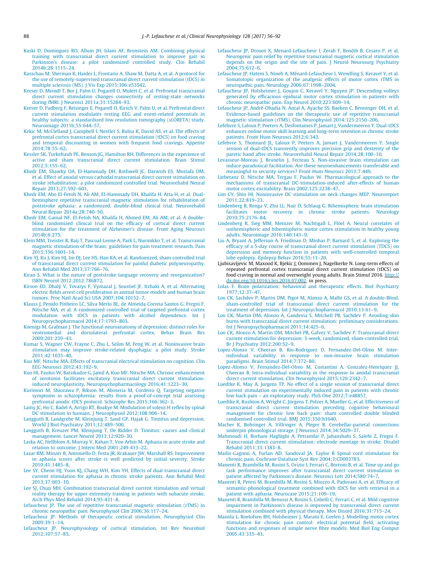- <span id="page-32-0"></span>[Kaski D, Dominguez RO, Allum JH, Islam AF, Bronstein AM. Combining physical](http://refhub.elsevier.com/S1388-2457(16)30634-4/h1195) [training with transcranial direct current stimulation to improve gait in](http://refhub.elsevier.com/S1388-2457(16)30634-4/h1195) [Parkinson's disease: a pilot randomized controlled study. Clin Rehabil](http://refhub.elsevier.com/S1388-2457(16)30634-4/h1195) [2014b;28:1115–24.](http://refhub.elsevier.com/S1388-2457(16)30634-4/h1195)
- [Kasschau M, Sherman K, Haider L, Frontario A, Shaw M, Datta A, et al. A protocol for](http://refhub.elsevier.com/S1388-2457(16)30634-4/h1200) [the use of remotely-supervised transcranial direct current stimulation \(tDCS\) in](http://refhub.elsevier.com/S1388-2457(16)30634-4/h1200) [multiple sclerosis \(MS\). J Vis Exp 2015;106:e53542.](http://refhub.elsevier.com/S1388-2457(16)30634-4/h1200)
- [Keeser D, Meindl T, Bor J, Palm U, Pogarell O, Mulert C, et al. Prefrontal transcranial](http://refhub.elsevier.com/S1388-2457(16)30634-4/h1205) [direct current stimulation changes connectivity of resting-state networks](http://refhub.elsevier.com/S1388-2457(16)30634-4/h1205) [during fMRI. J Neurosci 2011a;31:15284–93](http://refhub.elsevier.com/S1388-2457(16)30634-4/h1205).
- [Keeser D, Padberg F, Reisinger E, Pogarell O, Kirsch V, Palm U, et al. Prefrontal direct](http://refhub.elsevier.com/S1388-2457(16)30634-4/h1210) [current stimulation modulates resting EEG and event-related potentials in](http://refhub.elsevier.com/S1388-2457(16)30634-4/h1210) [healthy subjects: a standardized low resolution tomography \(sLORETA\) study.](http://refhub.elsevier.com/S1388-2457(16)30634-4/h1210) [Neuroimage 2011b;55:644–57.](http://refhub.elsevier.com/S1388-2457(16)30634-4/h1210)
- [Kekic M, McClelland J, Campbell I, Nestler S, Rubia K, David AS, et al. The effects of](http://refhub.elsevier.com/S1388-2457(16)30634-4/h1215) [prefrontal cortex transcranial direct current stimulation \(tDCS\) on food craving](http://refhub.elsevier.com/S1388-2457(16)30634-4/h1215) [and temporal discounting in women with frequent food cravings. Appetite](http://refhub.elsevier.com/S1388-2457(16)30634-4/h1215)  $2014.78.55 - 62$
- [Kessler SK, Turkeltaub PE, Benson JG, Hamilton RH. Differences in the experience of](http://refhub.elsevier.com/S1388-2457(16)30634-4/h1220) [active and sham transcranial direct current stimulation. Brain Stimul](http://refhub.elsevier.com/S1388-2457(16)30634-4/h1220) [2012;5:155–62](http://refhub.elsevier.com/S1388-2457(16)30634-4/h1220).
- [Khedr EM, Shawky OA, El-Hammady DH, Rothwell JC, Darwish ES, Mostafa OM,](http://refhub.elsevier.com/S1388-2457(16)30634-4/h1225) [et al. Effect of anodal versus cathodal transcranial direct current stimulation on](http://refhub.elsevier.com/S1388-2457(16)30634-4/h1225) [stroke rehabilitation: a pilot randomized controlled trial. Neurorehabil Neural](http://refhub.elsevier.com/S1388-2457(16)30634-4/h1225) [Repair 2013;27:592–601](http://refhub.elsevier.com/S1388-2457(16)30634-4/h1225).
- [Khedr EM, Abo El-Fetoh N, Ali AM, El-Hammady DH, Khalifa H, Atta H, et al. Dual](http://refhub.elsevier.com/S1388-2457(16)30634-4/h1230)[hemisphere repetitive transcranial magnetic stimulation for rehabilitation of](http://refhub.elsevier.com/S1388-2457(16)30634-4/h1230) [poststroke aphasia: a randomized, double-blind clinical trial. Neurorehabil](http://refhub.elsevier.com/S1388-2457(16)30634-4/h1230) [Neural Repair 2014a;28:740–50](http://refhub.elsevier.com/S1388-2457(16)30634-4/h1230).
- [Khedr EM, Gamal NF, El-Fetoh NA, Khalifa H, Ahmed EM, Ali AM, et al. A double](http://refhub.elsevier.com/S1388-2457(16)30634-4/h1235)[blind randomized clinical trial on the efficacy of cortical direct current](http://refhub.elsevier.com/S1388-2457(16)30634-4/h1235) [stimulation for the treatment of Alzheimer's disease. Front Aging Neurosci](http://refhub.elsevier.com/S1388-2457(16)30634-4/h1235) [2014b;6:275.](http://refhub.elsevier.com/S1388-2457(16)30634-4/h1235)
- [Klein MM, Treister R, Raij T, Pascual-Leone A, Park L, Nurmikko T, et al. Transcranial](http://refhub.elsevier.com/S1388-2457(16)30634-4/h1240) [magnetic stimulation of the brain: guidelines for pain treatment research. Pain](http://refhub.elsevier.com/S1388-2457(16)30634-4/h1240) [2015;156:1601–14.](http://refhub.elsevier.com/S1388-2457(16)30634-4/h1240)
- [Kim YJ, Ku J, Kim HJ, Im DJ, Lee HS, Han KA, et al. Randomized, sham controlled trial](http://refhub.elsevier.com/S1388-2457(16)30634-4/h1245) [of transcranial direct current stimulation for painful diabetic polyneuropathy.](http://refhub.elsevier.com/S1388-2457(16)30634-4/h1245) [Ann Rehabil Med 2013;37:766–76.](http://refhub.elsevier.com/S1388-2457(16)30634-4/h1245)
- [Kiran S. What is the nature of poststroke language recovery and reorganization?](http://refhub.elsevier.com/S1388-2457(16)30634-4/h1250) [ISRN Neurol 2012;2012:786872.](http://refhub.elsevier.com/S1388-2457(16)30634-4/h1250)
- Kirson ED, Dbalý [V, Tovarys F, Vymazal J, Soustiel JF, Itzhaki A, et al. Alternating](http://refhub.elsevier.com/S1388-2457(16)30634-4/h1255) [electric fields arrest cell proliferation in animal tumor models and human brain](http://refhub.elsevier.com/S1388-2457(16)30634-4/h1255) [tumors. Proc Natl Acad Sci USA 2007;104:10152–7](http://refhub.elsevier.com/S1388-2457(16)30634-4/h1255).
- [Klauss J, Penido Pinheiro LC, Silva Merlo BL, de Almeida Correia Santos G, Fregni F,](http://refhub.elsevier.com/S1388-2457(16)30634-4/h1260) [Nitsche MA, et al. A randomized controlled trial of targeted prefrontal cortex](http://refhub.elsevier.com/S1388-2457(16)30634-4/h1260) [modulation with tDCS in patients with alcohol dependence. Int J](http://refhub.elsevier.com/S1388-2457(16)30634-4/h1260) [Neuropsychopharmacol 2014;17:1793–803.](http://refhub.elsevier.com/S1388-2457(16)30634-4/h1260)
- [Koenigs M, Grafman J. The functional neuroanatomy of depression: distinct roles for](http://refhub.elsevier.com/S1388-2457(16)30634-4/h1265) [ventromedial and dorsolateral prefrontal cortex. Behav Brain Res](http://refhub.elsevier.com/S1388-2457(16)30634-4/h1265) [2009;201:239–43.](http://refhub.elsevier.com/S1388-2457(16)30634-4/h1265)
- [Kumar S, Wagner CW, Frayne C, Zhu L, Selim M, Feng W, et al. Noninvasive brain](http://refhub.elsevier.com/S1388-2457(16)30634-4/h1270) [stimulation may improve stroke-related dysphagia: a pilot study. Stroke](http://refhub.elsevier.com/S1388-2457(16)30634-4/h1270) [2011;42:1035–40.](http://refhub.elsevier.com/S1388-2457(16)30634-4/h1270)
- [Kuo MF, Nitsche MA. Effects of transcranial electrical stimulation on cognition. Clin](http://refhub.elsevier.com/S1388-2457(16)30634-4/h1275) [EEG Neurosci 2012;43:192–9](http://refhub.elsevier.com/S1388-2457(16)30634-4/h1275).
- [Kuo HI, Paulus W, Batsikadze G, Jamil A, Kuo MF, Nitsche MA. Chronic enhancement](http://refhub.elsevier.com/S1388-2457(16)30634-4/h1280) [of serotonin facilitates excitatory transcranial direct current stimulation](http://refhub.elsevier.com/S1388-2457(16)30634-4/h1280)[induced neuroplasticity. Neuropsychopharmacology 2016;41:1223–30](http://refhub.elsevier.com/S1388-2457(16)30634-4/h1280).
- [Kurimori M, Shiozawa P, Bikson M, Aboseria M, Cordeiro Q. Targeting negative](http://refhub.elsevier.com/S1388-2457(16)30634-4/h1285) [symptoms in schizophrenia: results from a proof-of-concept trial assessing](http://refhub.elsevier.com/S1388-2457(16)30634-4/h1285) [prefrontal anodic tDCS protocol. Schizophr Res 2015;166:362–3.](http://refhub.elsevier.com/S1388-2457(16)30634-4/h1285)
- [Lamy JC, Ho C, Badel A, Arrigo RT, Boakye M. Modulation of soleus H reflex by spinal](http://refhub.elsevier.com/S1388-2457(16)30634-4/h1290) [DC stimulation in humans. J Neurophysiol 2012;108:906–14](http://refhub.elsevier.com/S1388-2457(16)30634-4/h1290).
- [Langguth B, Landgrebe M, Kleinjung T, Sand GP, Hajak G. Tinnitus and depression.](http://refhub.elsevier.com/S1388-2457(16)30634-4/h1295) [World J Biol Psychiatry 2011;12:489–500](http://refhub.elsevier.com/S1388-2457(16)30634-4/h1295).
- [Langguth B, Kreuzer PM, Kleinjung T, De Ridder D. Tinnitus: causes and clinical](http://refhub.elsevier.com/S1388-2457(16)30634-4/h1300) [management. Lancet Neurol 2013;12:920–30.](http://refhub.elsevier.com/S1388-2457(16)30634-4/h1300)
- [Laska AC, Hellblom A, Murray V, Kahan T, Von Arbin M. Aphasia in acute stroke and](http://refhub.elsevier.com/S1388-2457(16)30634-4/h1305) [relation to outcome. J Intern Med 2001;249:413–22](http://refhub.elsevier.com/S1388-2457(16)30634-4/h1305).
- [Lazar RM, Minzer B, Antoniello D, Festa JR, Krakauer JW, Marshall RS. Improvement](http://refhub.elsevier.com/S1388-2457(16)30634-4/h1310) [in aphasia scores after stroke is well predicted by initial severity. Stroke](http://refhub.elsevier.com/S1388-2457(16)30634-4/h1310) [2010;41:1485–8.](http://refhub.elsevier.com/S1388-2457(16)30634-4/h1310)
- [Lee SY, Cheon HJ, Yoon KJ, Chang WH, Kim YH. Effects of dual transcranial direct](http://refhub.elsevier.com/S1388-2457(16)30634-4/h1315) [current stimulation for aphasia in chronic stroke patients. Ann Rehabil Med](http://refhub.elsevier.com/S1388-2457(16)30634-4/h1315) [2013;37:603–10.](http://refhub.elsevier.com/S1388-2457(16)30634-4/h1315)
- [Lee SJ, Chun MH. Combination transcranial direct current stimulation and virtual](http://refhub.elsevier.com/S1388-2457(16)30634-4/h1320) [reality therapy for upper extremity training in patients with subacute stroke.](http://refhub.elsevier.com/S1388-2457(16)30634-4/h1320) [Arch Phys Med Rehabil 2014;95:431–8.](http://refhub.elsevier.com/S1388-2457(16)30634-4/h1320)
- [Lefaucheur JP. The use of repetitive transcranial magnetic stimulation \(rTMS\) in](http://refhub.elsevier.com/S1388-2457(16)30634-4/h1325) [chronic neuropathic pain. Neurophysiol Clin 2006;36:117–24.](http://refhub.elsevier.com/S1388-2457(16)30634-4/h1325)
- [Lefaucheur JP. Methods of therapeutic cortical stimulation. Neurophysiol Clin](http://refhub.elsevier.com/S1388-2457(16)30634-4/h1330)  $2009.39.1 - 14$
- [Lefaucheur JP. Neurophysiology of cortical stimulation. Int Rev Neurobiol](http://refhub.elsevier.com/S1388-2457(16)30634-4/h1335) [2012;107:57–85.](http://refhub.elsevier.com/S1388-2457(16)30634-4/h1335)
- [Lefaucheur JP, Drouot X, Menard-Lefaucheur I, Zerah F, Bendib B, Cesaro P, et al.](http://refhub.elsevier.com/S1388-2457(16)30634-4/h1340) [Neurogenic pain relief by repetitive transcranial magnetic cortical stimulation](http://refhub.elsevier.com/S1388-2457(16)30634-4/h1340) [depends on the origin and the site of pain. J Neurol Neurosurg Psychiatry](http://refhub.elsevier.com/S1388-2457(16)30634-4/h1340) [2004;75:612–6](http://refhub.elsevier.com/S1388-2457(16)30634-4/h1340).
- [Lefaucheur JP, Hatem S, Nineb A, Ménard-Lefaucheur I, Wendling S, Keravel Y, et al.](http://refhub.elsevier.com/S1388-2457(16)30634-4/h1345) [Somatotopic organization of the analgesic effects of motor cortex rTMS in](http://refhub.elsevier.com/S1388-2457(16)30634-4/h1345) [neuropathic pain. Neurology 2006;67:1998–2004](http://refhub.elsevier.com/S1388-2457(16)30634-4/h1345).
- [Lefaucheur JP, Holsheimer J, Goujon C, Keravel Y, Nguyen JP. Descending volleys](http://refhub.elsevier.com/S1388-2457(16)30634-4/h1350) [generated by efficacious epidural motor cortex stimulation in patients with](http://refhub.elsevier.com/S1388-2457(16)30634-4/h1350) [chronic neuropathic pain. Exp Neurol 2010;223:609–14.](http://refhub.elsevier.com/S1388-2457(16)30634-4/h1350)
- [Lefaucheur JP, André-Obadia N, Antal A, Ayache SS, Baeken C, Benninger DH, et al.](http://refhub.elsevier.com/S1388-2457(16)30634-4/h1355) [Evidence-based guidelines on the therapeutic use of repetitive transcranial](http://refhub.elsevier.com/S1388-2457(16)30634-4/h1355) [magnetic stimulation \(rTMS\). Clin Neurophysiol 2014;125:2150–206.](http://refhub.elsevier.com/S1388-2457(16)30634-4/h1355)
- [Lefebvre S, Laloux P, Peeters A, Desfontaines P, Jamart J, Vandermeeren Y. Dual-tDCS](http://refhub.elsevier.com/S1388-2457(16)30634-4/h1360) [enhances online motor skill learning and long-term retention in chronic stroke](http://refhub.elsevier.com/S1388-2457(16)30634-4/h1360) [patients. Front Hum Neurosci 2012;6:343.](http://refhub.elsevier.com/S1388-2457(16)30634-4/h1360)
- [Lefebvre S, Thonnard JL, Laloux P, Peeters A, Jamart J, Vandermeeren Y. Single](http://refhub.elsevier.com/S1388-2457(16)30634-4/h1365) [session of dual-tDCS transiently improves precision grip and dexterity of the](http://refhub.elsevier.com/S1388-2457(16)30634-4/h1365) [paretic hand after stroke. Neurorehabil Neural Repair 2014;28:100–10.](http://refhub.elsevier.com/S1388-2457(16)30634-4/h1365)
- [Levasseur-Moreau J, Brunelin J, Fecteau S. Non-invasive brain stimulation can](http://refhub.elsevier.com/S1388-2457(16)30634-4/h1370) [induce paradoxical facilitation. Are these neuroenhancements transferable and](http://refhub.elsevier.com/S1388-2457(16)30634-4/h1370) [meaningful to security services? Front Hum Neurosci 2013;7:449](http://refhub.elsevier.com/S1388-2457(16)30634-4/h1370).
- [Liebetanz D, Nitsche MA, Tergau F, Paulus W. Pharmacological approach to the](http://refhub.elsevier.com/S1388-2457(16)30634-4/h1375) [mechanisms of transcranial DC-stimulation-induced after-effects of human](http://refhub.elsevier.com/S1388-2457(16)30634-4/h1375) [motor cortex excitability. Brain 2002;125:2238–47.](http://refhub.elsevier.com/S1388-2457(16)30634-4/h1375)
- [Lim CY, Shin HI. Noninvasive DC stimulation on neck changes MEP. Neuroreport](http://refhub.elsevier.com/S1388-2457(16)30634-4/h1380) [2011;22:819–23](http://refhub.elsevier.com/S1388-2457(16)30634-4/h1380).
- [Lindenberg R, Renga V, Zhu LL, Nair D, Schlaug G. Bihemispheric brain stimulation](http://refhub.elsevier.com/S1388-2457(16)30634-4/h1385) [facilitates motor recovery in chronic stroke patients. Neurology](http://refhub.elsevier.com/S1388-2457(16)30634-4/h1385) [2010;75:2176–84.](http://refhub.elsevier.com/S1388-2457(16)30634-4/h1385)
- [Lindenberg R, Sieg MM, Meinzer M, Nachtigall L, Flöel A. Neural correlates of](http://refhub.elsevier.com/S1388-2457(16)30634-4/h1390) [unihemispheric and bihemispheric motor cortex stimulation in healthy young](http://refhub.elsevier.com/S1388-2457(16)30634-4/h1390) [adults. Neuroimage 2016;140:141–9](http://refhub.elsevier.com/S1388-2457(16)30634-4/h1390).
- [Liu A, Bryant A, Jefferson A, Friedman D, Minhas P, Barnard S, et al. Exploring the](http://refhub.elsevier.com/S1388-2457(16)30634-4/h1395) [efficacy of a 5-day course of transcranial direct current stimulation \(TDCS\) on](http://refhub.elsevier.com/S1388-2457(16)30634-4/h1395) [depression and memory function in patients with well-controlled temporal](http://refhub.elsevier.com/S1388-2457(16)30634-4/h1395) [lobe epilepsy. Epilepsy Behav 2016;55:11–20.](http://refhub.elsevier.com/S1388-2457(16)30634-4/h1395)
- Ljubisavljevic M, Maxood K, Bjekic J, Oommen J, Nagelkerke N. Long-term effects of repeated prefrontal cortex transcranial direct current stimulation (tDCS) on food craving in normal and overweight young adults. Brain Stimul 2016. [http://](http://dx.doi.org/10.1016/j.brs.2016.07.002) [dx.doi.org/10.1016/j.brs.2016.07.002](http://dx.doi.org/10.1016/j.brs.2016.07.002). in press.
- [Lolas F. Brain polarization: behavioral and therapeutic effects. Biol Psychiatry](http://refhub.elsevier.com/S1388-2457(16)30634-4/h1405) [1977;12:37–47](http://refhub.elsevier.com/S1388-2457(16)30634-4/h1405).
- [Loo CK, Sachdev P, Martin DM, Pigot M, Alonzo A, Malhi GS, et al. A double-Blind,](http://refhub.elsevier.com/S1388-2457(16)30634-4/h1410) [sham-controlled trial of transcranial direct current stimulation for the](http://refhub.elsevier.com/S1388-2457(16)30634-4/h1410) [treatment of depression. Int J Neuropsychopharmacol 2010;13:61–9.](http://refhub.elsevier.com/S1388-2457(16)30634-4/h1410)
- [Loo CK, Martin DM, Alonzo A, Gandevia S, Mitchell PB, Sachdev P. Avoiding skin](http://refhub.elsevier.com/S1388-2457(16)30634-4/h1415) [burns with transcranial direct current stimulation: preliminary considerations.](http://refhub.elsevier.com/S1388-2457(16)30634-4/h1415) [Int J Neuropsychopharmacol 2011;14:425–6](http://refhub.elsevier.com/S1388-2457(16)30634-4/h1415).
- [Loo CK, Alonzo A, Martin DM, Mitchel PB, Galvez V, Sachdev P. Transcranial direct](http://refhub.elsevier.com/S1388-2457(16)30634-4/h1420) [current stimulation for depression: 3-week, randomized, sham-controlled trial.](http://refhub.elsevier.com/S1388-2457(16)30634-4/h1420) [Br J Psychiatry 2012;200:52–9.](http://refhub.elsevier.com/S1388-2457(16)30634-4/h1420)
- [Lopez-Alonso V, Cheeran B, Rio-Rodriguez D, Fernandez-Del-Olmo M. Inter](http://refhub.elsevier.com/S1388-2457(16)30634-4/h1425)[individual variability in response to non-invasive brain stimulation](http://refhub.elsevier.com/S1388-2457(16)30634-4/h1425) [paradigms. Brain Stimul 2014;7:372–80.](http://refhub.elsevier.com/S1388-2457(16)30634-4/h1425)
- [Lopez-Alonso V, Fernandez-Del-Olmo M, Costantini A, Gonzalez-Henriquez JJ,](http://refhub.elsevier.com/S1388-2457(16)30634-4/h1430) [Cheeran B. Intra-individual variability in the response to anodal transcranial](http://refhub.elsevier.com/S1388-2457(16)30634-4/h1430) [direct current stimulation. Clin Neurophysiol 2015;126:2342–7](http://refhub.elsevier.com/S1388-2457(16)30634-4/h1430).
- [Luedtke K, May A, Jurgens TP. No effect of a single session of transcranial direct](http://refhub.elsevier.com/S1388-2457(16)30634-4/h1435) [current stimulation on experimentally induced pain in patients with chronic](http://refhub.elsevier.com/S1388-2457(16)30634-4/h1435) [low back pain – an exploratory study. PloS One 2012;7:e48857.](http://refhub.elsevier.com/S1388-2457(16)30634-4/h1435)
- [Luedtke K, Rushton A, Wright C, Jürgens T, Polzer A, Mueller G, et al. Effectiveness of](http://refhub.elsevier.com/S1388-2457(16)30634-4/h1440) [transcranial direct current stimulation preceding cognitive behavioural](http://refhub.elsevier.com/S1388-2457(16)30634-4/h1440) [management for chronic low back pain: sham controlled double blinded](http://refhub.elsevier.com/S1388-2457(16)30634-4/h1440) [randomised controlled trial. BMJ 2015;350:h1640](http://refhub.elsevier.com/S1388-2457(16)30634-4/h1440).
- [Macher K, Bohringer A, Villringer A, Pleger B. Cerebellar-parietal connections](http://refhub.elsevier.com/S1388-2457(16)30634-4/h1445) [underpin phonological storage. J Neurosci 2014;34:5029–37](http://refhub.elsevier.com/S1388-2457(16)30634-4/h1445).
- [Mahmoudi H, Borhani Haghighi A, Petramfar P, Jahanshahi S, Salehi Z, Fregni F.](http://refhub.elsevier.com/S1388-2457(16)30634-4/h1450) [Transcranial direct current stimulation: electrode montage in stroke. Disabil](http://refhub.elsevier.com/S1388-2457(16)30634-4/h1450) [Rehabil 2011;33:1383–8.](http://refhub.elsevier.com/S1388-2457(16)30634-4/h1450)
- [Mailis-Gagnon A, Furlan AD, Sandoval JA. Taylor R Spinal cord stimulation for](http://refhub.elsevier.com/S1388-2457(16)30634-4/h1455) [chronic pain. Cochrane Database Syst Rev 2004;3:CD003783.](http://refhub.elsevier.com/S1388-2457(16)30634-4/h1455)
- [Manenti R, Brambilla M, Rosini S, Orizio I, Ferrari C, Borroni B, et al. Time up and go](http://refhub.elsevier.com/S1388-2457(16)30634-4/h1460) [task performance improves after transcranial direct current stimulation in](http://refhub.elsevier.com/S1388-2457(16)30634-4/h1460) [patient affected by Parkinson's disease. Neurosci Lett 2014;580:74–7](http://refhub.elsevier.com/S1388-2457(16)30634-4/h1460).
- [Manenti R, Petesi M, Brambilla M, Rosini S, Miozzo A, Padovani A, et al. Efficacy of](http://refhub.elsevier.com/S1388-2457(16)30634-4/h1465) [semantic-phonological treatment combined with tDCS for verb retrieval in a](http://refhub.elsevier.com/S1388-2457(16)30634-4/h1465) [patient with aphasia. Neurocase 2015;21:109–19.](http://refhub.elsevier.com/S1388-2457(16)30634-4/h1465)
- [Manenti R, Brambilla M, Benussi A, Rosini S, Cobelli C, Ferrari C, et al. Mild cognitive](http://refhub.elsevier.com/S1388-2457(16)30634-4/h1470) [impairment in Parkinson's disease is improved by transcranial direct current](http://refhub.elsevier.com/S1388-2457(16)30634-4/h1470) [stimulation combined with physical therapy. Mov Disord 2016;31:715–24.](http://refhub.elsevier.com/S1388-2457(16)30634-4/h1470)
- [Manola L, Roelofsen BH, Holsheimer J, Marani E, Geelen J. Modelling motor cortex](http://refhub.elsevier.com/S1388-2457(16)30634-4/h1475) [stimulation for chronic pain control: electrical potential field, activating](http://refhub.elsevier.com/S1388-2457(16)30634-4/h1475) [functions and responses of simple nerve fibre models. Med Biol Eng Comput](http://refhub.elsevier.com/S1388-2457(16)30634-4/h1475) [2005;43:335–43.](http://refhub.elsevier.com/S1388-2457(16)30634-4/h1475)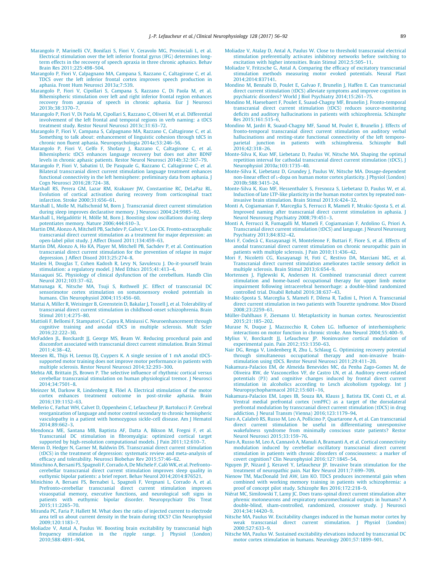- <span id="page-33-0"></span>[Marangolo P, Marinelli CV, Bonifazi S, Fiori V, Ceravolo MG, Provinciali L, et al.](http://refhub.elsevier.com/S1388-2457(16)30634-4/h1480) [Electrical stimulation over the left inferior frontal gyrus \(IFG\) determines long](http://refhub.elsevier.com/S1388-2457(16)30634-4/h1480)[term effects in the recovery of speech apraxia in three chronic aphasics. Behav](http://refhub.elsevier.com/S1388-2457(16)30634-4/h1480) [Brain Res 2011;225:498–504.](http://refhub.elsevier.com/S1388-2457(16)30634-4/h1480)
- [Marangolo P, Fiori V, Calpagnano MA, Campana S, Razzano C, Caltagirone C, et al.](http://refhub.elsevier.com/S1388-2457(16)30634-4/h1485) [TDCS over the left inferior frontal cortex improves speech production in](http://refhub.elsevier.com/S1388-2457(16)30634-4/h1485) [aphasia. Front Hum Neurosci 2013a;7:539.](http://refhub.elsevier.com/S1388-2457(16)30634-4/h1485)
- [Marangolo P, Fiori V, Cipollari S, Campana S, Razzano C, Di Paola M, et al.](http://refhub.elsevier.com/S1388-2457(16)30634-4/h1490) [Bihemispheric stimulation over left and right inferior frontal region enhances](http://refhub.elsevier.com/S1388-2457(16)30634-4/h1490) [recovery from apraxia of speech in chronic aphasia. Eur J Neurosci](http://refhub.elsevier.com/S1388-2457(16)30634-4/h1490) [2013b;38:3370–7.](http://refhub.elsevier.com/S1388-2457(16)30634-4/h1490)
- [Marangolo P, Fiori V, Di Paola M, Cipollari S, Razzano C, Oliveri M, et al. Differential](http://refhub.elsevier.com/S1388-2457(16)30634-4/h1495) [involvement of the left frontal and temporal regions in verb naming: a tDCS](http://refhub.elsevier.com/S1388-2457(16)30634-4/h1495) [treatment study. Restor Neurol Neurosci 2013c;31:63–72.](http://refhub.elsevier.com/S1388-2457(16)30634-4/h1495)
- [Marangolo P, Fiori V, Campana S, Calpagnano MA, Razzano C, Caltagirone C, et al.](http://refhub.elsevier.com/S1388-2457(16)30634-4/h1500) [Something to talk about: enhancement of linguistic cohesion through tdCS in](http://refhub.elsevier.com/S1388-2457(16)30634-4/h1500) [chronic non fluent aphasia. Neuropsychologia 2014a;53:246–56.](http://refhub.elsevier.com/S1388-2457(16)30634-4/h1500)
- [Marangolo P, Fiori V, Gelfo F, Shofany J, Razzano C, Caltagirone C, et al.](http://refhub.elsevier.com/S1388-2457(16)30634-4/h1505) [Bihemispheric tDCS enhances language recovery but does not alter BDNF](http://refhub.elsevier.com/S1388-2457(16)30634-4/h1505) [levels in chronic aphasic patients. Restor Neurol Neurosci 2014b;32:367–79](http://refhub.elsevier.com/S1388-2457(16)30634-4/h1505).
- [Marangolo P, Fiori V, Sabatini U, De Pasquale G, Razzano C, Caltagirone C, et al.](http://refhub.elsevier.com/S1388-2457(16)30634-4/h1510) [Bilateral transcranial direct current stimulation language treatment enhances](http://refhub.elsevier.com/S1388-2457(16)30634-4/h1510) [functional connectivity in the left hemisphere: preliminary data from aphasia. J](http://refhub.elsevier.com/S1388-2457(16)30634-4/h1510) [Cogn Neurosci 2016;28:724–38.](http://refhub.elsevier.com/S1388-2457(16)30634-4/h1510)
- [Marshall RS, Perera GM, Lazar RM, Krakauer JW, Constantine RC, DeLaPaz RL.](http://refhub.elsevier.com/S1388-2457(16)30634-4/h1515) [Evolution of cortical activation during recovery from corticospinal tract](http://refhub.elsevier.com/S1388-2457(16)30634-4/h1515) [infarction. Stroke 2000;31:656–61](http://refhub.elsevier.com/S1388-2457(16)30634-4/h1515).
- [Marshall L, Molle M, Hallschmid M, Born J. Transcranial direct current stimulation](http://refhub.elsevier.com/S1388-2457(16)30634-4/h1520) [during sleep improves declarative memory. J Neurosci 2004;24:9985–92](http://refhub.elsevier.com/S1388-2457(16)30634-4/h1520).
- [Marshall L, Helgadóttir H, Mölle M, Born J. Boosting slow oscillations during sleep](http://refhub.elsevier.com/S1388-2457(16)30634-4/h1525) [potentiates memory. Nature 2006;444:610–3.](http://refhub.elsevier.com/S1388-2457(16)30634-4/h1525)
- [Martin DM, Alonzo A, Mitchell PB, Sachdev P, Galvez V, Loo CK. Fronto-extracephalic](http://refhub.elsevier.com/S1388-2457(16)30634-4/h1530) [transcranial direct current stimulation as a treatment for major depression: an](http://refhub.elsevier.com/S1388-2457(16)30634-4/h1530) [open-label pilot study. J Affect Disord 2011;134:459–63.](http://refhub.elsevier.com/S1388-2457(16)30634-4/h1530)
- [Martin DM, Alonzo A, Ho KA, Player M, Mitchell PB, Sachdev P, et al. Continuation](http://refhub.elsevier.com/S1388-2457(16)30634-4/h1535) [transcranial direct current stimulation for the prevention of relapse in major](http://refhub.elsevier.com/S1388-2457(16)30634-4/h1535) [depression. J Affect Disord 2013;25:274–8](http://refhub.elsevier.com/S1388-2457(16)30634-4/h1535).
- [Maslen H, Douglas T, Cohen Kadosh R, Levy N, Savulescu J. Do-it-yourself brain](http://refhub.elsevier.com/S1388-2457(16)30634-4/h1540) [stimulation: a regulatory model. J Med Ethics 2015;41:413–4](http://refhub.elsevier.com/S1388-2457(16)30634-4/h1540).
- [Massaquoi SG. Physiology of clinical dysfunction of the cerebellum. Handb Clin](http://refhub.elsevier.com/S1388-2457(16)30634-4/h1545) [Neurol 2012;103:37–62](http://refhub.elsevier.com/S1388-2457(16)30634-4/h1545).
- [Matsunaga K, Nitsche MA, Tsuji S, Rothwell JC. Effect of transcranial DC](http://refhub.elsevier.com/S1388-2457(16)30634-4/h1550) [sensorimotor cortex stimulation on somatosensory evoked potentials in](http://refhub.elsevier.com/S1388-2457(16)30634-4/h1550) [humans. Clin Neurophysiol 2004;115:456–60](http://refhub.elsevier.com/S1388-2457(16)30634-4/h1550).
- [Mattai A, Miller R, Weisinger B, Greenstein D, Bakalar J, Tossell J, et al. Tolerability of](http://refhub.elsevier.com/S1388-2457(16)30634-4/h1555) [transcranial direct current stimulation in childhood-onset schizophrenia. Brain](http://refhub.elsevier.com/S1388-2457(16)30634-4/h1555) [Stimul 2011;4:275–80.](http://refhub.elsevier.com/S1388-2457(16)30634-4/h1555)
- [Mattioli F, Bellomi F, Stampatori C, Capra R, Miniussi C. Neuroenhancement through](http://refhub.elsevier.com/S1388-2457(16)30634-4/h1560) [cognitive training and anodal tDCS in multiple sclerosis. Mult Scler](http://refhub.elsevier.com/S1388-2457(16)30634-4/h1560) [2016;22:222–30.](http://refhub.elsevier.com/S1388-2457(16)30634-4/h1560)
- [McFadden JL, Borckardt JJ, George MS, Beam W. Reducing procedural pain and](http://refhub.elsevier.com/S1388-2457(16)30634-4/h1565) [discomfort associated with transcranial direct current stimulation. Brain Stimul](http://refhub.elsevier.com/S1388-2457(16)30634-4/h1565) [2011;4:38–42](http://refhub.elsevier.com/S1388-2457(16)30634-4/h1565).
- [Meesen RL, Thijs H, Leenus DJ, Cuypers K. A single session of 1 mA anodal tDCS](http://refhub.elsevier.com/S1388-2457(16)30634-4/h1570)[supported motor training does not improve motor performance in patients with](http://refhub.elsevier.com/S1388-2457(16)30634-4/h1570) [multiple sclerosis. Restor Neurol Neurosci 2014;32:293–300](http://refhub.elsevier.com/S1388-2457(16)30634-4/h1570).
- [Mehta AR, Brittain JS, Brown P. The selective influence of rhythmic cortical versus](http://refhub.elsevier.com/S1388-2457(16)30634-4/h1575) [cerebellar transcranial stimulation on human physiological tremor. J Neurosci](http://refhub.elsevier.com/S1388-2457(16)30634-4/h1575)  $2014:34:7501-8$
- [Meinzer M, Darkow R, Lindenberg R, Flöel A. Electrical stimulation of the motor](http://refhub.elsevier.com/S1388-2457(16)30634-4/h1580) [cortex enhances treatment outcome in post-stroke aphasia. Brain](http://refhub.elsevier.com/S1388-2457(16)30634-4/h1580) [2016;139:1152–63](http://refhub.elsevier.com/S1388-2457(16)30634-4/h1580).
- [Mellerio C, Farhat WH, Calvet D, Oppenheim C, Lefaucheur JP, Bartolucci P. Cerebral](http://refhub.elsevier.com/S1388-2457(16)30634-4/h1585) [reorganization of language and motor control secondary to chronic hemispheric](http://refhub.elsevier.com/S1388-2457(16)30634-4/h1585) [vasculopathy in a patient with homozygous sickle-cell disease. Am J Hematol](http://refhub.elsevier.com/S1388-2457(16)30634-4/h1585) [2014;89:662–3](http://refhub.elsevier.com/S1388-2457(16)30634-4/h1585).
- [Mendonca ME, Santana MB, Baptista AF, Datta A, Bikson M, Fregni F, et al.](http://refhub.elsevier.com/S1388-2457(16)30634-4/h1590) [Transcranial DC stimulation in fibromyalgia: optimized cortical target](http://refhub.elsevier.com/S1388-2457(16)30634-4/h1590) [supported by high-resolution computational models. J Pain 2011;12:610–7](http://refhub.elsevier.com/S1388-2457(16)30634-4/h1590).
- [Meron D, Hedger N, Garner M, Baldwin DS. Transcranial direct current stimulation](http://refhub.elsevier.com/S1388-2457(16)30634-4/h1595) [\(tDCS\) in the treatment of depression: systematic review and meta-analysis of](http://refhub.elsevier.com/S1388-2457(16)30634-4/h1595) [efficacy and tolerability. Neurosci Biobehav Rev 2015;57:46–62](http://refhub.elsevier.com/S1388-2457(16)30634-4/h1595).
- [Minichino A, Bersani FS, Spagnoli F, Corrado A, De Michele F, Calò WK, et al. Prefronto](http://refhub.elsevier.com/S1388-2457(16)30634-4/h1600)[cerebellar transcranial direct current stimulation improves sleep quality in](http://refhub.elsevier.com/S1388-2457(16)30634-4/h1600) [euthymic bipolar patients: a brief report. Behav Neurol 2014;2014:876521.](http://refhub.elsevier.com/S1388-2457(16)30634-4/h1600)
- [Minichino A, Bersani FS, Bernabei L, Spagnoli F, Vergnani L, Corrado A, et al.](http://refhub.elsevier.com/S1388-2457(16)30634-4/h1605) [Prefronto-cerebellar transcranial direct current stimulation improves](http://refhub.elsevier.com/S1388-2457(16)30634-4/h1605) [visuospatial memory, executive functions, and neurological soft signs in](http://refhub.elsevier.com/S1388-2457(16)30634-4/h1605) [patients with euthymic bipolar disorder. Neuropsychiatr Dis Treat](http://refhub.elsevier.com/S1388-2457(16)30634-4/h1605) [2015;11:2265–70.](http://refhub.elsevier.com/S1388-2457(16)30634-4/h1605)
- [Miranda PC, Faria P, Hallett M. What does the ratio of injected current to electrode](http://refhub.elsevier.com/S1388-2457(16)30634-4/h1610) [area tell us about current density in the brain during tDCS? Clin Neurophysiol](http://refhub.elsevier.com/S1388-2457(16)30634-4/h1610) [2009;120:1183–7.](http://refhub.elsevier.com/S1388-2457(16)30634-4/h1610)
- [Moliadze V, Antal A, Paulus W. Boosting brain excitability by transcranial high](http://refhub.elsevier.com/S1388-2457(16)30634-4/h1615) [frequency stimulation in the ripple range. J Physiol \(London\)](http://refhub.elsevier.com/S1388-2457(16)30634-4/h1615) [2010;588:4891–904](http://refhub.elsevier.com/S1388-2457(16)30634-4/h1615).
- [Moliadze V, Atalay D, Antal A, Paulus W. Close to threshold transcranial electrical](http://refhub.elsevier.com/S1388-2457(16)30634-4/h1620) [stimulation preferentially activates inhibitory networks before switching to](http://refhub.elsevier.com/S1388-2457(16)30634-4/h1620) [excitation with higher intensities. Brain Stimul 2012;5:505–11](http://refhub.elsevier.com/S1388-2457(16)30634-4/h1620).
- [Moliadze V, Fritzsche G, Antal A. Comparing the efficacy of excitatory transcranial](http://refhub.elsevier.com/S1388-2457(16)30634-4/h1625) [stimulation methods measuring motor evoked potentials. Neural Plast](http://refhub.elsevier.com/S1388-2457(16)30634-4/h1625) [2014;2014:837141](http://refhub.elsevier.com/S1388-2457(16)30634-4/h1625).
- [Mondino M, Bennabi D, Poulet E, Galvao F, Brunelin J, Haffen E. Can transcranial](http://refhub.elsevier.com/S1388-2457(16)30634-4/h1630) [direct current stimulation \(tDCS\) alleviate symptoms and improve cognition in](http://refhub.elsevier.com/S1388-2457(16)30634-4/h1630) [psychiatric disorders? World J Biol Psychiatry 2014;15:261–75](http://refhub.elsevier.com/S1388-2457(16)30634-4/h1630).
- [Mondino M, Haesebaert F, Poulet E, Suaud-Chagny MF, Brunelin J. Fronto-temporal](http://refhub.elsevier.com/S1388-2457(16)30634-4/h1635) [transcranial direct current stimulation \(tDCS\) reduces source-monitoring](http://refhub.elsevier.com/S1388-2457(16)30634-4/h1635) [deficits and auditory hallucinations in patients with schizophrenia. Schizophr](http://refhub.elsevier.com/S1388-2457(16)30634-4/h1635) [Res 2015;161:515–6](http://refhub.elsevier.com/S1388-2457(16)30634-4/h1635).
- [Mondino M, Jardri R, Suaud-Chagny MF, Saoud M, Poulet E, Brunelin J. Effects of](http://refhub.elsevier.com/S1388-2457(16)30634-4/h1640) [fronto-temporal transcranial direct current stimulation on auditory verbal](http://refhub.elsevier.com/S1388-2457(16)30634-4/h1640) [hallucinations and resting-state functional connectivity of the left temporo](http://refhub.elsevier.com/S1388-2457(16)30634-4/h1640)[parietal junction in patients with schizophrenia. Schizophr Bull](http://refhub.elsevier.com/S1388-2457(16)30634-4/h1640) [2016;42:318–26.](http://refhub.elsevier.com/S1388-2457(16)30634-4/h1640)
- [Monte-Silva K, Kuo MF, Liebetanz D, Paulus W, Nitsche MA. Shaping the optimal](http://refhub.elsevier.com/S1388-2457(16)30634-4/h1645) [repetition interval for cathodal transcranial direct current stimulation \(tDCS\). J](http://refhub.elsevier.com/S1388-2457(16)30634-4/h1645) [Neurophysiol 2010a;103:1735–40](http://refhub.elsevier.com/S1388-2457(16)30634-4/h1645).
- [Monte-Silva K, Liebetanz D, Grundey J, Paulus W, Nitsche MA. Dosage-dependent](http://refhub.elsevier.com/S1388-2457(16)30634-4/h1650) [non-linear effect of](http://refhub.elsevier.com/S1388-2457(16)30634-4/h1650) [L-dopa on human motor cortex plasticity. J Physiol \(London\)](http://refhub.elsevier.com/S1388-2457(16)30634-4/h1650) [2010b;588:3415–24](http://refhub.elsevier.com/S1388-2457(16)30634-4/h1650).
- [Monte-Silva K, Kuo MF, Hessenthaler S, Fresnoza S, Liebetanz D, Paulus W, et al.](http://refhub.elsevier.com/S1388-2457(16)30634-4/h1655) [Induction of late LTP-like plasticity in the human motor cortex by repeated non](http://refhub.elsevier.com/S1388-2457(16)30634-4/h1655)[invasive brain stimulation. Brain Stimul 2013;6:424–32](http://refhub.elsevier.com/S1388-2457(16)30634-4/h1655).
- [Monti A, Cogiamanian F, Marceglia S, Ferrucci R, Mameli F, Mrakic-Sposta S, et al.](http://refhub.elsevier.com/S1388-2457(16)30634-4/h1660) [Improved naming after transcranial direct current stimulation in aphasia. J](http://refhub.elsevier.com/S1388-2457(16)30634-4/h1660) [Neurol Neurosurg Psychiatry 2008;79:451–3.](http://refhub.elsevier.com/S1388-2457(16)30634-4/h1660)
- [Monti A, Ferrucci R, Fumagalli M, Mameli F, Cogiamanian F, Ardolino G, Priori A.](http://refhub.elsevier.com/S1388-2457(16)30634-4/h1665) [Transcranial direct current stimulation \(tDCS\) and language. J Neurol Neurosurg](http://refhub.elsevier.com/S1388-2457(16)30634-4/h1665) [Psychiatry 2013;84:832–42](http://refhub.elsevier.com/S1388-2457(16)30634-4/h1665).
- [Mori F, Codecà C, Kusayanagi H, Monteleone F, Buttari F, Fiore S, et al. Effects of](http://refhub.elsevier.com/S1388-2457(16)30634-4/h1670) [anodal transcranial direct current stimulation on chronic neuropathic pain in](http://refhub.elsevier.com/S1388-2457(16)30634-4/h1670) [patients with multiple sclerosis. J Pain 2010;11:436–42.](http://refhub.elsevier.com/S1388-2457(16)30634-4/h1670)
- [Mori F, Nicoletti CG, Kusayanagi H, Foti C, Restivo DA, Marciani MG, et al.](http://refhub.elsevier.com/S1388-2457(16)30634-4/h1675) [Transcranial direct current stimulation ameliorates tactile sensory deficit in](http://refhub.elsevier.com/S1388-2457(16)30634-4/h1675) [multiple sclerosis. Brain Stimul 2013;6:654–9](http://refhub.elsevier.com/S1388-2457(16)30634-4/h1675).
- [Mortensen J, Figlewski K, Andersen H. Combined transcranial direct current](http://refhub.elsevier.com/S1388-2457(16)30634-4/h1680) [stimulation and home-based occupational therapy for upper limb motor](http://refhub.elsevier.com/S1388-2457(16)30634-4/h1680) [impairment following intracerebral hemorrhage: a double-blind randomized](http://refhub.elsevier.com/S1388-2457(16)30634-4/h1680) [controlled trial. Disabil Rehabil 2016;38:637–43.](http://refhub.elsevier.com/S1388-2457(16)30634-4/h1680)
- [Mrakic-Sposta S, Marceglia S, Mameli F, Dilena R, Tadini L, Priori A. Transcranial](http://refhub.elsevier.com/S1388-2457(16)30634-4/h1685) [direct current stimulation in two patients with Tourette syndrome. Mov Disord](http://refhub.elsevier.com/S1388-2457(16)30634-4/h1685) [2008;23:2259–61.](http://refhub.elsevier.com/S1388-2457(16)30634-4/h1685)
- [Müller-Dahlhaus F, Ziemann U. Metaplasticity in human cortex. Neuroscientist](http://refhub.elsevier.com/S1388-2457(16)30634-4/h1690) [2015;21:185–202.](http://refhub.elsevier.com/S1388-2457(16)30634-4/h1690)
- [Murase N, Duque J, Mazzocchio R, Cohen LG. Influence of interhemispheric](http://refhub.elsevier.com/S1388-2457(16)30634-4/h1695) [interactions on motor function in chronic stroke. Ann Neurol 2004;55:400–9.](http://refhub.elsevier.com/S1388-2457(16)30634-4/h1695)
- Mylius V, Borckardt JJ, Lefaucheur JP, Noninvasive cortical modulation of [experimental pain. Pain 2012;153:1350–63.](http://refhub.elsevier.com/S1388-2457(16)30634-4/h1700)
- [Nair DG, Renga V, Lindenberg R, Zhu L, Schlaug G. Optimizing recovery potential](http://refhub.elsevier.com/S1388-2457(16)30634-4/h1705) [through simultaneous occupational therapy and non-invasive brain-](http://refhub.elsevier.com/S1388-2457(16)30634-4/h1705)[stimulation using tDCS. Restor Neurol Neurosci 2011;29:411–20](http://refhub.elsevier.com/S1388-2457(16)30634-4/h1705).
- [Nakamura-Palacios EM, de Almeida Benevides MC, da Penha Zago-Gomes M, de](http://refhub.elsevier.com/S1388-2457(16)30634-4/h1710) [Oliveira RW, de Vasconcellos VF, de Castro LN, et al. Auditory event-related](http://refhub.elsevier.com/S1388-2457(16)30634-4/h1710) [potentials \(P3\) and cognitive changes induced by frontal direct current](http://refhub.elsevier.com/S1388-2457(16)30634-4/h1710) [stimulation in alcoholics according to Lesch alcoholism typology. Int J](http://refhub.elsevier.com/S1388-2457(16)30634-4/h1710) [Neuropsychopharmacol 2012;15:601–16.](http://refhub.elsevier.com/S1388-2457(16)30634-4/h1710)
- [Nakamura-Palacios EM, Lopes IB, Souza RA, Klauss J, Batista EK, Conti CL, et al.](http://refhub.elsevier.com/S1388-2457(16)30634-4/h1715) [Ventral medial prefrontal cortex \(vmPFC\) as a target of the dorsolateral](http://refhub.elsevier.com/S1388-2457(16)30634-4/h1715) [prefrontal modulation by transcranial direct current stimulation \(tDCS\) in drug](http://refhub.elsevier.com/S1388-2457(16)30634-4/h1715) [addiction. J Neural Transm \(Vienna\) 2016;123:1179–94.](http://refhub.elsevier.com/S1388-2457(16)30634-4/h1715)
- [Naro A, Calabrò RS, Russo M, Leo A, Pollicino P, Quartarone A, et al. Can transcranial](http://refhub.elsevier.com/S1388-2457(16)30634-4/h1720) [direct current stimulation be useful in differentiating unresponsive](http://refhub.elsevier.com/S1388-2457(16)30634-4/h1720) [wakefulness syndrome from minimally conscious state patients? Restor](http://refhub.elsevier.com/S1388-2457(16)30634-4/h1720) [Neurol Neurosci 2015;33:159–76](http://refhub.elsevier.com/S1388-2457(16)30634-4/h1720).
- [Naro A, Russo M, Leo A, Cannavò A, Manuli A, Bramanti A, et al. Cortical connectivity](http://refhub.elsevier.com/S1388-2457(16)30634-4/h1725) [modulation induced by cerebellar oscillatory transcranial direct current](http://refhub.elsevier.com/S1388-2457(16)30634-4/h1725) [stimulation in patients with chronic disorders of consciousness: a marker of](http://refhub.elsevier.com/S1388-2457(16)30634-4/h1725) [covert cognition? Clin Neurophysiol 2016;127:1845–54](http://refhub.elsevier.com/S1388-2457(16)30634-4/h1725).
- [Nguyen JP, Nizard J, Keravel Y, Lefaucheur JP. Invasive brain stimulation for the](http://refhub.elsevier.com/S1388-2457(16)30634-4/h1730) [treatment of neuropathic pain. Nat Rev Neurol 2011;7:699–709](http://refhub.elsevier.com/S1388-2457(16)30634-4/h1730).
- [Nienow TM, MacDonald 3rd AW, Lim KO. TDCS produces incremental gain when](http://refhub.elsevier.com/S1388-2457(16)30634-4/h1735) [combined with working memory training in patients with schizophrenia: a](http://refhub.elsevier.com/S1388-2457(16)30634-4/h1735) [proof of concept pilot study. Schizophr Res 2016;172:218–9](http://refhub.elsevier.com/S1388-2457(16)30634-4/h1735).
- [Niérat MC, Similowski T, Lamy JC. Does trans-spinal direct current stimulation alter](http://refhub.elsevier.com/S1388-2457(16)30634-4/h1740) [phrenic motoneurons and respiratory neuromechanical outputs in humans? A](http://refhub.elsevier.com/S1388-2457(16)30634-4/h1740) [double-blind, sham-controlled, randomized, crossover study. J Neurosci](http://refhub.elsevier.com/S1388-2457(16)30634-4/h1740) [2014;34:14420–9.](http://refhub.elsevier.com/S1388-2457(16)30634-4/h1740)
- [Nitsche MA, Paulus W. Excitability changes induced in the human motor cortex by](http://refhub.elsevier.com/S1388-2457(16)30634-4/h1745)<br>weak transcranial direct current stimulation. J Physiol (London) direct current stimulation. J Physiol (London) [2000;527:633–9.](http://refhub.elsevier.com/S1388-2457(16)30634-4/h1745)
- [Nitsche MA, Paulus W. Sustained excitability elevations induced by transcranial DC](http://refhub.elsevier.com/S1388-2457(16)30634-4/h1750) [motor cortex stimulation in humans. Neurology 2001;57:1899–901.](http://refhub.elsevier.com/S1388-2457(16)30634-4/h1750)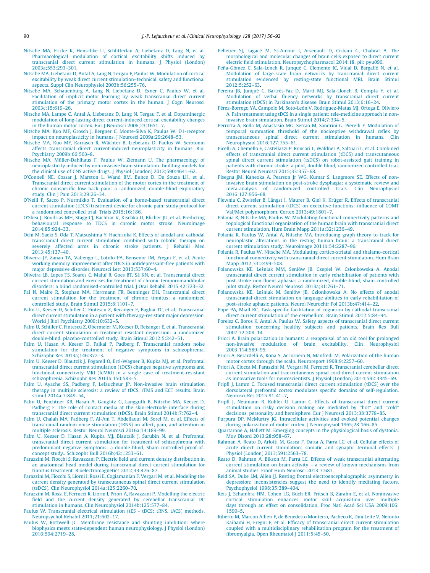- <span id="page-34-0"></span>[Nitsche MA, Fricke K, Henschke U, Schlitterlau A, Liebetanz D, Lang N, et al.](http://refhub.elsevier.com/S1388-2457(16)30634-4/h1755) [Pharmacological modulation of cortical excitability shifts induced by](http://refhub.elsevier.com/S1388-2457(16)30634-4/h1755) [transcranial direct current stimulation in humans. J Physiol \(London\)](http://refhub.elsevier.com/S1388-2457(16)30634-4/h1755) [2003a;553:293–301.](http://refhub.elsevier.com/S1388-2457(16)30634-4/h1755)
- [Nitsche MA, Liebetanz D, Antal A, Lang N, Tergau F, Paulus W. Modulation of cortical](http://refhub.elsevier.com/S1388-2457(16)30634-4/h1760) [excitability by weak direct current stimulation–technical, safety and functional](http://refhub.elsevier.com/S1388-2457(16)30634-4/h1760) [aspects. Suppl Clin Neurophysiol 2003b;56:255–76.](http://refhub.elsevier.com/S1388-2457(16)30634-4/h1760)
- [Nitsche MA, Schauenburg A, Lang N, Liebetanz D, Exner C, Paulus W, et al.](http://refhub.elsevier.com/S1388-2457(16)30634-4/h1765) [Facilitation of implicit motor learning by weak transcranial direct current](http://refhub.elsevier.com/S1388-2457(16)30634-4/h1765) [stimulation of the primary motor cortex in the human. J Cogn Neurosci](http://refhub.elsevier.com/S1388-2457(16)30634-4/h1765) [2003c;15:619–26](http://refhub.elsevier.com/S1388-2457(16)30634-4/h1765).
- [Nitsche MA, Lampe C, Antal A, Liebetanz D, Lang N, Tergau F, et al. Dopaminergic](http://refhub.elsevier.com/S1388-2457(16)30634-4/h1770) [modulation of long-lasting direct current-induced cortical excitability changes](http://refhub.elsevier.com/S1388-2457(16)30634-4/h1770) [in the human motor cortex. Eur J Neurosci 2006;23:1651–7](http://refhub.elsevier.com/S1388-2457(16)30634-4/h1770).
- [Nitsche MA, Kuo MF, Grosch J, Bergner C, Monte-Silva K, Paulus W. D1-receptor](http://refhub.elsevier.com/S1388-2457(16)30634-4/h1775) [impact on neuroplasticity in humans. J Neurosci 2009a;29:2648–53](http://refhub.elsevier.com/S1388-2457(16)30634-4/h1775).
- [Nitsche MA, Kuo MF, Karrasch R, Wächter B, Liebetanz D, Paulus W. Serotonin](http://refhub.elsevier.com/S1388-2457(16)30634-4/h1780) [affects transcranial direct current-induced neuroplasticity in humans. Biol](http://refhub.elsevier.com/S1388-2457(16)30634-4/h1780) [Psychiatry 2009b;66:503–8](http://refhub.elsevier.com/S1388-2457(16)30634-4/h1780).
- [Nitsche MA, Müller-Dahlhaus F, Paulus W, Ziemann U. The pharmacology of](http://refhub.elsevier.com/S1388-2457(16)30634-4/h1785) [neuroplasticity induced by non-invasive brain stimulation: building models for](http://refhub.elsevier.com/S1388-2457(16)30634-4/h1785) [the clinical use of CNS active drugs. J Physiol \(London\) 2012;590:4641–62](http://refhub.elsevier.com/S1388-2457(16)30634-4/h1785).
- [O'Connell NE, Cossar J, Marston L, Wand BM, Bunce D, De Souza LH, et al.](http://refhub.elsevier.com/S1388-2457(16)30634-4/h1790) [Transcranial direct current stimulation of the motor cortex in the treatment of](http://refhub.elsevier.com/S1388-2457(16)30634-4/h1790) [chronic nonspecific low back pain: a randomized, double-blind exploratory](http://refhub.elsevier.com/S1388-2457(16)30634-4/h1790) [study. Clin J Pain 2013;29:26–34](http://refhub.elsevier.com/S1388-2457(16)30634-4/h1790).
- [O'Neill F, Sacco P, Nurmikko T. Evaluation of a home-based transcranial direct](http://refhub.elsevier.com/S1388-2457(16)30634-4/h1795) [current stimulation \(tDCS\) treatment device for chronic pain: study protocol for](http://refhub.elsevier.com/S1388-2457(16)30634-4/h1795) [a randomised controlled trial. Trials 2015;16:186.](http://refhub.elsevier.com/S1388-2457(16)30634-4/h1795)
- [O'Shea J, Boudrias MH, Stagg CJ, Bachtiar V, Kischka U, Blicher JU, et al. Predicting](http://refhub.elsevier.com/S1388-2457(16)30634-4/h1800) [behavioural response to TDCS in chronic motor stroke. Neuroimage](http://refhub.elsevier.com/S1388-2457(16)30634-4/h1800) [2014;85:924–33](http://refhub.elsevier.com/S1388-2457(16)30634-4/h1800).
- [Ochi M, Saeki S, Oda T, Matsushima Y, Hachisuka K. Effects of anodal and cathodal](http://refhub.elsevier.com/S1388-2457(16)30634-4/h1805) [transcranial direct current stimulation combined with robotic therapy on](http://refhub.elsevier.com/S1388-2457(16)30634-4/h1805) severely affected arms in chronic stroke patients. I Rehabil Med [2013;45:137–40.](http://refhub.elsevier.com/S1388-2457(16)30634-4/h1805)
- [Oliveira JF, Zanao TA, Valiengo L, Lotufo PA, Bensenor IM, Fregni F, et al. Acute](http://refhub.elsevier.com/S1388-2457(16)30634-4/h1810) [working memory improvement after tDCS in antidepressant-free patients with](http://refhub.elsevier.com/S1388-2457(16)30634-4/h1810) [major depressive disorder. Neurosci Lett 2013;537:60–4](http://refhub.elsevier.com/S1388-2457(16)30634-4/h1810).
- [Oliveira LB, Lopes TS, Soares C, Maluf R, Goes BT, Sá KN, et al. Transcranial direct](http://refhub.elsevier.com/S1388-2457(16)30634-4/h1815) [current stimulation and exercises for treatment of chronic temporomandibular](http://refhub.elsevier.com/S1388-2457(16)30634-4/h1815) [disorders: a blind randomised-controlled trial. J Oral Rehabil 2015;42:723–32](http://refhub.elsevier.com/S1388-2457(16)30634-4/h1815).
- [Pal N, Maire R, Stephan MA, Herrmann FR, Benninger DH. Transcranial direct](http://refhub.elsevier.com/S1388-2457(16)30634-4/h1820) [current stimulation for the treatment of chronic tinnitus: a randomized](http://refhub.elsevier.com/S1388-2457(16)30634-4/h1820) [controlled study. Brain Stimul 2015;8:1101–7.](http://refhub.elsevier.com/S1388-2457(16)30634-4/h1820)
- [Palm U, Keeser D, Schiller C, Fintescu Z, Reisinger E, Baghai TC, et al. Transcranial](http://refhub.elsevier.com/S1388-2457(16)30634-4/h1825) [direct current stimulation in a patient with therapy-resistant major depression.](http://refhub.elsevier.com/S1388-2457(16)30634-4/h1825) [World J Biol Psychiatry 2009;10:632–5.](http://refhub.elsevier.com/S1388-2457(16)30634-4/h1825)
- [Palm U, Schiller C, Fintescu Z, Obermeier M, Keeser D, Reisinger E, et al. Transcranial](http://refhub.elsevier.com/S1388-2457(16)30634-4/h1830) [direct current stimulation in treatment resistant depression: a randomized](http://refhub.elsevier.com/S1388-2457(16)30634-4/h1830) [double-blind, placebo-controlled study. Brain Stimul 2012;5:242–51](http://refhub.elsevier.com/S1388-2457(16)30634-4/h1830).
- [Palm U, Hasan A, Keeser D, Falkai P, Padberg F. Transcranial random noise](http://refhub.elsevier.com/S1388-2457(16)30634-4/h1835) [stimulation for the treatment of negative symptoms in schizophrenia.](http://refhub.elsevier.com/S1388-2457(16)30634-4/h1835) [Schizophr Res 2013a;146:372–3.](http://refhub.elsevier.com/S1388-2457(16)30634-4/h1835)
- [Palm U, Keeser D, Blautzik J, Pogarell O, Ertl-Wagner B, Kupka MJ, et al. Prefrontal](http://refhub.elsevier.com/S1388-2457(16)30634-4/h1840) [transcranial direct current stimulation \(tDCS\) changes negative symptoms and](http://refhub.elsevier.com/S1388-2457(16)30634-4/h1840) [functional connectivity MRI \(fcMRI\) in a single case of treatment-resistant](http://refhub.elsevier.com/S1388-2457(16)30634-4/h1840) [schizophrenia. Schizophr Res 2013b;150:583–5](http://refhub.elsevier.com/S1388-2457(16)30634-4/h1840).
- [Palm U, Ayache SS, Padberg F, Lefaucheur JP. Non-invasive brain stimulation](http://refhub.elsevier.com/S1388-2457(16)30634-4/h1845) [therapy in multiple sclerosis: a review of tDCS, rTMS and ECT results. Brain](http://refhub.elsevier.com/S1388-2457(16)30634-4/h1845) [stimul 2014a;7:849–54](http://refhub.elsevier.com/S1388-2457(16)30634-4/h1845).
- [Palm U, Feichtner KB, Hasan A, Gauglitz G, Langguth B, Nitsche MA, Keeser D,](http://refhub.elsevier.com/S1388-2457(16)30634-4/h1850) [Padberg F. The role of contact media at the skin-electrode interface during](http://refhub.elsevier.com/S1388-2457(16)30634-4/h1850) [transcranial direct current stimulation \(tDCS\). Brain Stimul 2014b;7:762–4](http://refhub.elsevier.com/S1388-2457(16)30634-4/h1850).
- [Palm U, Chalah MA, Padberg F, Al-Ani T, Abdellaoui M, Sorel M, et al. Effects of](http://refhub.elsevier.com/S1388-2457(16)30634-4/h1855) [transcranial random noise stimulation \(tRNS\) on affect, pain, and attention in](http://refhub.elsevier.com/S1388-2457(16)30634-4/h1855) [multiple sclerosis. Restor Neurol Neurosci 2016a;34:189–99](http://refhub.elsevier.com/S1388-2457(16)30634-4/h1855).
- [Palm U, Keeser D, Hasan A, Kupka MJ, Blautzik J, Sarubin N, et al. Prefrontal](http://refhub.elsevier.com/S1388-2457(16)30634-4/h1860) [transcranial direct current stimulation for treatment of schizophrenia with](http://refhub.elsevier.com/S1388-2457(16)30634-4/h1860) [predominant negative symptoms: a double-blind, Sham-controlled proof-of](http://refhub.elsevier.com/S1388-2457(16)30634-4/h1860)[concept study.. Schizophr Bull 2016b;42:1253–61.](http://refhub.elsevier.com/S1388-2457(16)30634-4/h1860)
- [Parazzini M, Fiocchi S, Ravazzani P. Electric field and current density distribution in](http://refhub.elsevier.com/S1388-2457(16)30634-4/h1865) [an anatomical head model during transcranial direct current stimulation for](http://refhub.elsevier.com/S1388-2457(16)30634-4/h1865) [tinnitus treatment. Bioelectromagnetics 2012;33:476–87](http://refhub.elsevier.com/S1388-2457(16)30634-4/h1865).
- [Parazzini M, Fiocchi S, Liorni I, Rossi E, Cogiamanian F, Vergari M, et al. Modeling the](http://refhub.elsevier.com/S1388-2457(16)30634-4/h1870) [current density generated by transcutaneous spinal direct current stimulation](http://refhub.elsevier.com/S1388-2457(16)30634-4/h1870) [\(tsDCS\). Clin Neurophysiol 2014a;125:2260–70.](http://refhub.elsevier.com/S1388-2457(16)30634-4/h1870)
- [Parazzini M, Rossi E, Ferrucci R, Liorni I, Priori A, Ravazzani P. Modelling the electric](http://refhub.elsevier.com/S1388-2457(16)30634-4/h1875) [field and the current density generated by cerebellar transcranial DC](http://refhub.elsevier.com/S1388-2457(16)30634-4/h1875) [stimulation in humans. Clin Neurophysiol 2014b;125:577–84](http://refhub.elsevier.com/S1388-2457(16)30634-4/h1875).
- [Paulus W. Transcranial electrical stimulation \(tES tDCS; tRNS, tACS\) methods.](http://refhub.elsevier.com/S1388-2457(16)30634-4/h1880) [Neuropsychol Rehabil 2011;21:602–17.](http://refhub.elsevier.com/S1388-2457(16)30634-4/h1880)
- [Paulus W, Rothwell JC. Membrane resistance and shunting inhibition: where](http://refhub.elsevier.com/S1388-2457(16)30634-4/h1885) [biophysics meets state-dependent human neurophysiology. J Physiol \(London\)](http://refhub.elsevier.com/S1388-2457(16)30634-4/h1885) [2016;594:2719–28.](http://refhub.elsevier.com/S1388-2457(16)30634-4/h1885)
- [Pelletier SJ, Lagacé M, St-Amour I, Arsenault D, Cisbani G, Chabrat A. The](http://refhub.elsevier.com/S1388-2457(16)30634-4/h1890) [morphological and molecular changes of brain cells exposed to direct current](http://refhub.elsevier.com/S1388-2457(16)30634-4/h1890) [electric field stimulation. Neuropsychopharmacol 2014;18. pii: pyu090.](http://refhub.elsevier.com/S1388-2457(16)30634-4/h1890)
- [Peña-Gómez C, Sala-Lonch R, Junqué C, Clemente IC, Vidal D, Bargalló N, et al.](http://refhub.elsevier.com/S1388-2457(16)30634-4/h1895) [Modulation of large-scale brain networks by transcranial direct current](http://refhub.elsevier.com/S1388-2457(16)30634-4/h1895) [stimulation evidenced by resting-state functional MRI. Brain Stimul](http://refhub.elsevier.com/S1388-2457(16)30634-4/h1895) [2012;5:252–63](http://refhub.elsevier.com/S1388-2457(16)30634-4/h1895).
- [Pereira JB, Junqué C, Bartrés-Faz D, Martí MJ, Sala-Llonch R, Compta Y, et al.](http://refhub.elsevier.com/S1388-2457(16)30634-4/h1900) [Modulation of verbal fluency networks by transcranial direct current](http://refhub.elsevier.com/S1388-2457(16)30634-4/h1900) [stimulation \(tDCS\) in Parkinson's disease. Brain Stimul 2013;6:16–24](http://refhub.elsevier.com/S1388-2457(16)30634-4/h1900).
- [Pérez-Borrego YA, Campolo M, Soto-León V, Rodriguez-Matas MJ, Ortega E, Oliviero](http://refhub.elsevier.com/S1388-2457(16)30634-4/h1905) [A. Pain treatment using tDCS in a single patient: tele-medicine approach in non](http://refhub.elsevier.com/S1388-2457(16)30634-4/h1905)[invasive brain simulation. Brain Stimul 2014;7:334–5](http://refhub.elsevier.com/S1388-2457(16)30634-4/h1905).
- [Perrotta A, Bolla M, Anastasio MG, Serrao M, Sandrini G, Pierelli F. Modulation of](http://refhub.elsevier.com/S1388-2457(16)30634-4/h1910) [temporal summation threshold of the nociceptive withdrawal reflex by](http://refhub.elsevier.com/S1388-2457(16)30634-4/h1910) [transcutaneous spinal direct current stimulation in humans. Clin](http://refhub.elsevier.com/S1388-2457(16)30634-4/h1910) [Neurophysiol 2016;127:755–61.](http://refhub.elsevier.com/S1388-2457(16)30634-4/h1910)
- [Picelli A, Chemello E, Castellazzi P, Roncari L, Waldner A, Saltuari L, et al. Combined](http://refhub.elsevier.com/S1388-2457(16)30634-4/h1915) [effects of transcranial direct current stimulation \(tDCS\) and transcutaneous](http://refhub.elsevier.com/S1388-2457(16)30634-4/h1915) [spinal direct current stimulation \(tsDCS\) on robot-assisted gait training in](http://refhub.elsevier.com/S1388-2457(16)30634-4/h1915) [patients with chronic stroke: a pilot, double blind, randomized controlled trial.](http://refhub.elsevier.com/S1388-2457(16)30634-4/h1915) [Restor Neurol Neurosci 2015;33:357–68.](http://refhub.elsevier.com/S1388-2457(16)30634-4/h1915)
- [Pisegna JM, Kaneoka A, Pearson Jr WG, Kumar S, Langmore SE. Effects of non](http://refhub.elsevier.com/S1388-2457(16)30634-4/h1920)[invasive brain stimulation on post-stroke dysphagia: a systematic review and](http://refhub.elsevier.com/S1388-2457(16)30634-4/h1920) [meta-analysis of randomized controlled trials. Clin Neurophysiol](http://refhub.elsevier.com/S1388-2457(16)30634-4/h1920) [2016;127:956–68.](http://refhub.elsevier.com/S1388-2457(16)30634-4/h1920)
- [Plewnia C, Zwissler B, Längst I, Maurer B, Giel K, Krüger R. Effects of transcranial](http://refhub.elsevier.com/S1388-2457(16)30634-4/h1925) [direct current stimulation \(tDCS\) on executive functions: influence of COMT](http://refhub.elsevier.com/S1388-2457(16)30634-4/h1925) [Val/Met polymorphism. Cortex 2013;49:1801–7](http://refhub.elsevier.com/S1388-2457(16)30634-4/h1925).
- [Polanía R, Nitsche MA, Paulus W. Modulating functional connectivity patterns and](http://refhub.elsevier.com/S1388-2457(16)30634-4/h1930) [topological functional organization of the human brain with transcranial direct](http://refhub.elsevier.com/S1388-2457(16)30634-4/h1930) [current stimulation. Hum Brain Mapp 2011a;32:1236–49.](http://refhub.elsevier.com/S1388-2457(16)30634-4/h1930)
- [Polanía R, Paulus W, Antal A, Nitsche MA. Introducing graph theory to track for](http://refhub.elsevier.com/S1388-2457(16)30634-4/h1935) [neuroplastic alterations in the resting human brain: a transcranial direct](http://refhub.elsevier.com/S1388-2457(16)30634-4/h1935) [current stimulation study. Neuroimage 2011b;54:2287–96.](http://refhub.elsevier.com/S1388-2457(16)30634-4/h1935)
- [Polanía R, Paulus W, Nitsche MA. Modulating cortico-striatal and thalamo-cortical](http://refhub.elsevier.com/S1388-2457(16)30634-4/h1940) [functional connectivity with transcranial direct current stimulation. Hum Brain](http://refhub.elsevier.com/S1388-2457(16)30634-4/h1940) [Mapp 2012;33:2499–508](http://refhub.elsevier.com/S1388-2457(16)30634-4/h1940).
- Polanowska KE, Leśniak MM, Seniów JB, Czepiel W, Członkowska A. Anodal [transcranial direct current stimulation in early rehabilitation of patients with](http://refhub.elsevier.com/S1388-2457(16)30634-4/h1945) [post-stroke non-fluent aphasia: a randomized, double-blind, sham-controlled](http://refhub.elsevier.com/S1388-2457(16)30634-4/h1945) [pilot study. Restor Neurol Neurosci 2013a;31:761–71.](http://refhub.elsevier.com/S1388-2457(16)30634-4/h1945)
- Polanowska KE, Leśniak M, Seniów JB, Członkowska A. No effects of anodal [transcranial direct stimulation on language abilities in early rehabilitation of](http://refhub.elsevier.com/S1388-2457(16)30634-4/h1950) [post-stroke aphasic patients. Neurol Neurochir Pol 2013b;47:414–22.](http://refhub.elsevier.com/S1388-2457(16)30634-4/h1950)
- [Pope PA, Miall RC. Task-specific facilitation of cognition by cathodal transcranial](http://refhub.elsevier.com/S1388-2457(16)30634-4/h1955) [direct current stimulation of the cerebellum. Brain Stimul 2012;5:84–94.](http://refhub.elsevier.com/S1388-2457(16)30634-4/h1955)
- [Poreisz C, Boros K, Antal A, Paulus W. Safety aspects of transcranial direct current](http://refhub.elsevier.com/S1388-2457(16)30634-4/h1960) [stimulation concerning healthy subjects and patients. Brain Res Bull](http://refhub.elsevier.com/S1388-2457(16)30634-4/h1960) [2007;72:208–14.](http://refhub.elsevier.com/S1388-2457(16)30634-4/h1960)
- [Priori A. Brain polarization in humans: a reappraisal of an old tool for prolonged](http://refhub.elsevier.com/S1388-2457(16)30634-4/h1965) [non-invasive modulation of brain excitability. Clin Neurophysiol](http://refhub.elsevier.com/S1388-2457(16)30634-4/h1965) [2003;114:589–95.](http://refhub.elsevier.com/S1388-2457(16)30634-4/h1965)
- [Priori A, Berardelli A, Rona S, Accornero N, Manfredi M. Polarization of the human](http://refhub.elsevier.com/S1388-2457(16)30634-4/h1970) [motor cortex through the scalp. Neuroreport 1998;9:2257–60](http://refhub.elsevier.com/S1388-2457(16)30634-4/h1970).
- [Priori A, Ciocca M, Parazzini M, Vergari M, Ferrucci R. Transcranial cerebellar direct](http://refhub.elsevier.com/S1388-2457(16)30634-4/h1975) [current stimulation and transcutaneous spinal cord direct current stimulation](http://refhub.elsevier.com/S1388-2457(16)30634-4/h1975) [as innovative tools for neuroscientists. J Physiol \(London\) 2014;592:3345–69.](http://refhub.elsevier.com/S1388-2457(16)30634-4/h1975)
- [Pripfl J, Lamm C. Focused transcranial direct current stimulation \(tDCS\) over the](http://refhub.elsevier.com/S1388-2457(16)30634-4/h1980) [dorsolateral prefrontal cortex modulates specific domains of self-regulation.](http://refhub.elsevier.com/S1388-2457(16)30634-4/h1980) [Neurosci Res 2015;91:41–7.](http://refhub.elsevier.com/S1388-2457(16)30634-4/h1980)
- [Pripfl J, Neumann R, Kohler U, Lamm C. Effects of transcranial direct current](http://refhub.elsevier.com/S1388-2457(16)30634-4/h1985) [stimulation on risky decision making are mediated by ''hot" and ''cold"](http://refhub.elsevier.com/S1388-2457(16)30634-4/h1985) [decisions, personality and hemisphere. Eur J Neurosci 2013;38:3778–85](http://refhub.elsevier.com/S1388-2457(16)30634-4/h1985).
- [Purpura DP, McMurtry JG. Intracellular activities and evoked potential changes](http://refhub.elsevier.com/S1388-2457(16)30634-4/h1990) [during polarization of motor cortex. J Neurophysiol 1965;28:166–85.](http://refhub.elsevier.com/S1388-2457(16)30634-4/h1990)
- [Quartarone A, Hallett M. Emerging concepts in the physiological basis of dystonia.](http://refhub.elsevier.com/S1388-2457(16)30634-4/h1995) [Mov Disord 2013;28:958–67](http://refhub.elsevier.com/S1388-2457(16)30634-4/h1995).
- [Rahman A, Reato D, Arlotti M, Gasca F, Datta A, Parra LC, et al. Cellular effects of](http://refhub.elsevier.com/S1388-2457(16)30634-4/h2000) [acute direct current stimulation: somatic and synaptic terminal effects. J](http://refhub.elsevier.com/S1388-2457(16)30634-4/h2000) [Physiol \(London\) 2013;591:2563–78](http://refhub.elsevier.com/S1388-2457(16)30634-4/h2000).
- [Reato D, Rahman A, Bikson M, Parra LC. Effects of weak transcranial alternating](http://refhub.elsevier.com/S1388-2457(16)30634-4/h2005) [current stimulation on brain activity – a review of known mechanisms from](http://refhub.elsevier.com/S1388-2457(16)30634-4/h2005) [animal studies. Front Hum Neurosci 2013;7:687.](http://refhub.elsevier.com/S1388-2457(16)30634-4/h2005)
- [Reid SA, Duke LM, Allen JJ. Resting frontal electroencephalographic asymmetry in](http://refhub.elsevier.com/S1388-2457(16)30634-4/h2010) [depression: inconsistencies suggest the need to identify mediating factors.](http://refhub.elsevier.com/S1388-2457(16)30634-4/h2010) [Psychophysiol 1998;35:389–404](http://refhub.elsevier.com/S1388-2457(16)30634-4/h2010).
- [Reis J, Schambra HM, Cohen LG, Buch ER, Fritsch B, Zarahn E, et al. Noninvasive](http://refhub.elsevier.com/S1388-2457(16)30634-4/h2015) [cortical stimulation enhances motor skill acquisition over multiple](http://refhub.elsevier.com/S1388-2457(16)30634-4/h2015) [days through an effect on consolidation. Proc Natl Acad Sci USA 2009;106:](http://refhub.elsevier.com/S1388-2457(16)30634-4/h2015) [1590–5](http://refhub.elsevier.com/S1388-2457(16)30634-4/h2015).
- [Riberto M, Marcon Alfieri F, de Benedetto Monteiro, Pacheco K, Dini Leite V, Nemoto](http://refhub.elsevier.com/S1388-2457(16)30634-4/h2020) [Kaihami H, Fregni F, et al. Efficacy of transcranial direct current stimulation](http://refhub.elsevier.com/S1388-2457(16)30634-4/h2020) [coupled with a multidisciplinary rehabilitation program for the treatment of](http://refhub.elsevier.com/S1388-2457(16)30634-4/h2020) [fibromyalgia. Open Rheumatol J 2011;5:45–50.](http://refhub.elsevier.com/S1388-2457(16)30634-4/h2020)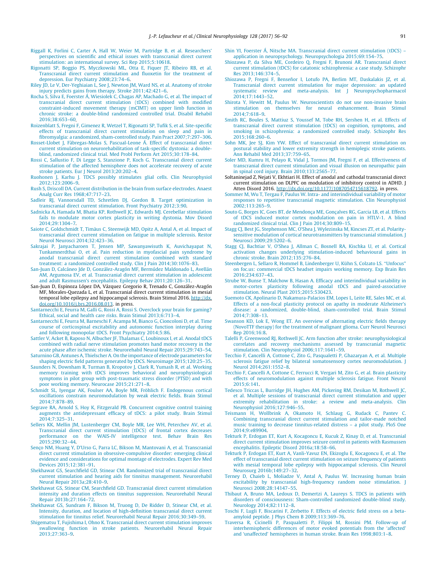- <span id="page-35-0"></span>[Riggall K, Forlini C, Carter A, Hall W, Weier M, Partridge B, et al. Researchers'](http://refhub.elsevier.com/S1388-2457(16)30634-4/h2025) [perspectives on scientific and ethical issues with transcranial direct current](http://refhub.elsevier.com/S1388-2457(16)30634-4/h2025) [stimulation: an international survey. Sci Rep 2015;5:10618](http://refhub.elsevier.com/S1388-2457(16)30634-4/h2025).
- [Rigonatti SP, Boggio PS, Myczkowski ML, Otta E, Fiquer JT, Ribeiro RB, et al.](http://refhub.elsevier.com/S1388-2457(16)30634-4/h2030) [Transcranial direct current stimulation and fluoxetin for the treatment of](http://refhub.elsevier.com/S1388-2457(16)30634-4/h2030) [depression. Eur Psychiatry 2008;23:74–6.](http://refhub.elsevier.com/S1388-2457(16)30634-4/h2030)
- [Riley JD, Le V, Der-Yeghiaian L, See J, Newton JM, Ward NS, et al. Anatomy of stroke](http://refhub.elsevier.com/S1388-2457(16)30634-4/h2035) [injury predicts gains from therapy. Stroke 2011;42:421–6.](http://refhub.elsevier.com/S1388-2457(16)30634-4/h2035)
- [Rocha S, Silva E, Foerster Á, Wiesiolek C, Chagas AP, Machado G, et al. The impact of](http://refhub.elsevier.com/S1388-2457(16)30634-4/h2040) [transcranial direct current stimulation \(tDCS\) combined with modified](http://refhub.elsevier.com/S1388-2457(16)30634-4/h2040) [constraint-induced movement therapy \(mCIMT\) on upper limb function in](http://refhub.elsevier.com/S1388-2457(16)30634-4/h2040) [chronic stroke: a double-blind randomized controlled trial. Disabil Rehabil](http://refhub.elsevier.com/S1388-2457(16)30634-4/h2040) [2016;38:653–60.](http://refhub.elsevier.com/S1388-2457(16)30634-4/h2040)
- [Roizenblatt S, Fregni F, Gimenez R, Wetzel T, Rigonatti SP, Tufik S, et al. Site-specific](http://refhub.elsevier.com/S1388-2457(16)30634-4/h2045) [effects of transcranial direct current stimulation on sleep and pain in](http://refhub.elsevier.com/S1388-2457(16)30634-4/h2045) [fibromyalgia: a randomized, sham-controlled study. Pain Pract 2007;7:297–306](http://refhub.elsevier.com/S1388-2457(16)30634-4/h2045).
- [Rosset-Llobet J, Fàbregas-Molas S, Pascual-Leone Á. Effect of transcranial direct](http://refhub.elsevier.com/S1388-2457(16)30634-4/h2050) [current stimulation on neurorehabilitation of task-specific dystonia: a double](http://refhub.elsevier.com/S1388-2457(16)30634-4/h2050)[blind, randomized clinical trial. Med Probl Perform Art 2015;30:178–84.](http://refhub.elsevier.com/S1388-2457(16)30634-4/h2050)
- [Rossi C, Sallustio F, Di Legge S, Stanzione P, Koch G. Transcranial direct current](http://refhub.elsevier.com/S1388-2457(16)30634-4/h2055) [stimulation of the affected hemisphere does not accelerate recovery of acute](http://refhub.elsevier.com/S1388-2457(16)30634-4/h2055) [stroke patients. Eur J Neurol 2013;20:202–4](http://refhub.elsevier.com/S1388-2457(16)30634-4/h2055).
- [Ruohonen J, Karhu J. TDCS possibly stimulates glial cells. Clin Neurophysiol](http://refhub.elsevier.com/S1388-2457(16)30634-4/h2060) [2012;123:2006–9.](http://refhub.elsevier.com/S1388-2457(16)30634-4/h2060)
- [Rush S, Driscoll DA. Current distribution in the brain from surface electrodes. Anaest](http://refhub.elsevier.com/S1388-2457(16)30634-4/h2065) [Analg Curr Res 1968;47:717–23](http://refhub.elsevier.com/S1388-2457(16)30634-4/h2065).
- [Sadleir RJ, Vannorsdall TD, Schretlen DJ, Gordon B. Target optimization in](http://refhub.elsevier.com/S1388-2457(16)30634-4/h2070) [transcranial direct current stimulation. Front Psychiatry 2012;3:90](http://refhub.elsevier.com/S1388-2457(16)30634-4/h2070).
- [Sadnicka A, Hamada M, Bhatia KP, Rothwell JC, Edwards MJ. Cerebellar stimulation](http://refhub.elsevier.com/S1388-2457(16)30634-4/h2075) [fails to modulate motor cortex plasticity in writing dystonia. Mov Disord](http://refhub.elsevier.com/S1388-2457(16)30634-4/h2075) [2014;29:1304–7.](http://refhub.elsevier.com/S1388-2457(16)30634-4/h2075)
- [Saiote C, Goldschmidt T, Timäus C, Steenwijk MD, Opitz A, Antal A, et al. Impact of](http://refhub.elsevier.com/S1388-2457(16)30634-4/h2080) [transcranial direct current stimulation on fatigue in multiple sclerosis. Restor](http://refhub.elsevier.com/S1388-2457(16)30634-4/h2080) [Neurol Neurosci 2014;32:423–36](http://refhub.elsevier.com/S1388-2457(16)30634-4/h2080).
- [Sakrajai P, Janyacharoen T, Jensen MP, Sawanyawisuth K, Auvichayapat N,](http://refhub.elsevier.com/S1388-2457(16)30634-4/h2085) [Tunkamnerdthai O, et al. Pain reduction in myofascial pain syndrome by](http://refhub.elsevier.com/S1388-2457(16)30634-4/h2085) [anodal transcranial direct current stimulation combined with standard](http://refhub.elsevier.com/S1388-2457(16)30634-4/h2085) [treatment: a randomized controlled study. Clin J Pain 2014;30:1076–83.](http://refhub.elsevier.com/S1388-2457(16)30634-4/h2085)
- [San-Juan D, Calcáneo Jde D, González-Aragón MF, Bermúdez Maldonado L, Avellán](http://refhub.elsevier.com/S1388-2457(16)30634-4/h2090) [AM, Argumosa EV, et al. Transcranial direct current stimulation in adolescent](http://refhub.elsevier.com/S1388-2457(16)30634-4/h2090) [and adult Rasmussen's encephalitis. Epilepsy Behav 2011;20:126–31](http://refhub.elsevier.com/S1388-2457(16)30634-4/h2090).
- San-Juan D, Espinoza López DA, Vázquez Gregorio R, Trenado C, González-Aragón MF, Morales-Quezada L, et al. Transcranial direct current stimulation in mesial temporal lobe epilepsy and hippocampal sclerosis. Brain Stimul 2016. [http://dx.](http://dx.doi.org/10.1016/j.brs.2016.08.013) [doi.org/10.1016/j.brs.2016.08.013](http://dx.doi.org/10.1016/j.brs.2016.08.013). in press.
- [Santarnecchi E, Feurra M, Galli G, Rossi A, Rossi S. Overclock your brain for gaming?](http://refhub.elsevier.com/S1388-2457(16)30634-4/h2100) [Ethical, social and health care risks. Brain Stimul 2013;6:713–4.](http://refhub.elsevier.com/S1388-2457(16)30634-4/h2100)
- [Santarnecchi E, Feurra M, Barneschi F, Acampa M, Bianco G, Cioncoloni D, et al. Time](http://refhub.elsevier.com/S1388-2457(16)30634-4/h2105) [course of corticospinal excitability and autonomic function interplay during](http://refhub.elsevier.com/S1388-2457(16)30634-4/h2105) [and following monopolar tDCS. Front Psychiatry 2014;5:86.](http://refhub.elsevier.com/S1388-2457(16)30634-4/h2105)
- [Sattler V, Acket B, Raposo N, Albucher JF, Thalamas C, Loubinoux I, et al. Anodal tDCS](http://refhub.elsevier.com/S1388-2457(16)30634-4/h2110) [combined with radial nerve stimulation promotes hand motor recovery in the](http://refhub.elsevier.com/S1388-2457(16)30634-4/h2110) [acute phase after ischemic stroke. Neurorehabil Neural Repair 2015;29:743–54](http://refhub.elsevier.com/S1388-2457(16)30634-4/h2110).
- [Saturnino GB, Antunes A, Thielscher A. On the importance of electrode parameters for](http://refhub.elsevier.com/S1388-2457(16)30634-4/h2115) [shaping electric field patterns generated by tDCS. Neuroimage 2015;120:25–35](http://refhub.elsevier.com/S1388-2457(16)30634-4/h2115).
- [Saunders N, Downham R, Turman B, Kropotov J, Clark R, Yumash R, et al. Working](http://refhub.elsevier.com/S1388-2457(16)30634-4/h2120) [memory training with tDCS improves behavioral and neurophysiological](http://refhub.elsevier.com/S1388-2457(16)30634-4/h2120) [symptoms in pilot group with post-traumatic stress disorder \(PTSD\) and with](http://refhub.elsevier.com/S1388-2457(16)30634-4/h2120)
- [poor working memory. Neurocase 2015;21:271–8.](http://refhub.elsevier.com/S1388-2457(16)30634-4/h2120) [Schmidt SL, Iyengar AK, Foulser AA, Boyle MR, Fröhlich F. Endogenous cortical](http://refhub.elsevier.com/S1388-2457(16)30634-4/h2125) [oscillations constrain neuromodulation by weak electric fields. Brain Stimul](http://refhub.elsevier.com/S1388-2457(16)30634-4/h2125) [2014;7:878–89](http://refhub.elsevier.com/S1388-2457(16)30634-4/h2125).
- [Segrave RA, Arnold S, Hoy K, Fitzgerald PB. Concurrent cognitive control training](http://refhub.elsevier.com/S1388-2457(16)30634-4/h2130) [augments the antidepressant efficacy of tDCS: a pilot study. Brain Stimul](http://refhub.elsevier.com/S1388-2457(16)30634-4/h2130) [2014;7:325–31](http://refhub.elsevier.com/S1388-2457(16)30634-4/h2130).
- [Sellers KK, Mellin JM, Lustenberger CM, Boyle MR, Lee WH, Peterchev AV, et al.](http://refhub.elsevier.com/S1388-2457(16)30634-4/h2135) [Transcranial direct current stimulation \(tDCS\) of frontal cortex decreases](http://refhub.elsevier.com/S1388-2457(16)30634-4/h2135) [performance on the WAIS-IV intelligence test. Behav Brain Res](http://refhub.elsevier.com/S1388-2457(16)30634-4/h2135) [2015;290:32–44.](http://refhub.elsevier.com/S1388-2457(16)30634-4/h2135)
- [Senço NM, Huang Y, D'Urso G, Parra LC, Bikson M, Mantovani A, et al. Transcranial](http://refhub.elsevier.com/S1388-2457(16)30634-4/h2140) [direct current stimulation in obsessive-compulsive disorder: emerging clinical](http://refhub.elsevier.com/S1388-2457(16)30634-4/h2140) [evidence and considerations for optimal montage of electrodes. Expert Rev Med](http://refhub.elsevier.com/S1388-2457(16)30634-4/h2140) [Devices 2015;12:381–91](http://refhub.elsevier.com/S1388-2457(16)30634-4/h2140).
- [Shekhawat GS, Searchfield GD, Stinear CM. Randomized trial of transcranial direct](http://refhub.elsevier.com/S1388-2457(16)30634-4/h2145) [current stimulation and hearing aids for tinnitus management. Neurorehabil](http://refhub.elsevier.com/S1388-2457(16)30634-4/h2145) [Neural Repair 2013a;28:410–9](http://refhub.elsevier.com/S1388-2457(16)30634-4/h2145).
- [Shekhawat GS, Stinear CM, Searchfield GD. Transcranial direct current stimulation](http://refhub.elsevier.com/S1388-2457(16)30634-4/h2150) [intensity and duration effects on tinnitus suppression. Neurorehabil Neural](http://refhub.elsevier.com/S1388-2457(16)30634-4/h2150) [Repair 2013b;27:164–72](http://refhub.elsevier.com/S1388-2457(16)30634-4/h2150).
- [Shekhawat GS, Sundram F, Bikson M, Truong D, De Ridder D, Stinear CM, et al.](http://refhub.elsevier.com/S1388-2457(16)30634-4/h2155) [Intensity, duration, and location of high-definition transcranial direct current](http://refhub.elsevier.com/S1388-2457(16)30634-4/h2155) [stimulation for tinnitus relief. Neurorehabil Neural Repair 2016;30:349–59](http://refhub.elsevier.com/S1388-2457(16)30634-4/h2155).
- [Shigematsu T, Fujishima I, Ohno K. Transcranial direct current stimulation improves](http://refhub.elsevier.com/S1388-2457(16)30634-4/h2160) [swallowing function in stroke patients. Neurorehabil Neural Repair](http://refhub.elsevier.com/S1388-2457(16)30634-4/h2160) [2013;27:363–9](http://refhub.elsevier.com/S1388-2457(16)30634-4/h2160).
- [Shin YI, Foerster Á, Nitsche MA. Transcranial direct current stimulation \(tDCS\) –](http://refhub.elsevier.com/S1388-2457(16)30634-4/h2165) [application in neuropsychology. Neuropsychologia 2015;69:154–75.](http://refhub.elsevier.com/S1388-2457(16)30634-4/h2165)
- [Shiozawa P, da Silva ME, Cordeiro Q, Fregni F, Brunoni AR. Transcranial direct](http://refhub.elsevier.com/S1388-2457(16)30634-4/h2170) [current stimulation \(tDCS\) for catatonic schizophrenia: a case study. Schizophr](http://refhub.elsevier.com/S1388-2457(16)30634-4/h2170) [Res 2013;146:374–5](http://refhub.elsevier.com/S1388-2457(16)30634-4/h2170).
- [Shiozawa P, Fregni F, Benseñor I, Lotufo PA, Berlim MT, Daskalakis JZ, et al.](http://refhub.elsevier.com/S1388-2457(16)30634-4/h2175) [Transcranial direct current stimulation for major depression: an updated](http://refhub.elsevier.com/S1388-2457(16)30634-4/h2175) [systematic review and meta-analysis. Int J Neuropsychopharmacol](http://refhub.elsevier.com/S1388-2457(16)30634-4/h2175) [2014;17:1443–52.](http://refhub.elsevier.com/S1388-2457(16)30634-4/h2175)
- [Shirota Y, Hewitt M, Paulus W. Neuroscientists do not use non-invasive brain](http://refhub.elsevier.com/S1388-2457(16)30634-4/h2180) [stimulation on themselves for neural enhancement. Brain Stimul](http://refhub.elsevier.com/S1388-2457(16)30634-4/h2180) [2014;7:618–9](http://refhub.elsevier.com/S1388-2457(16)30634-4/h2180).
- [Smith RC, Boules S, Mattiuz S, Youssef M, Tobe RH, Sershen H, et al. Effects of](http://refhub.elsevier.com/S1388-2457(16)30634-4/h2185) [transcranial direct current stimulation \(tDCS\) on cognition, symptoms, and](http://refhub.elsevier.com/S1388-2457(16)30634-4/h2185) [smoking in schizophrenia: a randomized controlled study. Schizophr Res](http://refhub.elsevier.com/S1388-2457(16)30634-4/h2185)  $2015:168:260-6$
- [Sohn MK, Jee SJ, Kim YW. Effect of transcranial direct current stimulation on](http://refhub.elsevier.com/S1388-2457(16)30634-4/h2190) [postural stability and lower extremity strength in hemiplegic stroke patients.](http://refhub.elsevier.com/S1388-2457(16)30634-4/h2190) [Ann Rehabil Med 2013;37:759–65](http://refhub.elsevier.com/S1388-2457(16)30634-4/h2190).
- [Soler MD, Kumru H, Pelayo R, Vidal J, Tormos JM, Fregni F, et al. Effectiveness of](http://refhub.elsevier.com/S1388-2457(16)30634-4/h2195) [transcranial direct current stimulation and visual illusion on neuropathic pain](http://refhub.elsevier.com/S1388-2457(16)30634-4/h2195) [in spinal cord injury. Brain 2010;133:2565–77](http://refhub.elsevier.com/S1388-2457(16)30634-4/h2195).
- Soltaninejad Z, Nejati V, Ekhtiari H. Effect of anodal and cathodal transcranial direct current stimulation on DLPFC on modulation of inhibitory control in ADHD. J Atten Disord 2016. [http://dx.doi.org/10.1177/1087054715618792.](http://dx.doi.org/10.1177/1087054715618792) in press.
- [Sommer M, Wu T, Tergau F, Paulus W. Intra- and interindividual variability of motor](http://refhub.elsevier.com/S1388-2457(16)30634-4/h2205) [responses to repetitive transcranial magnetic stimulation. Clin Neurophysiol](http://refhub.elsevier.com/S1388-2457(16)30634-4/h2205) [2002;113:265–9.](http://refhub.elsevier.com/S1388-2457(16)30634-4/h2205)
- [Souto G, Borges IC, Goes BT, de Mendonça ME, Gonçalves RG, Garcia LB, et al. Effects](http://refhub.elsevier.com/S1388-2457(16)30634-4/h2210) [of tDCS induced motor cortex modulation on pain in HTLV-1. A blind](http://refhub.elsevier.com/S1388-2457(16)30634-4/h2210) [randomized clinical trial. Clin J Pain 2014;30:809–15](http://refhub.elsevier.com/S1388-2457(16)30634-4/h2210).
- [Stagg CJ, Best JG, Stephenson MC, O'Shea J, Wylezinska M, Kincses ZT, et al. Polarity](http://refhub.elsevier.com/S1388-2457(16)30634-4/h2215)[sensitive modulation of cortical neurotransmitters by transcranial stimulation. J](http://refhub.elsevier.com/S1388-2457(16)30634-4/h2215) [Neurosci 2009;29:5202–6](http://refhub.elsevier.com/S1388-2457(16)30634-4/h2215).
- [Stagg CJ, Bachtiar V, O'Shea J, Allman C, Bosnell RA, Kischka U, et al. Cortical](http://refhub.elsevier.com/S1388-2457(16)30634-4/h2220) [activation changes underlying stimulation-induced behavioural gains in](http://refhub.elsevier.com/S1388-2457(16)30634-4/h2220) [chronic stroke. Brain 2012;135:276–84.](http://refhub.elsevier.com/S1388-2457(16)30634-4/h2220)
- [Steenbergen L, Sellaro R, Hommel B, Lindenberger U, Kühn S, Colzato LS. ''Unfocus"](http://refhub.elsevier.com/S1388-2457(16)30634-4/h2225) [on foc.us: commercial tDCS headset impairs working memory. Exp Brain Res](http://refhub.elsevier.com/S1388-2457(16)30634-4/h2225) [2016;234:637–43.](http://refhub.elsevier.com/S1388-2457(16)30634-4/h2225)
- [Strube W, Bunse T, Malchow B, Hasan A. Efficacy and interindividual variability in](http://refhub.elsevier.com/S1388-2457(16)30634-4/h2230) [motor-cortex plasticity following anodal tDCS and paired-associative](http://refhub.elsevier.com/S1388-2457(16)30634-4/h2230) [stimulation. Neural Plast 2015;2015:530423.](http://refhub.elsevier.com/S1388-2457(16)30634-4/h2230)
- [Suemoto CK, Apolinario D, Nakamura-Palacios EM, Lopes L, Leite RE, Sales MC, et al.](http://refhub.elsevier.com/S1388-2457(16)30634-4/h2235) [Effects of a non-focal plasticity protocol on apathy in moderate Alzheimer's](http://refhub.elsevier.com/S1388-2457(16)30634-4/h2235) [disease: a randomized, double-blind, sham-controlled trial. Brain Stimul](http://refhub.elsevier.com/S1388-2457(16)30634-4/h2235)  $2014.7:308-13$
- [Swanson KD, Lok E, Wong ET. An overview of alternating electric fields therapy](http://refhub.elsevier.com/S1388-2457(16)30634-4/h2240) [\(NovoTTF therapy\) for the treatment of malignant glioma. Curr Neurol Neurosci](http://refhub.elsevier.com/S1388-2457(16)30634-4/h2240) [Rep 2016;16:8](http://refhub.elsevier.com/S1388-2457(16)30634-4/h2240).
- [Talelli P, Greenwood RJ, Rothwell JC. Arm function after stroke: neurophysiological](http://refhub.elsevier.com/S1388-2457(16)30634-4/h2245) [correlates and recovery mechanisms assessed by transcranial magnetic](http://refhub.elsevier.com/S1388-2457(16)30634-4/h2245) [stimulation. Clin Neurophysiol 2006;117:1641–59.](http://refhub.elsevier.com/S1388-2457(16)30634-4/h2245)
- [Tecchio F, Cancelli A, Cottone C, Zito G, Pasqualetti P, Ghazaryan A, et al. Multiple](http://refhub.elsevier.com/S1388-2457(16)30634-4/h2250) [sclerosis fatigue relief by bilateral somatosensory cortex neuromodulation. J](http://refhub.elsevier.com/S1388-2457(16)30634-4/h2250) [Neurol 2014;261:1552–8](http://refhub.elsevier.com/S1388-2457(16)30634-4/h2250).
- [Tecchio F, Cancelli A, Cottone C, Ferrucci R, Vergari M, Zito G, et al. Brain plasticity](http://refhub.elsevier.com/S1388-2457(16)30634-4/h2255) [effects of neuromodulation against multiple sclerosis fatigue. Front Neurol](http://refhub.elsevier.com/S1388-2457(16)30634-4/h2255)  $2015:6:141$
- [Tedesco Triccas L, Burridge JH, Hughes AM, Pickering RM, Desikan M, Rothwell JC,](http://refhub.elsevier.com/S1388-2457(16)30634-4/h2260) [et al. Multiple sessions of transcranial direct current stimulation and upper](http://refhub.elsevier.com/S1388-2457(16)30634-4/h2260) [extremity rehabilitation in stroke: a review and meta-analysis. Clin](http://refhub.elsevier.com/S1388-2457(16)30634-4/h2260) [Neurophysiol 2016;127:946–55](http://refhub.elsevier.com/S1388-2457(16)30634-4/h2260).
- [Teismann H, Wollbrink A, Okamoto H, Schlaug G, Rudack C, Pantev C.](http://refhub.elsevier.com/S1388-2457(16)30634-4/h2265) [Combining transcranial direct current stimulation and tailor-made notched](http://refhub.elsevier.com/S1388-2457(16)30634-4/h2265) [music training to decrease tinnitus-related distress – a pilot study. PloS One](http://refhub.elsevier.com/S1388-2457(16)30634-4/h2265) [2014;9:e89904.](http://refhub.elsevier.com/S1388-2457(16)30634-4/h2265)
- [Tekturk P, Erdogan ET, Kurt A, Kocagoncu E, Kucuk Z, Kinay D, et al. Transcranial](http://refhub.elsevier.com/S1388-2457(16)30634-4/h2270) [direct current stimulation improves seizure control in patients with Rasmussen](http://refhub.elsevier.com/S1388-2457(16)30634-4/h2270) [encephalitis. Epileptic Disord 2016a;18:58–66](http://refhub.elsevier.com/S1388-2457(16)30634-4/h2270).
- [Tekturk P, Erdogan ET, Kurt A, Vanli-Yavuz EN, Ekizoglu E, Kocagoncu E, et al. The](http://refhub.elsevier.com/S1388-2457(16)30634-4/h2275) [effect of transcranial direct current stimulation on seizure frequency of patients](http://refhub.elsevier.com/S1388-2457(16)30634-4/h2275) [with mesial temporal lobe epilepsy with hippocampal sclerosis. Clin Neurol](http://refhub.elsevier.com/S1388-2457(16)30634-4/h2275) [Neurosurg 2016b;149:27–32](http://refhub.elsevier.com/S1388-2457(16)30634-4/h2275).
- [Terney D, Chaieb L, Moliadze V, Antal A, Paulus W. Increasing human brain](http://refhub.elsevier.com/S1388-2457(16)30634-4/h2280) [excitability by transcranial high-frequency random noise stimulation. J](http://refhub.elsevier.com/S1388-2457(16)30634-4/h2280) [Neurosci 2008;28:14147–55](http://refhub.elsevier.com/S1388-2457(16)30634-4/h2280).
- [Thibaut A, Bruno MA, Ledoux D, Demertzi A, Laureys S. TDCS in patients with](http://refhub.elsevier.com/S1388-2457(16)30634-4/h2285) [disorders of consciousness: Sham-controlled randomized double-blind study.](http://refhub.elsevier.com/S1388-2457(16)30634-4/h2285) [Neurology 2014;82:1112–8](http://refhub.elsevier.com/S1388-2457(16)30634-4/h2285).
- [Toschi F, Lugli F, Biscarini F, Zerbetto F. Effects of electric field stress on a beta](http://refhub.elsevier.com/S1388-2457(16)30634-4/h2290)[amyloid peptide. J Phys Chem B 2009;113:369–76](http://refhub.elsevier.com/S1388-2457(16)30634-4/h2290).
- [Traversa R, Cicinelli P, Pasqualetti P, Filippi M, Rossini PM. Follow-up of](http://refhub.elsevier.com/S1388-2457(16)30634-4/h2295) [interhemispheric differences of motor evoked potentials from the 'affected'](http://refhub.elsevier.com/S1388-2457(16)30634-4/h2295) [and 'unaffected' hemispheres in human stroke. Brain Res 1998;803:1–8.](http://refhub.elsevier.com/S1388-2457(16)30634-4/h2295)